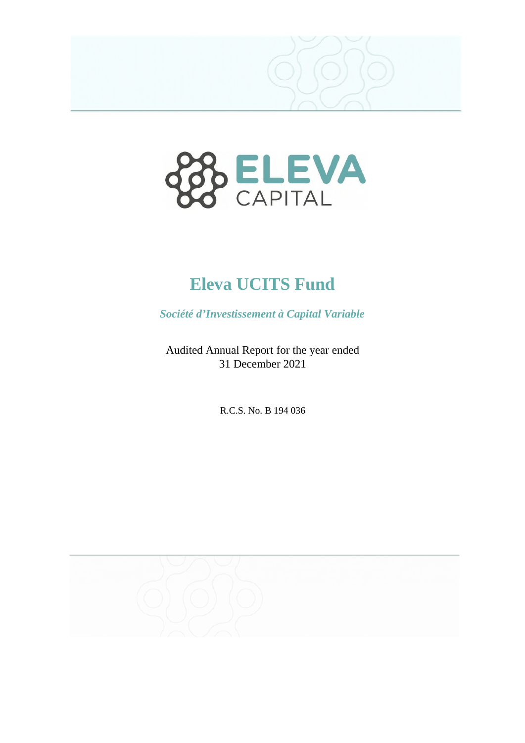



*Société d'Investissement à Capital Variable* 

Audited Annual Report for the year ended 31 December 2021

R.C.S. No. B 194 036

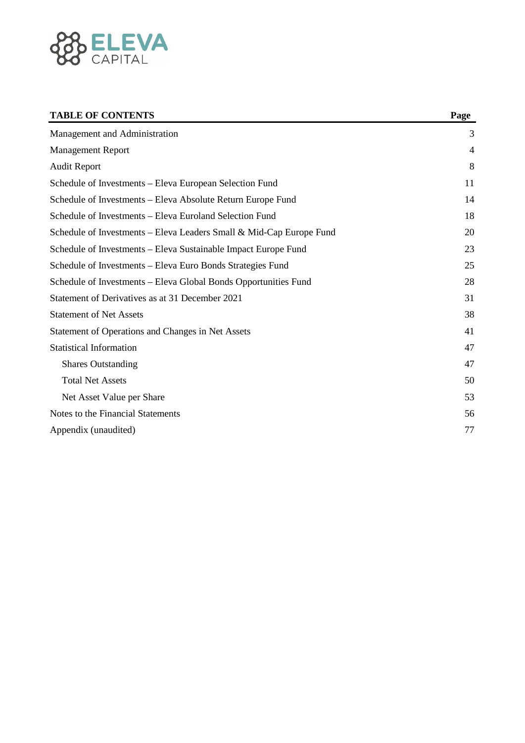

## **TABLE OF CONTENTS** Page **P**

| Management and Administration                                       | 3              |
|---------------------------------------------------------------------|----------------|
| <b>Management Report</b>                                            | $\overline{4}$ |
| <b>Audit Report</b>                                                 | 8              |
| Schedule of Investments - Eleva European Selection Fund             | 11             |
| Schedule of Investments - Eleva Absolute Return Europe Fund         | 14             |
| Schedule of Investments - Eleva Euroland Selection Fund             | 18             |
| Schedule of Investments - Eleva Leaders Small & Mid-Cap Europe Fund | 20             |
| Schedule of Investments - Eleva Sustainable Impact Europe Fund      | 23             |
| Schedule of Investments - Eleva Euro Bonds Strategies Fund          | 25             |
| Schedule of Investments - Eleva Global Bonds Opportunities Fund     | 28             |
| Statement of Derivatives as at 31 December 2021                     | 31             |
| <b>Statement of Net Assets</b>                                      | 38             |
| Statement of Operations and Changes in Net Assets                   | 41             |
| <b>Statistical Information</b>                                      | 47             |
| <b>Shares Outstanding</b>                                           | 47             |
| <b>Total Net Assets</b>                                             | 50             |
| Net Asset Value per Share                                           | 53             |
| Notes to the Financial Statements                                   | 56             |
| Appendix (unaudited)                                                | 77             |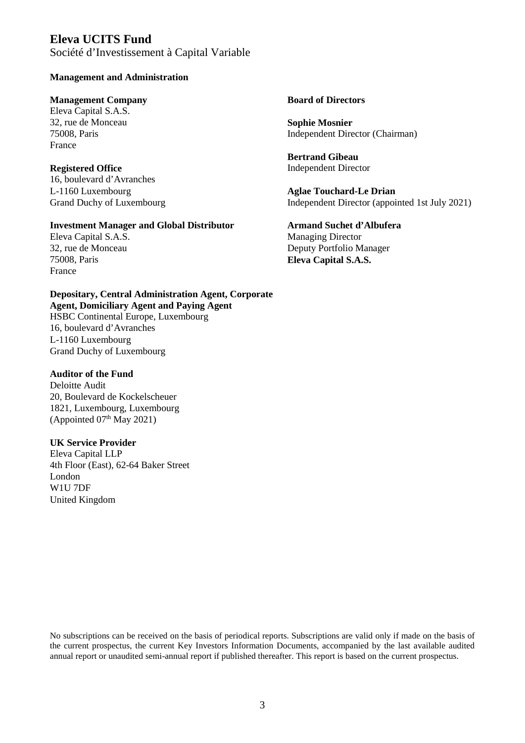Société d'Investissement à Capital Variable

#### **Management and Administration**

#### **Management Company Board of Directors**

Eleva Capital S.A.S. 32, rue de Monceau **Sophie Mosnier**  France

16, boulevard d'Avranches L-1160 Luxembourg **Aglae Touchard-Le Drian** 

#### **Investment Manager and Global Distributor Armand Suchet d'Albufera**

France

#### **Depositary, Central Administration Agent, Corporate Agent, Domiciliary Agent and Paying Agent**

HSBC Continental Europe, Luxembourg 16, boulevard d'Avranches L-1160 Luxembourg Grand Duchy of Luxembourg

#### **Auditor of the Fund**

Deloitte Audit 20, Boulevard de Kockelscheuer 1821, Luxembourg, Luxembourg (Appointed  $07<sup>th</sup>$  May 2021)

#### **UK Service Provider**

Eleva Capital LLP 4th Floor (East), 62-64 Baker Street London W1U 7DF United Kingdom

Independent Director (Chairman)

**Bertrand Gibeau Registered Office Independent Director** Independent Director

Grand Duchy of Luxembourg Independent Director (appointed 1st July 2021)

# Eleva Capital S.A.S. Managing Director 32, rue de Monceau Deputy Portfolio Manager 75008, Paris **Eleva Capital S.A.S.**

No subscriptions can be received on the basis of periodical reports. Subscriptions are valid only if made on the basis of the current prospectus, the current Key Investors Information Documents, accompanied by the last available audited annual report or unaudited semi-annual report if published thereafter. This report is based on the current prospectus.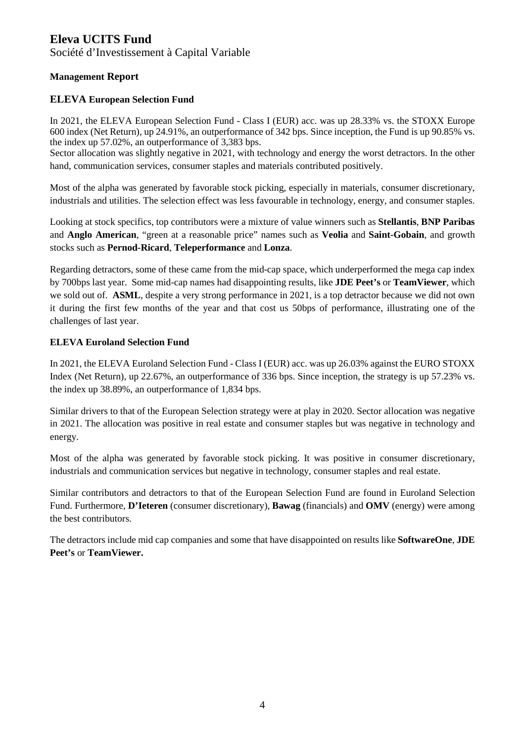Société d'Investissement à Capital Variable

# **Management Report**

#### **ELEVA European Selection Fund**

In 2021, the ELEVA European Selection Fund - Class I (EUR) acc. was up 28.33% vs. the STOXX Europe 600 index (Net Return), up 24.91%, an outperformance of 342 bps. Since inception, the Fund is up 90.85% vs. the index up 57.02%, an outperformance of 3,383 bps.

Sector allocation was slightly negative in 2021, with technology and energy the worst detractors. In the other hand, communication services, consumer staples and materials contributed positively.

Most of the alpha was generated by favorable stock picking, especially in materials, consumer discretionary, industrials and utilities. The selection effect was less favourable in technology, energy, and consumer staples.

Looking at stock specifics, top contributors were a mixture of value winners such as **Stellantis**, **BNP Paribas** and **Anglo American**, "green at a reasonable price" names such as **Veolia** and **Saint-Gobain**, and growth stocks such as **Pernod-Ricard**, **Teleperformance** and **Lonza**.

Regarding detractors, some of these came from the mid-cap space, which underperformed the mega cap index by 700bps last year. Some mid-cap names had disappointing results, like **JDE Peet's** or **TeamViewer**, which we sold out of. **ASML**, despite a very strong performance in 2021, is a top detractor because we did not own it during the first few months of the year and that cost us 50bps of performance, illustrating one of the challenges of last year.

#### **ELEVA Euroland Selection Fund**

In 2021, the ELEVA Euroland Selection Fund - Class I (EUR) acc. was up 26.03% against the EURO STOXX Index (Net Return), up 22.67%, an outperformance of 336 bps. Since inception, the strategy is up 57.23% vs. the index up 38.89%, an outperformance of 1,834 bps.

Similar drivers to that of the European Selection strategy were at play in 2020. Sector allocation was negative in 2021. The allocation was positive in real estate and consumer staples but was negative in technology and energy.

Most of the alpha was generated by favorable stock picking. It was positive in consumer discretionary, industrials and communication services but negative in technology, consumer staples and real estate.

Similar contributors and detractors to that of the European Selection Fund are found in Euroland Selection Fund. Furthermore, **D'Ieteren** (consumer discretionary), **Bawag** (financials) and **OMV** (energy) were among the best contributors.

The detractors include mid cap companies and some that have disappointed on results like **SoftwareOne**, **JDE Peet's** or **TeamViewer.**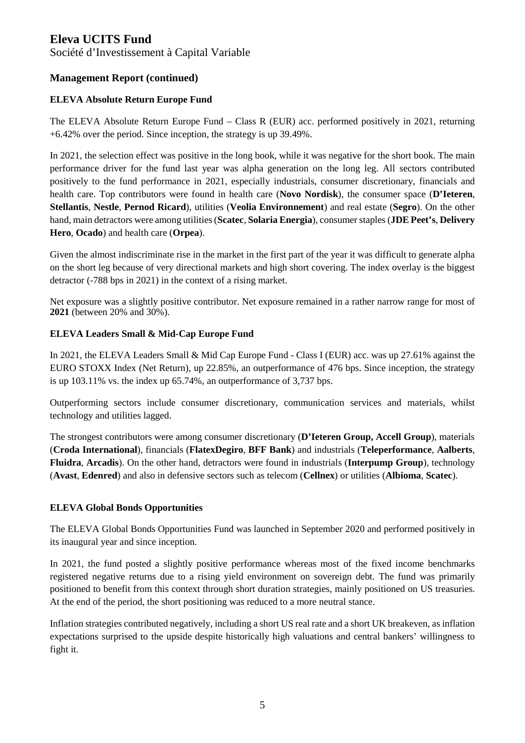Société d'Investissement à Capital Variable

# **Management Report (continued)**

#### **ELEVA Absolute Return Europe Fund**

The ELEVA Absolute Return Europe Fund – Class R (EUR) acc. performed positively in 2021, returning +6.42% over the period. Since inception, the strategy is up 39.49%.

In 2021, the selection effect was positive in the long book, while it was negative for the short book. The main performance driver for the fund last year was alpha generation on the long leg. All sectors contributed positively to the fund performance in 2021, especially industrials, consumer discretionary, financials and health care. Top contributors were found in health care (**Novo Nordisk**), the consumer space (**D'Ieteren**, **Stellantis**, **Nestle**, **Pernod Ricard**), utilities (**Veolia Environnement**) and real estate (**Segro**). On the other hand, main detractors were among utilities (**Scatec**, **Solaria Energia**), consumer staples (**JDE Peet's**, **Delivery Hero**, **Ocado**) and health care (**Orpea**).

Given the almost indiscriminate rise in the market in the first part of the year it was difficult to generate alpha on the short leg because of very directional markets and high short covering. The index overlay is the biggest detractor (-788 bps in 2021) in the context of a rising market.

Net exposure was a slightly positive contributor. Net exposure remained in a rather narrow range for most of **2021** (between 20% and 30%).

#### **ELEVA Leaders Small & Mid-Cap Europe Fund**

In 2021, the ELEVA Leaders Small & Mid Cap Europe Fund - Class I (EUR) acc. was up 27.61% against the EURO STOXX Index (Net Return), up 22.85%, an outperformance of 476 bps. Since inception, the strategy is up 103.11% vs. the index up 65.74%, an outperformance of 3,737 bps.

Outperforming sectors include consumer discretionary, communication services and materials, whilst technology and utilities lagged.

The strongest contributors were among consumer discretionary (**D'Ieteren Group, Accell Group**), materials (**Croda International**), financials (**FlatexDegiro**, **BFF Bank**) and industrials (**Teleperformance**, **Aalberts**, **Fluidra**, **Arcadis**). On the other hand, detractors were found in industrials (**Interpump Group**), technology (**Avast**, **Edenred**) and also in defensive sectors such as telecom (**Cellnex**) or utilities (**Albioma**, **Scatec**).

#### **ELEVA Global Bonds Opportunities**

The ELEVA Global Bonds Opportunities Fund was launched in September 2020 and performed positively in its inaugural year and since inception.

In 2021, the fund posted a slightly positive performance whereas most of the fixed income benchmarks registered negative returns due to a rising yield environment on sovereign debt. The fund was primarily positioned to benefit from this context through short duration strategies, mainly positioned on US treasuries. At the end of the period, the short positioning was reduced to a more neutral stance.

Inflation strategies contributed negatively, including a short US real rate and a short UK breakeven, as inflation expectations surprised to the upside despite historically high valuations and central bankers' willingness to fight it.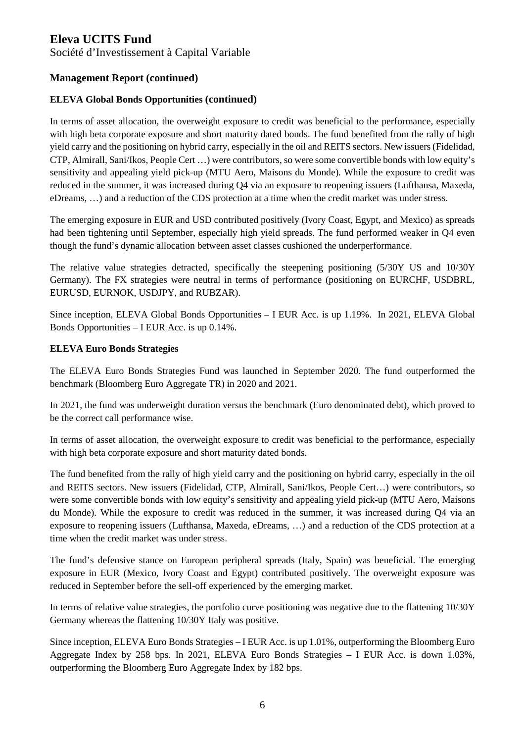Société d'Investissement à Capital Variable

#### **Management Report (continued)**

#### **ELEVA Global Bonds Opportunities (continued)**

In terms of asset allocation, the overweight exposure to credit was beneficial to the performance, especially with high beta corporate exposure and short maturity dated bonds. The fund benefited from the rally of high yield carry and the positioning on hybrid carry, especially in the oil and REITS sectors. New issuers (Fidelidad, CTP, Almirall, Sani/Ikos, People Cert …) were contributors, so were some convertible bonds with low equity's sensitivity and appealing yield pick-up (MTU Aero, Maisons du Monde). While the exposure to credit was reduced in the summer, it was increased during Q4 via an exposure to reopening issuers (Lufthansa, Maxeda, eDreams, …) and a reduction of the CDS protection at a time when the credit market was under stress.

The emerging exposure in EUR and USD contributed positively (Ivory Coast, Egypt, and Mexico) as spreads had been tightening until September, especially high yield spreads. The fund performed weaker in Q4 even though the fund's dynamic allocation between asset classes cushioned the underperformance.

The relative value strategies detracted, specifically the steepening positioning (5/30Y US and 10/30Y Germany). The FX strategies were neutral in terms of performance (positioning on EURCHF, USDBRL, EURUSD, EURNOK, USDJPY, and RUBZAR).

Since inception, ELEVA Global Bonds Opportunities – I EUR Acc. is up 1.19%. In 2021, ELEVA Global Bonds Opportunities – I EUR Acc. is up 0.14%.

#### **ELEVA Euro Bonds Strategies**

The ELEVA Euro Bonds Strategies Fund was launched in September 2020. The fund outperformed the benchmark (Bloomberg Euro Aggregate TR) in 2020 and 2021.

In 2021, the fund was underweight duration versus the benchmark (Euro denominated debt), which proved to be the correct call performance wise.

In terms of asset allocation, the overweight exposure to credit was beneficial to the performance, especially with high beta corporate exposure and short maturity dated bonds.

The fund benefited from the rally of high yield carry and the positioning on hybrid carry, especially in the oil and REITS sectors. New issuers (Fidelidad, CTP, Almirall, Sani/Ikos, People Cert…) were contributors, so were some convertible bonds with low equity's sensitivity and appealing yield pick-up (MTU Aero, Maisons du Monde). While the exposure to credit was reduced in the summer, it was increased during Q4 via an exposure to reopening issuers (Lufthansa, Maxeda, eDreams, …) and a reduction of the CDS protection at a time when the credit market was under stress.

The fund's defensive stance on European peripheral spreads (Italy, Spain) was beneficial. The emerging exposure in EUR (Mexico, Ivory Coast and Egypt) contributed positively. The overweight exposure was reduced in September before the sell-off experienced by the emerging market.

In terms of relative value strategies, the portfolio curve positioning was negative due to the flattening 10/30Y Germany whereas the flattening 10/30Y Italy was positive.

Since inception, ELEVA Euro Bonds Strategies – I EUR Acc. is up 1.01%, outperforming the Bloomberg Euro Aggregate Index by 258 bps. In 2021, ELEVA Euro Bonds Strategies – I EUR Acc. is down 1.03%, outperforming the Bloomberg Euro Aggregate Index by 182 bps.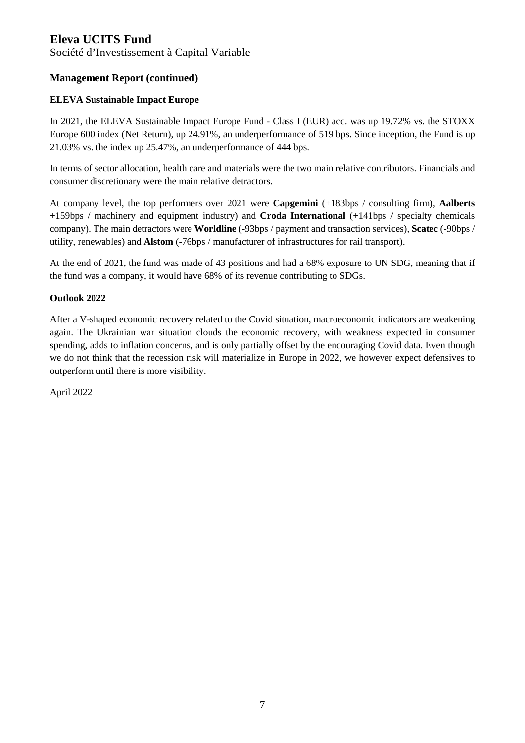Société d'Investissement à Capital Variable

# **Management Report (continued)**

#### **ELEVA Sustainable Impact Europe**

In 2021, the ELEVA Sustainable Impact Europe Fund - Class I (EUR) acc. was up 19.72% vs. the STOXX Europe 600 index (Net Return), up 24.91%, an underperformance of 519 bps. Since inception, the Fund is up 21.03% vs. the index up 25.47%, an underperformance of 444 bps.

In terms of sector allocation, health care and materials were the two main relative contributors. Financials and consumer discretionary were the main relative detractors.

At company level, the top performers over 2021 were **Capgemini** (+183bps / consulting firm), **Aalberts** +159bps / machinery and equipment industry) and **Croda International** (+141bps / specialty chemicals company). The main detractors were **Worldline** (-93bps / payment and transaction services), **Scatec** (-90bps / utility, renewables) and **Alstom** (-76bps / manufacturer of infrastructures for rail transport).

At the end of 2021, the fund was made of 43 positions and had a 68% exposure to UN SDG, meaning that if the fund was a company, it would have 68% of its revenue contributing to SDGs.

#### **Outlook 2022**

After a V-shaped economic recovery related to the Covid situation, macroeconomic indicators are weakening again. The Ukrainian war situation clouds the economic recovery, with weakness expected in consumer spending, adds to inflation concerns, and is only partially offset by the encouraging Covid data. Even though we do not think that the recession risk will materialize in Europe in 2022, we however expect defensives to outperform until there is more visibility.

April 2022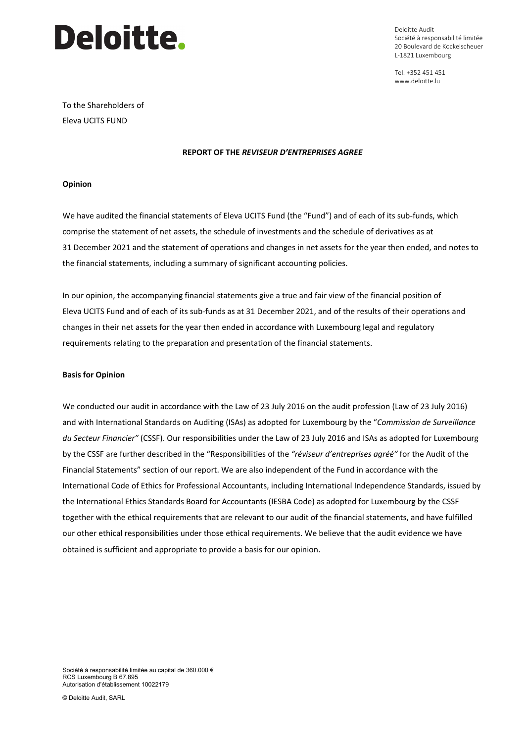

Deloitte Audit Société à responsabilité limitée 20 Boulevard de Kockelscheuer L-1821 Luxembourg

Tel: +352 451 451 www.deloitte.lu

To the Shareholders of Eleva UCITS FUND

#### **REPORT OF THE** *REVISEUR D'ENTREPRISES AGREE*

#### **Opinion**

We have audited the financial statements of Eleva UCITS Fund (the "Fund") and of each of its sub-funds, which comprise the statement of net assets, the schedule of investments and the schedule of derivatives as at 31 December 2021 and the statement of operations and changes in net assets for the year then ended, and notes to the financial statements, including a summary of significant accounting policies.

In our opinion, the accompanying financial statements give a true and fair view of the financial position of Eleva UCITS Fund and of each of its sub-funds as at 31 December 2021, and of the results of their operations and changes in their net assets for the year then ended in accordance with Luxembourg legal and regulatory requirements relating to the preparation and presentation of the financial statements.

#### **Basis for Opinion**

We conducted our audit in accordance with the Law of 23 July 2016 on the audit profession (Law of 23 July 2016) and with International Standards on Auditing (ISAs) as adopted for Luxembourg by the "*Commission de Surveillance du Secteur Financier"* (CSSF). Our responsibilities under the Law of 23 July 2016 and ISAs as adopted for Luxembourg by the CSSF are further described in the "Responsibilities of the *"réviseur d'entreprises agréé"* for the Audit of the Financial Statements" section of our report. We are also independent of the Fund in accordance with the International Code of Ethics for Professional Accountants, including International Independence Standards, issued by the International Ethics Standards Board for Accountants (IESBA Code) as adopted for Luxembourg by the CSSF together with the ethical requirements that are relevant to our audit of the financial statements, and have fulfilled our other ethical responsibilities under those ethical requirements. We believe that the audit evidence we have obtained is sufficient and appropriate to provide a basis for our opinion.

Société à responsabilité limitée au capital de 360.000 € RCS Luxembourg B 67.895 Autorisation d'établissement 10022179

© Deloitte Audit, SARL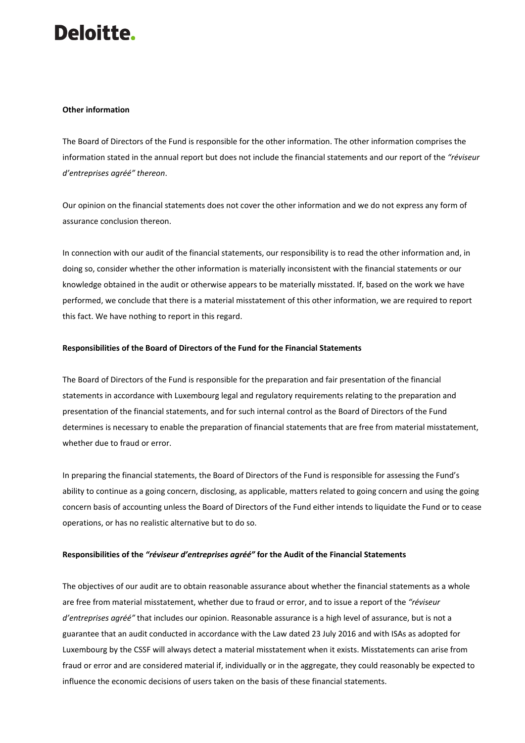# **Deloitte.**

#### **Other information**

The Board of Directors of the Fund is responsible for the other information. The other information comprises the information stated in the annual report but does not include the financial statements and our report of the *"réviseur d'entreprises agréé" thereon*.

Our opinion on the financial statements does not cover the other information and we do not express any form of assurance conclusion thereon.

In connection with our audit of the financial statements, our responsibility is to read the other information and, in doing so, consider whether the other information is materially inconsistent with the financial statements or our knowledge obtained in the audit or otherwise appears to be materially misstated. If, based on the work we have performed, we conclude that there is a material misstatement of this other information, we are required to report this fact. We have nothing to report in this regard.

#### **Responsibilities of the Board of Directors of the Fund for the Financial Statements**

The Board of Directors of the Fund is responsible for the preparation and fair presentation of the financial statements in accordance with Luxembourg legal and regulatory requirements relating to the preparation and presentation of the financial statements, and for such internal control as the Board of Directors of the Fund determines is necessary to enable the preparation of financial statements that are free from material misstatement, whether due to fraud or error.

In preparing the financial statements, the Board of Directors of the Fund is responsible for assessing the Fund's ability to continue as a going concern, disclosing, as applicable, matters related to going concern and using the going concern basis of accounting unless the Board of Directors of the Fund either intends to liquidate the Fund or to cease operations, or has no realistic alternative but to do so.

#### **Responsibilities of the** *"réviseur d'entreprises agréé"* **for the Audit of the Financial Statements**

The objectives of our audit are to obtain reasonable assurance about whether the financial statements as a whole are free from material misstatement, whether due to fraud or error, and to issue a report of the *"réviseur d'entreprises agréé"* that includes our opinion. Reasonable assurance is a high level of assurance, but is not a guarantee that an audit conducted in accordance with the Law dated 23 July 2016 and with ISAs as adopted for Luxembourg by the CSSF will always detect a material misstatement when it exists. Misstatements can arise from fraud or error and are considered material if, individually or in the aggregate, they could reasonably be expected to influence the economic decisions of users taken on the basis of these financial statements.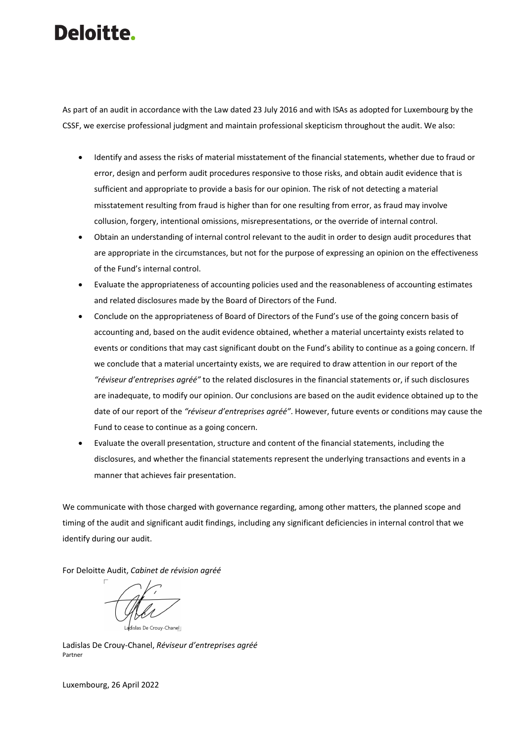# Deloitte.

As part of an audit in accordance with the Law dated 23 July 2016 and with ISAs as adopted for Luxembourg by the CSSF, we exercise professional judgment and maintain professional skepticism throughout the audit. We also:

- Identify and assess the risks of material misstatement of the financial statements, whether due to fraud or error, design and perform audit procedures responsive to those risks, and obtain audit evidence that is sufficient and appropriate to provide a basis for our opinion. The risk of not detecting a material misstatement resulting from fraud is higher than for one resulting from error, as fraud may involve collusion, forgery, intentional omissions, misrepresentations, or the override of internal control.
- Obtain an understanding of internal control relevant to the audit in order to design audit procedures that are appropriate in the circumstances, but not for the purpose of expressing an opinion on the effectiveness of the Fund's internal control.
- Evaluate the appropriateness of accounting policies used and the reasonableness of accounting estimates and related disclosures made by the Board of Directors of the Fund.
- Conclude on the appropriateness of Board of Directors of the Fund's use of the going concern basis of accounting and, based on the audit evidence obtained, whether a material uncertainty exists related to events or conditions that may cast significant doubt on the Fund's ability to continue as a going concern. If we conclude that a material uncertainty exists, we are required to draw attention in our report of the *"réviseur d'entreprises agréé"* to the related disclosures in the financial statements or, if such disclosures are inadequate, to modify our opinion. Our conclusions are based on the audit evidence obtained up to the date of our report of the *"réviseur d'entreprises agréé"*. However, future events or conditions may cause the Fund to cease to continue as a going concern.
- Evaluate the overall presentation, structure and content of the financial statements, including the disclosures, and whether the financial statements represent the underlying transactions and events in a manner that achieves fair presentation.

We communicate with those charged with governance regarding, among other matters, the planned scope and timing of the audit and significant audit findings, including any significant deficiencies in internal control that we identify during our audit.

For Deloitte Audit, *Cabinet de révision agréé*

Ladislas De Crouv-Chanel I

Ladislas De Crouy-Chanel, *Réviseur d'entreprises agréé* Partner

Luxembourg, 26 April 2022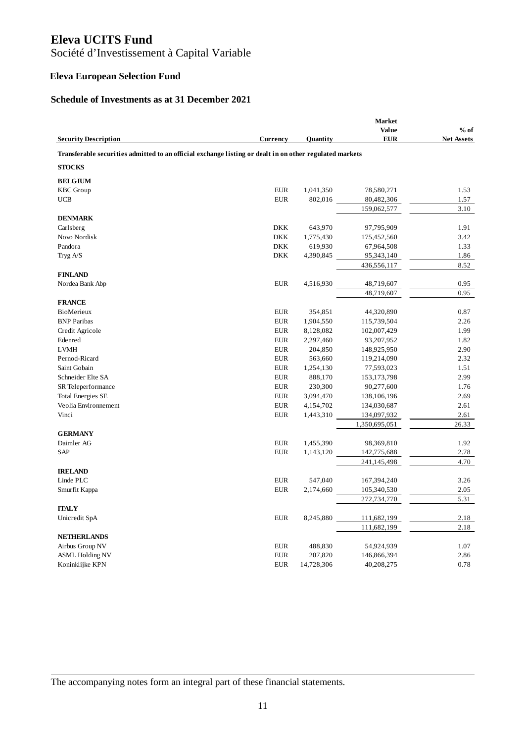Société d'Investissement à Capital Variable

# **Eleva European Selection Fund**

# **Schedule of Investments as at 31 December 2021**

|                                                                                                         |            |                 | <b>Market</b> |                   |
|---------------------------------------------------------------------------------------------------------|------------|-----------------|---------------|-------------------|
|                                                                                                         |            |                 | Value         | $%$ of            |
| <b>Security Description</b>                                                                             | Currency   | <b>Ouantity</b> | <b>EUR</b>    | <b>Net Assets</b> |
| Transferable securities admitted to an official exchange listing or dealt in on other regulated markets |            |                 |               |                   |
| <b>STOCKS</b>                                                                                           |            |                 |               |                   |
| <b>BELGIUM</b>                                                                                          |            |                 |               |                   |
| <b>KBC</b> Group                                                                                        | <b>EUR</b> | 1,041,350       | 78,580,271    | 1.53              |
| <b>UCB</b>                                                                                              | <b>EUR</b> | 802,016         | 80,482,306    | 1.57              |
|                                                                                                         |            |                 | 159,062,577   | 3.10              |
| <b>DENMARK</b>                                                                                          |            |                 |               |                   |
| Carlsberg                                                                                               | <b>DKK</b> | 643,970         | 97,795,909    | 1.91              |
| Novo Nordisk                                                                                            | <b>DKK</b> | 1,775,430       | 175,452,560   | 3.42              |
| Pandora                                                                                                 | <b>DKK</b> | 619,930         | 67,964,508    | 1.33              |
| Tryg A/S                                                                                                | <b>DKK</b> | 4,390,845       | 95,343,140    | 1.86              |
|                                                                                                         |            |                 | 436,556,117   | 8.52              |
| <b>FINLAND</b>                                                                                          |            |                 |               |                   |
| Nordea Bank Abp                                                                                         | <b>EUR</b> | 4,516,930       | 48,719,607    | 0.95              |
| <b>FRANCE</b>                                                                                           |            |                 | 48,719,607    | 0.95              |
| BioMerieux                                                                                              | <b>EUR</b> | 354,851         | 44,320,890    | 0.87              |
| <b>BNP</b> Paribas                                                                                      | <b>EUR</b> | 1,904,550       | 115,739,504   | 2.26              |
| Credit Agricole                                                                                         | <b>EUR</b> | 8,128,082       | 102,007,429   | 1.99              |
| Edenred                                                                                                 | <b>EUR</b> | 2,297,460       | 93,207,952    | 1.82              |
| <b>LVMH</b>                                                                                             | <b>EUR</b> | 204,850         | 148,925,950   | 2.90              |
| Pernod-Ricard                                                                                           | <b>EUR</b> | 563,660         | 119,214,090   | 2.32              |
| Saint Gobain                                                                                            | <b>EUR</b> | 1,254,130       | 77,593,023    | 1.51              |
| Schneider Elte SA                                                                                       | <b>EUR</b> | 888,170         | 153, 173, 798 | 2.99              |
| SR Teleperformance                                                                                      | <b>EUR</b> | 230,300         | 90,277,600    | 1.76              |
| <b>Total Energies SE</b>                                                                                | <b>EUR</b> | 3,094,470       | 138,106,196   | 2.69              |
| Veolia Environnement                                                                                    | <b>EUR</b> | 4,154,702       | 134,030,687   | 2.61              |
| Vinci                                                                                                   | <b>EUR</b> | 1,443,310       | 134,097,932   | 2.61              |
|                                                                                                         |            |                 | 1,350,695,051 | 26.33             |
| <b>GERMANY</b>                                                                                          |            |                 |               |                   |
| Daimler AG                                                                                              | <b>EUR</b> | 1,455,390       | 98,369,810    | 1.92              |
| SAP                                                                                                     | <b>EUR</b> | 1,143,120       | 142,775,688   | 2.78              |
|                                                                                                         |            |                 | 241,145,498   | 4.70              |
| <b>IRELAND</b>                                                                                          |            |                 |               |                   |
| Linde PLC                                                                                               | <b>EUR</b> | 547,040         | 167, 394, 240 | 3.26              |
| Smurfit Kappa                                                                                           | <b>EUR</b> | 2,174,660       | 105,340,530   | 2.05              |
|                                                                                                         |            |                 | 272,734,770   | 5.31              |
| <b>ITALY</b>                                                                                            |            |                 |               |                   |
| Unicredit SpA                                                                                           | <b>EUR</b> | 8,245,880       | 111,682,199   | 2.18              |
|                                                                                                         |            |                 | 111,682,199   | 2.18              |
| <b>NETHERLANDS</b>                                                                                      |            |                 |               |                   |
| Airbus Group NV                                                                                         | <b>EUR</b> | 488,830         | 54,924,939    | 1.07              |
| <b>ASML Holding NV</b>                                                                                  | <b>EUR</b> | 207,820         | 146,866,394   | 2.86              |
| Koninklijke KPN                                                                                         | <b>EUR</b> | 14,728,306      | 40,208,275    | 0.78              |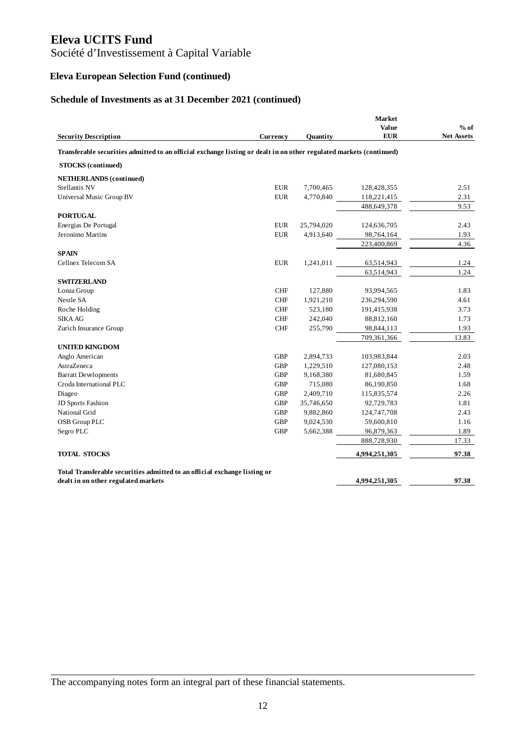# Société d'Investissement à Capital Variable

# **Eleva European Selection Fund (continued)**

# **Schedule of Investments as at 31 December 2021 (continued)**

| <b>Security Description</b>                                                                                         | Currency   | Ouantity   | <b>Market</b><br>Value<br><b>EUR</b> | $%$ of<br><b>Net Assets</b> |
|---------------------------------------------------------------------------------------------------------------------|------------|------------|--------------------------------------|-----------------------------|
| Transferable securities admitted to an official exchange listing or dealt in on other regulated markets (continued) |            |            |                                      |                             |
|                                                                                                                     |            |            |                                      |                             |
| <b>STOCKS</b> (continued)                                                                                           |            |            |                                      |                             |
| <b>NETHERLANDS</b> (continued)                                                                                      |            |            |                                      |                             |
| Stellantis NV                                                                                                       | <b>EUR</b> | 7,700,465  | 128,428,355                          | 2.51                        |
| Universal Music Group BV                                                                                            | <b>EUR</b> | 4,770,840  | 118,221,415                          | 2.31                        |
|                                                                                                                     |            |            | 488,649,378                          | 9.53                        |
| <b>PORTUGAL</b>                                                                                                     |            |            |                                      |                             |
| Energias De Portugal                                                                                                | <b>EUR</b> | 25,794,020 | 124,636,705                          | 2.43                        |
| Jeronimo Martins                                                                                                    | <b>EUR</b> | 4,913,640  | 98,764,164                           | 1.93                        |
|                                                                                                                     |            |            | 223,400,869                          | 4.36                        |
| <b>SPAIN</b>                                                                                                        |            |            |                                      |                             |
| Cellnex Telecom SA                                                                                                  | <b>EUR</b> | 1,241,011  | 63,514,943                           | 1.24                        |
|                                                                                                                     |            |            | 63,514,943                           | 1.24                        |
| <b>SWITZERLAND</b>                                                                                                  |            |            |                                      |                             |
| Lonza Group                                                                                                         | <b>CHF</b> | 127,880    | 93,994,565                           | 1.83                        |
| Nestle SA                                                                                                           | <b>CHF</b> | 1,921,210  | 236,294,590                          | 4.61                        |
| Roche Holding                                                                                                       | <b>CHF</b> | 523,180    | 191,415,938                          | 3.73                        |
| <b>SIKA AG</b>                                                                                                      | <b>CHF</b> | 242,040    | 88,812,160                           | 1.73                        |
| Zurich Insurance Group                                                                                              | <b>CHF</b> | 255,790    | 98,844,113                           | 1.93                        |
|                                                                                                                     |            |            | 709,361,366                          | 13.83                       |
| <b>UNITED KINGDOM</b>                                                                                               |            |            |                                      |                             |
| Anglo American                                                                                                      | <b>GBP</b> | 2,894,733  | 103,983,844                          | 2.03                        |
| AstraZeneca                                                                                                         | <b>GBP</b> | 1,229,510  | 127,080,153                          | 2.48                        |
| <b>Barratt Developments</b>                                                                                         | <b>GBP</b> | 9,168,380  | 81,680,845                           | 1.59                        |
| Croda International PLC                                                                                             | <b>GBP</b> | 715,080    | 86,190,850                           | 1.68                        |
| Diageo                                                                                                              | GBP        | 2,409,710  | 115,835,574                          | 2.26                        |
| JD Sports Fashion                                                                                                   | <b>GBP</b> | 35,746,650 | 92,729,783                           | 1.81                        |
| National Grid                                                                                                       | <b>GBP</b> | 9,882,860  | 124,747,708                          | 2.43                        |
| OSB Group PLC                                                                                                       | <b>GBP</b> | 9,024,530  | 59,600,810                           | 1.16                        |
| Segro PLC                                                                                                           | <b>GBP</b> | 5,662,388  | 96,879,363                           | 1.89                        |
|                                                                                                                     |            |            | 888,728,930                          | 17.33                       |
| <b>TOTAL STOCKS</b>                                                                                                 |            |            | 4,994,251,305                        | 97.38                       |
| Total Transferable securities admitted to an official exchange listing or                                           |            |            |                                      |                             |
| dealt in on other regulated markets                                                                                 |            |            | 4,994,251,305                        | 97.38                       |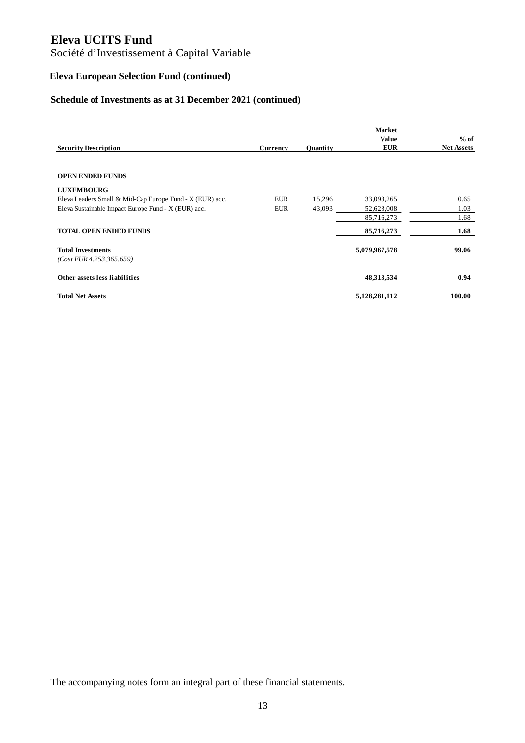# Société d'Investissement à Capital Variable

# **Eleva European Selection Fund (continued)**

# **Schedule of Investments as at 31 December 2021 (continued)**

|                                                          |            |                 | <b>Market</b> |                   |
|----------------------------------------------------------|------------|-----------------|---------------|-------------------|
|                                                          |            |                 | <b>Value</b>  | $%$ of            |
| <b>Security Description</b>                              | Currency   | <b>Ouantity</b> | <b>EUR</b>    | <b>Net Assets</b> |
|                                                          |            |                 |               |                   |
| <b>OPEN ENDED FUNDS</b>                                  |            |                 |               |                   |
| <b>LUXEMBOURG</b>                                        |            |                 |               |                   |
| Eleva Leaders Small & Mid-Cap Europe Fund - X (EUR) acc. | <b>EUR</b> | 15,296          | 33,093,265    | 0.65              |
| Eleva Sustainable Impact Europe Fund - X (EUR) acc.      | <b>EUR</b> | 43,093          | 52,623,008    | 1.03              |
|                                                          |            |                 | 85,716,273    | 1.68              |
| <b>TOTAL OPEN ENDED FUNDS</b>                            |            |                 | 85,716,273    | 1.68              |
| <b>Total Investments</b>                                 |            |                 | 5,079,967,578 | 99.06             |
| $(Cost$ EUR 4,253,365,659)                               |            |                 |               |                   |
| Other assets less liabilities                            |            |                 | 48, 313, 534  | 0.94              |
| <b>Total Net Assets</b>                                  |            |                 | 5,128,281,112 | 100.00            |

The accompanying notes form an integral part of these financial statements.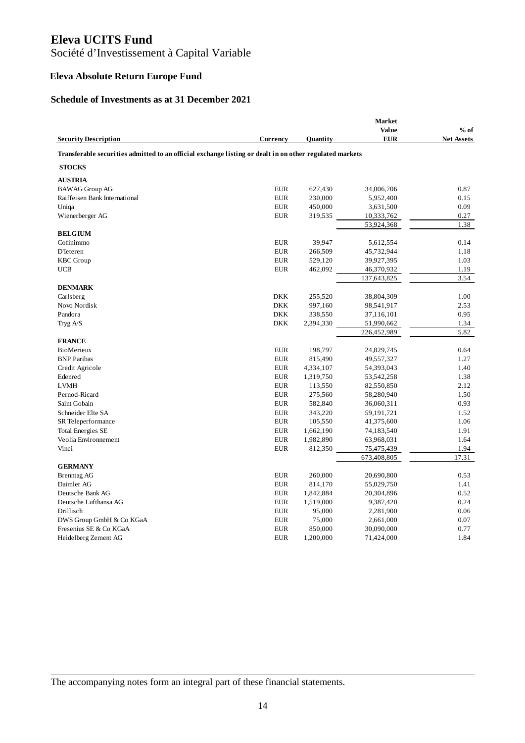Société d'Investissement à Capital Variable

# **Eleva Absolute Return Europe Fund**

#### **Schedule of Investments as at 31 December 2021**

|                                                                                                         |                          |                 | <b>Market</b>             |                   |
|---------------------------------------------------------------------------------------------------------|--------------------------|-----------------|---------------------------|-------------------|
|                                                                                                         |                          |                 | Value                     | $%$ of            |
| <b>Security Description</b>                                                                             | Currency                 | <b>Ouantity</b> | <b>EUR</b>                | <b>Net Assets</b> |
| Transferable securities admitted to an official exchange listing or dealt in on other regulated markets |                          |                 |                           |                   |
| <b>STOCKS</b>                                                                                           |                          |                 |                           |                   |
| <b>AUSTRIA</b>                                                                                          |                          |                 |                           |                   |
| <b>BAWAG Group AG</b>                                                                                   | <b>EUR</b>               | 627,430         | 34,006,706                | 0.87              |
| Raiffeisen Bank International                                                                           | <b>EUR</b>               | 230,000         | 5,952,400                 | 0.15              |
| Uniqa                                                                                                   | <b>EUR</b>               | 450,000         | 3,631,500                 | 0.09              |
| Wienerberger AG                                                                                         | <b>EUR</b>               | 319,535         | 10,333,762                | 0.27              |
|                                                                                                         |                          |                 | 53,924,368                | 1.38              |
| <b>BELGIUM</b>                                                                                          |                          |                 |                           |                   |
| Cofinimmo                                                                                               | <b>EUR</b>               | 39,947          | 5,612,554                 | 0.14              |
| D'Ieteren                                                                                               | <b>EUR</b>               | 266,509         | 45,732,944                | 1.18              |
| <b>KBC</b> Group                                                                                        | <b>EUR</b>               | 529,120         | 39,927,395                | 1.03              |
| <b>UCB</b>                                                                                              | <b>EUR</b>               | 462,092         | 46,370,932                | 1.19              |
|                                                                                                         |                          |                 | 137,643,825               | 3.54              |
| <b>DENMARK</b>                                                                                          |                          |                 |                           |                   |
| Carlsberg                                                                                               | <b>DKK</b>               | 255,520         | 38,804,309                | 1.00              |
| Novo Nordisk                                                                                            | <b>DKK</b>               | 997,160         | 98,541,917                | 2.53              |
| Pandora                                                                                                 | <b>DKK</b>               | 338,550         | 37,116,101                | 0.95              |
| Tryg A/S                                                                                                | <b>DKK</b>               | 2,394,330       | 51,990,662                | 1.34              |
|                                                                                                         |                          |                 | 226,452,989               | 5.82              |
| <b>FRANCE</b><br>BioMerieux                                                                             | <b>EUR</b>               |                 |                           |                   |
| <b>BNP</b> Paribas                                                                                      | <b>EUR</b>               | 198,797         | 24,829,745<br>49,557,327  | 0.64<br>1.27      |
|                                                                                                         | <b>EUR</b>               | 815,490         |                           | 1.40              |
| Credit Agricole                                                                                         |                          | 4,334,107       | 54,393,043                |                   |
| Edenred<br><b>LVMH</b>                                                                                  | <b>EUR</b>               | 1,319,750       | 53,542,258                | 1.38<br>2.12      |
|                                                                                                         | <b>EUR</b>               | 113,550         | 82,550,850                |                   |
| Pernod-Ricard<br>Saint Gobain                                                                           | <b>EUR</b><br><b>EUR</b> | 275,560         | 58,280,940                | 1.50<br>0.93      |
| Schneider Elte SA                                                                                       |                          | 582,840         | 36,060,311                |                   |
|                                                                                                         | <b>EUR</b>               | 343,220         | 59,191,721                | 1.52              |
| SR Teleperformance                                                                                      | <b>EUR</b><br><b>EUR</b> | 105,550         | 41,375,600                | 1.06<br>1.91      |
| <b>Total Energies SE</b><br>Veolia Environnement                                                        | <b>EUR</b>               | 1,662,190       | 74,183,540                | 1.64              |
| Vinci                                                                                                   | <b>EUR</b>               | 1,982,890       | 63,968,031                | 1.94              |
|                                                                                                         |                          | 812,350         | 75,475,439<br>673,408,805 | 17.31             |
| <b>GERMANY</b>                                                                                          |                          |                 |                           |                   |
| <b>Brenntag AG</b>                                                                                      | <b>EUR</b>               | 260,000         | 20,690,800                | 0.53              |
| Daimler AG                                                                                              | <b>EUR</b>               | 814,170         | 55,029,750                | 1.41              |
| Deutsche Bank AG                                                                                        | <b>EUR</b>               | 1,842,884       | 20,304,896                | 0.52              |
| Deutsche Lufthansa AG                                                                                   | <b>EUR</b>               | 1,519,000       | 9,387,420                 | 0.24              |
| Drillisch                                                                                               | <b>EUR</b>               | 95,000          | 2,281,900                 | 0.06              |
| DWS Group GmbH & Co KGaA                                                                                | <b>EUR</b>               | 75,000          | 2,661,000                 | 0.07              |
| Fresenius SE & Co KGaA                                                                                  | <b>EUR</b>               | 850,000         | 30,090,000                | 0.77              |
| Heidelberg Zement AG                                                                                    | <b>EUR</b>               | 1,200,000       | 71,424,000                | 1.84              |
|                                                                                                         |                          |                 |                           |                   |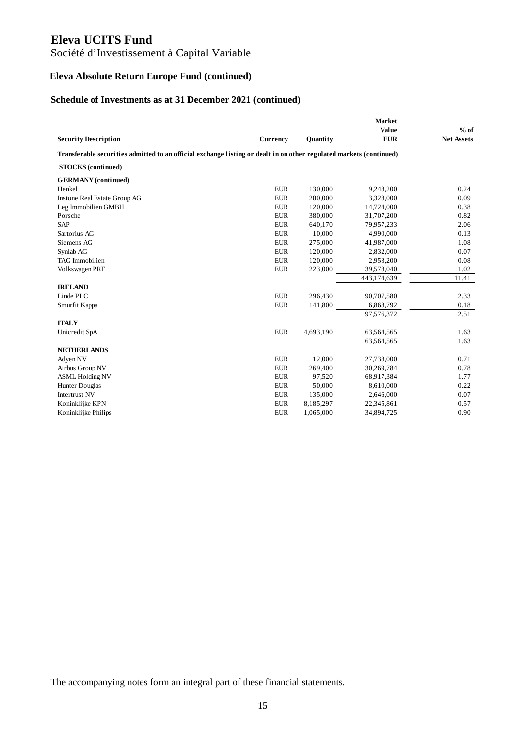# Société d'Investissement à Capital Variable

# **Eleva Absolute Return Europe Fund (continued)**

# **Schedule of Investments as at 31 December 2021 (continued)**

|                                                                                                                     |            |           | <b>Market</b> |                   |
|---------------------------------------------------------------------------------------------------------------------|------------|-----------|---------------|-------------------|
|                                                                                                                     |            |           | Value         | $%$ of            |
| <b>Security Description</b>                                                                                         | Currency   | Quantity  | <b>EUR</b>    | <b>Net Assets</b> |
| Transferable securities admitted to an official exchange listing or dealt in on other regulated markets (continued) |            |           |               |                   |
| <b>STOCKS</b> (continued)                                                                                           |            |           |               |                   |
| <b>GERMANY</b> (continued)                                                                                          |            |           |               |                   |
| Henkel                                                                                                              | <b>EUR</b> | 130,000   | 9,248,200     | 0.24              |
| Instone Real Estate Group AG                                                                                        | <b>EUR</b> | 200,000   | 3,328,000     | 0.09              |
| Leg Immobilien GMBH                                                                                                 | <b>EUR</b> | 120,000   | 14,724,000    | 0.38              |
| Porsche                                                                                                             | <b>EUR</b> | 380,000   | 31,707,200    | 0.82              |
| <b>SAP</b>                                                                                                          | <b>EUR</b> | 640,170   | 79,957,233    | 2.06              |
| Sartorius AG                                                                                                        | <b>EUR</b> | 10,000    | 4,990,000     | 0.13              |
| Siemens AG                                                                                                          | <b>EUR</b> | 275,000   | 41,987,000    | 1.08              |
| Synlab AG                                                                                                           | <b>EUR</b> | 120,000   | 2,832,000     | 0.07              |
| <b>TAG</b> Immobilien                                                                                               | <b>EUR</b> | 120,000   | 2,953,200     | 0.08              |
| Volkswagen PRF                                                                                                      | <b>EUR</b> | 223,000   | 39,578,040    | 1.02              |
|                                                                                                                     |            |           | 443,174,639   | 11.41             |
| <b>IRELAND</b>                                                                                                      |            |           |               |                   |
| Linde PLC                                                                                                           | <b>EUR</b> | 296,430   | 90,707,580    | 2.33              |
| Smurfit Kappa                                                                                                       | <b>EUR</b> | 141,800   | 6,868,792     | 0.18              |
|                                                                                                                     |            |           | 97,576,372    | 2.51              |
| <b>ITALY</b>                                                                                                        |            |           |               |                   |
| Unicredit SpA                                                                                                       | <b>EUR</b> | 4,693,190 | 63,564,565    | 1.63              |
|                                                                                                                     |            |           | 63,564,565    | 1.63              |
| <b>NETHERLANDS</b>                                                                                                  |            |           |               |                   |
| Adyen NV                                                                                                            | <b>EUR</b> | 12,000    | 27,738,000    | 0.71              |
| Airbus Group NV                                                                                                     | <b>EUR</b> | 269,400   | 30,269,784    | 0.78              |
| <b>ASML Holding NV</b>                                                                                              | <b>EUR</b> | 97,520    | 68,917,384    | 1.77              |
| <b>Hunter Douglas</b>                                                                                               | <b>EUR</b> | 50,000    | 8,610,000     | 0.22              |
| <b>Intertrust NV</b>                                                                                                | <b>EUR</b> | 135,000   | 2,646,000     | 0.07              |
| Koninklijke KPN                                                                                                     | <b>EUR</b> | 8,185,297 | 22,345,861    | 0.57              |
| Koninklijke Philips                                                                                                 | <b>EUR</b> | 1,065,000 | 34,894,725    | 0.90              |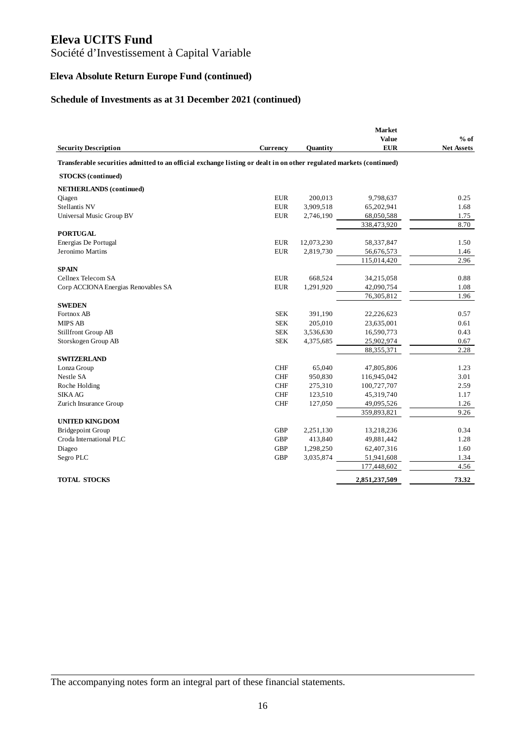Société d'Investissement à Capital Variable

# **Eleva Absolute Return Europe Fund (continued)**

# **Schedule of Investments as at 31 December 2021 (continued)**

|                                                                                                                     |            |                 | <b>Market</b><br>Value | $%$ of            |
|---------------------------------------------------------------------------------------------------------------------|------------|-----------------|------------------------|-------------------|
| <b>Security Description</b>                                                                                         | Currency   | <b>Quantity</b> | <b>EUR</b>             | <b>Net Assets</b> |
| Transferable securities admitted to an official exchange listing or dealt in on other regulated markets (continued) |            |                 |                        |                   |
| <b>STOCKS</b> (continued)                                                                                           |            |                 |                        |                   |
| <b>NETHERLANDS</b> (continued)                                                                                      |            |                 |                        |                   |
| Qiagen                                                                                                              | <b>EUR</b> | 200.013         | 9,798,637              | 0.25              |
| Stellantis NV                                                                                                       | <b>EUR</b> | 3,909,518       | 65,202,941             | 1.68              |
| Universal Music Group BV                                                                                            | <b>EUR</b> | 2,746,190       | 68,050,588             | 1.75              |
|                                                                                                                     |            |                 | 338,473,920            | 8.70              |
| <b>PORTUGAL</b>                                                                                                     |            |                 |                        |                   |
| Energias De Portugal                                                                                                | <b>EUR</b> | 12,073,230      | 58,337,847             | 1.50              |
| Jeronimo Martins                                                                                                    | <b>EUR</b> | 2,819,730       | 56,676,573             | 1.46              |
|                                                                                                                     |            |                 | 115,014,420            | 2.96              |
| <b>SPAIN</b>                                                                                                        |            |                 |                        |                   |
| Cellnex Telecom SA                                                                                                  | <b>EUR</b> | 668,524         | 34,215,058             | 0.88              |
| Corp ACCIONA Energias Renovables SA                                                                                 | <b>EUR</b> | 1,291,920       | 42,090,754             | 1.08              |
|                                                                                                                     |            |                 | 76,305,812             | 1.96              |
| <b>SWEDEN</b>                                                                                                       |            |                 |                        |                   |
| Fortnox AB                                                                                                          | <b>SEK</b> | 391,190         | 22,226,623             | 0.57              |
| <b>MIPS AB</b>                                                                                                      | <b>SEK</b> | 205,010         | 23,635,001             | 0.61              |
| Stillfront Group AB                                                                                                 | <b>SEK</b> | 3,536,630       | 16,590,773             | 0.43              |
| Storskogen Group AB                                                                                                 | <b>SEK</b> | 4,375,685       | 25,902,974             | 0.67              |
|                                                                                                                     |            |                 | 88, 355, 371           | 2.28              |
| <b>SWITZERLAND</b>                                                                                                  |            |                 |                        |                   |
| Lonza Group                                                                                                         | <b>CHF</b> | 65,040          | 47,805,806             | 1.23              |
| Nestle SA                                                                                                           | <b>CHF</b> | 950,830         | 116,945,042            | 3.01              |
| Roche Holding                                                                                                       | CHF        | 275,310         | 100,727,707            | 2.59              |
| <b>SIKA AG</b>                                                                                                      | <b>CHF</b> | 123,510         | 45,319,740             | 1.17              |
| Zurich Insurance Group                                                                                              | <b>CHF</b> | 127,050         | 49,095,526             | 1.26              |
|                                                                                                                     |            |                 | 359,893,821            | 9.26              |
| <b>UNITED KINGDOM</b>                                                                                               |            |                 |                        |                   |
| <b>Bridgepoint Group</b>                                                                                            | <b>GBP</b> | 2,251,130       | 13,218,236             | 0.34              |
| Croda International PLC                                                                                             | <b>GBP</b> | 413,840         | 49,881,442             | 1.28              |
| Diageo                                                                                                              | <b>GBP</b> | 1,298,250       | 62,407,316             | 1.60              |
| Segro PLC                                                                                                           | <b>GBP</b> | 3,035,874       | 51,941,608             | 1.34              |
|                                                                                                                     |            |                 | 177,448,602            | 4.56              |
| <b>TOTAL STOCKS</b>                                                                                                 |            |                 | 2,851,237,509          | 73.32             |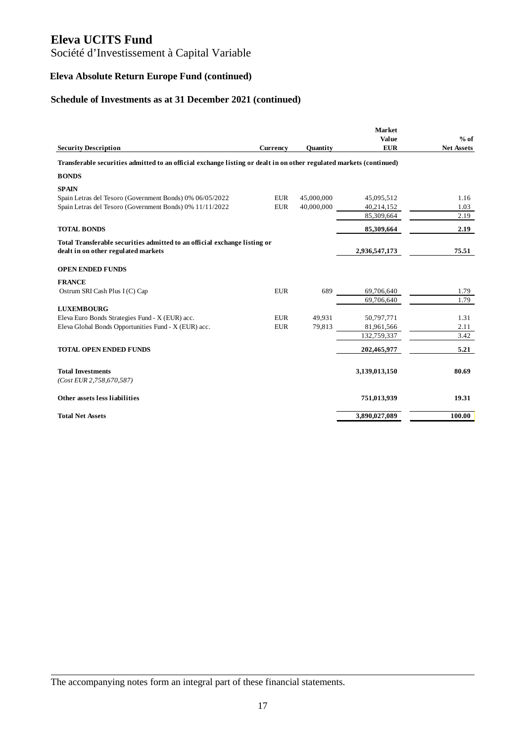# Société d'Investissement à Capital Variable

# **Eleva Absolute Return Europe Fund (continued)**

# **Schedule of Investments as at 31 December 2021 (continued)**

|                                                                                                                     |            |            | <b>Market</b><br>Value | $%$ of            |
|---------------------------------------------------------------------------------------------------------------------|------------|------------|------------------------|-------------------|
| <b>Security Description</b>                                                                                         | Currency   | Quantity   | <b>EUR</b>             | <b>Net Assets</b> |
| Transferable securities admitted to an official exchange listing or dealt in on other regulated markets (continued) |            |            |                        |                   |
| <b>BONDS</b>                                                                                                        |            |            |                        |                   |
| <b>SPAIN</b>                                                                                                        |            |            |                        |                   |
| Spain Letras del Tesoro (Government Bonds) 0% 06/05/2022                                                            | <b>EUR</b> | 45,000,000 | 45,095,512             | 1.16              |
| Spain Letras del Tesoro (Government Bonds) 0% 11/11/2022                                                            | <b>EUR</b> | 40,000,000 | 40,214,152             | 1.03              |
|                                                                                                                     |            |            | 85,309,664             | 2.19              |
| <b>TOTAL BONDS</b>                                                                                                  |            |            | 85,309,664             | 2.19              |
| Total Transferable securities admitted to an official exchange listing or                                           |            |            |                        |                   |
| dealt in on other regulated markets                                                                                 |            |            | 2,936,547,173          | 75.51             |
| <b>OPEN ENDED FUNDS</b>                                                                                             |            |            |                        |                   |
| <b>FRANCE</b>                                                                                                       |            |            |                        |                   |
| Ostrum SRI Cash Plus I (C) Cap                                                                                      | <b>EUR</b> | 689        | 69,706,640             | 1.79              |
|                                                                                                                     |            |            | 69,706,640             | 1.79              |
| <b>LUXEMBOURG</b>                                                                                                   |            |            |                        |                   |
| Eleva Euro Bonds Strategies Fund - X (EUR) acc.                                                                     | <b>EUR</b> | 49,931     | 50,797,771             | 1.31              |
| Eleva Global Bonds Opportunities Fund - X (EUR) acc.                                                                | <b>EUR</b> | 79,813     | 81,961,566             | 2.11              |
|                                                                                                                     |            |            | 132,759,337            | 3.42              |
| <b>TOTAL OPEN ENDED FUNDS</b>                                                                                       |            |            | 202,465,977            | 5.21              |
| <b>Total Investments</b>                                                                                            |            |            | 3,139,013,150          | 80.69             |
| (Cost EUR 2,758,670,587)                                                                                            |            |            |                        |                   |
| Other assets less liabilities                                                                                       |            |            | 751,013,939            | 19.31             |
| <b>Total Net Assets</b>                                                                                             |            |            | 3,890,027,089          | 100.00            |

The accompanying notes form an integral part of these financial statements.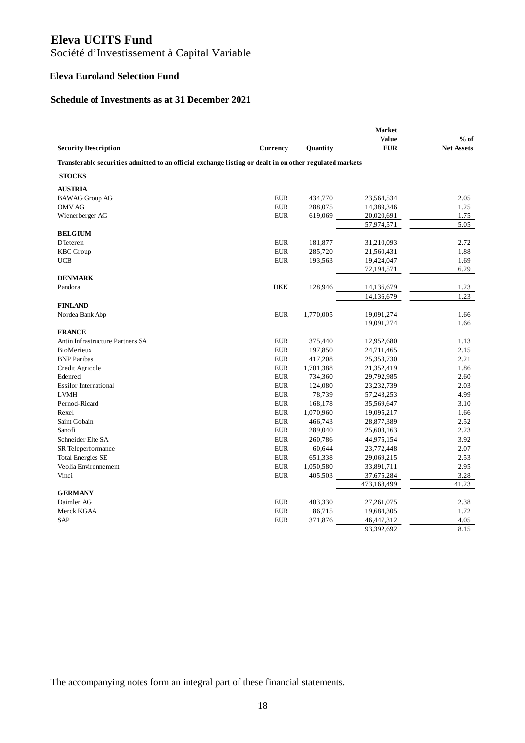Société d'Investissement à Capital Variable

#### **Eleva Euroland Selection Fund**

#### **Schedule of Investments as at 31 December 2021**

|                                                                                                         |                 |           | <b>Market</b><br>Value | $%$ of            |
|---------------------------------------------------------------------------------------------------------|-----------------|-----------|------------------------|-------------------|
| <b>Security Description</b>                                                                             | <b>Currency</b> | Quantity  | <b>EUR</b>             | <b>Net Assets</b> |
| Transferable securities admitted to an official exchange listing or dealt in on other regulated markets |                 |           |                        |                   |
| <b>STOCKS</b>                                                                                           |                 |           |                        |                   |
| <b>AUSTRIA</b>                                                                                          |                 |           |                        |                   |
| <b>BAWAG</b> Group AG                                                                                   | <b>EUR</b>      | 434,770   | 23,564,534             | 2.05              |
| <b>OMV AG</b>                                                                                           | <b>EUR</b>      | 288,075   | 14,389,346             | 1.25              |
| Wienerberger AG                                                                                         | <b>EUR</b>      | 619,069   | 20,020,691             | 1.75              |
|                                                                                                         |                 |           | 57,974,571             | 5.05              |
| <b>BELGIUM</b>                                                                                          |                 |           |                        |                   |
| D'Ieteren                                                                                               | <b>EUR</b>      | 181,877   | 31,210,093             | 2.72              |
| <b>KBC</b> Group                                                                                        | <b>EUR</b>      | 285,720   | 21,560,431             | 1.88              |
| <b>UCB</b>                                                                                              | ${\rm EUR}$     | 193,563   | 19,424,047             | 1.69              |
|                                                                                                         |                 |           | 72,194,571             | 6.29              |
| <b>DENMARK</b>                                                                                          |                 |           |                        |                   |
| Pandora                                                                                                 | <b>DKK</b>      | 128,946   | 14,136,679             | 1.23              |
|                                                                                                         |                 |           | 14,136,679             | 1.23              |
| <b>FINLAND</b>                                                                                          |                 |           |                        |                   |
| Nordea Bank Abp                                                                                         | <b>EUR</b>      | 1,770,005 | 19,091,274             | 1.66              |
|                                                                                                         |                 |           | 19,091,274             | 1.66              |
| <b>FRANCE</b>                                                                                           |                 |           |                        |                   |
| Antin Infrastructure Partners SA                                                                        | <b>EUR</b>      | 375,440   | 12,952,680             | 1.13              |
| BioMerieux                                                                                              | <b>EUR</b>      | 197,850   | 24,711,465             | 2.15              |
| <b>BNP</b> Paribas                                                                                      | <b>EUR</b>      | 417,208   | 25,353,730             | 2.21              |
| Credit Agricole                                                                                         | <b>EUR</b>      | 1,701,388 | 21,352,419             | 1.86              |
| Edenred                                                                                                 | <b>EUR</b>      | 734,360   | 29,792,985             | 2.60              |
| <b>Essilor International</b>                                                                            | <b>EUR</b>      | 124,080   | 23,232,739             | 2.03              |
| <b>LVMH</b>                                                                                             | <b>EUR</b>      | 78,739    | 57,243,253             | 4.99              |
| Pernod-Ricard                                                                                           | <b>EUR</b>      | 168,178   | 35,569,647             | 3.10              |
| Rexel                                                                                                   | <b>EUR</b>      | 1,070,960 | 19,095,217             | 1.66              |
| Saint Gobain                                                                                            | <b>EUR</b>      | 466,743   | 28,877,389             | 2.52              |
| Sanofi                                                                                                  | <b>EUR</b>      | 289,040   | 25,603,163             | 2.23              |
| Schneider Elte SA                                                                                       | <b>EUR</b>      | 260,786   | 44,975,154             | 3.92              |
| SR Teleperformance                                                                                      | <b>EUR</b>      | 60,644    | 23,772,448             | 2.07              |
| <b>Total Energies SE</b>                                                                                | <b>EUR</b>      | 651,338   | 29,069,215             | 2.53              |
| Veolia Environnement                                                                                    | <b>EUR</b>      | 1,050,580 | 33,891,711             | 2.95              |
| Vinci                                                                                                   | <b>EUR</b>      | 405,503   | 37,675,284             | 3.28              |
|                                                                                                         |                 |           | 473,168,499            | 41.23             |
| <b>GERMANY</b>                                                                                          |                 |           |                        |                   |
| Daimler AG                                                                                              | <b>EUR</b>      | 403,330   | 27,261,075             | 2.38              |
| Merck KGAA                                                                                              | <b>EUR</b>      | 86,715    | 19,684,305             | 1.72              |
| SAP                                                                                                     | <b>EUR</b>      | 371,876   | 46,447,312             | 4.05              |
|                                                                                                         |                 |           | 93,392,692             | 8.15              |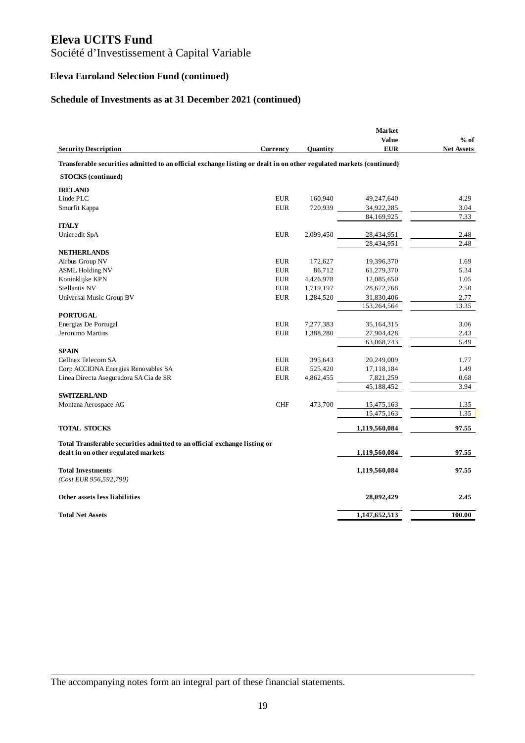Société d'Investissement à Capital Variable

# **Eleva Euroland Selection Fund (continued)**

# **Schedule of Investments as at 31 December 2021 (continued)**

|                                                                                                                     |            |           | <b>Market</b>              |                             |
|---------------------------------------------------------------------------------------------------------------------|------------|-----------|----------------------------|-----------------------------|
| <b>Security Description</b>                                                                                         | Currency   | Quantity  | <b>Value</b><br><b>EUR</b> | $%$ of<br><b>Net Assets</b> |
| Transferable securities admitted to an official exchange listing or dealt in on other regulated markets (continued) |            |           |                            |                             |
| <b>STOCKS</b> (continued)                                                                                           |            |           |                            |                             |
| <b>IRELAND</b>                                                                                                      |            |           |                            |                             |
| Linde PLC                                                                                                           | <b>EUR</b> | 160,940   | 49,247,640                 | 4.29                        |
| Smurfit Kappa                                                                                                       | <b>EUR</b> | 720,939   | 34,922,285                 | 3.04                        |
|                                                                                                                     |            |           | 84,169,925                 | 7.33                        |
| <b>ITALY</b>                                                                                                        |            |           |                            |                             |
| Unicredit SpA                                                                                                       | <b>EUR</b> | 2,099,450 | 28,434,951                 | 2.48                        |
|                                                                                                                     |            |           | 28,434,951                 | 2.48                        |
| <b>NETHERLANDS</b>                                                                                                  |            |           |                            |                             |
| Airbus Group NV                                                                                                     | <b>EUR</b> | 172,627   | 19,396,370                 | 1.69                        |
| <b>ASML Holding NV</b>                                                                                              | <b>EUR</b> | 86,712    | 61,279,370                 | 5.34                        |
| Koninklijke KPN                                                                                                     | <b>EUR</b> | 4,426,978 | 12,085,650                 | 1.05                        |
| Stellantis NV                                                                                                       | <b>EUR</b> | 1,719,197 | 28,672,768                 | 2.50                        |
| Universal Music Group BV                                                                                            | <b>EUR</b> | 1,284,520 | 31,830,406                 | 2.77                        |
|                                                                                                                     |            |           | 153,264,564                | 13.35                       |
| <b>PORTUGAL</b>                                                                                                     |            |           |                            |                             |
| Energias De Portugal                                                                                                | <b>EUR</b> | 7,277,383 | 35,164,315                 | 3.06                        |
| Jeronimo Martins                                                                                                    | <b>EUR</b> | 1,388,280 | 27,904,428                 | 2.43                        |
|                                                                                                                     |            |           | 63,068,743                 | 5.49                        |
| <b>SPAIN</b>                                                                                                        |            |           |                            |                             |
| Cellnex Telecom SA                                                                                                  | <b>EUR</b> | 395,643   | 20,249,009                 | 1.77                        |
| Corp ACCIONA Energias Renovables SA                                                                                 | <b>EUR</b> | 525,420   | 17,118,184                 | 1.49                        |
| Linea Directa Aseguradora SA Cia de SR                                                                              | <b>EUR</b> | 4,862,455 | 7,821,259                  | 0.68                        |
|                                                                                                                     |            |           | 45,188,452                 | 3.94                        |
| <b>SWITZERLAND</b>                                                                                                  |            |           |                            |                             |
| Montana Aerospace AG                                                                                                | <b>CHF</b> | 473,700   | 15,475,163                 | 1.35                        |
|                                                                                                                     |            |           | 15,475,163                 | 1.35                        |
| <b>TOTAL STOCKS</b>                                                                                                 |            |           | 1,119,560,084              | 97.55                       |
|                                                                                                                     |            |           |                            |                             |
| Total Transferable securities admitted to an official exchange listing or                                           |            |           |                            |                             |
| dealt in on other regulated markets                                                                                 |            |           | 1,119,560,084              | 97.55                       |
| <b>Total Investments</b>                                                                                            |            |           | 1,119,560,084              | 97.55                       |
| (Cost EUR 956,592,790)                                                                                              |            |           |                            |                             |
| Other assets less liabilities                                                                                       |            |           | 28,092,429                 | 2.45                        |
| <b>Total Net Assets</b>                                                                                             |            |           | 1,147,652,513              | 100.00                      |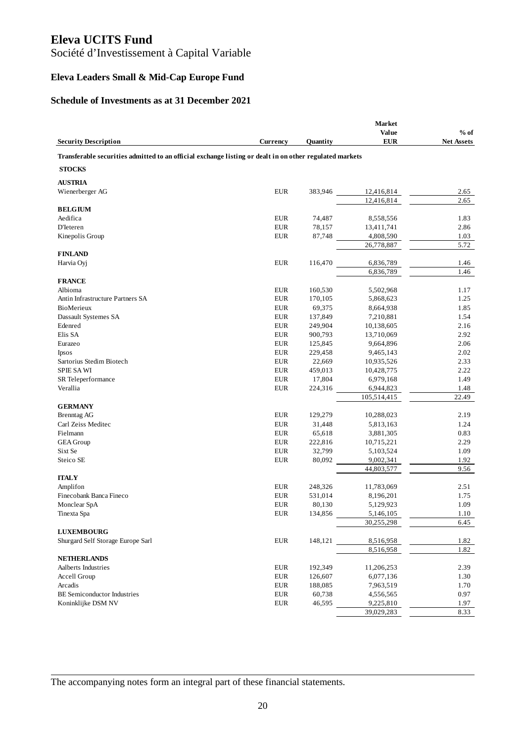Société d'Investissement à Capital Variable

# **Eleva Leaders Small & Mid-Cap Europe Fund**

#### **Schedule of Investments as at 31 December 2021**

|                                                                                                         |             |          | <b>Market</b><br>Value | $%$ of            |
|---------------------------------------------------------------------------------------------------------|-------------|----------|------------------------|-------------------|
| <b>Security Description</b>                                                                             | Currency    | Quantity | <b>EUR</b>             | <b>Net Assets</b> |
| Transferable securities admitted to an official exchange listing or dealt in on other regulated markets |             |          |                        |                   |
| <b>STOCKS</b>                                                                                           |             |          |                        |                   |
| <b>AUSTRIA</b>                                                                                          |             |          |                        |                   |
| Wienerberger AG                                                                                         | <b>EUR</b>  | 383,946  | 12,416,814             | 2.65              |
|                                                                                                         |             |          | 12,416,814             | 2.65              |
| <b>BELGIUM</b>                                                                                          |             |          |                        |                   |
| Aedifica                                                                                                | <b>EUR</b>  | 74,487   | 8,558,556              | 1.83              |
| D'Ieteren                                                                                               | <b>EUR</b>  | 78,157   | 13,411,741             | 2.86              |
| Kinepolis Group                                                                                         | <b>EUR</b>  | 87,748   | 4,808,590              | 1.03              |
|                                                                                                         |             |          | 26,778,887             | 5.72              |
| <b>FINLAND</b>                                                                                          |             |          |                        |                   |
| Harvia Oyj                                                                                              | EUR         | 116,470  | 6,836,789              | 1.46              |
| <b>FRANCE</b>                                                                                           |             |          | 6,836,789              | 1.46              |
| Albioma                                                                                                 | <b>EUR</b>  | 160,530  | 5,502,968              | 1.17              |
| Antin Infrastructure Partners SA                                                                        | <b>EUR</b>  | 170,105  | 5,868,623              | 1.25              |
| <b>BioMerieux</b>                                                                                       | <b>EUR</b>  | 69,375   | 8,664,938              | 1.85              |
| Dassault Systemes SA                                                                                    | EUR         | 137,849  | 7,210,881              | 1.54              |
| Edenred                                                                                                 | <b>EUR</b>  | 249,904  | 10,138,605             | 2.16              |
| Elis SA                                                                                                 | <b>EUR</b>  | 900,793  | 13,710,069             | 2.92              |
| Eurazeo                                                                                                 | <b>EUR</b>  | 125,845  | 9,664,896              | 2.06              |
| <b>Ipsos</b>                                                                                            | <b>EUR</b>  | 229,458  | 9,465,143              | 2.02              |
| Sartorius Stedim Biotech                                                                                | <b>EUR</b>  | 22,669   | 10,935,526             | 2.33              |
| <b>SPIE SA WI</b>                                                                                       | <b>EUR</b>  | 459,013  | 10,428,775             | 2.22              |
| SR Teleperformance                                                                                      | <b>EUR</b>  | 17,804   | 6,979,168              | 1.49              |
| Verallia                                                                                                | <b>EUR</b>  | 224,316  | 6,944,823              | 1.48              |
|                                                                                                         |             |          | 105,514,415            | 22.49             |
| <b>GERMANY</b>                                                                                          |             |          |                        |                   |
| <b>Brenntag AG</b>                                                                                      | <b>EUR</b>  | 129,279  | 10,288,023             | 2.19              |
| Carl Zeiss Meditec                                                                                      | <b>EUR</b>  | 31,448   | 5,813,163              | 1.24              |
| Fielmann                                                                                                | <b>EUR</b>  | 65,618   | 3,881,305              | 0.83              |
| <b>GEA</b> Group                                                                                        | <b>EUR</b>  | 222,816  | 10,715,221             | 2.29              |
| Sixt Se                                                                                                 | <b>EUR</b>  | 32,799   | 5,103,524              | 1.09              |
| Steico SE                                                                                               | <b>EUR</b>  | 80,092   | 9,002,341              | 1.92              |
|                                                                                                         |             |          | 44,803,577             | 9.56              |
| <b>ITALY</b>                                                                                            |             |          |                        |                   |
| Amplifon                                                                                                | <b>EUR</b>  | 248,326  | 11,783,069             | 2.51              |
| Finecobank Banca Fineco                                                                                 | <b>EUR</b>  | 531,014  | 8,196,201              | 1.75              |
| Monclear SpA                                                                                            | <b>EUR</b>  | 80,130   | 5,129,923              | 1.09              |
| Tinexta Spa                                                                                             | ${\rm EUR}$ | 134,856  | 5,146,105              | 1.10              |
| <b>LUXEMBOURG</b>                                                                                       |             |          | 30,255,298             | 6.45              |
| Shurgard Self Storage Europe Sarl                                                                       | EUR         | 148,121  | 8,516,958              | 1.82              |
|                                                                                                         |             |          | 8,516,958              | 1.82              |
| <b>NETHERLANDS</b>                                                                                      |             |          |                        |                   |
| Aalberts Industries                                                                                     | <b>EUR</b>  | 192,349  | 11,206,253             | 2.39              |
| Accell Group                                                                                            | <b>EUR</b>  | 126,607  | 6,077,136              | 1.30              |
| Arcadis                                                                                                 | EUR         | 188,085  | 7,963,519              | 1.70              |
| <b>BE Semiconductor Industries</b>                                                                      | EUR         | 60,738   | 4,556,565              | 0.97              |
| Koninklijke DSM NV                                                                                      | EUR         | 46,595   | 9,225,810              | 1.97              |
|                                                                                                         |             |          | 39,029,283             | 8.33              |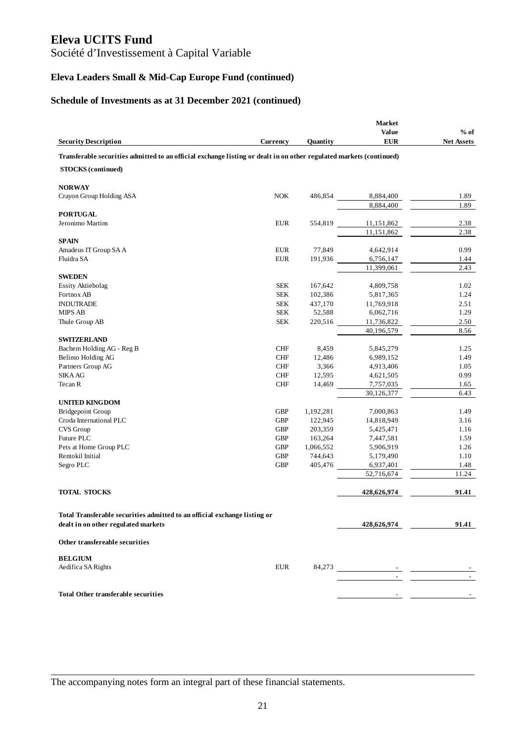Société d'Investissement à Capital Variable

# **Eleva Leaders Small & Mid-Cap Europe Fund (continued)**

#### **Schedule of Investments as at 31 December 2021 (continued)**

|                                                                                                                     |                 |                 | <b>Market</b> |                   |
|---------------------------------------------------------------------------------------------------------------------|-----------------|-----------------|---------------|-------------------|
|                                                                                                                     |                 |                 | <b>Value</b>  | $%$ of            |
| <b>Security Description</b>                                                                                         | <b>Currency</b> | Quantity        | <b>EUR</b>    | <b>Net Assets</b> |
| Transferable securities admitted to an official exchange listing or dealt in on other regulated markets (continued) |                 |                 |               |                   |
| <b>STOCKS</b> (continued)                                                                                           |                 |                 |               |                   |
| <b>NORWAY</b>                                                                                                       |                 |                 |               |                   |
| Crayon Group Holding ASA                                                                                            | <b>NOK</b>      | 486,854         | 8,884,400     | 1.89              |
|                                                                                                                     |                 |                 | 8,884,400     | 1.89              |
| <b>PORTUGAL</b>                                                                                                     |                 |                 |               |                   |
| Jeronimo Martins                                                                                                    | <b>EUR</b>      | 554,819         | 11,151,862    | 2.38              |
|                                                                                                                     |                 |                 | 11,151,862    | 2.38              |
| <b>SPAIN</b>                                                                                                        |                 |                 |               |                   |
| Amadeus IT Group SA A                                                                                               | <b>EUR</b>      | 77,849          | 4,642,914     | 0.99              |
| Fluidra SA                                                                                                          | <b>EUR</b>      | 191,936         | 6,756,147     | 1.44              |
|                                                                                                                     |                 |                 | 11,399,061    | 2.43              |
| <b>SWEDEN</b>                                                                                                       |                 |                 |               |                   |
| <b>Essity Aktiebolag</b>                                                                                            | <b>SEK</b>      | 167,642         | 4,809,758     | 1.02              |
| Fortnox AB                                                                                                          | <b>SEK</b>      | 102,386         | 5,817,365     | 1.24              |
| <b>INDUTRADE</b>                                                                                                    | <b>SEK</b>      | 437,170         | 11,769,918    | 2.51              |
| <b>MIPS AB</b>                                                                                                      | <b>SEK</b>      | 52,588          | 6,062,716     | 1.29              |
| Thule Group AB                                                                                                      | <b>SEK</b>      | 220,516         | 11,736,822    | 2.50              |
|                                                                                                                     |                 |                 | 40,196,579    | 8.56              |
| <b>SWITZERLAND</b><br>Bachem Holding AG - Reg B                                                                     | <b>CHF</b>      |                 | 5,845,279     |                   |
| Belimo Holding AG                                                                                                   | ${\rm CHF}$     | 8,459<br>12,486 | 6,989,152     | 1.25<br>1.49      |
| Partners Group AG                                                                                                   | <b>CHF</b>      | 3,366           | 4,913,406     | 1.05              |
| <b>SIKA AG</b>                                                                                                      | <b>CHF</b>      | 12,595          | 4,621,505     | 0.99              |
| Tecan R                                                                                                             | ${\rm CHF}$     | 14,469          | 7,757,035     | 1.65              |
|                                                                                                                     |                 |                 | 30,126,377    | 6.43              |
| <b>UNITED KINGDOM</b>                                                                                               |                 |                 |               |                   |
| <b>Bridgepoint Group</b>                                                                                            | <b>GBP</b>      | 1,192,281       | 7,000,863     | 1.49              |
| Croda International PLC                                                                                             | <b>GBP</b>      | 122,945         | 14,818,949    | 3.16              |
| CVS Group                                                                                                           | <b>GBP</b>      | 203,359         | 5,425,471     | 1.16              |
| Future PLC                                                                                                          | <b>GBP</b>      | 163,264         | 7,447,581     | 1.59              |
| Pets at Home Group PLC                                                                                              | <b>GBP</b>      | 1,066,552       | 5,906,919     | 1.26              |
| Rentokil Initial                                                                                                    | <b>GBP</b>      | 744,643         | 5,179,490     | 1.10              |
| Segro PLC                                                                                                           | <b>GBP</b>      | 405,476         | 6,937,401     | 1.48              |
|                                                                                                                     |                 |                 | 52,716,674    | 11.24             |
| <b>TOTAL STOCKS</b>                                                                                                 |                 |                 | 428,626,974   | 91.41             |
|                                                                                                                     |                 |                 |               |                   |
| Total Transferable securities admitted to an official exchange listing or                                           |                 |                 |               |                   |
| dealt in on other regulated markets                                                                                 |                 |                 | 428,626,974   | 91.41             |
| Other transfereable securities                                                                                      |                 |                 |               |                   |
| <b>BELGIUM</b>                                                                                                      |                 |                 |               |                   |
| Aedifica SA Rights                                                                                                  | <b>EUR</b>      |                 |               |                   |
|                                                                                                                     |                 |                 |               |                   |
|                                                                                                                     |                 |                 |               |                   |
| <b>Total Other transferable securities</b>                                                                          |                 |                 |               |                   |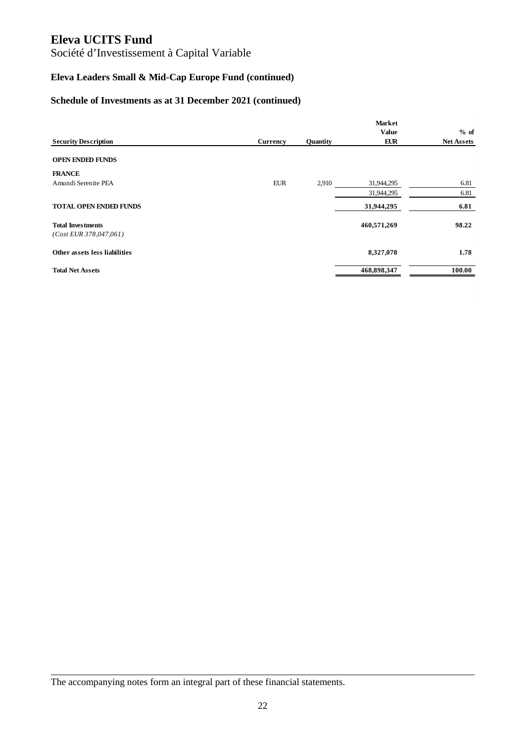Société d'Investissement à Capital Variable

# **Eleva Leaders Small & Mid-Cap Europe Fund (continued)**

#### **Schedule of Investments as at 31 December 2021 (continued)**

|                                                      |            |          | <b>Market</b> |                   |
|------------------------------------------------------|------------|----------|---------------|-------------------|
|                                                      |            |          | <b>Value</b>  | % of              |
| <b>Security Description</b>                          | Currency   | Quantity | <b>EUR</b>    | <b>Net Assets</b> |
| <b>OPEN ENDED FUNDS</b>                              |            |          |               |                   |
| <b>FRANCE</b>                                        |            |          |               |                   |
| Amundi Serenite PEA                                  | <b>EUR</b> | 2,910    | 31,944,295    | 6.81              |
|                                                      |            |          | 31,944,295    | 6.81              |
| <b>TOTAL OPEN ENDED FUNDS</b>                        |            |          | 31,944,295    | 6.81              |
| <b>Total Investments</b><br>$(Cost$ EUR 378,047,061) |            |          | 460,571,269   | 98.22             |
| Other assets less liabilities                        |            |          | 8,327,078     | 1.78              |
| <b>Total Net Assets</b>                              |            |          | 468,898,347   | 100.00            |

The accompanying notes form an integral part of these financial statements.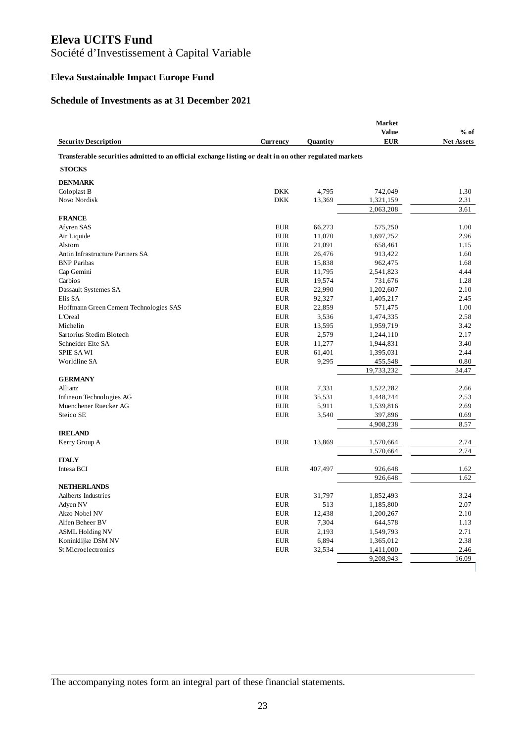# Société d'Investissement à Capital Variable

# **Eleva Sustainable Impact Europe Fund**

#### **Schedule of Investments as at 31 December 2021**

|                                                                                                         |                 |          | <b>Market</b> |                   |
|---------------------------------------------------------------------------------------------------------|-----------------|----------|---------------|-------------------|
|                                                                                                         |                 |          | <b>Value</b>  | $%$ of            |
| <b>Security Description</b>                                                                             | <b>Currency</b> | Quantity | <b>EUR</b>    | <b>Net Assets</b> |
| Transferable securities admitted to an official exchange listing or dealt in on other regulated markets |                 |          |               |                   |
| <b>STOCKS</b>                                                                                           |                 |          |               |                   |
| <b>DENMARK</b>                                                                                          |                 |          |               |                   |
| Coloplast B                                                                                             | <b>DKK</b>      | 4,795    | 742,049       | 1.30              |
| Novo Nordisk                                                                                            | <b>DKK</b>      | 13,369   | 1,321,159     | 2.31              |
|                                                                                                         |                 |          | 2,063,208     | 3.61              |
| <b>FRANCE</b>                                                                                           |                 |          |               |                   |
| Afyren SAS                                                                                              | <b>EUR</b>      | 66,273   | 575,250       | 1.00              |
| Air Liquide                                                                                             | <b>EUR</b>      | 11,070   | 1,697,252     | 2.96              |
| Alstom                                                                                                  | <b>EUR</b>      | 21,091   | 658,461       | 1.15              |
| Antin Infrastructure Partners SA                                                                        | <b>EUR</b>      | 26,476   | 913,422       | 1.60              |
| <b>BNP</b> Paribas                                                                                      | <b>EUR</b>      | 15,838   | 962,475       | 1.68              |
| Cap Gemini                                                                                              | <b>EUR</b>      | 11,795   | 2,541,823     | 4.44              |
| Carbios                                                                                                 | <b>EUR</b>      | 19,574   | 731,676       | 1.28              |
| Dassault Systemes SA                                                                                    | <b>EUR</b>      | 22,990   | 1,202,607     | 2.10              |
| Elis SA                                                                                                 | <b>EUR</b>      | 92,327   | 1,405,217     | 2.45              |
| Hoffmann Green Cement Technologies SAS                                                                  | <b>EUR</b>      | 22,859   | 571,475       | 1.00              |
| <b>L'Oreal</b>                                                                                          | <b>EUR</b>      | 3,536    | 1,474,335     | 2.58              |
| Michelin                                                                                                | <b>EUR</b>      | 13,595   | 1,959,719     | 3.42              |
| Sartorius Stedim Biotech                                                                                | <b>EUR</b>      | 2,579    | 1,244,110     | 2.17              |
| Schneider Elte SA                                                                                       | EUR             | 11,277   | 1,944,831     | 3.40              |
| <b>SPIE SA WI</b>                                                                                       | <b>EUR</b>      | 61,401   | 1,395,031     | 2.44              |
| Worldline SA                                                                                            | <b>EUR</b>      | 9,295    | 455,548       | 0.80              |
|                                                                                                         |                 |          | 19,733,232    | 34.47             |
| <b>GERMANY</b>                                                                                          |                 |          |               |                   |
| Allianz                                                                                                 | <b>EUR</b>      | 7,331    | 1,522,282     | 2.66              |
| Infineon Technologies AG                                                                                | <b>EUR</b>      | 35,531   | 1,448,244     | 2.53              |
| Muenchener Ruecker AG                                                                                   | <b>EUR</b>      | 5,911    | 1,539,816     | 2.69              |
| Steico SE                                                                                               | <b>EUR</b>      | 3,540    | 397,896       | 0.69              |
|                                                                                                         |                 |          | 4,908,238     | 8.57              |
| <b>IRELAND</b>                                                                                          |                 |          |               |                   |
| Kerry Group A                                                                                           | <b>EUR</b>      | 13,869   | 1,570,664     | 2.74              |
|                                                                                                         |                 |          | 1,570,664     | 2.74              |
| <b>ITALY</b>                                                                                            |                 |          |               |                   |
| Intesa BCI                                                                                              | <b>EUR</b>      | 407,497  | 926,648       | 1.62              |
|                                                                                                         |                 |          | 926.648       | 1.62              |
| <b>NETHERLANDS</b>                                                                                      |                 |          |               |                   |
| Aalberts Industries                                                                                     | <b>EUR</b>      | 31,797   | 1,852,493     | 3.24              |
| Adyen NV                                                                                                | <b>EUR</b>      | 513      | 1,185,800     | 2.07              |
| Akzo Nobel NV                                                                                           | <b>EUR</b>      | 12,438   | 1,200,267     | 2.10              |
| Alfen Beheer BV                                                                                         | <b>EUR</b>      | 7,304    | 644,578       | 1.13              |
| <b>ASML Holding NV</b>                                                                                  | <b>EUR</b>      | 2,193    | 1,549,793     | 2.71              |
| Koninklijke DSM NV                                                                                      | <b>EUR</b>      | 6,894    | 1,365,012     | 2.38              |
| St Microelectronics                                                                                     | <b>EUR</b>      | 32,534   | 1,411,000     | 2.46              |
|                                                                                                         |                 |          | 9,208,943     | 16.09             |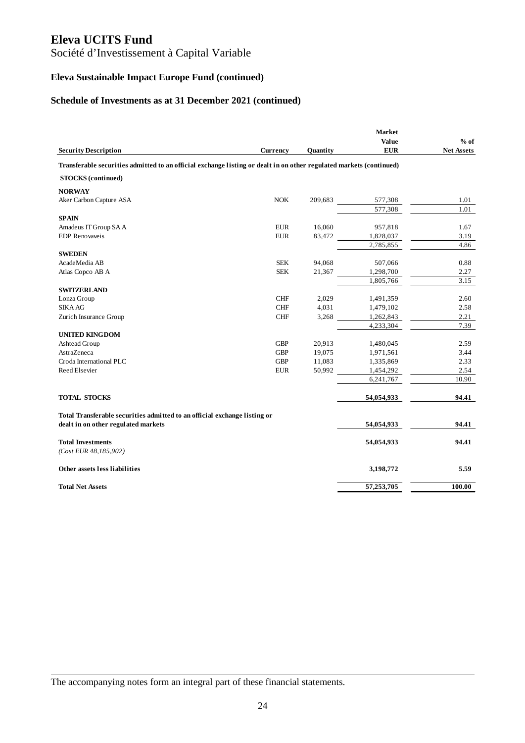Société d'Investissement à Capital Variable

# **Eleva Sustainable Impact Europe Fund (continued)**

#### **Schedule of Investments as at 31 December 2021 (continued)**

| <b>Value</b><br><b>EUR</b><br><b>Security Description</b><br>Currency<br><b>Ouantity</b><br>Transferable securities admitted to an official exchange listing or dealt in on other regulated markets (continued)<br><b>STOCKS</b> (continued)<br><b>NORWAY</b><br><b>NOK</b><br>Aker Carbon Capture ASA<br>209,683<br>577,308<br>577,308<br><b>SPAIN</b><br>Amadeus IT Group SA A<br><b>EUR</b><br>16,060<br>957,818 | $%$ of<br><b>Net Assets</b><br>1.01<br>1.01<br>1.67 |
|---------------------------------------------------------------------------------------------------------------------------------------------------------------------------------------------------------------------------------------------------------------------------------------------------------------------------------------------------------------------------------------------------------------------|-----------------------------------------------------|
|                                                                                                                                                                                                                                                                                                                                                                                                                     |                                                     |
|                                                                                                                                                                                                                                                                                                                                                                                                                     |                                                     |
|                                                                                                                                                                                                                                                                                                                                                                                                                     |                                                     |
|                                                                                                                                                                                                                                                                                                                                                                                                                     |                                                     |
|                                                                                                                                                                                                                                                                                                                                                                                                                     |                                                     |
|                                                                                                                                                                                                                                                                                                                                                                                                                     |                                                     |
|                                                                                                                                                                                                                                                                                                                                                                                                                     |                                                     |
|                                                                                                                                                                                                                                                                                                                                                                                                                     |                                                     |
|                                                                                                                                                                                                                                                                                                                                                                                                                     |                                                     |
| <b>EDP</b> Renovaveis<br><b>EUR</b><br>83,472<br>1,828,037                                                                                                                                                                                                                                                                                                                                                          | 3.19                                                |
| 2,785,855                                                                                                                                                                                                                                                                                                                                                                                                           | 4.86                                                |
| <b>SWEDEN</b>                                                                                                                                                                                                                                                                                                                                                                                                       |                                                     |
| <b>SEK</b><br>94,068<br>507,066<br>AcadeMedia AB                                                                                                                                                                                                                                                                                                                                                                    | 0.88                                                |
| <b>SEK</b><br>21,367<br>1,298,700<br>Atlas Copco AB A                                                                                                                                                                                                                                                                                                                                                               | 2.27<br>3.15                                        |
| 1,805,766<br><b>SWITZERLAND</b>                                                                                                                                                                                                                                                                                                                                                                                     |                                                     |
| Lonza Group<br>CHF<br>2,029<br>1,491,359                                                                                                                                                                                                                                                                                                                                                                            | 2.60                                                |
| <b>SIKA AG</b><br><b>CHF</b><br>4,031<br>1,479,102                                                                                                                                                                                                                                                                                                                                                                  | 2.58                                                |
| Zurich Insurance Group<br><b>CHF</b><br>3,268<br>1,262,843                                                                                                                                                                                                                                                                                                                                                          | 2.21                                                |
| 4,233,304                                                                                                                                                                                                                                                                                                                                                                                                           | 7.39                                                |
| <b>UNITED KINGDOM</b>                                                                                                                                                                                                                                                                                                                                                                                               |                                                     |
| <b>GBP</b><br>20,913<br>Ashtead Group<br>1,480,045                                                                                                                                                                                                                                                                                                                                                                  | 2.59                                                |
| AstraZeneca<br><b>GBP</b><br>19,075<br>1,971,561                                                                                                                                                                                                                                                                                                                                                                    | 3.44                                                |
| Croda International PLC<br><b>GBP</b><br>11,083<br>1,335,869                                                                                                                                                                                                                                                                                                                                                        | 2.33                                                |
| 50,992<br>Reed Elsevier<br><b>EUR</b><br>1,454,292                                                                                                                                                                                                                                                                                                                                                                  | 2.54                                                |
| 6,241,767                                                                                                                                                                                                                                                                                                                                                                                                           | 10.90                                               |
| <b>TOTAL STOCKS</b><br>54,054,933                                                                                                                                                                                                                                                                                                                                                                                   | 94.41                                               |
| Total Transferable securities admitted to an official exchange listing or                                                                                                                                                                                                                                                                                                                                           |                                                     |
| dealt in on other regulated markets<br>54,054,933                                                                                                                                                                                                                                                                                                                                                                   | 94.41                                               |
| <b>Total Investments</b><br>54,054,933<br>$(Cost$ EUR $48,185,902$ )                                                                                                                                                                                                                                                                                                                                                | 94.41                                               |
| Other assets less liabilities<br>3,198,772                                                                                                                                                                                                                                                                                                                                                                          | 5.59                                                |
| 57,253,705<br><b>Total Net Assets</b>                                                                                                                                                                                                                                                                                                                                                                               | 100.00                                              |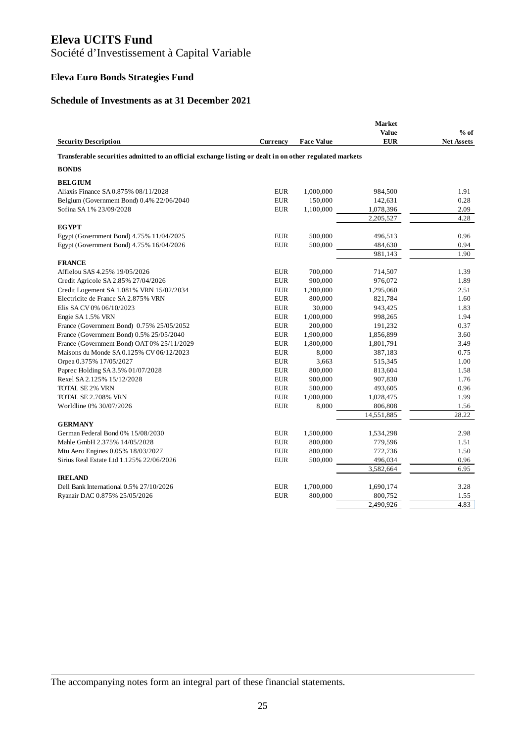Société d'Investissement à Capital Variable

# **Eleva Euro Bonds Strategies Fund**

#### **Schedule of Investments as at 31 December 2021**

|                                                                                                         |            |                   | <b>Market</b> |                   |
|---------------------------------------------------------------------------------------------------------|------------|-------------------|---------------|-------------------|
|                                                                                                         |            |                   | Value         | $%$ of            |
| <b>Security Description</b>                                                                             | Currency   | <b>Face Value</b> | <b>EUR</b>    | <b>Net Assets</b> |
| Transferable securities admitted to an official exchange listing or dealt in on other regulated markets |            |                   |               |                   |
| <b>BONDS</b>                                                                                            |            |                   |               |                   |
| <b>BELGIUM</b>                                                                                          |            |                   |               |                   |
| Aliaxis Finance SA 0.875% 08/11/2028                                                                    | <b>EUR</b> | 1,000,000         | 984,500       | 1.91              |
| Belgium (Government Bond) 0.4% 22/06/2040                                                               | <b>EUR</b> | 150,000           | 142,631       | 0.28              |
| Sofina SA 1% 23/09/2028                                                                                 | <b>EUR</b> | 1,100,000         | 1,078,396     | 2.09              |
|                                                                                                         |            |                   | 2,205,527     | 4.28              |
| <b>EGYPT</b>                                                                                            |            |                   |               |                   |
| Egypt (Government Bond) 4.75% 11/04/2025                                                                | <b>EUR</b> | 500,000           | 496,513       | 0.96              |
| Egypt (Government Bond) 4.75% 16/04/2026                                                                | <b>EUR</b> | 500,000           | 484,630       | 0.94              |
|                                                                                                         |            |                   | 981,143       | 1.90              |
| <b>FRANCE</b>                                                                                           |            |                   |               |                   |
| Afflelou SAS 4.25% 19/05/2026                                                                           | <b>EUR</b> | 700,000           | 714,507       | 1.39              |
| Credit Agricole SA 2.85% 27/04/2026                                                                     | <b>EUR</b> | 900,000           | 976,072       | 1.89              |
| Credit Logement SA 1.081% VRN 15/02/2034                                                                | <b>EUR</b> | 1,300,000         | 1,295,060     | 2.51              |
| Electricite de France SA 2.875% VRN                                                                     | <b>EUR</b> | 800,000           | 821,784       | 1.60              |
| Elis SA CV 0% 06/10/2023                                                                                | <b>EUR</b> | 30,000            | 943,425       | 1.83              |
| Engie SA 1.5% VRN                                                                                       | <b>EUR</b> | 1,000,000         | 998,265       | 1.94              |
| France (Government Bond) 0.75% 25/05/2052                                                               | <b>EUR</b> | 200,000           | 191,232       | 0.37              |
| France (Government Bond) 0.5% 25/05/2040                                                                | <b>EUR</b> | 1,900,000         | 1,856,899     | 3.60              |
| France (Government Bond) OAT 0% 25/11/2029                                                              | <b>EUR</b> | 1,800,000         | 1,801,791     | 3.49              |
| Maisons du Monde SA 0.125% CV 06/12/2023                                                                | <b>EUR</b> | 8,000             | 387,183       | 0.75              |
| Orpea 0.375% 17/05/2027                                                                                 | <b>EUR</b> | 3,663             | 515,345       | 1.00              |
| Paprec Holding SA 3.5% 01/07/2028                                                                       | <b>EUR</b> | 800,000           | 813,604       | 1.58              |
| Rexel SA 2.125% 15/12/2028                                                                              | <b>EUR</b> | 900,000           | 907,830       | 1.76              |
| TOTAL SE 2% VRN                                                                                         | <b>EUR</b> | 500,000           | 493,605       | 0.96              |
| TOTAL SE 2.708% VRN                                                                                     | <b>EUR</b> | 1,000,000         | 1,028,475     | 1.99              |
| Worldline 0% 30/07/2026                                                                                 | <b>EUR</b> | 8,000             | 806,808       | 1.56              |
|                                                                                                         |            |                   | 14,551,885    | 28.22             |
| <b>GERMANY</b>                                                                                          |            |                   |               |                   |
| German Federal Bond 0% 15/08/2030                                                                       | <b>EUR</b> | 1,500,000         | 1,534,298     | 2.98              |
| Mahle GmbH 2.375% 14/05/2028                                                                            | <b>EUR</b> | 800,000           | 779,596       | 1.51              |
| Mtu Aero Engines 0.05% 18/03/2027                                                                       | <b>EUR</b> | 800,000           | 772,736       | 1.50              |
| Sirius Real Estate Ltd 1.125% 22/06/2026                                                                | <b>EUR</b> | 500,000           | 496,034       | 0.96              |
|                                                                                                         |            |                   | 3,582,664     | 6.95              |
| <b>IRELAND</b>                                                                                          |            |                   |               |                   |
| Dell Bank International 0.5% 27/10/2026                                                                 | <b>EUR</b> | 1,700,000         | 1,690,174     | 3.28              |
| Ryanair DAC 0.875% 25/05/2026                                                                           | <b>EUR</b> | 800,000           | 800,752       | 1.55              |
|                                                                                                         |            |                   | 2,490,926     | 4.83              |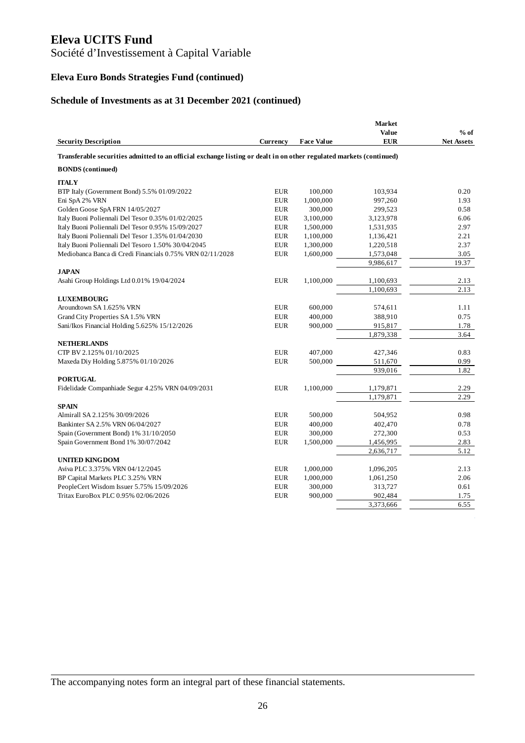Société d'Investissement à Capital Variable

# **Eleva Euro Bonds Strategies Fund (continued)**

#### **Schedule of Investments as at 31 December 2021 (continued)**

|                                                                                                                     |             |                   | <b>Market</b> |                   |
|---------------------------------------------------------------------------------------------------------------------|-------------|-------------------|---------------|-------------------|
|                                                                                                                     |             |                   | Value         | $%$ of            |
| <b>Security Description</b>                                                                                         | Currency    | <b>Face Value</b> | <b>EUR</b>    | <b>Net Assets</b> |
| Transferable securities admitted to an official exchange listing or dealt in on other regulated markets (continued) |             |                   |               |                   |
| <b>BONDS</b> (continued)                                                                                            |             |                   |               |                   |
| <b>ITALY</b>                                                                                                        |             |                   |               |                   |
| BTP Italy (Government Bond) 5.5% 01/09/2022                                                                         | <b>EUR</b>  | 100,000           | 103,934       | 0.20              |
| Eni SpA 2% VRN                                                                                                      | <b>EUR</b>  | 1,000,000         | 997,260       | 1.93              |
| Golden Goose SpA FRN 14/05/2027                                                                                     | <b>EUR</b>  | 300,000           | 299,523       | 0.58              |
| Italy Buoni Poliennali Del Tesor 0.35% 01/02/2025                                                                   | <b>EUR</b>  | 3,100,000         | 3,123,978     | 6.06              |
| Italy Buoni Poliennali Del Tesor 0.95% 15/09/2027                                                                   | <b>EUR</b>  | 1,500,000         | 1,531,935     | 2.97              |
| Italy Buoni Poliennali Del Tesor 1.35% 01/04/2030                                                                   | <b>EUR</b>  | 1,100,000         | 1,136,421     | 2.21              |
| Italy Buoni Poliennali Del Tesoro 1.50% 30/04/2045                                                                  | <b>EUR</b>  | 1,300,000         | 1,220,518     | 2.37              |
| Mediobanca Banca di Credi Financials 0.75% VRN 02/11/2028                                                           | <b>EUR</b>  | 1,600,000         | 1,573,048     | 3.05              |
|                                                                                                                     |             |                   | 9,986,617     | 19.37             |
| <b>JAPAN</b>                                                                                                        |             |                   |               |                   |
| Asahi Group Holdings Ltd 0.01% 19/04/2024                                                                           | <b>EUR</b>  | 1,100,000         | 1,100,693     | 2.13              |
|                                                                                                                     |             |                   | 1,100,693     | 2.13              |
| <b>LUXEMBOURG</b>                                                                                                   |             |                   |               |                   |
| Aroundtown SA 1.625% VRN                                                                                            | <b>EUR</b>  | 600,000           | 574,611       | 1.11              |
| Grand City Properties SA 1.5% VRN                                                                                   | <b>EUR</b>  | 400,000           | 388,910       | 0.75              |
| Sani/Ikos Financial Holding 5.625% 15/12/2026                                                                       | <b>EUR</b>  | 900,000           | 915,817       | 1.78              |
|                                                                                                                     |             |                   | 1,879,338     | 3.64              |
| <b>NETHERLANDS</b>                                                                                                  |             |                   |               |                   |
| CTP BV 2.125% 01/10/2025                                                                                            | <b>EUR</b>  | 407,000           | 427,346       | 0.83              |
| Maxeda Diy Holding 5.875% 01/10/2026                                                                                | <b>EUR</b>  | 500,000           | 511,670       | 0.99              |
|                                                                                                                     |             |                   | 939,016       | 1.82              |
| <b>PORTUGAL</b>                                                                                                     |             |                   |               |                   |
| Fidelidade Companhiade Segur 4.25% VRN 04/09/2031                                                                   | <b>EUR</b>  | 1,100,000         | 1,179,871     | 2.29              |
|                                                                                                                     |             |                   | 1,179,871     | 2.29              |
| <b>SPAIN</b>                                                                                                        |             |                   |               |                   |
| Almirall SA 2.125% 30/09/2026                                                                                       | <b>EUR</b>  | 500,000           | 504,952       | 0.98              |
| Bankinter SA 2.5% VRN 06/04/2027                                                                                    | <b>EUR</b>  | 400,000           | 402,470       | 0.78              |
| Spain (Government Bond) 1% 31/10/2050                                                                               | <b>EUR</b>  | 300,000           | 272,300       | 0.53              |
| Spain Government Bond 1% 30/07/2042                                                                                 | <b>EUR</b>  | 1,500,000         | 1,456,995     | 2.83              |
|                                                                                                                     |             |                   | 2,636,717     | 5.12              |
| <b>UNITED KINGDOM</b>                                                                                               |             |                   |               |                   |
| Aviva PLC 3.375% VRN 04/12/2045                                                                                     | EUR         | 1,000,000         | 1,096,205     | 2.13              |
| BP Capital Markets PLC 3.25% VRN                                                                                    | <b>EUR</b>  | 1,000,000         | 1,061,250     | 2.06              |
| PeopleCert Wisdom Issuer 5.75% 15/09/2026                                                                           | <b>EUR</b>  | 300,000           | 313,727       | 0.61              |
| Tritax EuroBox PLC 0.95% 02/06/2026                                                                                 | ${\rm EUR}$ | 900,000           | 902,484       | 1.75              |
|                                                                                                                     |             |                   | 3,373,666     | 6.55              |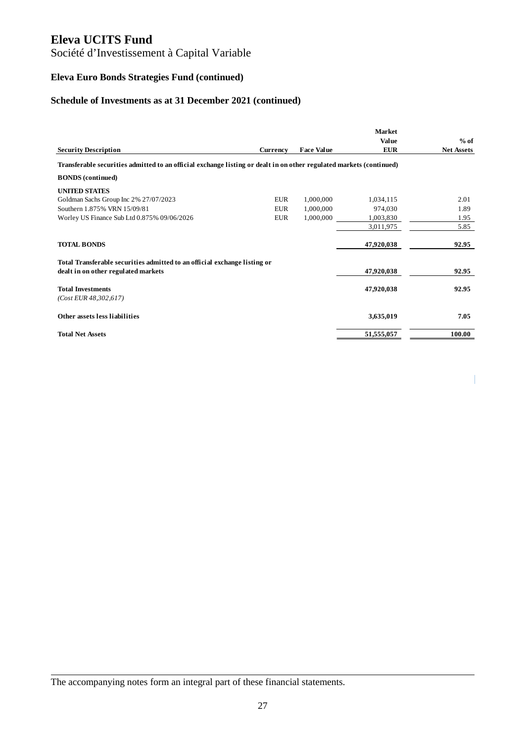# Société d'Investissement à Capital Variable

# **Eleva Euro Bonds Strategies Fund (continued)**

# **Schedule of Investments as at 31 December 2021 (continued)**

|                                                                                                                     |            |                   | <b>Market</b>              |                             |
|---------------------------------------------------------------------------------------------------------------------|------------|-------------------|----------------------------|-----------------------------|
| <b>Security Description</b>                                                                                         | Currency   | <b>Face Value</b> | <b>Value</b><br><b>EUR</b> | $%$ of<br><b>Net Assets</b> |
| Transferable securities admitted to an official exchange listing or dealt in on other regulated markets (continued) |            |                   |                            |                             |
| <b>BONDS</b> (continued)                                                                                            |            |                   |                            |                             |
| <b>UNITED STATES</b>                                                                                                |            |                   |                            |                             |
| Goldman Sachs Group Inc 2% 27/07/2023                                                                               | <b>EUR</b> | 1,000,000         | 1,034,115                  | 2.01                        |
| Southern 1.875% VRN 15/09/81                                                                                        | <b>EUR</b> | 1,000,000         | 974,030                    | 1.89                        |
| Worley US Finance Sub Ltd 0.875% 09/06/2026                                                                         | <b>EUR</b> | 1,000,000         | 1,003,830                  | 1.95                        |
|                                                                                                                     |            |                   | 3,011,975                  | 5.85                        |
| <b>TOTAL BONDS</b>                                                                                                  |            |                   | 47,920,038                 | 92.95                       |
| Total Transferable securities admitted to an official exchange listing or                                           |            |                   |                            |                             |
| dealt in on other regulated markets                                                                                 |            |                   | 47,920,038                 | 92.95                       |
| <b>Total Investments</b>                                                                                            |            |                   | 47,920,038                 | 92.95                       |
| $(Cost$ EUR $48,302,617$ )                                                                                          |            |                   |                            |                             |
| Other assets less liabilities                                                                                       |            |                   | 3,635,019                  | 7.05                        |
| <b>Total Net Assets</b>                                                                                             |            |                   | 51,555,057                 | 100.00                      |

 $\overline{\phantom{a}}$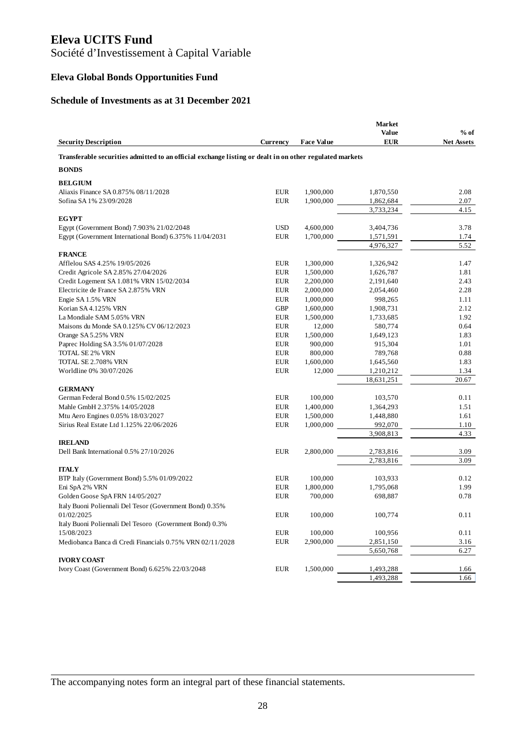Société d'Investissement à Capital Variable

# **Eleva Global Bonds Opportunities Fund**

#### **Schedule of Investments as at 31 December 2021**

| <b>Value</b><br>$%$ of<br><b>EUR</b><br><b>Security Description</b><br><b>Net Assets</b><br><b>Currency</b><br><b>Face Value</b><br>Transferable securities admitted to an official exchange listing or dealt in on other regulated markets<br><b>BONDS</b><br><b>BELGIUM</b><br>Aliaxis Finance SA 0.875% 08/11/2028<br><b>EUR</b><br>1,900,000<br>1,870,550<br>2.08<br><b>EUR</b><br>Sofina SA 1% 23/09/2028<br>1,900,000<br>2.07<br>1,862,684<br>3,733,234<br>4.15<br><b>EGYPT</b><br>Egypt (Government Bond) 7.903% 21/02/2048<br><b>USD</b><br>4,600,000<br>3.78<br>3,404,736<br>Egypt (Government International Bond) 6.375% 11/04/2031<br><b>EUR</b><br>1,700,000<br>1,571,591<br>1.74<br>4,976,327<br>5.52<br><b>FRANCE</b><br>Afflelou SAS 4.25% 19/05/2026<br><b>EUR</b><br>1,300,000<br>1,326,942<br>1.47<br>Credit Agricole SA 2.85% 27/04/2026<br><b>EUR</b><br>1,500,000<br>1,626,787<br>1.81<br>Credit Logement SA 1.081% VRN 15/02/2034<br><b>EUR</b><br>2,200,000<br>2.43<br>2,191,640<br>Electricite de France SA 2.875% VRN<br><b>EUR</b><br>2,000,000<br>2.28<br>2,054,460<br><b>EUR</b><br>Engie SA 1.5% VRN<br>1,000,000<br>998,265<br>1.11<br><b>GBP</b><br>Korian SA 4.125% VRN<br>1,600,000<br>1,908,731<br>2.12<br>La Mondiale SAM 5.05% VRN<br><b>EUR</b><br>1,500,000<br>1.92<br>1,733,685<br><b>EUR</b><br>Maisons du Monde SA 0.125% CV 06/12/2023<br>12,000<br>580,774<br>0.64<br><b>EUR</b><br>1,500,000<br>1,649,123<br>1.83<br>Orange SA 5.25% VRN<br><b>EUR</b><br>900,000<br>1.01<br>Paprec Holding SA 3.5% 01/07/2028<br>915,304<br><b>EUR</b><br><b>TOTAL SE 2% VRN</b><br>800,000<br>789,768<br>0.88<br><b>EUR</b><br>TOTAL SE 2.708% VRN<br>1,600,000<br>1,645,560<br>1.83<br><b>EUR</b><br>Worldline 0% 30/07/2026<br>12,000<br>1,210,212<br>1.34<br>20.67<br>18,631,251<br><b>GERMANY</b><br>German Federal Bond 0.5% 15/02/2025<br><b>EUR</b><br>100,000<br>103,570<br>0.11<br><b>EUR</b><br>Mahle GmbH 2.375% 14/05/2028<br>1,400,000<br>1.51<br>1,364,293<br><b>EUR</b><br>1,500,000<br>1,448,880<br>1.61<br>Mtu Aero Engines 0.05% 18/03/2027<br>Sirius Real Estate Ltd 1.125% 22/06/2026<br><b>EUR</b><br>1,000,000<br>992,070<br>1.10<br>3,908,813<br>4.33<br><b>IRELAND</b><br>2,800,000<br>Dell Bank International 0.5% 27/10/2026<br><b>EUR</b><br>2,783,816<br>3.09<br>2,783,816<br>3.09<br><b>ITALY</b><br>BTP Italy (Government Bond) 5.5% 01/09/2022<br><b>EUR</b><br>100,000<br>103,933<br>0.12<br><b>EUR</b><br>Eni SpA 2% VRN<br>1,800,000<br>1.99<br>1,795,068<br><b>EUR</b><br>Golden Goose SpA FRN 14/05/2027<br>700,000<br>698,887<br>0.78<br>Italy Buoni Poliennali Del Tesor (Government Bond) 0.35%<br>01/02/2025<br><b>EUR</b><br>100,000<br>100,774<br>0.11<br>Italy Buoni Poliennali Del Tesoro (Government Bond) 0.3%<br>15/08/2023<br><b>EUR</b><br>100,000<br>100,956<br>0.11<br><b>EUR</b><br>2,900,000<br>2,851,150<br>3.16<br>Mediobanca Banca di Credi Financials 0.75% VRN 02/11/2028<br>5,650,768<br>6.27<br><b>IVORY COAST</b><br>Ivory Coast (Government Bond) 6.625% 22/03/2048<br><b>EUR</b><br>1,500,000<br>1,493,288<br>1.66<br>1,493,288<br>1.66 |  | <b>Market</b> |  |
|--------------------------------------------------------------------------------------------------------------------------------------------------------------------------------------------------------------------------------------------------------------------------------------------------------------------------------------------------------------------------------------------------------------------------------------------------------------------------------------------------------------------------------------------------------------------------------------------------------------------------------------------------------------------------------------------------------------------------------------------------------------------------------------------------------------------------------------------------------------------------------------------------------------------------------------------------------------------------------------------------------------------------------------------------------------------------------------------------------------------------------------------------------------------------------------------------------------------------------------------------------------------------------------------------------------------------------------------------------------------------------------------------------------------------------------------------------------------------------------------------------------------------------------------------------------------------------------------------------------------------------------------------------------------------------------------------------------------------------------------------------------------------------------------------------------------------------------------------------------------------------------------------------------------------------------------------------------------------------------------------------------------------------------------------------------------------------------------------------------------------------------------------------------------------------------------------------------------------------------------------------------------------------------------------------------------------------------------------------------------------------------------------------------------------------------------------------------------------------------------------------------------------------------------------------------------------------------------------------------------------------------------------------------------------------------------------------------------------------------------------------------------------------------------------------------------------------------------------------------------------------------------------------------------------------------------------------------------------------------------------------------------------------------------------------------------------------------------------------------------------------------|--|---------------|--|
|                                                                                                                                                                                                                                                                                                                                                                                                                                                                                                                                                                                                                                                                                                                                                                                                                                                                                                                                                                                                                                                                                                                                                                                                                                                                                                                                                                                                                                                                                                                                                                                                                                                                                                                                                                                                                                                                                                                                                                                                                                                                                                                                                                                                                                                                                                                                                                                                                                                                                                                                                                                                                                                                                                                                                                                                                                                                                                                                                                                                                                                                                                                                      |  |               |  |
|                                                                                                                                                                                                                                                                                                                                                                                                                                                                                                                                                                                                                                                                                                                                                                                                                                                                                                                                                                                                                                                                                                                                                                                                                                                                                                                                                                                                                                                                                                                                                                                                                                                                                                                                                                                                                                                                                                                                                                                                                                                                                                                                                                                                                                                                                                                                                                                                                                                                                                                                                                                                                                                                                                                                                                                                                                                                                                                                                                                                                                                                                                                                      |  |               |  |
|                                                                                                                                                                                                                                                                                                                                                                                                                                                                                                                                                                                                                                                                                                                                                                                                                                                                                                                                                                                                                                                                                                                                                                                                                                                                                                                                                                                                                                                                                                                                                                                                                                                                                                                                                                                                                                                                                                                                                                                                                                                                                                                                                                                                                                                                                                                                                                                                                                                                                                                                                                                                                                                                                                                                                                                                                                                                                                                                                                                                                                                                                                                                      |  |               |  |
|                                                                                                                                                                                                                                                                                                                                                                                                                                                                                                                                                                                                                                                                                                                                                                                                                                                                                                                                                                                                                                                                                                                                                                                                                                                                                                                                                                                                                                                                                                                                                                                                                                                                                                                                                                                                                                                                                                                                                                                                                                                                                                                                                                                                                                                                                                                                                                                                                                                                                                                                                                                                                                                                                                                                                                                                                                                                                                                                                                                                                                                                                                                                      |  |               |  |
|                                                                                                                                                                                                                                                                                                                                                                                                                                                                                                                                                                                                                                                                                                                                                                                                                                                                                                                                                                                                                                                                                                                                                                                                                                                                                                                                                                                                                                                                                                                                                                                                                                                                                                                                                                                                                                                                                                                                                                                                                                                                                                                                                                                                                                                                                                                                                                                                                                                                                                                                                                                                                                                                                                                                                                                                                                                                                                                                                                                                                                                                                                                                      |  |               |  |
|                                                                                                                                                                                                                                                                                                                                                                                                                                                                                                                                                                                                                                                                                                                                                                                                                                                                                                                                                                                                                                                                                                                                                                                                                                                                                                                                                                                                                                                                                                                                                                                                                                                                                                                                                                                                                                                                                                                                                                                                                                                                                                                                                                                                                                                                                                                                                                                                                                                                                                                                                                                                                                                                                                                                                                                                                                                                                                                                                                                                                                                                                                                                      |  |               |  |
|                                                                                                                                                                                                                                                                                                                                                                                                                                                                                                                                                                                                                                                                                                                                                                                                                                                                                                                                                                                                                                                                                                                                                                                                                                                                                                                                                                                                                                                                                                                                                                                                                                                                                                                                                                                                                                                                                                                                                                                                                                                                                                                                                                                                                                                                                                                                                                                                                                                                                                                                                                                                                                                                                                                                                                                                                                                                                                                                                                                                                                                                                                                                      |  |               |  |
|                                                                                                                                                                                                                                                                                                                                                                                                                                                                                                                                                                                                                                                                                                                                                                                                                                                                                                                                                                                                                                                                                                                                                                                                                                                                                                                                                                                                                                                                                                                                                                                                                                                                                                                                                                                                                                                                                                                                                                                                                                                                                                                                                                                                                                                                                                                                                                                                                                                                                                                                                                                                                                                                                                                                                                                                                                                                                                                                                                                                                                                                                                                                      |  |               |  |
|                                                                                                                                                                                                                                                                                                                                                                                                                                                                                                                                                                                                                                                                                                                                                                                                                                                                                                                                                                                                                                                                                                                                                                                                                                                                                                                                                                                                                                                                                                                                                                                                                                                                                                                                                                                                                                                                                                                                                                                                                                                                                                                                                                                                                                                                                                                                                                                                                                                                                                                                                                                                                                                                                                                                                                                                                                                                                                                                                                                                                                                                                                                                      |  |               |  |
|                                                                                                                                                                                                                                                                                                                                                                                                                                                                                                                                                                                                                                                                                                                                                                                                                                                                                                                                                                                                                                                                                                                                                                                                                                                                                                                                                                                                                                                                                                                                                                                                                                                                                                                                                                                                                                                                                                                                                                                                                                                                                                                                                                                                                                                                                                                                                                                                                                                                                                                                                                                                                                                                                                                                                                                                                                                                                                                                                                                                                                                                                                                                      |  |               |  |
|                                                                                                                                                                                                                                                                                                                                                                                                                                                                                                                                                                                                                                                                                                                                                                                                                                                                                                                                                                                                                                                                                                                                                                                                                                                                                                                                                                                                                                                                                                                                                                                                                                                                                                                                                                                                                                                                                                                                                                                                                                                                                                                                                                                                                                                                                                                                                                                                                                                                                                                                                                                                                                                                                                                                                                                                                                                                                                                                                                                                                                                                                                                                      |  |               |  |
|                                                                                                                                                                                                                                                                                                                                                                                                                                                                                                                                                                                                                                                                                                                                                                                                                                                                                                                                                                                                                                                                                                                                                                                                                                                                                                                                                                                                                                                                                                                                                                                                                                                                                                                                                                                                                                                                                                                                                                                                                                                                                                                                                                                                                                                                                                                                                                                                                                                                                                                                                                                                                                                                                                                                                                                                                                                                                                                                                                                                                                                                                                                                      |  |               |  |
|                                                                                                                                                                                                                                                                                                                                                                                                                                                                                                                                                                                                                                                                                                                                                                                                                                                                                                                                                                                                                                                                                                                                                                                                                                                                                                                                                                                                                                                                                                                                                                                                                                                                                                                                                                                                                                                                                                                                                                                                                                                                                                                                                                                                                                                                                                                                                                                                                                                                                                                                                                                                                                                                                                                                                                                                                                                                                                                                                                                                                                                                                                                                      |  |               |  |
|                                                                                                                                                                                                                                                                                                                                                                                                                                                                                                                                                                                                                                                                                                                                                                                                                                                                                                                                                                                                                                                                                                                                                                                                                                                                                                                                                                                                                                                                                                                                                                                                                                                                                                                                                                                                                                                                                                                                                                                                                                                                                                                                                                                                                                                                                                                                                                                                                                                                                                                                                                                                                                                                                                                                                                                                                                                                                                                                                                                                                                                                                                                                      |  |               |  |
|                                                                                                                                                                                                                                                                                                                                                                                                                                                                                                                                                                                                                                                                                                                                                                                                                                                                                                                                                                                                                                                                                                                                                                                                                                                                                                                                                                                                                                                                                                                                                                                                                                                                                                                                                                                                                                                                                                                                                                                                                                                                                                                                                                                                                                                                                                                                                                                                                                                                                                                                                                                                                                                                                                                                                                                                                                                                                                                                                                                                                                                                                                                                      |  |               |  |
|                                                                                                                                                                                                                                                                                                                                                                                                                                                                                                                                                                                                                                                                                                                                                                                                                                                                                                                                                                                                                                                                                                                                                                                                                                                                                                                                                                                                                                                                                                                                                                                                                                                                                                                                                                                                                                                                                                                                                                                                                                                                                                                                                                                                                                                                                                                                                                                                                                                                                                                                                                                                                                                                                                                                                                                                                                                                                                                                                                                                                                                                                                                                      |  |               |  |
|                                                                                                                                                                                                                                                                                                                                                                                                                                                                                                                                                                                                                                                                                                                                                                                                                                                                                                                                                                                                                                                                                                                                                                                                                                                                                                                                                                                                                                                                                                                                                                                                                                                                                                                                                                                                                                                                                                                                                                                                                                                                                                                                                                                                                                                                                                                                                                                                                                                                                                                                                                                                                                                                                                                                                                                                                                                                                                                                                                                                                                                                                                                                      |  |               |  |
|                                                                                                                                                                                                                                                                                                                                                                                                                                                                                                                                                                                                                                                                                                                                                                                                                                                                                                                                                                                                                                                                                                                                                                                                                                                                                                                                                                                                                                                                                                                                                                                                                                                                                                                                                                                                                                                                                                                                                                                                                                                                                                                                                                                                                                                                                                                                                                                                                                                                                                                                                                                                                                                                                                                                                                                                                                                                                                                                                                                                                                                                                                                                      |  |               |  |
|                                                                                                                                                                                                                                                                                                                                                                                                                                                                                                                                                                                                                                                                                                                                                                                                                                                                                                                                                                                                                                                                                                                                                                                                                                                                                                                                                                                                                                                                                                                                                                                                                                                                                                                                                                                                                                                                                                                                                                                                                                                                                                                                                                                                                                                                                                                                                                                                                                                                                                                                                                                                                                                                                                                                                                                                                                                                                                                                                                                                                                                                                                                                      |  |               |  |
|                                                                                                                                                                                                                                                                                                                                                                                                                                                                                                                                                                                                                                                                                                                                                                                                                                                                                                                                                                                                                                                                                                                                                                                                                                                                                                                                                                                                                                                                                                                                                                                                                                                                                                                                                                                                                                                                                                                                                                                                                                                                                                                                                                                                                                                                                                                                                                                                                                                                                                                                                                                                                                                                                                                                                                                                                                                                                                                                                                                                                                                                                                                                      |  |               |  |
|                                                                                                                                                                                                                                                                                                                                                                                                                                                                                                                                                                                                                                                                                                                                                                                                                                                                                                                                                                                                                                                                                                                                                                                                                                                                                                                                                                                                                                                                                                                                                                                                                                                                                                                                                                                                                                                                                                                                                                                                                                                                                                                                                                                                                                                                                                                                                                                                                                                                                                                                                                                                                                                                                                                                                                                                                                                                                                                                                                                                                                                                                                                                      |  |               |  |
|                                                                                                                                                                                                                                                                                                                                                                                                                                                                                                                                                                                                                                                                                                                                                                                                                                                                                                                                                                                                                                                                                                                                                                                                                                                                                                                                                                                                                                                                                                                                                                                                                                                                                                                                                                                                                                                                                                                                                                                                                                                                                                                                                                                                                                                                                                                                                                                                                                                                                                                                                                                                                                                                                                                                                                                                                                                                                                                                                                                                                                                                                                                                      |  |               |  |
|                                                                                                                                                                                                                                                                                                                                                                                                                                                                                                                                                                                                                                                                                                                                                                                                                                                                                                                                                                                                                                                                                                                                                                                                                                                                                                                                                                                                                                                                                                                                                                                                                                                                                                                                                                                                                                                                                                                                                                                                                                                                                                                                                                                                                                                                                                                                                                                                                                                                                                                                                                                                                                                                                                                                                                                                                                                                                                                                                                                                                                                                                                                                      |  |               |  |
|                                                                                                                                                                                                                                                                                                                                                                                                                                                                                                                                                                                                                                                                                                                                                                                                                                                                                                                                                                                                                                                                                                                                                                                                                                                                                                                                                                                                                                                                                                                                                                                                                                                                                                                                                                                                                                                                                                                                                                                                                                                                                                                                                                                                                                                                                                                                                                                                                                                                                                                                                                                                                                                                                                                                                                                                                                                                                                                                                                                                                                                                                                                                      |  |               |  |
|                                                                                                                                                                                                                                                                                                                                                                                                                                                                                                                                                                                                                                                                                                                                                                                                                                                                                                                                                                                                                                                                                                                                                                                                                                                                                                                                                                                                                                                                                                                                                                                                                                                                                                                                                                                                                                                                                                                                                                                                                                                                                                                                                                                                                                                                                                                                                                                                                                                                                                                                                                                                                                                                                                                                                                                                                                                                                                                                                                                                                                                                                                                                      |  |               |  |
|                                                                                                                                                                                                                                                                                                                                                                                                                                                                                                                                                                                                                                                                                                                                                                                                                                                                                                                                                                                                                                                                                                                                                                                                                                                                                                                                                                                                                                                                                                                                                                                                                                                                                                                                                                                                                                                                                                                                                                                                                                                                                                                                                                                                                                                                                                                                                                                                                                                                                                                                                                                                                                                                                                                                                                                                                                                                                                                                                                                                                                                                                                                                      |  |               |  |
|                                                                                                                                                                                                                                                                                                                                                                                                                                                                                                                                                                                                                                                                                                                                                                                                                                                                                                                                                                                                                                                                                                                                                                                                                                                                                                                                                                                                                                                                                                                                                                                                                                                                                                                                                                                                                                                                                                                                                                                                                                                                                                                                                                                                                                                                                                                                                                                                                                                                                                                                                                                                                                                                                                                                                                                                                                                                                                                                                                                                                                                                                                                                      |  |               |  |
|                                                                                                                                                                                                                                                                                                                                                                                                                                                                                                                                                                                                                                                                                                                                                                                                                                                                                                                                                                                                                                                                                                                                                                                                                                                                                                                                                                                                                                                                                                                                                                                                                                                                                                                                                                                                                                                                                                                                                                                                                                                                                                                                                                                                                                                                                                                                                                                                                                                                                                                                                                                                                                                                                                                                                                                                                                                                                                                                                                                                                                                                                                                                      |  |               |  |
|                                                                                                                                                                                                                                                                                                                                                                                                                                                                                                                                                                                                                                                                                                                                                                                                                                                                                                                                                                                                                                                                                                                                                                                                                                                                                                                                                                                                                                                                                                                                                                                                                                                                                                                                                                                                                                                                                                                                                                                                                                                                                                                                                                                                                                                                                                                                                                                                                                                                                                                                                                                                                                                                                                                                                                                                                                                                                                                                                                                                                                                                                                                                      |  |               |  |
|                                                                                                                                                                                                                                                                                                                                                                                                                                                                                                                                                                                                                                                                                                                                                                                                                                                                                                                                                                                                                                                                                                                                                                                                                                                                                                                                                                                                                                                                                                                                                                                                                                                                                                                                                                                                                                                                                                                                                                                                                                                                                                                                                                                                                                                                                                                                                                                                                                                                                                                                                                                                                                                                                                                                                                                                                                                                                                                                                                                                                                                                                                                                      |  |               |  |
|                                                                                                                                                                                                                                                                                                                                                                                                                                                                                                                                                                                                                                                                                                                                                                                                                                                                                                                                                                                                                                                                                                                                                                                                                                                                                                                                                                                                                                                                                                                                                                                                                                                                                                                                                                                                                                                                                                                                                                                                                                                                                                                                                                                                                                                                                                                                                                                                                                                                                                                                                                                                                                                                                                                                                                                                                                                                                                                                                                                                                                                                                                                                      |  |               |  |
|                                                                                                                                                                                                                                                                                                                                                                                                                                                                                                                                                                                                                                                                                                                                                                                                                                                                                                                                                                                                                                                                                                                                                                                                                                                                                                                                                                                                                                                                                                                                                                                                                                                                                                                                                                                                                                                                                                                                                                                                                                                                                                                                                                                                                                                                                                                                                                                                                                                                                                                                                                                                                                                                                                                                                                                                                                                                                                                                                                                                                                                                                                                                      |  |               |  |
|                                                                                                                                                                                                                                                                                                                                                                                                                                                                                                                                                                                                                                                                                                                                                                                                                                                                                                                                                                                                                                                                                                                                                                                                                                                                                                                                                                                                                                                                                                                                                                                                                                                                                                                                                                                                                                                                                                                                                                                                                                                                                                                                                                                                                                                                                                                                                                                                                                                                                                                                                                                                                                                                                                                                                                                                                                                                                                                                                                                                                                                                                                                                      |  |               |  |
|                                                                                                                                                                                                                                                                                                                                                                                                                                                                                                                                                                                                                                                                                                                                                                                                                                                                                                                                                                                                                                                                                                                                                                                                                                                                                                                                                                                                                                                                                                                                                                                                                                                                                                                                                                                                                                                                                                                                                                                                                                                                                                                                                                                                                                                                                                                                                                                                                                                                                                                                                                                                                                                                                                                                                                                                                                                                                                                                                                                                                                                                                                                                      |  |               |  |
|                                                                                                                                                                                                                                                                                                                                                                                                                                                                                                                                                                                                                                                                                                                                                                                                                                                                                                                                                                                                                                                                                                                                                                                                                                                                                                                                                                                                                                                                                                                                                                                                                                                                                                                                                                                                                                                                                                                                                                                                                                                                                                                                                                                                                                                                                                                                                                                                                                                                                                                                                                                                                                                                                                                                                                                                                                                                                                                                                                                                                                                                                                                                      |  |               |  |
|                                                                                                                                                                                                                                                                                                                                                                                                                                                                                                                                                                                                                                                                                                                                                                                                                                                                                                                                                                                                                                                                                                                                                                                                                                                                                                                                                                                                                                                                                                                                                                                                                                                                                                                                                                                                                                                                                                                                                                                                                                                                                                                                                                                                                                                                                                                                                                                                                                                                                                                                                                                                                                                                                                                                                                                                                                                                                                                                                                                                                                                                                                                                      |  |               |  |
|                                                                                                                                                                                                                                                                                                                                                                                                                                                                                                                                                                                                                                                                                                                                                                                                                                                                                                                                                                                                                                                                                                                                                                                                                                                                                                                                                                                                                                                                                                                                                                                                                                                                                                                                                                                                                                                                                                                                                                                                                                                                                                                                                                                                                                                                                                                                                                                                                                                                                                                                                                                                                                                                                                                                                                                                                                                                                                                                                                                                                                                                                                                                      |  |               |  |
|                                                                                                                                                                                                                                                                                                                                                                                                                                                                                                                                                                                                                                                                                                                                                                                                                                                                                                                                                                                                                                                                                                                                                                                                                                                                                                                                                                                                                                                                                                                                                                                                                                                                                                                                                                                                                                                                                                                                                                                                                                                                                                                                                                                                                                                                                                                                                                                                                                                                                                                                                                                                                                                                                                                                                                                                                                                                                                                                                                                                                                                                                                                                      |  |               |  |
|                                                                                                                                                                                                                                                                                                                                                                                                                                                                                                                                                                                                                                                                                                                                                                                                                                                                                                                                                                                                                                                                                                                                                                                                                                                                                                                                                                                                                                                                                                                                                                                                                                                                                                                                                                                                                                                                                                                                                                                                                                                                                                                                                                                                                                                                                                                                                                                                                                                                                                                                                                                                                                                                                                                                                                                                                                                                                                                                                                                                                                                                                                                                      |  |               |  |
|                                                                                                                                                                                                                                                                                                                                                                                                                                                                                                                                                                                                                                                                                                                                                                                                                                                                                                                                                                                                                                                                                                                                                                                                                                                                                                                                                                                                                                                                                                                                                                                                                                                                                                                                                                                                                                                                                                                                                                                                                                                                                                                                                                                                                                                                                                                                                                                                                                                                                                                                                                                                                                                                                                                                                                                                                                                                                                                                                                                                                                                                                                                                      |  |               |  |
|                                                                                                                                                                                                                                                                                                                                                                                                                                                                                                                                                                                                                                                                                                                                                                                                                                                                                                                                                                                                                                                                                                                                                                                                                                                                                                                                                                                                                                                                                                                                                                                                                                                                                                                                                                                                                                                                                                                                                                                                                                                                                                                                                                                                                                                                                                                                                                                                                                                                                                                                                                                                                                                                                                                                                                                                                                                                                                                                                                                                                                                                                                                                      |  |               |  |
|                                                                                                                                                                                                                                                                                                                                                                                                                                                                                                                                                                                                                                                                                                                                                                                                                                                                                                                                                                                                                                                                                                                                                                                                                                                                                                                                                                                                                                                                                                                                                                                                                                                                                                                                                                                                                                                                                                                                                                                                                                                                                                                                                                                                                                                                                                                                                                                                                                                                                                                                                                                                                                                                                                                                                                                                                                                                                                                                                                                                                                                                                                                                      |  |               |  |
|                                                                                                                                                                                                                                                                                                                                                                                                                                                                                                                                                                                                                                                                                                                                                                                                                                                                                                                                                                                                                                                                                                                                                                                                                                                                                                                                                                                                                                                                                                                                                                                                                                                                                                                                                                                                                                                                                                                                                                                                                                                                                                                                                                                                                                                                                                                                                                                                                                                                                                                                                                                                                                                                                                                                                                                                                                                                                                                                                                                                                                                                                                                                      |  |               |  |
|                                                                                                                                                                                                                                                                                                                                                                                                                                                                                                                                                                                                                                                                                                                                                                                                                                                                                                                                                                                                                                                                                                                                                                                                                                                                                                                                                                                                                                                                                                                                                                                                                                                                                                                                                                                                                                                                                                                                                                                                                                                                                                                                                                                                                                                                                                                                                                                                                                                                                                                                                                                                                                                                                                                                                                                                                                                                                                                                                                                                                                                                                                                                      |  |               |  |
|                                                                                                                                                                                                                                                                                                                                                                                                                                                                                                                                                                                                                                                                                                                                                                                                                                                                                                                                                                                                                                                                                                                                                                                                                                                                                                                                                                                                                                                                                                                                                                                                                                                                                                                                                                                                                                                                                                                                                                                                                                                                                                                                                                                                                                                                                                                                                                                                                                                                                                                                                                                                                                                                                                                                                                                                                                                                                                                                                                                                                                                                                                                                      |  |               |  |
|                                                                                                                                                                                                                                                                                                                                                                                                                                                                                                                                                                                                                                                                                                                                                                                                                                                                                                                                                                                                                                                                                                                                                                                                                                                                                                                                                                                                                                                                                                                                                                                                                                                                                                                                                                                                                                                                                                                                                                                                                                                                                                                                                                                                                                                                                                                                                                                                                                                                                                                                                                                                                                                                                                                                                                                                                                                                                                                                                                                                                                                                                                                                      |  |               |  |
|                                                                                                                                                                                                                                                                                                                                                                                                                                                                                                                                                                                                                                                                                                                                                                                                                                                                                                                                                                                                                                                                                                                                                                                                                                                                                                                                                                                                                                                                                                                                                                                                                                                                                                                                                                                                                                                                                                                                                                                                                                                                                                                                                                                                                                                                                                                                                                                                                                                                                                                                                                                                                                                                                                                                                                                                                                                                                                                                                                                                                                                                                                                                      |  |               |  |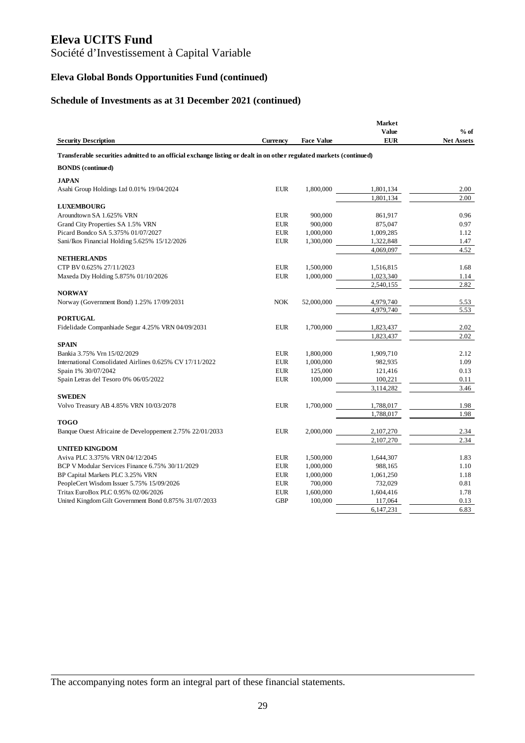# Société d'Investissement à Capital Variable

# **Eleva Global Bonds Opportunities Fund (continued)**

#### **Schedule of Investments as at 31 December 2021 (continued)**

|                                                                                                                     |                          |                      | <b>Market</b>        |                   |
|---------------------------------------------------------------------------------------------------------------------|--------------------------|----------------------|----------------------|-------------------|
|                                                                                                                     |                          |                      | <b>Value</b>         | $%$ of            |
| <b>Security Description</b>                                                                                         | <b>Currency</b>          | <b>Face Value</b>    | <b>EUR</b>           | <b>Net Assets</b> |
| Transferable securities admitted to an official exchange listing or dealt in on other regulated markets (continued) |                          |                      |                      |                   |
| <b>BONDS</b> (continued)                                                                                            |                          |                      |                      |                   |
| <b>JAPAN</b>                                                                                                        |                          |                      |                      |                   |
| Asahi Group Holdings Ltd 0.01% 19/04/2024                                                                           | <b>EUR</b>               | 1,800,000            | 1,801,134            | 2.00              |
|                                                                                                                     |                          |                      | 1,801,134            | 2.00              |
| <b>LUXEMBOURG</b>                                                                                                   |                          |                      |                      |                   |
| Aroundtown SA 1.625% VRN                                                                                            | <b>EUR</b>               | 900,000              | 861,917              | 0.96              |
| Grand City Properties SA 1.5% VRN                                                                                   | <b>EUR</b>               | 900,000              | 875,047              | 0.97              |
| Picard Bondco SA 5.375% 01/07/2027                                                                                  | <b>EUR</b>               | 1,000,000            | 1,009,285            | 1.12              |
| Sani/Ikos Financial Holding 5.625% 15/12/2026                                                                       | <b>EUR</b>               | 1,300,000            | 1,322,848            | 1.47              |
|                                                                                                                     |                          |                      | 4,069,097            | 4.52              |
| <b>NETHERLANDS</b>                                                                                                  |                          |                      |                      |                   |
| CTP BV 0.625% 27/11/2023                                                                                            | <b>EUR</b>               | 1,500,000            | 1,516,815            | 1.68              |
| Maxeda Diy Holding 5.875% 01/10/2026                                                                                | <b>EUR</b>               | 1,000,000            | 1,023,340            | 1.14              |
|                                                                                                                     |                          |                      | 2,540,155            | 2.82              |
| <b>NORWAY</b>                                                                                                       |                          |                      |                      |                   |
| Norway (Government Bond) 1.25% 17/09/2031                                                                           | <b>NOK</b>               | 52,000,000           | 4,979,740            | 5.53              |
|                                                                                                                     |                          |                      | 4,979,740            | 5.53              |
| <b>PORTUGAL</b>                                                                                                     |                          |                      |                      |                   |
| Fidelidade Companhiade Segur 4.25% VRN 04/09/2031                                                                   | <b>EUR</b>               | 1,700,000            | 1,823,437            | 2.02              |
|                                                                                                                     |                          |                      | 1,823,437            | 2.02              |
| <b>SPAIN</b>                                                                                                        |                          |                      |                      |                   |
| Bankia 3.75% Vrn 15/02/2029                                                                                         | <b>EUR</b>               | 1,800,000            | 1,909,710            | 2.12              |
| International Consolidated Airlines 0.625% CV 17/11/2022                                                            | <b>EUR</b>               | 1,000,000            | 982,935              | 1.09              |
| Spain 1% 30/07/2042                                                                                                 | <b>EUR</b>               | 125,000              | 121,416              | 0.13              |
| Spain Letras del Tesoro 0% 06/05/2022                                                                               | <b>EUR</b>               | 100,000              | 100,221              | 0.11              |
|                                                                                                                     |                          |                      | 3,114,282            | 3.46              |
| <b>SWEDEN</b>                                                                                                       |                          |                      |                      |                   |
| Volvo Treasury AB 4.85% VRN 10/03/2078                                                                              | <b>EUR</b>               | 1,700,000            | 1,788,017            | 1.98              |
|                                                                                                                     |                          |                      | 1,788,017            | 1.98              |
| <b>TOGO</b>                                                                                                         |                          |                      |                      |                   |
| Banque Ouest Africaine de Developpement 2.75% 22/01/2033                                                            | <b>EUR</b>               | 2,000,000            | 2,107,270            | 2.34              |
| <b>UNITED KINGDOM</b>                                                                                               |                          |                      | 2,107,270            | 2.34              |
| Aviva PLC 3.375% VRN 04/12/2045                                                                                     | <b>EUR</b>               | 1,500,000            | 1,644,307            | 1.83              |
| BCP V Modular Services Finance 6.75% 30/11/2029                                                                     | <b>EUR</b>               |                      | 988,165              | 1.10              |
|                                                                                                                     |                          | 1,000,000            |                      |                   |
| BP Capital Markets PLC 3.25% VRN                                                                                    | <b>EUR</b><br><b>EUR</b> | 1,000,000<br>700,000 | 1,061,250<br>732,029 | 1.18<br>0.81      |
| PeopleCert Wisdom Issuer 5.75% 15/09/2026                                                                           |                          |                      |                      |                   |
| Tritax EuroBox PLC 0.95% 02/06/2026                                                                                 | <b>EUR</b><br><b>GBP</b> | 1,600,000            | 1,604,416            | 1.78              |
| United Kingdom Gilt Government Bond 0.875% 31/07/2033                                                               |                          | 100,000              | 117,064              | 0.13              |
|                                                                                                                     |                          |                      | 6,147,231            | 6.83              |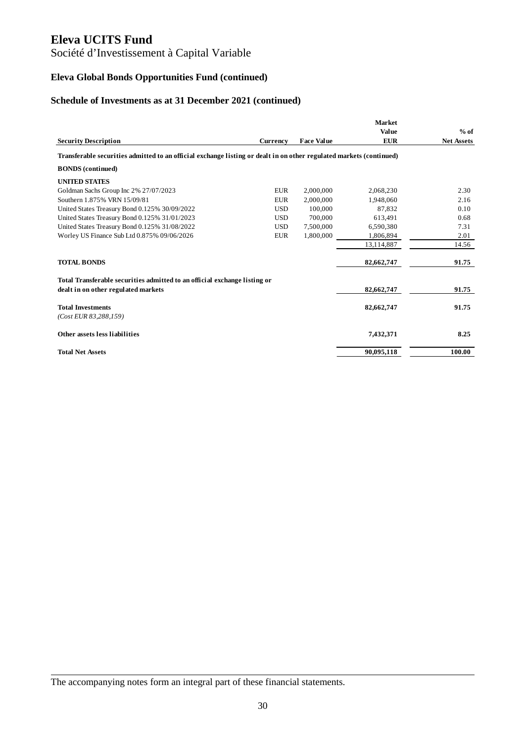# Société d'Investissement à Capital Variable

# **Eleva Global Bonds Opportunities Fund (continued)**

#### **Schedule of Investments as at 31 December 2021 (continued)**

|                                                                                                                     |            |                   | <b>Market</b> |                   |
|---------------------------------------------------------------------------------------------------------------------|------------|-------------------|---------------|-------------------|
|                                                                                                                     |            |                   | <b>Value</b>  | $%$ of            |
| <b>Security Description</b>                                                                                         | Currency   | <b>Face Value</b> | <b>EUR</b>    | <b>Net Assets</b> |
| Transferable securities admitted to an official exchange listing or dealt in on other regulated markets (continued) |            |                   |               |                   |
| <b>BONDS</b> (continued)                                                                                            |            |                   |               |                   |
| <b>UNITED STATES</b>                                                                                                |            |                   |               |                   |
| Goldman Sachs Group Inc 2% 27/07/2023                                                                               | <b>EUR</b> | 2,000,000         | 2,068,230     | 2.30              |
| Southern 1.875% VRN 15/09/81                                                                                        | <b>EUR</b> | 2,000,000         | 1,948,060     | 2.16              |
| United States Treasury Bond 0.125% 30/09/2022                                                                       | <b>USD</b> | 100,000           | 87,832        | 0.10              |
| United States Treasury Bond 0.125% 31/01/2023                                                                       | <b>USD</b> | 700,000           | 613,491       | 0.68              |
| United States Treasury Bond 0.125% 31/08/2022                                                                       | <b>USD</b> | 7,500,000         | 6.590.380     | 7.31              |
| Worley US Finance Sub Ltd 0.875% 09/06/2026                                                                         | <b>EUR</b> | 1,800,000         | 1,806,894     | 2.01              |
|                                                                                                                     |            |                   | 13,114,887    | 14.56             |
| <b>TOTAL BONDS</b>                                                                                                  |            |                   | 82,662,747    | 91.75             |
| Total Transferable securities admitted to an official exchange listing or                                           |            |                   |               |                   |
| dealt in on other regulated markets                                                                                 |            |                   | 82,662,747    | 91.75             |
| <b>Total Investments</b>                                                                                            |            |                   | 82,662,747    | 91.75             |
| $(Cost$ EUR 83,288,159)                                                                                             |            |                   |               |                   |
| Other assets less liabilities                                                                                       |            |                   | 7,432,371     | 8.25              |
| <b>Total Net Assets</b>                                                                                             |            |                   | 90,095,118    | 100.00            |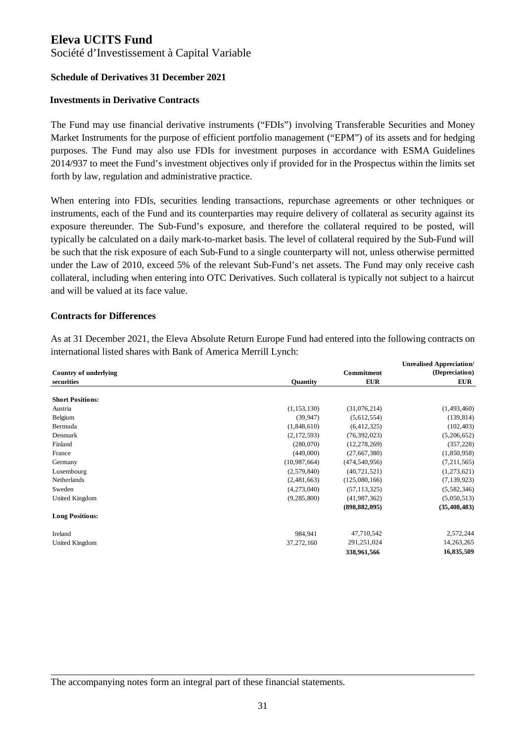Société d'Investissement à Capital Variable

#### **Schedule of Derivatives 31 December 2021**

#### **Investments in Derivative Contracts**

The Fund may use financial derivative instruments ("FDIs") involving Transferable Securities and Money Market Instruments for the purpose of efficient portfolio management ("EPM") of its assets and for hedging purposes. The Fund may also use FDIs for investment purposes in accordance with ESMA Guidelines 2014/937 to meet the Fund's investment objectives only if provided for in the Prospectus within the limits set forth by law, regulation and administrative practice.

When entering into FDIs, securities lending transactions, repurchase agreements or other techniques or instruments, each of the Fund and its counterparties may require delivery of collateral as security against its exposure thereunder. The Sub-Fund's exposure, and therefore the collateral required to be posted, will typically be calculated on a daily mark-to-market basis. The level of collateral required by the Sub-Fund will be such that the risk exposure of each Sub-Fund to a single counterparty will not, unless otherwise permitted under the Law of 2010, exceed 5% of the relevant Sub-Fund's net assets. The Fund may only receive cash collateral, including when entering into OTC Derivatives. Such collateral is typically not subject to a haircut and will be valued at its face value.

#### **Contracts for Differences**

As at 31 December 2021, the Eleva Absolute Return Europe Fund had entered into the following contracts on international listed shares with Bank of America Merrill Lynch:

|                              |               |                 | <b>Unrealised Appreciation/</b> |
|------------------------------|---------------|-----------------|---------------------------------|
| <b>Country of underlying</b> |               | Commitment      | (Depreciation)                  |
| securities                   | Quantity      | <b>EUR</b>      | <b>EUR</b>                      |
| <b>Short Positions:</b>      |               |                 |                                 |
| Austria                      | (1, 153, 130) | (31,076,214)    | (1,493,460)                     |
| Belgium                      | (39, 947)     | (5,612,554)     | (139, 814)                      |
| Bermuda                      | (1,848,610)   | (6,412,325)     | (102, 403)                      |
| Denmark                      | (2,172,593)   | (76, 392, 023)  | (5,206,652)                     |
| Finland                      | (280,070)     | (12, 278, 269)  | (357, 228)                      |
| France                       | (449,000)     | (27, 667, 380)  | (1,850,958)                     |
| Germany                      | (10,987,664)  | (474, 540, 956) | (7,211,565)                     |
| Luxembourg                   | (2,579,840)   | (40, 721, 521)  | (1,273,621)                     |
| Netherlands                  | (2,481,663)   | (125,080,166)   | (7, 139, 923)                   |
| Sweden                       | (4,273,040)   | (57, 113, 325)  | (5,582,346)                     |
| United Kingdom               | (9, 285, 800) | (41, 987, 362)  | (5,050,513)                     |
|                              |               | (898, 882, 095) | (35, 408, 483)                  |
| <b>Long Positions:</b>       |               |                 |                                 |
| Ireland                      | 984,941       | 47,710,542      | 2,572,244                       |
| United Kingdom               | 37,272,160    | 291,251,024     | 14,263,265                      |
|                              |               | 338,961,566     | 16,835,509                      |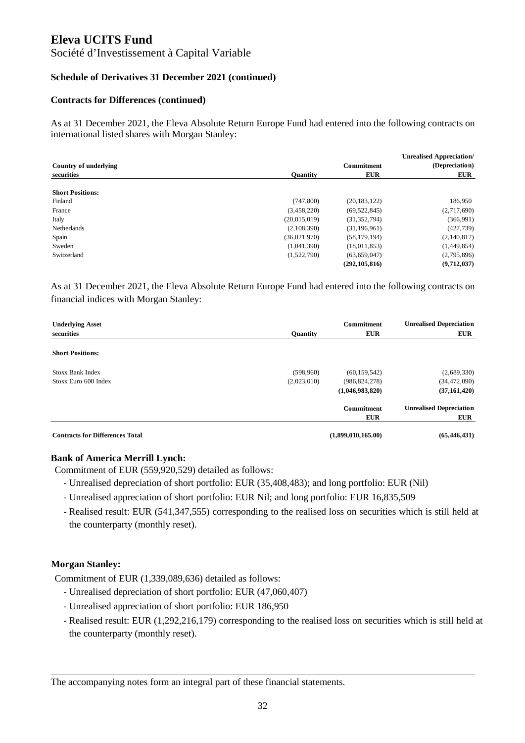#### Société d'Investissement à Capital Variable

#### **Schedule of Derivatives 31 December 2021 (continued)**

#### **Contracts for Differences (continued)**

As at 31 December 2021, the Eleva Absolute Return Europe Fund had entered into the following contracts on international listed shares with Morgan Stanley:

|                         |                 |                 | <b>Unrealised Appreciation/</b> |
|-------------------------|-----------------|-----------------|---------------------------------|
| Country of underlying   |                 | Commitment      | (Depreciation)                  |
| securities              | <b>Ouantity</b> | <b>EUR</b>      | <b>EUR</b>                      |
|                         |                 |                 |                                 |
| <b>Short Positions:</b> |                 |                 |                                 |
| Finland                 | (747, 800)      | (20, 183, 122)  | 186,950                         |
| France                  | (3,458,220)     | (69, 522, 845)  | (2,717,690)                     |
| Italy                   | (20,015,019)    | (31, 352, 794)  | (366,991)                       |
| <b>Netherlands</b>      | (2,108,390)     | (31, 196, 961)  | (427, 739)                      |
| Spain                   | (36,021,970)    | (58, 179, 194)  | (2,140,817)                     |
| Sweden                  | (1,041,390)     | (18,011,853)    | (1,449,854)                     |
| Switzerland             | (1,522,790)     | (63, 659, 047)  | (2,795,896)                     |
|                         |                 | (292, 105, 816) | (9,712,037)                     |

As at 31 December 2021, the Eleva Absolute Return Europe Fund had entered into the following contracts on financial indices with Morgan Stanley:

| <b>Underlying Asset</b>                |                 | Commitment         | <b>Unrealised Depreciation</b> |
|----------------------------------------|-----------------|--------------------|--------------------------------|
| securities                             | <b>Ouantity</b> | <b>EUR</b>         | <b>EUR</b>                     |
| <b>Short Positions:</b>                |                 |                    |                                |
|                                        |                 |                    |                                |
| Stoxx Bank Index                       | (598,960)       | (60, 159, 542)     | (2,689,330)                    |
| Stoxx Euro 600 Index                   | (2,023,010)     | (986, 824, 278)    | (34, 472, 090)                 |
|                                        |                 | (1,046,983,820)    | (37, 161, 420)                 |
|                                        |                 | <b>Commitment</b>  | <b>Unrealised Depreciation</b> |
|                                        |                 | <b>EUR</b>         | <b>EUR</b>                     |
| <b>Contracts for Differences Total</b> |                 | (1,899,010,165.00) | (65, 446, 431)                 |

#### **Bank of America Merrill Lynch:**

Commitment of EUR (559,920,529) detailed as follows:

- Unrealised depreciation of short portfolio: EUR (35,408,483); and long portfolio: EUR (Nil)
- Unrealised appreciation of short portfolio: EUR Nil; and long portfolio: EUR 16,835,509
- Realised result: EUR (541,347,555) corresponding to the realised loss on securities which is still held at the counterparty (monthly reset).

#### **Morgan Stanley:**

Commitment of EUR (1,339,089,636) detailed as follows:

- Unrealised depreciation of short portfolio: EUR (47,060,407)
- Unrealised appreciation of short portfolio: EUR 186,950
- Realised result: EUR (1,292,216,179) corresponding to the realised loss on securities which is still held at the counterparty (monthly reset).

The accompanying notes form an integral part of these financial statements.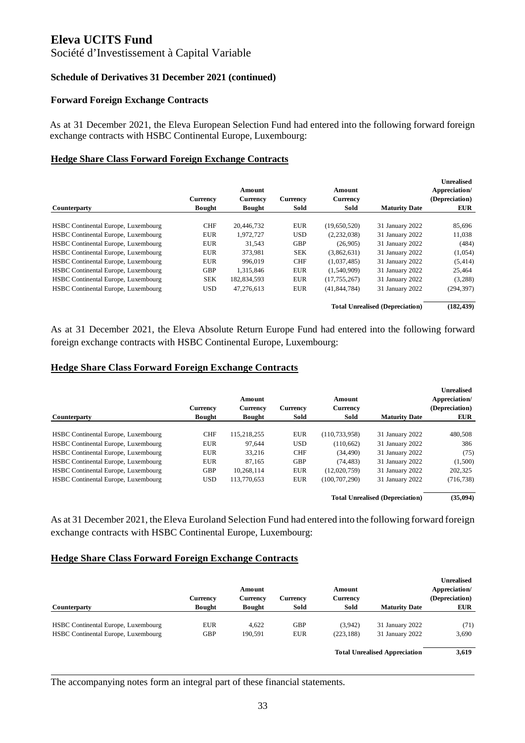Société d'Investissement à Capital Variable

#### **Schedule of Derivatives 31 December 2021 (continued)**

#### **Forward Foreign Exchange Contracts**

As at 31 December 2021, the Eleva European Selection Fund had entered into the following forward foreign exchange contracts with HSBC Continental Europe, Luxembourg:

#### **Hedge Share Class Forward Foreign Exchange Contracts**

|                                     |               |               |            |                |                                        | <b>Unrealised</b> |
|-------------------------------------|---------------|---------------|------------|----------------|----------------------------------------|-------------------|
|                                     |               | Amount        |            | Amount         |                                        | Appreciation/     |
|                                     | Currency      | Currency      | Currency   | Currency       |                                        | (Depreciation)    |
| Counterparty                        | <b>Bought</b> | <b>Bought</b> | Sold       | Sold           | <b>Maturity Date</b>                   | <b>EUR</b>        |
| HSBC Continental Europe, Luxembourg | <b>CHF</b>    | 20.446.732    | <b>EUR</b> | (19,650,520)   | 31 January 2022                        | 85,696            |
| HSBC Continental Europe, Luxembourg | <b>EUR</b>    | 1,972,727     | <b>USD</b> | (2,232,038)    | 31 January 2022                        | 11,038            |
| HSBC Continental Europe, Luxembourg | <b>EUR</b>    | 31.543        | <b>GBP</b> | (26.905)       | 31 January 2022                        | (484)             |
| HSBC Continental Europe, Luxembourg | <b>EUR</b>    | 373,981       | <b>SEK</b> | (3,862,631)    | 31 January 2022                        | (1,054)           |
| HSBC Continental Europe, Luxembourg | <b>EUR</b>    | 996,019       | <b>CHF</b> | (1,037,485)    | 31 January 2022                        | (5, 414)          |
| HSBC Continental Europe, Luxembourg | <b>GBP</b>    | 1.315.846     | <b>EUR</b> | (1,540,909)    | 31 January 2022                        | 25,464            |
| HSBC Continental Europe, Luxembourg | <b>SEK</b>    | 182,834,593   | <b>EUR</b> | (17, 755, 267) | 31 January 2022                        | (3,288)           |
| HSBC Continental Europe, Luxembourg | <b>USD</b>    | 47,276,613    | <b>EUR</b> | (41, 844, 784) | 31 January 2022                        | (294, 397)        |
|                                     |               |               |            |                | <b>Total Unrealised (Depreciation)</b> | (182, 439)        |

As at 31 December 2021, the Eleva Absolute Return Europe Fund had entered into the following forward foreign exchange contracts with HSBC Continental Europe, Luxembourg:

#### **Hedge Share Class Forward Foreign Exchange Contracts**

|                                     |               |               |            |                 |                                        | <b>Unrealised</b> |
|-------------------------------------|---------------|---------------|------------|-----------------|----------------------------------------|-------------------|
|                                     |               | Amount        |            | Amount          |                                        | Appreciation/     |
|                                     | Currency      | Currency      | Currency   | Currency        |                                        | (Depreciation)    |
| Counterparty                        | <b>Bought</b> | <b>Bought</b> | Sold       | Sold            | <b>Maturity Date</b>                   | <b>EUR</b>        |
|                                     |               |               |            |                 |                                        |                   |
| HSBC Continental Europe, Luxembourg | <b>CHF</b>    | 115,218,255   | <b>EUR</b> | (110, 733, 958) | 31 January 2022                        | 480,508           |
| HSBC Continental Europe, Luxembourg | <b>EUR</b>    | 97.644        | <b>USD</b> | (110.662)       | 31 January 2022                        | 386               |
| HSBC Continental Europe, Luxembourg | <b>EUR</b>    | 33.216        | <b>CHF</b> | (34.490)        | 31 January 2022                        | (75)              |
| HSBC Continental Europe, Luxembourg | <b>EUR</b>    | 87.165        | <b>GBP</b> | (74.483)        | 31 January 2022                        | (1,500)           |
| HSBC Continental Europe, Luxembourg | <b>GBP</b>    | 10.268.114    | <b>EUR</b> | (12.020.759)    | 31 January 2022                        | 202,325           |
| HSBC Continental Europe, Luxembourg | <b>USD</b>    | 113,770,653   | <b>EUR</b> | (100.707.290)   | 31 January 2022                        | (716, 738)        |
|                                     |               |               |            |                 | <b>Total Unrealised (Depreciation)</b> | (35,094)          |

As at 31 December 2021, the Eleva Euroland Selection Fund had entered into the following forward foreign exchange contracts with HSBC Continental Europe, Luxembourg:

#### **Hedge Share Class Forward Foreign Exchange Contracts**

| Counterparty                        | Currency<br><b>Bought</b> | Amount<br>Currency<br><b>Bought</b> | Currency<br>Sold | Amount<br>Currency<br>Sold | <b>Maturity Date</b>                 | <b>Unrealised</b><br>Appreciation/<br>(Depreciation)<br><b>EUR</b> |
|-------------------------------------|---------------------------|-------------------------------------|------------------|----------------------------|--------------------------------------|--------------------------------------------------------------------|
| HSBC Continental Europe, Luxembourg | <b>EUR</b>                | 4.622                               | <b>GBP</b>       | (3,942)                    | 31 January 2022                      | (71)                                                               |
| HSBC Continental Europe, Luxembourg | <b>GBP</b>                | 190,591                             | <b>EUR</b>       | (223, 188)                 | 31 January 2022                      | 3,690                                                              |
|                                     |                           |                                     |                  |                            | <b>Total Unrealised Appreciation</b> | 3,619                                                              |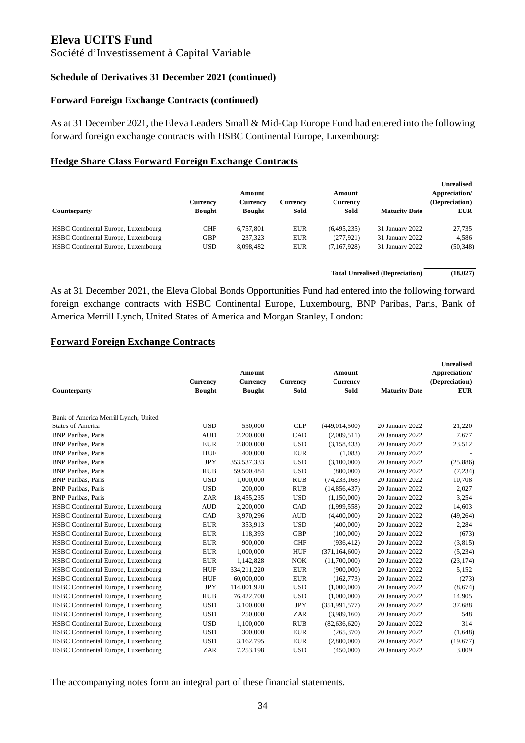Société d'Investissement à Capital Variable

#### **Schedule of Derivatives 31 December 2021 (continued)**

#### **Forward Foreign Exchange Contracts (continued)**

As at 31 December 2021, the Eleva Leaders Small & Mid-Cap Europe Fund had entered into the following forward foreign exchange contracts with HSBC Continental Europe, Luxembourg:

#### **Hedge Share Class Forward Foreign Exchange Contracts**

|                                     |               |           |            |             |                      | <b>Unrealised</b> |
|-------------------------------------|---------------|-----------|------------|-------------|----------------------|-------------------|
|                                     |               | Amount    |            | Amount      |                      | Appreciation/     |
|                                     | Currency      | Currency  | Currencv   | Currency    |                      | (Depreciation)    |
| Counterparty                        | <b>Bought</b> | Bought    | Sold       | Sold        | <b>Maturity Date</b> | <b>EUR</b>        |
|                                     |               |           |            |             |                      |                   |
| HSBC Continental Europe, Luxembourg | <b>CHF</b>    | 6.757.801 | <b>EUR</b> | (6,495,235) | 31 January 2022      | 27.735            |
| HSBC Continental Europe, Luxembourg | <b>GBP</b>    | 237,323   | <b>EUR</b> | (277, 921)  | 31 January 2022      | 4,586             |
| HSBC Continental Europe, Luxembourg | <b>USD</b>    | 8,098,482 | <b>EUR</b> | (7,167,928) | 31 January 2022      | (50, 348)         |
|                                     |               |           |            |             |                      |                   |

**Total Unrealised (Depreciation) (18,027)**

As at 31 December 2021, the Eleva Global Bonds Opportunities Fund had entered into the following forward foreign exchange contracts with HSBC Continental Europe, Luxembourg, BNP Paribas, Paris, Bank of America Merrill Lynch, United States of America and Morgan Stanley, London:

#### **Forward Foreign Exchange Contracts**

|                                       |                 |                 |                 |                 |                      | <b>Unrealised</b> |
|---------------------------------------|-----------------|-----------------|-----------------|-----------------|----------------------|-------------------|
|                                       |                 | Amount          |                 | Amount          |                      | Appreciation/     |
|                                       | <b>Currency</b> | <b>Currency</b> | <b>Currency</b> | <b>Currency</b> |                      | (Depreciation)    |
| Counterparty                          | <b>Bought</b>   | <b>Bought</b>   | Sold            | Sold            | <b>Maturity Date</b> | <b>EUR</b>        |
|                                       |                 |                 |                 |                 |                      |                   |
| Bank of America Merrill Lynch, United |                 |                 |                 |                 |                      |                   |
| <b>States of America</b>              | <b>USD</b>      | 550,000         | <b>CLP</b>      | (449, 014, 500) | 20 January 2022      | 21,220            |
| <b>BNP</b> Paribas, Paris             | <b>AUD</b>      | 2,200,000       | CAD             | (2,009,511)     | 20 January 2022      | 7,677             |
| <b>BNP</b> Paribas, Paris             | <b>EUR</b>      | 2,800,000       | <b>USD</b>      | (3, 158, 433)   | 20 January 2022      | 23,512            |
| <b>BNP</b> Paribas, Paris             | <b>HUF</b>      | 400,000         | <b>EUR</b>      | (1,083)         | 20 January 2022      |                   |
| <b>BNP</b> Paribas, Paris             | <b>JPY</b>      | 353,537,333     | <b>USD</b>      | (3,100,000)     | 20 January 2022      | (25, 886)         |
| <b>BNP</b> Paribas, Paris             | <b>RUB</b>      | 59,500,484      | <b>USD</b>      | (800,000)       | 20 January 2022      | (7, 234)          |
| <b>BNP</b> Paribas, Paris             | <b>USD</b>      | 1,000,000       | <b>RUB</b>      | (74, 233, 168)  | 20 January 2022      | 10,708            |
| <b>BNP</b> Paribas, Paris             | <b>USD</b>      | 200,000         | <b>RUB</b>      | (14, 856, 437)  | 20 January 2022      | 2,027             |
| <b>BNP</b> Paribas, Paris             | <b>ZAR</b>      | 18,455,235      | <b>USD</b>      | (1, 150, 000)   | 20 January 2022      | 3,254             |
| HSBC Continental Europe, Luxembourg   | <b>AUD</b>      | 2,200,000       | CAD             | (1,999,558)     | 20 January 2022      | 14,603            |
| HSBC Continental Europe, Luxembourg   | CAD             | 3,970,296       | <b>AUD</b>      | (4,400,000)     | 20 January 2022      | (49, 264)         |
| HSBC Continental Europe, Luxembourg   | <b>EUR</b>      | 353,913         | <b>USD</b>      | (400,000)       | 20 January 2022      | 2,284             |
| HSBC Continental Europe, Luxembourg   | <b>EUR</b>      | 118,393         | <b>GBP</b>      | (100,000)       | 20 January 2022      | (673)             |
| HSBC Continental Europe, Luxembourg   | <b>EUR</b>      | 900,000         | <b>CHF</b>      | (936, 412)      | 20 January 2022      | (3,815)           |
| HSBC Continental Europe, Luxembourg   | <b>EUR</b>      | 1,000,000       | <b>HUF</b>      | (371, 164, 600) | 20 January 2022      | (5,234)           |
| HSBC Continental Europe, Luxembourg   | <b>EUR</b>      | 1,142,828       | <b>NOK</b>      | (11,700,000)    | 20 January 2022      | (23, 174)         |
| HSBC Continental Europe, Luxembourg   | <b>HUF</b>      | 334,211,220     | <b>EUR</b>      | (900,000)       | 20 January 2022      | 5,152             |
| HSBC Continental Europe, Luxembourg   | <b>HUF</b>      | 60,000,000      | <b>EUR</b>      | (162, 773)      | 20 January 2022      | (273)             |
| HSBC Continental Europe, Luxembourg   | <b>JPY</b>      | 114,001,920     | <b>USD</b>      | (1,000,000)     | 20 January 2022      | (8,674)           |
| HSBC Continental Europe, Luxembourg   | <b>RUB</b>      | 76,422,700      | <b>USD</b>      | (1,000,000)     | 20 January 2022      | 14,905            |
| HSBC Continental Europe, Luxembourg   | <b>USD</b>      | 3,100,000       | <b>JPY</b>      | (351, 991, 577) | 20 January 2022      | 37,688            |
| HSBC Continental Europe, Luxembourg   | <b>USD</b>      | 250,000         | <b>ZAR</b>      | (3,989,160)     | 20 January 2022      | 548               |
| HSBC Continental Europe, Luxembourg   | <b>USD</b>      | 1,100,000       | <b>RUB</b>      | (82, 636, 620)  | 20 January 2022      | 314               |
| HSBC Continental Europe, Luxembourg   | <b>USD</b>      | 300,000         | <b>EUR</b>      | (265, 370)      | 20 January 2022      | (1,648)           |
| HSBC Continental Europe, Luxembourg   | <b>USD</b>      | 3,162,795       | <b>EUR</b>      | (2,800,000)     | 20 January 2022      | (19,677)          |
| HSBC Continental Europe, Luxembourg   | ZAR             | 7,253,198       | <b>USD</b>      | (450,000)       | 20 January 2022      | 3,009             |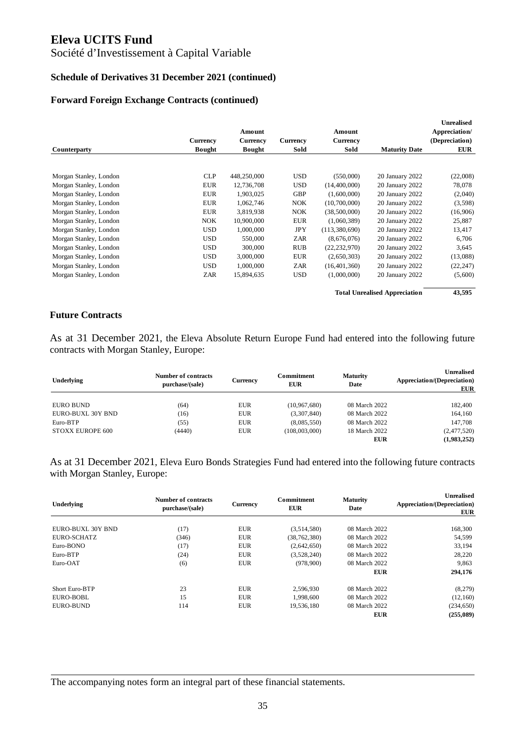## Société d'Investissement à Capital Variable

#### **Schedule of Derivatives 31 December 2021 (continued)**

#### **Forward Foreign Exchange Contracts (continued)**

|                        |               |               |            |                |                                      | <b>Unrealised</b> |
|------------------------|---------------|---------------|------------|----------------|--------------------------------------|-------------------|
|                        |               | Amount        |            | Amount         |                                      | Appreciation/     |
|                        | Currency      | Currency      | Currency   | Currency       |                                      | (Depreciation)    |
| Counterparty           | <b>Bought</b> | <b>Bought</b> | Sold       | Sold           | <b>Maturity Date</b>                 | <b>EUR</b>        |
|                        |               |               |            |                |                                      |                   |
| Morgan Stanley, London | CLP           | 448,250,000   | <b>USD</b> | (550,000)      | 20 January 2022                      | (22,008)          |
| Morgan Stanley, London | <b>EUR</b>    | 12,736,708    | <b>USD</b> | (14,400,000)   | 20 January 2022                      | 78,078            |
| Morgan Stanley, London | <b>EUR</b>    | 1,903,025     | GBP        | (1,600,000)    | 20 January 2022                      | (2,040)           |
| Morgan Stanley, London | <b>EUR</b>    | 1,062,746     | NOK.       | (10,700,000)   | 20 January 2022                      | (3,598)           |
| Morgan Stanley, London | <b>EUR</b>    | 3,819,938     | NOK        | (38,500,000)   | 20 January 2022                      | (16,906)          |
| Morgan Stanley, London | <b>NOK</b>    | 10,900,000    | <b>EUR</b> | (1,060,389)    | 20 January 2022                      | 25,887            |
| Morgan Stanley, London | <b>USD</b>    | 1,000,000     | <b>JPY</b> | (113,380,690)  | 20 January 2022                      | 13,417            |
| Morgan Stanley, London | <b>USD</b>    | 550,000       | ZAR        | (8,676,076)    | 20 January 2022                      | 6,706             |
| Morgan Stanley, London | <b>USD</b>    | 300,000       | <b>RUB</b> | (22, 232, 970) | 20 January 2022                      | 3,645             |
| Morgan Stanley, London | <b>USD</b>    | 3,000,000     | <b>EUR</b> | (2,650,303)    | 20 January 2022                      | (13,088)          |
| Morgan Stanley, London | <b>USD</b>    | 1,000,000     | ZAR        | (16, 401, 360) | 20 January 2022                      | (22, 247)         |
| Morgan Stanley, London | ZAR           | 15,894,635    | USD        | (1,000,000)    | 20 January 2022                      | (5,600)           |
|                        |               |               |            |                | <b>Total Unrealised Appreciation</b> | 43,595            |

#### **Future Contracts**

As at 31 December 2021, the Eleva Absolute Return Europe Fund had entered into the following future contracts with Morgan Stanley, Europe:

| Underlying              | <b>Maturity</b><br><b>Number of contracts</b><br>Commitment<br>Currency<br>purchase/(sale)<br><b>EUR</b><br>Date |            |                | <b>Unrealised</b><br><b>Appreciation/(Depreciation)</b><br><b>EUR</b> |             |
|-------------------------|------------------------------------------------------------------------------------------------------------------|------------|----------------|-----------------------------------------------------------------------|-------------|
|                         |                                                                                                                  |            |                |                                                                       |             |
| <b>EURO BUND</b>        | (64)                                                                                                             | <b>EUR</b> | (10, 967, 680) | 08 March 2022                                                         | 182,400     |
| EURO-BUXL 30Y BND       | (16)                                                                                                             | <b>EUR</b> | (3,307,840)    | 08 March 2022                                                         | 164,160     |
| Euro-BTP                | (55)                                                                                                             | <b>EUR</b> | (8,085,550)    | 08 March 2022                                                         | 147,708     |
| <b>STOXX EUROPE 600</b> | (4440)                                                                                                           | <b>EUR</b> | (108,003,000)  | 18 March 2022                                                         | (2,477,520) |
|                         |                                                                                                                  |            |                | EUR                                                                   | (1,983,252) |

As at 31 December 2021, Eleva Euro Bonds Strategies Fund had entered into the following future contracts with Morgan Stanley, Europe:

| Underlying        | Number of contracts<br>purchase/(sale) | Currency   | <b>Commitment</b><br><b>EUR</b> | Maturity<br>Date | <b>Unrealised</b><br>Appreciation/(Depreciation)<br><b>EUR</b> |  |
|-------------------|----------------------------------------|------------|---------------------------------|------------------|----------------------------------------------------------------|--|
|                   |                                        |            |                                 |                  |                                                                |  |
| EURO-BUXL 30Y BND | (17)                                   | <b>EUR</b> | (3,514,580)                     | 08 March 2022    | 168,300                                                        |  |
| EURO-SCHATZ       | (346)                                  | <b>EUR</b> | (38, 762, 380)                  | 08 March 2022    | 54,599                                                         |  |
| Euro-BONO         | (17)                                   | <b>EUR</b> | (2,642,650)                     | 08 March 2022    | 33,194                                                         |  |
| Euro-BTP          | (24)                                   | <b>EUR</b> | (3,528,240)                     | 08 March 2022    | 28,220                                                         |  |
| Euro-OAT          | (6)                                    | <b>EUR</b> | (978,900)                       | 08 March 2022    | 9,863                                                          |  |
|                   |                                        |            |                                 | <b>EUR</b>       | 294,176                                                        |  |
| Short Euro-BTP    | 23                                     | <b>EUR</b> | 2.596.930                       | 08 March 2022    | (8,279)                                                        |  |
| <b>EURO-BOBL</b>  | 15                                     | <b>EUR</b> | 1.998.600                       | 08 March 2022    | (12, 160)                                                      |  |
| <b>EURO-BUND</b>  | 114                                    | <b>EUR</b> | 19,536,180                      | 08 March 2022    | (234, 650)                                                     |  |
|                   |                                        |            |                                 | <b>EUR</b>       | (255,089)                                                      |  |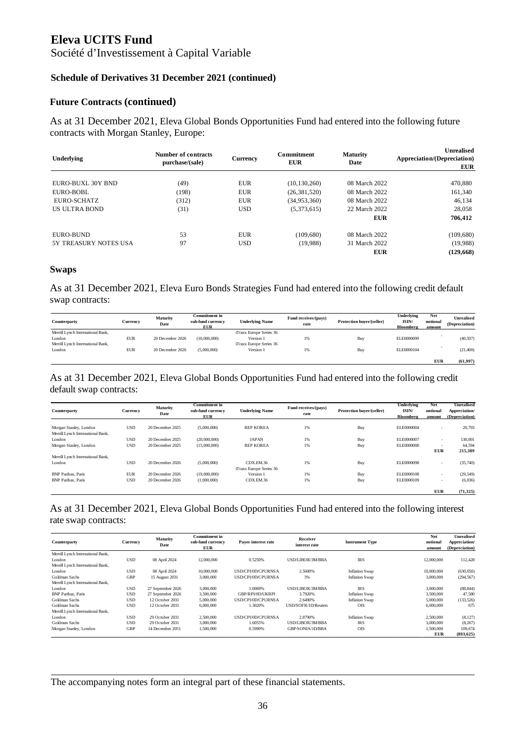Société d'Investissement à Capital Variable

#### **Schedule of Derivatives 31 December 2021 (continued)**

#### **Future Contracts (continued)**

As at 31 December 2021, Eleva Global Bonds Opportunities Fund had entered into the following future contracts with Morgan Stanley, Europe:

| Underlying            | Number of contracts<br>purchase/(sale) | Currency   | <b>Commitment</b><br><b>EUR</b> | Maturity<br>Date | Unrealised<br>Appreciation/(Depreciation)<br><b>EUR</b> |
|-----------------------|----------------------------------------|------------|---------------------------------|------------------|---------------------------------------------------------|
|                       |                                        |            |                                 |                  |                                                         |
| EURO-BUXL 30Y BND     | (49)                                   | <b>EUR</b> | (10, 130, 260)                  | 08 March 2022    | 470,880                                                 |
| EURO-BOBL             | (198)                                  | <b>EUR</b> | (26, 381, 520)                  | 08 March 2022    | 161.340                                                 |
| EURO-SCHATZ           | (312)                                  | <b>EUR</b> | (34,953,360)                    | 08 March 2022    | 46.134                                                  |
| <b>US ULTRA BOND</b>  | (31)                                   | <b>USD</b> | (5,373,615)                     | 22 March 2022    | 28,058                                                  |
|                       |                                        |            |                                 | <b>EUR</b>       | 706,412                                                 |
| EURO-BUND             | 53                                     | EUR        | (109.680)                       | 08 March 2022    | (109, 680)                                              |
| 5Y TREASURY NOTES USA | 97                                     | <b>USD</b> | (19.988)                        | 31 March 2022    | (19.988)                                                |
|                       |                                        |            |                                 | <b>EUR</b>       | (129, 668)                                              |

#### **Swaps**

As at 31 December 2021, Eleva Euro Bonds Strategies Fund had entered into the following credit default swap contracts:

| Counterparty                      | <b>Currency</b> | Maturity<br>Date | <b>Commitment</b> in<br>sub-fund currency<br><b>EUR</b> | <b>Underlying Name</b>  | Fund receives/(pays)<br>rate | Protection buver/(seller) | Underlying<br>ISIN/<br>Bloomberg | Net<br>notional<br>amount | <b>Unrealised</b><br>(Depreciation) |
|-----------------------------------|-----------------|------------------|---------------------------------------------------------|-------------------------|------------------------------|---------------------------|----------------------------------|---------------------------|-------------------------------------|
| Merrill Lynch International Bank, |                 |                  |                                                         | iTraxx Europe Series 36 |                              |                           |                                  |                           |                                     |
| London                            | <b>EUR</b>      | 20 December 2026 | (10,000,000)                                            | Version 1               | 1%                           | Buy                       | ELE0000099                       |                           | (40, 597)                           |
| Merrill Lynch International Bank, |                 |                  |                                                         | iTraxx Europe Series 36 |                              |                           |                                  |                           |                                     |
| London                            | <b>EUR</b>      | 20 December 2026 | (5,000,000)                                             | Version 1               | 1%                           | Buy                       | ELE0000104                       |                           | (21,400)                            |
|                                   |                 |                  |                                                         |                         |                              |                           |                                  |                           |                                     |
|                                   |                 |                  |                                                         |                         |                              |                           |                                  | <b>EUR</b>                | (61, 997)                           |

#### As at 31 December 2021, Eleva Global Bonds Opportunities Fund had entered into the following credit default swap contracts:

| Counterparty                      | Currency   | <b>Maturity</b><br>Date | <b>Commitment</b> in<br>sub-fund currency<br><b>EUR</b> | <b>Underlying Name</b>  | Fund receives/(pays)<br>rate | Protection buyer/(seller) | Underlying<br>ISIN/<br>Bloomberg | Net<br>notional<br>amount | <b>Unrealised</b><br>Appreciation/<br>(Depreciation) |
|-----------------------------------|------------|-------------------------|---------------------------------------------------------|-------------------------|------------------------------|---------------------------|----------------------------------|---------------------------|------------------------------------------------------|
| Morgan Stanley, London            | <b>USD</b> | 20 December 2025        | (5,000,000)                                             | <b>REP KOREA</b>        | 1%                           | Buy                       | ELE0000004                       | $\sim$                    | 20,793                                               |
| Merrill Lynch International Bank, |            |                         |                                                         |                         |                              |                           |                                  |                           |                                                      |
| London                            | <b>USD</b> | 20 December 2025        | (20,000,000)                                            | <b>JAPAN</b>            | 1%                           | Buy                       | ELE0000007                       | ٠                         | 130,001                                              |
| Morgan Stanley, London            | <b>USD</b> | 20 December 2025        | (15,000,000)                                            | <b>REP KOREA</b>        | 1%                           | Buy                       | ELE0000008                       |                           | 64,594                                               |
|                                   |            |                         |                                                         |                         |                              |                           |                                  | <b>EUR</b>                | 215,389                                              |
| Merrill Lynch International Bank, |            |                         |                                                         |                         |                              |                           |                                  |                           |                                                      |
| London                            | <b>USD</b> | 20 December 2026        | (5,000,000)                                             | CDX.EM.36               | 1%                           | Buy                       | ELE0000098                       | ٠                         | (35,740)                                             |
|                                   |            |                         |                                                         | iTraxx Europe Series 36 |                              |                           |                                  |                           |                                                      |
| <b>BNP</b> Paribas, Paris         | <b>EUR</b> | 20 December 2026        | (19,000,000)                                            | Version 1               | 1%                           | Buy                       | ELE0000108                       | ٠                         | (29, 549)                                            |
| <b>BNP Paribas, Paris</b>         | <b>USD</b> | 20 December 2026        | (1,000,000)                                             | CDX.EM.36               | 1%                           | Buy                       | ELE0000109                       | $\sim$                    | (6,036)                                              |
|                                   |            |                         |                                                         |                         |                              |                           |                                  | <b>EUR</b>                | (71, 325)                                            |

#### As at 31 December 2021, Eleva Global Bonds Opportunities Fund had entered into the following interest rate swap contracts:

| Counterparty                      | Currency   | Maturity<br>Date  | <b>Commitment</b> in<br>sub-fund currency<br><b>EUR</b> | Payer interest rate | Receiver<br>interest rate | <b>Instrument Type</b> | Net<br>notional<br>amount | <b>Unrealised</b><br>Appreciation/<br>(Depreciation) |
|-----------------------------------|------------|-------------------|---------------------------------------------------------|---------------------|---------------------------|------------------------|---------------------------|------------------------------------------------------|
| Merrill Lynch International Bank, |            |                   |                                                         |                     |                           |                        |                           |                                                      |
| London                            | <b>USD</b> | 08 April 2024     | 12,000,000                                              | 0.5250%             | USD/LIBOR/3M/BBA          | <b>IRS</b>             | 12,000,000                | 112,428                                              |
| Merrill Lynch International Bank, |            |                   |                                                         |                     |                           |                        |                           |                                                      |
| London                            | <b>USD</b> | 08 April 2024     | 10,000,000                                              | USD/CPI/0D/CPURNSA  | 2.5600%                   | <b>Inflation Swap</b>  | 10,000,000                | (630, 650)                                           |
| Goldman Sachs                     | GBP        | 15 August 2031    | 3,000,000                                               | USD/CPL/0D/CPURNSA  | 3%                        | <b>Inflation Swap</b>  | 3,000,000                 | (294, 567)                                           |
| Merrill Lynch International Bank, |            |                   |                                                         |                     |                           |                        |                           |                                                      |
| London                            | <b>USD</b> | 27 September 2026 | 3,000,000                                               | 1.0069%             | USD/LIBOR/3M/BBA          | <b>IRS</b>             | 3,000,000                 | (88, 844)                                            |
| <b>BNP Paribas, Paris</b>         | <b>USD</b> | 27 September 2026 | 3,500,000                                               | GBP/RPI/0D/UKRPI    | 3.7920%                   | <b>Inflation Swap</b>  | 3,500,000                 | 47,580                                               |
| Goldman Sachs                     | <b>USD</b> | 12 October 2031   | 5,000,000                                               | USD/CPL/0D/CPURNSA  | 2.6490%                   | Inflation Swap         | 5,000,000                 | (133, 526)                                           |
| Goldman Sachs                     | <b>USD</b> | 12 October 2031   | 6,000,000                                               | 1.3020%             | USD/SOFR/1D/Reuters       | <b>OIS</b>             | 6,000,000                 | 675                                                  |
| Merrill Lynch International Bank, |            |                   |                                                         |                     |                           |                        |                           |                                                      |
| London                            | <b>USD</b> | 29 October 2031   | 2,500,000                                               | USD/CPL/0D/CPURNSA  | 2.8790%                   | <b>Inflation Swap</b>  | 2,500,000                 | (8, 127)                                             |
| Goldman Sachs                     | <b>USD</b> | 29 October 2031   | 3,000,000                                               | 1.6055%             | USD/LIBOR/3M/BBA          | <b>IRS</b>             | 3,000,000                 | (8, 267)                                             |
| Morgan Stanley, London            | GBP        | 14 December 2051  | 1,500,000                                               | 0.5990%             | GBP/SONIA/1D/BBA          | <b>OIS</b>             | 1.500,000                 | 109.674                                              |
|                                   |            |                   |                                                         |                     |                           |                        | <b>EUR</b>                | (893, 625)                                           |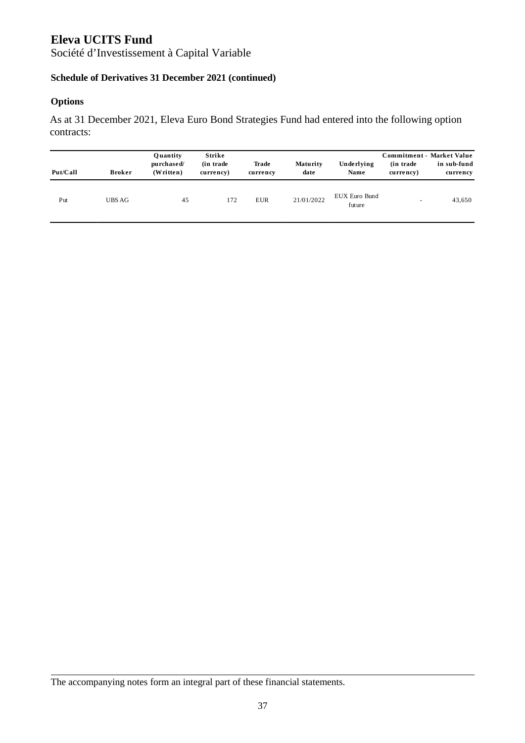Société d'Investissement à Capital Variable

## **Schedule of Derivatives 31 December 2021 (continued)**

### **Options**

As at 31 December 2021, Eleva Euro Bond Strategies Fund had entered into the following option contracts:

| Put/Call | <b>Broker</b> | Ouantity<br>purchased/<br>$(W$ ritten $)$ | Strike<br>(in trade)<br>currency) | Trade<br>currency | Maturity<br>date | Underlying<br>Name      | Commitment - Market Value<br>(in trade)<br>currency) | in sub-fund<br>currency |
|----------|---------------|-------------------------------------------|-----------------------------------|-------------------|------------------|-------------------------|------------------------------------------------------|-------------------------|
| Put      | UBS AG        | 45                                        | 172                               | EUR               | 21/01/2022       | EUX Euro Bund<br>future | $\overline{\phantom{m}}$                             | 43,650                  |

The accompanying notes form an integral part of these financial statements.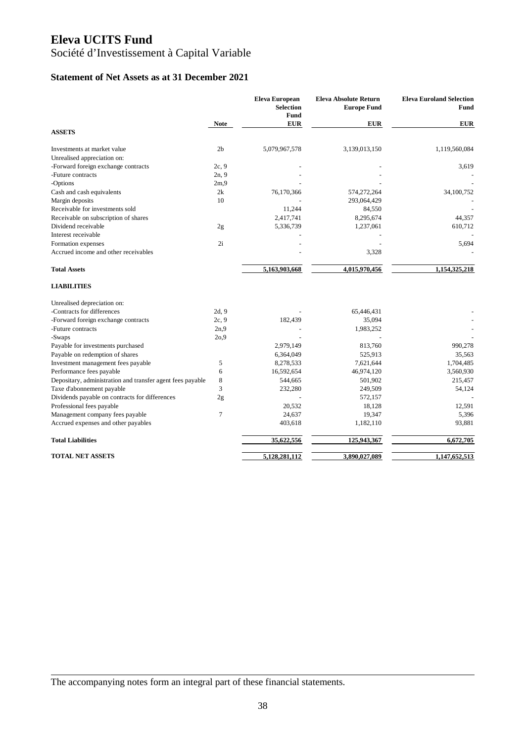# Société d'Investissement à Capital Variable

### **Statement of Net Assets as at 31 December 2021**

|                                                            |                | <b>Eleva European</b><br><b>Selection</b><br>Fund | <b>Eleva Absolute Return</b><br><b>Europe Fund</b> | <b>Eleva Euroland Selection</b><br><b>Fund</b> |
|------------------------------------------------------------|----------------|---------------------------------------------------|----------------------------------------------------|------------------------------------------------|
|                                                            | <b>Note</b>    | <b>EUR</b>                                        | <b>EUR</b>                                         | <b>EUR</b>                                     |
| <b>ASSETS</b>                                              |                |                                                   |                                                    |                                                |
| Investments at market value                                | 2 <sub>b</sub> | 5,079,967,578                                     | 3,139,013,150                                      | 1,119,560,084                                  |
| Unrealised appreciation on:                                |                |                                                   |                                                    |                                                |
| -Forward foreign exchange contracts                        | 2c, 9          |                                                   |                                                    | 3,619                                          |
| -Future contracts                                          | 2n, 9          |                                                   |                                                    |                                                |
| -Options                                                   | 2m.9           |                                                   |                                                    |                                                |
| Cash and cash equivalents                                  | 2k             | 76,170,366                                        | 574,272,264                                        | 34,100,752                                     |
| Margin deposits                                            | 10             |                                                   | 293,064,429                                        |                                                |
| Receivable for investments sold                            |                | 11,244                                            | 84,550                                             |                                                |
| Receivable on subscription of shares                       |                | 2,417,741                                         | 8,295,674                                          | 44,357                                         |
| Dividend receivable                                        | 2g             | 5,336,739                                         | 1,237,061                                          | 610,712                                        |
| Interest receivable                                        |                |                                                   |                                                    |                                                |
| Formation expenses                                         | 2i             |                                                   |                                                    | 5,694                                          |
| Accrued income and other receivables                       |                |                                                   | 3,328                                              |                                                |
| <b>Total Assets</b>                                        |                | 5,163,903,668                                     | 4,015,970,456                                      | 1,154,325,218                                  |
| <b>LIABILITIES</b>                                         |                |                                                   |                                                    |                                                |
| Unrealised depreciation on:                                |                |                                                   |                                                    |                                                |
| -Contracts for differences                                 | 2d, 9          |                                                   | 65,446,431                                         |                                                |
| -Forward foreign exchange contracts                        | 2c, 9          | 182,439                                           | 35,094                                             |                                                |
| -Future contracts                                          | 2n,9           |                                                   | 1,983,252                                          |                                                |
| -Swaps                                                     | 20.9           |                                                   |                                                    |                                                |
| Payable for investments purchased                          |                | 2,979,149                                         | 813,760                                            | 990,278                                        |
| Payable on redemption of shares                            |                | 6,364,049                                         | 525,913                                            | 35,563                                         |
| Investment management fees payable                         | 5              | 8,278,533                                         | 7,621,644                                          | 1,704,485                                      |
| Performance fees payable                                   | 6              | 16,592,654                                        | 46,974,120                                         | 3,560,930                                      |
| Depositary, administration and transfer agent fees payable | 8              | 544,665                                           | 501,902                                            | 215,457                                        |
| Taxe d'abonnement payable                                  | 3              | 232,280                                           | 249,509                                            | 54,124                                         |
| Dividends payable on contracts for differences             | 2g             |                                                   | 572,157                                            |                                                |
| Professional fees payable                                  |                | 20,532                                            | 18,128                                             | 12,591                                         |
| Management company fees payable                            | 7              | 24,637                                            | 19,347                                             | 5,396                                          |
| Accrued expenses and other payables                        |                | 403,618                                           | 1,182,110                                          | 93,881                                         |
| <b>Total Liabilities</b>                                   |                | 35,622,556                                        | 125,943,367                                        | 6,672,705                                      |
| <b>TOTAL NET ASSETS</b>                                    |                | 5,128,281,112                                     | 3,890,027,089                                      | 1,147,652,513                                  |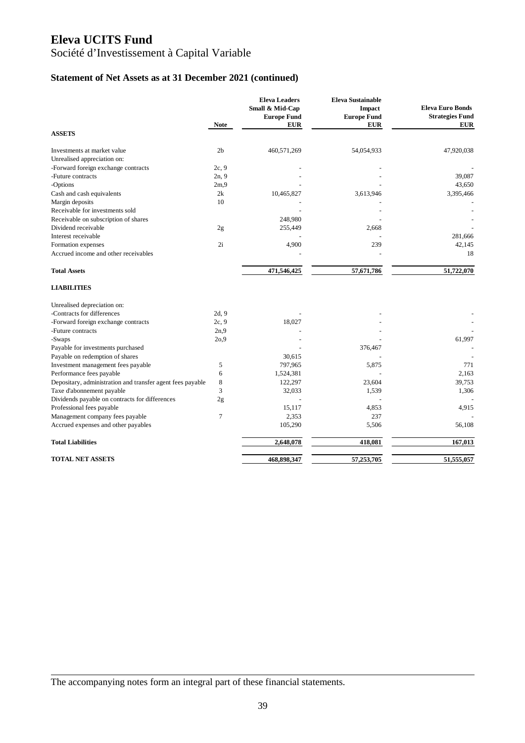# Société d'Investissement à Capital Variable

## **Statement of Net Assets as at 31 December 2021 (continued)**

|                                                            |                | <b>Eleva Leaders</b><br>Small & Mid-Cap | <b>Eleva Sustainable</b><br>Impact | <b>Eleva Euro Bonds</b> |
|------------------------------------------------------------|----------------|-----------------------------------------|------------------------------------|-------------------------|
|                                                            |                | <b>Europe Fund</b>                      | <b>Europe Fund</b>                 | <b>Strategies Fund</b>  |
|                                                            | <b>Note</b>    | <b>EUR</b>                              | <b>EUR</b>                         | <b>EUR</b>              |
| <b>ASSETS</b>                                              |                |                                         |                                    |                         |
| Investments at market value                                | 2 <sub>b</sub> | 460,571,269                             | 54,054,933                         | 47,920,038              |
| Unrealised appreciation on:                                |                |                                         |                                    |                         |
| -Forward foreign exchange contracts                        | 2c, 9          |                                         |                                    |                         |
| -Future contracts                                          | 2n, 9          |                                         |                                    | 39,087                  |
| -Options                                                   | 2m.9           |                                         |                                    | 43,650                  |
| Cash and cash equivalents                                  | 2k             | 10,465,827                              | 3,613,946                          | 3,395,466               |
| Margin deposits                                            | 10             |                                         |                                    |                         |
| Receivable for investments sold                            |                |                                         |                                    |                         |
| Receivable on subscription of shares                       |                | 248,980                                 |                                    |                         |
| Dividend receivable                                        | 2g             | 255,449                                 | 2,668                              |                         |
| Interest receivable                                        |                |                                         |                                    | 281,666                 |
| Formation expenses                                         | 2i             | 4,900                                   | 239                                | 42,145                  |
| Accrued income and other receivables                       |                |                                         |                                    | 18                      |
| <b>Total Assets</b>                                        |                | 471,546,425                             | 57,671,786                         | 51,722,070              |
| <b>LIABILITIES</b>                                         |                |                                         |                                    |                         |
| Unrealised depreciation on:                                |                |                                         |                                    |                         |
| -Contracts for differences                                 | 2d, 9          |                                         |                                    |                         |
| -Forward foreign exchange contracts                        | 2c, 9          | 18,027                                  |                                    |                         |
| -Future contracts                                          | 2n.9           |                                         |                                    |                         |
| -Swaps                                                     | 20.9           |                                         |                                    | 61,997                  |
| Payable for investments purchased                          |                |                                         | 376,467                            |                         |
| Payable on redemption of shares                            |                | 30,615                                  |                                    |                         |
| Investment management fees payable                         | 5              | 797,965                                 | 5,875                              | 771                     |
| Performance fees payable                                   | 6              | 1,524,381                               |                                    | 2,163                   |
| Depositary, administration and transfer agent fees payable | 8              | 122,297                                 | 23,604                             | 39,753                  |
| Taxe d'abonnement payable                                  | 3              | 32,033                                  | 1,539                              | 1,306                   |
| Dividends payable on contracts for differences             | 2g             |                                         |                                    |                         |
| Professional fees payable                                  |                | 15,117                                  | 4,853                              | 4,915                   |
| Management company fees payable                            | 7              | 2,353                                   | 237                                |                         |
| Accrued expenses and other payables                        |                | 105,290                                 | 5,506                              | 56,108                  |
| <b>Total Liabilities</b>                                   |                | 2,648,078                               | 418,081                            | 167,013                 |
| <b>TOTAL NET ASSETS</b>                                    |                | 468,898,347                             | 57,253,705                         | 51,555,057              |
|                                                            |                |                                         |                                    |                         |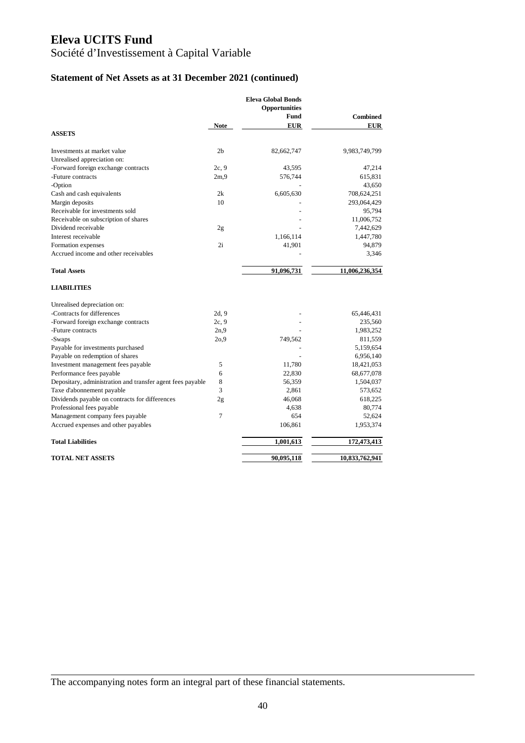# Société d'Investissement à Capital Variable

## **Statement of Net Assets as at 31 December 2021 (continued)**

|                                                            |                | <b>Eleva Global Bonds</b><br><b>Opportunities</b> |                 |
|------------------------------------------------------------|----------------|---------------------------------------------------|-----------------|
|                                                            |                | Fund                                              | <b>Combined</b> |
|                                                            | <b>Note</b>    | <b>EUR</b>                                        | <b>EUR</b>      |
| <b>ASSETS</b>                                              |                |                                                   |                 |
|                                                            |                |                                                   |                 |
| Investments at market value                                | 2 <sub>b</sub> | 82,662,747                                        | 9,983,749,799   |
| Unrealised appreciation on:                                |                |                                                   |                 |
| -Forward foreign exchange contracts                        | 2c, 9          | 43,595                                            | 47,214          |
| -Future contracts                                          | 2m.9           | 576,744                                           | 615,831         |
| -Option                                                    |                |                                                   | 43,650          |
| Cash and cash equivalents                                  | 2k             | 6,605,630                                         | 708,624,251     |
| Margin deposits                                            | 10             |                                                   | 293,064,429     |
| Receivable for investments sold                            |                |                                                   | 95,794          |
| Receivable on subscription of shares                       |                |                                                   | 11,006,752      |
| Dividend receivable                                        | 2g             |                                                   | 7,442,629       |
| Interest receivable                                        |                | 1,166,114                                         | 1,447,780       |
| Formation expenses                                         | 2i             | 41,901                                            | 94,879          |
| Accrued income and other receivables                       |                |                                                   | 3,346           |
|                                                            |                |                                                   |                 |
| <b>Total Assets</b>                                        |                | 91,096,731                                        | 11,006,236,354  |
| <b>LIABILITIES</b>                                         |                |                                                   |                 |
| Unrealised depreciation on:                                |                |                                                   |                 |
| -Contracts for differences                                 | 2d, 9          |                                                   | 65,446,431      |
| -Forward foreign exchange contracts                        | 2c, 9          |                                                   | 235,560         |
| -Future contracts                                          | 2n.9           |                                                   | 1,983,252       |
| -Swaps                                                     | 20,9           | 749,562                                           | 811,559         |
| Payable for investments purchased                          |                |                                                   | 5,159,654       |
| Payable on redemption of shares                            |                |                                                   | 6,956,140       |
| Investment management fees payable                         | 5              | 11,780                                            | 18,421,053      |
| Performance fees payable                                   | 6              | 22,830                                            | 68,677,078      |
| Depositary, administration and transfer agent fees payable | 8              | 56,359                                            | 1,504,037       |
| Taxe d'abonnement payable                                  | 3              | 2,861                                             | 573,652         |
| Dividends payable on contracts for differences             | 2g             | 46,068                                            | 618,225         |
| Professional fees payable                                  |                | 4,638                                             | 80,774          |
| Management company fees payable                            | 7              | 654                                               | 52,624          |
| Accrued expenses and other payables                        |                | 106,861                                           | 1,953,374       |
| <b>Total Liabilities</b>                                   |                | 1,001,613                                         | 172,473,413     |
|                                                            |                |                                                   |                 |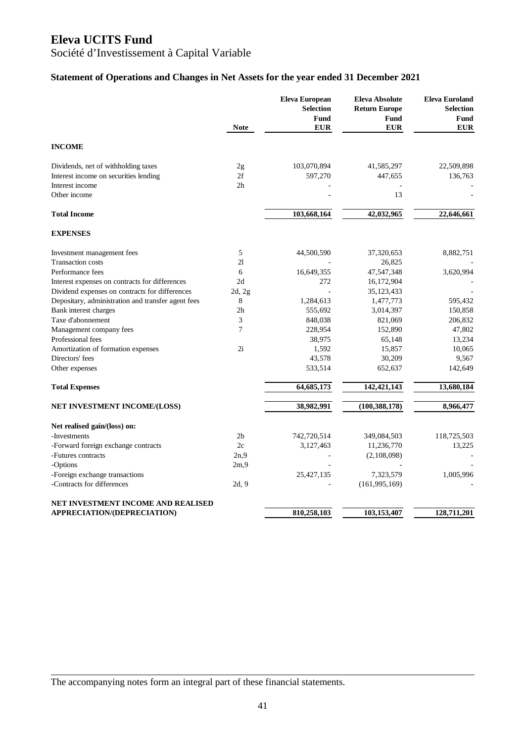Société d'Investissement à Capital Variable

## **Statement of Operations and Changes in Net Assets for the year ended 31 December 2021**

|                                                    | <b>Note</b>    | <b>Eleva European</b><br><b>Selection</b><br>Fund<br><b>EUR</b> | <b>Eleva Absolute</b><br><b>Return Europe</b><br>Fund<br><b>EUR</b> | <b>Eleva Euroland</b><br><b>Selection</b><br>Fund<br><b>EUR</b> |
|----------------------------------------------------|----------------|-----------------------------------------------------------------|---------------------------------------------------------------------|-----------------------------------------------------------------|
| <b>INCOME</b>                                      |                |                                                                 |                                                                     |                                                                 |
| Dividends, net of withholding taxes                | 2g             | 103,070,894                                                     | 41,585,297                                                          | 22,509,898                                                      |
| Interest income on securities lending              | 2f             | 597,270                                                         | 447,655                                                             | 136,763                                                         |
| Interest income                                    | 2h             |                                                                 |                                                                     |                                                                 |
| Other income                                       |                |                                                                 | 13                                                                  |                                                                 |
| <b>Total Income</b>                                |                | 103,668,164                                                     | 42,032,965                                                          | 22,646,661                                                      |
| <b>EXPENSES</b>                                    |                |                                                                 |                                                                     |                                                                 |
| Investment management fees                         | 5              | 44,500,590                                                      | 37,320,653                                                          | 8,882,751                                                       |
| <b>Transaction costs</b>                           | 21             |                                                                 | 26,825                                                              |                                                                 |
| Performance fees                                   | 6              | 16,649,355                                                      | 47,547,348                                                          | 3,620,994                                                       |
| Interest expenses on contracts for differences     | 2d             | 272                                                             | 16,172,904                                                          |                                                                 |
| Dividend expenses on contracts for differences     | 2d, 2g         |                                                                 | 35, 123, 433                                                        |                                                                 |
| Depositary, administration and transfer agent fees | 8              | 1,284,613                                                       | 1,477,773                                                           | 595,432                                                         |
| Bank interest charges                              | 2 <sub>h</sub> | 555,692                                                         | 3,014,397                                                           | 150,858                                                         |
| Taxe d'abonnement                                  | 3              | 848,038                                                         | 821,069                                                             | 206,832                                                         |
| Management company fees                            | $\overline{7}$ | 228,954                                                         | 152,890                                                             | 47,802                                                          |
| Professional fees                                  |                | 38,975                                                          | 65,148                                                              | 13,234                                                          |
| Amortization of formation expenses                 | 2i             | 1,592                                                           | 15,857                                                              | 10,065                                                          |
| Directors' fees                                    |                | 43,578                                                          | 30,209                                                              | 9,567                                                           |
| Other expenses                                     |                | 533,514                                                         | 652,637                                                             | 142,649                                                         |
| <b>Total Expenses</b>                              |                | 64,685,173                                                      | 142,421,143                                                         | 13,680,184                                                      |
| <b>NET INVESTMENT INCOME/(LOSS)</b>                |                | 38,982,991                                                      | (100, 388, 178)                                                     | 8,966,477                                                       |
| Net realised gain/(loss) on:                       |                |                                                                 |                                                                     |                                                                 |
| -Investments                                       | 2 <sub>b</sub> | 742,720,514                                                     | 349,084,503                                                         | 118,725,503                                                     |
| -Forward foreign exchange contracts                | 2c             | 3,127,463                                                       | 11,236,770                                                          | 13,225                                                          |
| -Futures contracts                                 | 2n,9           |                                                                 | (2,108,098)                                                         |                                                                 |
| -Options                                           | 2m,9           |                                                                 |                                                                     |                                                                 |
| -Foreign exchange transactions                     |                | 25,427,135                                                      | 7,323,579                                                           | 1,005,996                                                       |
| -Contracts for differences                         | 2d, 9          |                                                                 | (161, 995, 169)                                                     |                                                                 |
| NET INVESTMENT INCOME AND REALISED                 |                |                                                                 |                                                                     |                                                                 |
| APPRECIATION/(DEPRECIATION)                        |                | 810,258,103                                                     | 103,153,407                                                         | 128,711,201                                                     |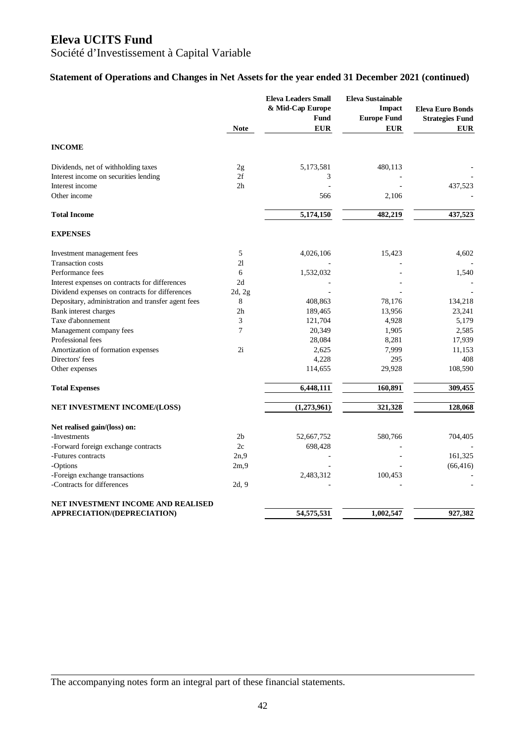## Société d'Investissement à Capital Variable

### **Statement of Operations and Changes in Net Assets for the year ended 31 December 2021 (continued)**

|                                                    | <b>Note</b>    | <b>Eleva Leaders Small</b><br>& Mid-Cap Europe<br><b>Fund</b><br><b>EUR</b> | <b>Eleva Sustainable</b><br><b>Impact</b><br><b>Europe Fund</b><br><b>EUR</b> | <b>Eleva Euro Bonds</b><br><b>Strategies Fund</b><br><b>EUR</b> |
|----------------------------------------------------|----------------|-----------------------------------------------------------------------------|-------------------------------------------------------------------------------|-----------------------------------------------------------------|
| <b>INCOME</b>                                      |                |                                                                             |                                                                               |                                                                 |
| Dividends, net of withholding taxes                | 2g             | 5,173,581                                                                   | 480,113                                                                       |                                                                 |
| Interest income on securities lending              | 2f             | 3                                                                           |                                                                               |                                                                 |
| Interest income                                    | 2h             |                                                                             |                                                                               | 437,523                                                         |
| Other income                                       |                | 566                                                                         | 2,106                                                                         |                                                                 |
| <b>Total Income</b>                                |                | 5,174,150                                                                   | 482,219                                                                       | 437,523                                                         |
| <b>EXPENSES</b>                                    |                |                                                                             |                                                                               |                                                                 |
| Investment management fees                         | 5              | 4,026,106                                                                   | 15,423                                                                        | 4,602                                                           |
| <b>Transaction costs</b>                           | 21             |                                                                             |                                                                               |                                                                 |
| Performance fees                                   | 6              | 1,532,032                                                                   |                                                                               | 1,540                                                           |
| Interest expenses on contracts for differences     | 2d             |                                                                             |                                                                               |                                                                 |
| Dividend expenses on contracts for differences     | 2d, 2g         |                                                                             |                                                                               |                                                                 |
| Depositary, administration and transfer agent fees | $\,8\,$        | 408,863                                                                     | 78,176                                                                        | 134,218                                                         |
| Bank interest charges                              | 2h             | 189,465                                                                     | 13,956                                                                        | 23,241                                                          |
| Taxe d'abonnement                                  | 3              | 121,704                                                                     | 4,928                                                                         | 5,179                                                           |
| Management company fees                            | 7              | 20,349                                                                      | 1,905                                                                         | 2,585                                                           |
| Professional fees                                  |                | 28,084                                                                      | 8,281                                                                         | 17,939                                                          |
| Amortization of formation expenses                 | 2i             | 2,625                                                                       | 7,999                                                                         | 11,153                                                          |
| Directors' fees                                    |                | 4,228                                                                       | 295                                                                           | 408                                                             |
| Other expenses                                     |                | 114,655                                                                     | 29,928                                                                        | 108,590                                                         |
| <b>Total Expenses</b>                              |                | 6,448,111                                                                   | 160,891                                                                       | 309,455                                                         |
| NET INVESTMENT INCOME/(LOSS)                       |                | (1,273,961)                                                                 | 321,328                                                                       | 128,068                                                         |
| Net realised gain/(loss) on:                       |                |                                                                             |                                                                               |                                                                 |
| -Investments                                       | 2 <sub>b</sub> | 52,667,752                                                                  | 580,766                                                                       | 704,405                                                         |
| -Forward foreign exchange contracts                | 2c             | 698,428                                                                     |                                                                               |                                                                 |
| -Futures contracts                                 | 2n,9           |                                                                             |                                                                               | 161,325                                                         |
| -Options                                           | 2m,9           |                                                                             |                                                                               | (66, 416)                                                       |
| -Foreign exchange transactions                     |                | 2,483,312                                                                   | 100,453                                                                       |                                                                 |
| -Contracts for differences                         | 2d, 9          |                                                                             |                                                                               |                                                                 |
| NET INVESTMENT INCOME AND REALISED                 |                |                                                                             |                                                                               |                                                                 |
| APPRECIATION/(DEPRECIATION)                        |                | 54,575,531                                                                  | 1,002,547                                                                     | 927,382                                                         |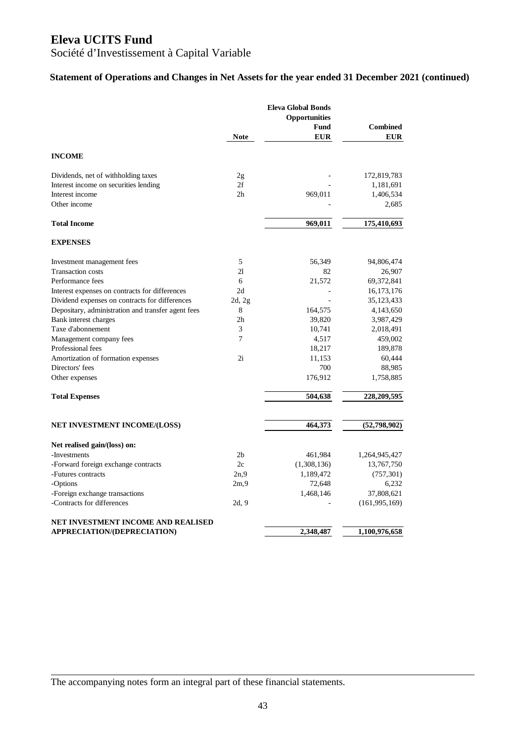## Société d'Investissement à Capital Variable

### **Statement of Operations and Changes in Net Assets for the year ended 31 December 2021 (continued)**

|                                                    | <b>Note</b>    | <b>Eleva Global Bonds</b><br><b>Opportunities</b><br>Fund<br><b>EUR</b> | <b>Combined</b><br><b>EUR</b> |
|----------------------------------------------------|----------------|-------------------------------------------------------------------------|-------------------------------|
| <b>INCOME</b>                                      |                |                                                                         |                               |
| Dividends, net of withholding taxes                | 2g             |                                                                         | 172,819,783                   |
| Interest income on securities lending              | 2f             |                                                                         | 1,181,691                     |
| Interest income                                    | 2 <sub>h</sub> | 969,011                                                                 | 1,406,534                     |
| Other income                                       |                |                                                                         | 2,685                         |
| <b>Total Income</b>                                |                | 969,011                                                                 | 175,410,693                   |
| <b>EXPENSES</b>                                    |                |                                                                         |                               |
| Investment management fees                         | 5              | 56,349                                                                  | 94,806,474                    |
| <b>Transaction costs</b>                           | 21             | 82                                                                      | 26,907                        |
| Performance fees                                   | 6              | 21,572                                                                  | 69, 372, 841                  |
| Interest expenses on contracts for differences     | 2d             |                                                                         | 16, 173, 176                  |
| Dividend expenses on contracts for differences     | 2d, 2g         |                                                                         | 35, 123, 433                  |
| Depositary, administration and transfer agent fees | 8              | 164,575                                                                 | 4,143,650                     |
| Bank interest charges                              | 2h             | 39,820                                                                  | 3,987,429                     |
| Taxe d'abonnement                                  | 3              | 10,741                                                                  | 2,018,491                     |
| Management company fees                            | 7              | 4,517                                                                   | 459,002                       |
| Professional fees                                  |                | 18,217                                                                  | 189,878                       |
| Amortization of formation expenses                 | 2i             | 11,153                                                                  | 60,444                        |
| Directors' fees                                    |                | 700                                                                     | 88,985                        |
| Other expenses                                     |                | 176,912                                                                 | 1,758,885                     |
| <b>Total Expenses</b>                              |                | 504,638                                                                 | 228,209,595                   |
| <b>NET INVESTMENT INCOME/(LOSS)</b>                |                | 464,373                                                                 | (52,798,902)                  |
|                                                    |                |                                                                         |                               |
| Net realised gain/(loss) on:                       |                |                                                                         |                               |
| -Investments                                       | 2 <sub>b</sub> | 461,984                                                                 | 1,264,945,427                 |
| -Forward foreign exchange contracts                | 2c             | (1,308,136)                                                             | 13,767,750                    |
| -Futures contracts                                 | 2n.9           | 1,189,472                                                               | (757, 301)                    |
| -Options                                           | 2m,9           | 72,648                                                                  | 6,232                         |
| -Foreign exchange transactions                     |                | 1,468,146                                                               | 37,808,621                    |
| -Contracts for differences                         | 2d, 9          |                                                                         | (161, 995, 169)               |
| NET INVESTMENT INCOME AND REALISED                 |                |                                                                         |                               |
| APPRECIATION/(DEPRECIATION)                        |                | 2,348,487                                                               | 1,100,976,658                 |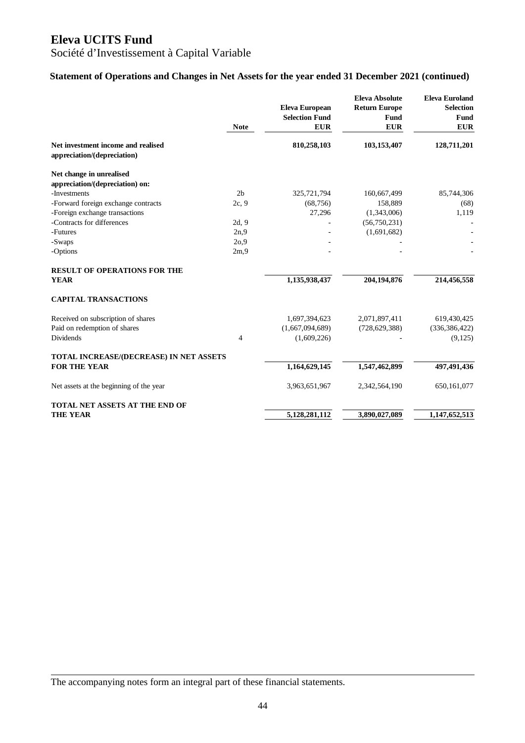## Société d'Investissement à Capital Variable

### **Statement of Operations and Changes in Net Assets for the year ended 31 December 2021 (continued)**

|                                         | <b>Note</b>    | <b>Eleva European</b><br><b>Selection Fund</b><br><b>EUR</b> | <b>Eleva Absolute</b><br><b>Return Europe</b><br>Fund<br><b>EUR</b> | <b>Eleva Euroland</b><br><b>Selection</b><br>Fund<br><b>EUR</b> |
|-----------------------------------------|----------------|--------------------------------------------------------------|---------------------------------------------------------------------|-----------------------------------------------------------------|
|                                         |                |                                                              |                                                                     |                                                                 |
| Net investment income and realised      |                | 810,258,103                                                  | 103,153,407                                                         | 128,711,201                                                     |
| appreciation/(depreciation)             |                |                                                              |                                                                     |                                                                 |
| Net change in unrealised                |                |                                                              |                                                                     |                                                                 |
| appreciation/(depreciation) on:         |                |                                                              |                                                                     |                                                                 |
| -Investments                            | 2 <sub>b</sub> | 325,721,794                                                  | 160,667,499                                                         | 85,744,306                                                      |
| -Forward foreign exchange contracts     | 2c, 9          | (68, 756)                                                    | 158,889                                                             | (68)                                                            |
| -Foreign exchange transactions          |                | 27,296                                                       | (1,343,006)                                                         | 1,119                                                           |
| -Contracts for differences              | 2d, 9          |                                                              | (56,750,231)                                                        |                                                                 |
| -Futures                                | 2n,9           |                                                              | (1,691,682)                                                         |                                                                 |
| -Swaps                                  | 20,9           |                                                              |                                                                     |                                                                 |
| -Options                                | 2m,9           |                                                              |                                                                     |                                                                 |
| <b>RESULT OF OPERATIONS FOR THE</b>     |                |                                                              |                                                                     |                                                                 |
| <b>YEAR</b>                             |                | 1,135,938,437                                                | 204,194,876                                                         | 214,456,558                                                     |
| <b>CAPITAL TRANSACTIONS</b>             |                |                                                              |                                                                     |                                                                 |
| Received on subscription of shares      |                | 1,697,394,623                                                | 2,071,897,411                                                       | 619,430,425                                                     |
| Paid on redemption of shares            |                | (1,667,094,689)                                              | (728, 629, 388)                                                     | (336, 386, 422)                                                 |
| <b>Dividends</b>                        | $\overline{4}$ | (1,609,226)                                                  |                                                                     | (9,125)                                                         |
| TOTAL INCREASE/(DECREASE) IN NET ASSETS |                |                                                              |                                                                     |                                                                 |
| <b>FOR THE YEAR</b>                     |                | 1,164,629,145                                                | 1,547,462,899                                                       | 497,491,436                                                     |
| Net assets at the beginning of the year |                | 3,963,651,967                                                | 2,342,564,190                                                       | 650, 161, 077                                                   |
| <b>TOTAL NET ASSETS AT THE END OF</b>   |                |                                                              |                                                                     |                                                                 |
| <b>THE YEAR</b>                         |                | 5,128,281,112                                                | 3,890,027,089                                                       | 1,147,652,513                                                   |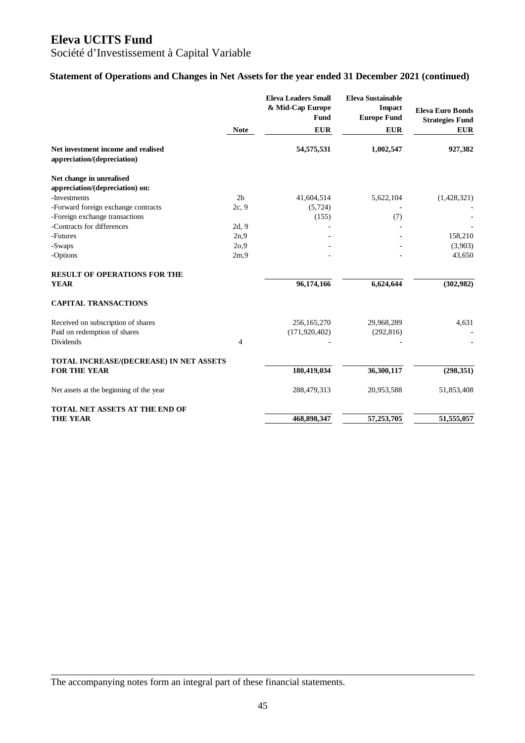## Société d'Investissement à Capital Variable

### **Statement of Operations and Changes in Net Assets for the year ended 31 December 2021 (continued)**

|                                                                   |                | <b>Eleva Leaders Small</b><br>& Mid-Cap Europe<br>Fund | <b>Eleva Sustainable</b><br><b>Impact</b><br><b>Europe Fund</b> | <b>Eleva Euro Bonds</b><br><b>Strategies Fund</b> |
|-------------------------------------------------------------------|----------------|--------------------------------------------------------|-----------------------------------------------------------------|---------------------------------------------------|
|                                                                   | <b>Note</b>    | <b>EUR</b>                                             | <b>EUR</b>                                                      | <b>EUR</b>                                        |
| Net investment income and realised<br>appreciation/(depreciation) |                | 54,575,531                                             | 1,002,547                                                       | 927,382                                           |
| Net change in unrealised<br>appreciation/(depreciation) on:       |                |                                                        |                                                                 |                                                   |
| -Investments                                                      | 2 <sub>b</sub> | 41,604,514                                             | 5,622,104                                                       | (1,428,321)                                       |
| -Forward foreign exchange contracts                               | 2c, 9          | (5, 724)                                               |                                                                 |                                                   |
| -Foreign exchange transactions                                    |                | (155)                                                  | (7)                                                             |                                                   |
| -Contracts for differences                                        | 2d, 9          |                                                        |                                                                 |                                                   |
| -Futures                                                          | 2n.9           |                                                        |                                                                 | 158,210                                           |
| -Swaps                                                            | 2o,9           |                                                        |                                                                 | (3,903)                                           |
| -Options                                                          | 2m,9           |                                                        |                                                                 | 43,650                                            |
| <b>RESULT OF OPERATIONS FOR THE</b>                               |                |                                                        |                                                                 |                                                   |
| <b>YEAR</b>                                                       |                | 96,174,166                                             | 6,624,644                                                       | (302, 982)                                        |
| <b>CAPITAL TRANSACTIONS</b>                                       |                |                                                        |                                                                 |                                                   |
| Received on subscription of shares                                |                | 256,165,270                                            | 29,968,289                                                      | 4,631                                             |
| Paid on redemption of shares                                      |                | (171, 920, 402)                                        | (292, 816)                                                      |                                                   |
| <b>Dividends</b>                                                  | $\overline{4}$ |                                                        |                                                                 |                                                   |
| TOTAL INCREASE/(DECREASE) IN NET ASSETS                           |                |                                                        |                                                                 |                                                   |
| <b>FOR THE YEAR</b>                                               |                | 180,419,034                                            | 36,300,117                                                      | (298, 351)                                        |
| Net assets at the beginning of the year                           |                | 288,479,313                                            | 20,953,588                                                      | 51,853,408                                        |
| <b>TOTAL NET ASSETS AT THE END OF</b>                             |                |                                                        |                                                                 |                                                   |
| <b>THE YEAR</b>                                                   |                | 468,898,347                                            | 57,253,705                                                      | 51,555,057                                        |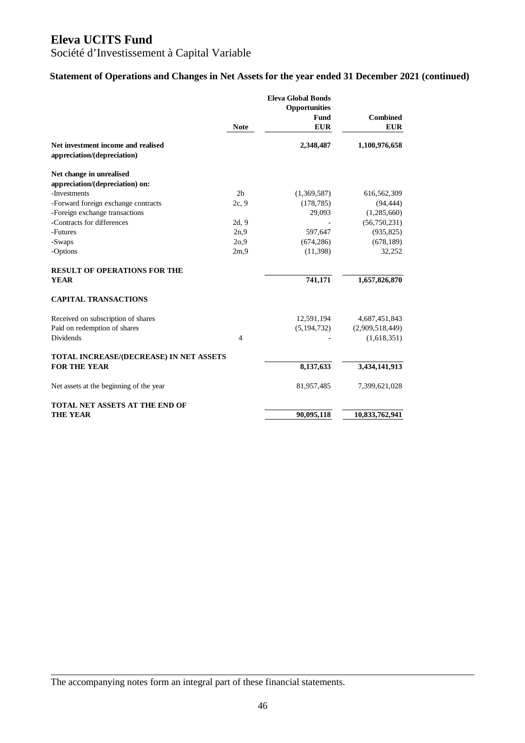Société d'Investissement à Capital Variable

### **Statement of Operations and Changes in Net Assets for the year ended 31 December 2021 (continued)**

|                                                                   | <b>Note</b>    | <b>Eleva Global Bonds</b><br>Opportunities<br>Fund<br><b>EUR</b> | <b>Combined</b><br><b>EUR</b> |
|-------------------------------------------------------------------|----------------|------------------------------------------------------------------|-------------------------------|
| Net investment income and realised<br>appreciation/(depreciation) |                | 2,348,487                                                        | 1,100,976,658                 |
| Net change in unrealised                                          |                |                                                                  |                               |
| appreciation/(depreciation) on:                                   |                |                                                                  |                               |
| -Investments                                                      | 2 <sub>b</sub> | (1,369,587)                                                      | 616,562,309                   |
| -Forward foreign exchange contracts                               | 2c, 9          | (178, 785)                                                       | (94, 444)                     |
| -Foreign exchange transactions                                    |                | 29,093                                                           | (1,285,660)                   |
| -Contracts for differences                                        | 2d, 9          |                                                                  | (56,750,231)                  |
| -Futures                                                          | 2n.9           | 597,647                                                          | (935, 825)                    |
| -Swaps                                                            | 2o,9           | (674, 286)                                                       | (678, 189)                    |
| -Options                                                          | 2m,9           | (11, 398)                                                        | 32,252                        |
| <b>RESULT OF OPERATIONS FOR THE</b>                               |                |                                                                  |                               |
| <b>YEAR</b>                                                       |                | 741,171                                                          | 1,657,826,870                 |
| <b>CAPITAL TRANSACTIONS</b>                                       |                |                                                                  |                               |
| Received on subscription of shares                                |                | 12,591,194                                                       | 4,687,451,843                 |
| Paid on redemption of shares                                      |                | (5, 194, 732)                                                    | (2,909,518,449)               |
| <b>Dividends</b>                                                  | $\overline{4}$ |                                                                  | (1,618,351)                   |
| TOTAL INCREASE/(DECREASE) IN NET ASSETS                           |                |                                                                  |                               |
| <b>FOR THE YEAR</b>                                               |                | 8,137,633                                                        | 3,434,141,913                 |
| Net assets at the beginning of the year                           |                | 81,957,485                                                       | 7,399,621,028                 |
| TOTAL NET ASSETS AT THE END OF                                    |                |                                                                  |                               |
| <b>THE YEAR</b>                                                   |                | 90,095,118                                                       | 10,833,762,941                |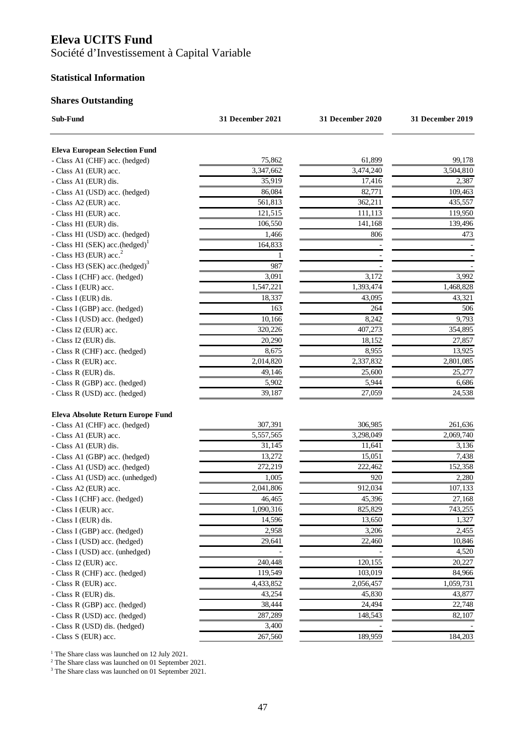Société d'Investissement à Capital Variable

#### **Statistical Information**

### **Shares Outstanding**

| Sub-Fund                                   | 31 December 2021 | 31 December 2020 | 31 December 2019 |
|--------------------------------------------|------------------|------------------|------------------|
| <b>Eleva European Selection Fund</b>       |                  |                  |                  |
| - Class A1 (CHF) acc. (hedged)             | 75,862           | 61,899           | 99,178           |
| - Class A1 (EUR) acc.                      | 3,347,662        | 3,474,240        | 3,504,810        |
| - Class A1 (EUR) dis.                      | 35,919           | 17,416           | 2,387            |
| - Class A1 (USD) acc. (hedged)             | 86,084           | 82,771           | 109,463          |
| - Class A2 (EUR) acc.                      | 561,813          | 362,211          | 435,557          |
| - Class H1 (EUR) acc.                      | 121,515          | 111,113          | 119,950          |
| - Class H1 (EUR) dis.                      | 106,550          | 141,168          | 139,496          |
| - Class H1 (USD) acc. (hedged)             | 1,466            | 806              | 473              |
| - Class H1 (SEK) acc.(hedged) <sup>1</sup> | 164,833          |                  |                  |
| - Class H3 (EUR) $acc.2$                   |                  |                  |                  |
| - Class H3 (SEK) acc.(hedged) <sup>3</sup> | 987              |                  |                  |
| - Class I (CHF) acc. (hedged)              | 3,091            | 3,172            | 3,992            |
| - Class I (EUR) acc.                       | 1,547,221        | 1,393,474        | 1,468,828        |
| - Class I (EUR) dis.                       | 18,337           | 43,095           | 43,321           |
| - Class I (GBP) acc. (hedged)              | 163              | 264              | 506              |
| - Class I (USD) acc. (hedged)              | 10,166           | 8,242            | 9,793            |
| - Class I2 (EUR) acc.                      | 320,226          | 407,273          | 354,895          |
| - Class I2 (EUR) dis.                      | 20,290           | 18,152           | 27,857           |
| - Class R (CHF) acc. (hedged)              | 8,675            | 8,955            | 13,925           |
| - Class R (EUR) acc.                       | 2,014,820        | 2,337,832        | 2,801,085        |
| - Class R (EUR) dis.                       | 49,146           | 25,600           | 25,277           |
| - Class R (GBP) acc. (hedged)              | 5,902            | 5,944            | 6,686            |
| - Class R (USD) acc. (hedged)              | 39,187           | 27,059           | 24,538           |
| Eleva Absolute Return Europe Fund          |                  |                  |                  |
| - Class A1 (CHF) acc. (hedged)             | 307,391          | 306,985          | 261,636          |
| - Class A1 (EUR) acc.                      | 5,557,565        | 3,298,049        | 2,069,740        |
| - Class A1 (EUR) dis.                      | 31,145           | 11,641           | 3,136            |
| - Class A1 (GBP) acc. (hedged)             | 13,272           | 15,051           | 7,438            |
| - Class A1 (USD) acc. (hedged)             | 272,219          | 222,462          | 152,358          |
| - Class A1 (USD) acc. (unhedged)           | 1,005            | 920              | 2,280            |
| - Class A2 (EUR) acc.                      | 2,041,806        | 912,034          | 107,133          |
| - Class I (CHF) acc. (hedged)              | 46,465           | 45,396           | 27,168           |
| - Class I (EUR) acc.                       | 1,090,316        | 825,829          | 743,255          |
| - Class I (EUR) dis.                       | 14,596           | 13,650           | 1,327            |
| - Class I (GBP) acc. (hedged)              | 2,958            | 3,206            | 2,455            |
| - Class I (USD) acc. (hedged)              | 29,641           | 22,460           | 10,846           |
| - Class I (USD) acc. (unhedged)            |                  |                  | 4,520            |
| - Class I2 (EUR) acc.                      | 240,448          | 120,155          | 20,227           |
| - Class R (CHF) acc. (hedged)              | 119,549          | 103,019          | 84,966           |
| - Class R (EUR) acc.                       | 4,433,852        | 2,056,457        | 1,059,731        |
| - Class R (EUR) dis.                       | 43,254           | 45,830           | 43,877           |
| - Class R (GBP) acc. (hedged)              | 38,444           | 24,494           | 22,748           |
| - Class R (USD) acc. (hedged)              | 287,289          | 148,543          | 82,107           |
| - Class R (USD) dis. (hedged)              | 3,400            |                  |                  |
| - Class S (EUR) acc.                       | 267,560          | 189,959          | 184,203          |

<sup>1</sup> The Share class was launched on 12 July 2021.<br><sup>2</sup> The Share class was launched on 01 September 2021.

3 The Share class was launched on 01 September 2021.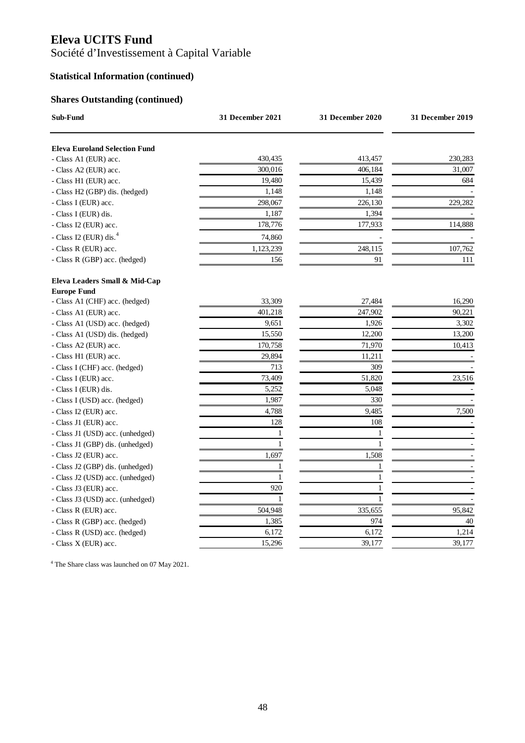Société d'Investissement à Capital Variable

## **Statistical Information (continued)**

## **Shares Outstanding (continued)**

| Sub-Fund                                             | 31 December 2021 | 31 December 2020 | 31 December 2019 |
|------------------------------------------------------|------------------|------------------|------------------|
| <b>Eleva Euroland Selection Fund</b>                 |                  |                  |                  |
| - Class A1 (EUR) acc.                                | 430,435          | 413,457          | 230,283          |
| - Class A2 (EUR) acc.                                | 300,016          | 406,184          | 31,007           |
| - Class H1 (EUR) acc.                                | 19,480           | 15,439           | 684              |
| - Class H2 (GBP) dis. (hedged)                       | 1,148            | 1,148            |                  |
| - Class I (EUR) acc.                                 | 298,067          | 226,130          | 229,282          |
| - Class I (EUR) dis.                                 | 1,187            | 1,394            |                  |
| - Class I2 (EUR) acc.                                | 178,776          | 177,933          | 114,888          |
| - Class I2 (EUR) dis. <sup>4</sup>                   | 74,860           |                  |                  |
| - Class R (EUR) acc.                                 | 1,123,239        | 248,115          | 107,762          |
| - Class R (GBP) acc. (hedged)                        | 156              | 91               | 111              |
| Eleva Leaders Small & Mid-Cap                        |                  |                  |                  |
| <b>Europe Fund</b><br>- Class A1 (CHF) acc. (hedged) | 33,309           | 27,484           | 16,290           |
| - Class A1 (EUR) acc.                                | 401,218          | 247,902          | 90,221           |
| - Class A1 (USD) acc. (hedged)                       | 9,651            | 1,926            | 3,302            |
| - Class A1 (USD) dis. (hedged)                       | 15,550           | 12,200           | 13,200           |
| - Class A2 (EUR) acc.                                | 170,758          | 71,970           | 10,413           |
| - Class H1 (EUR) acc.                                | 29,894           | 11,211           |                  |
| - Class I (CHF) acc. (hedged)                        | 713              | 309              |                  |
| - Class I (EUR) acc.                                 | 73,409           | 51,820           | 23,516           |
| - Class I (EUR) dis.                                 | 5,252            | 5,048            |                  |
| - Class I (USD) acc. (hedged)                        | 1,987            | 330              |                  |
| - Class I2 (EUR) acc.                                | 4,788            | 9,485            | 7,500            |
| - Class J1 (EUR) acc.                                | 128              | 108              |                  |
| - Class J1 (USD) acc. (unhedged)                     | 1                | 1                |                  |
| - Class J1 (GBP) dis. (unhedged)                     | 1                | 1                |                  |
| - Class J2 (EUR) acc.                                | 1,697            | 1,508            |                  |
| - Class J2 (GBP) dis. (unhedged)                     | $\mathbf{1}$     | 1                |                  |
| - Class J2 (USD) acc. (unhedged)                     | $\mathbf{1}$     | $\mathbf{1}$     |                  |
| - Class J3 (EUR) acc.                                | 920              | 1                |                  |
| - Class J3 (USD) acc. (unhedged)                     | 1                | 1                |                  |
| - Class R (EUR) acc.                                 | 504,948          | 335,655          | 95,842           |
| - Class R (GBP) acc. (hedged)                        | 1,385            | 974              | 40               |
| - Class R (USD) acc. (hedged)                        | 6,172            | 6,172            | 1,214            |
| - Class X (EUR) acc.                                 | 15,296           | 39,177           | 39,177           |

4 The Share class was launched on 07 May 2021.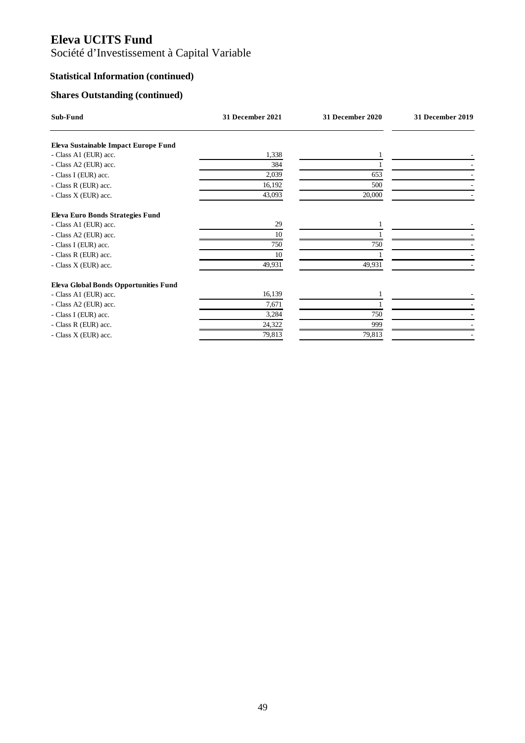# Société d'Investissement à Capital Variable

## **Statistical Information (continued)**

## **Shares Outstanding (continued)**

| Sub-Fund                                     | 31 December 2021 | 31 December 2020 | 31 December 2019 |
|----------------------------------------------|------------------|------------------|------------------|
| Eleva Sustainable Impact Europe Fund         |                  |                  |                  |
| - Class A1 (EUR) acc.                        | 1,338            |                  |                  |
| - Class A2 (EUR) acc.                        | 384              |                  |                  |
| - Class I (EUR) acc.                         | 2,039            | 653              |                  |
| - Class R (EUR) acc.                         | 16,192           | 500              |                  |
| - Class X (EUR) acc.                         | 43,093           | 20,000           |                  |
| Eleva Euro Bonds Strategies Fund             |                  |                  |                  |
| - Class A1 (EUR) acc.                        | 29               |                  |                  |
| - Class A2 (EUR) acc.                        | 10               |                  |                  |
| - Class I (EUR) acc.                         | 750              | 750              |                  |
| - Class R (EUR) acc.                         | 10               |                  |                  |
| - Class X (EUR) acc.                         | 49,931           | 49,931           |                  |
| <b>Eleva Global Bonds Opportunities Fund</b> |                  |                  |                  |
| - Class A1 (EUR) acc.                        | 16,139           |                  |                  |
| - Class A2 (EUR) acc.                        | 7,671            |                  |                  |
| - Class I (EUR) acc.                         | 3,284            | 750              |                  |
| - Class R (EUR) acc.                         | 24,322           | 999              |                  |
| - Class X (EUR) acc.                         | 79,813           | 79,813           |                  |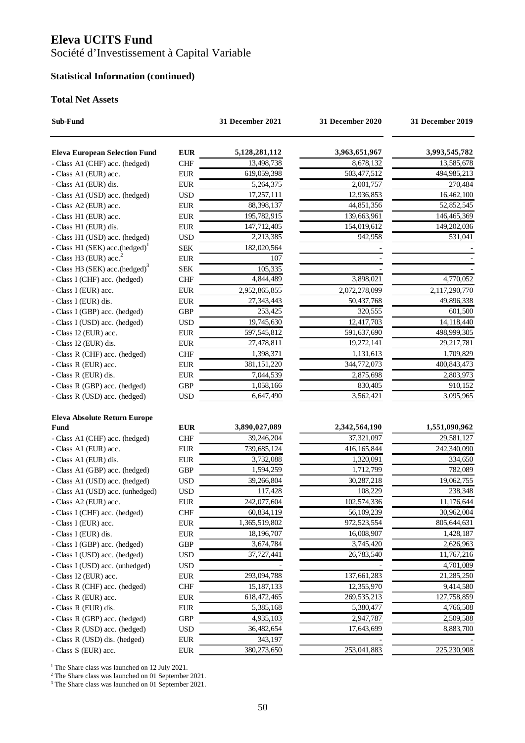Société d'Investissement à Capital Variable

## **Statistical Information (continued)**

#### **Total Net Assets**

| Sub-Fund                                   |             | 31 December 2021 | 31 December 2020 | 31 December 2019 |
|--------------------------------------------|-------------|------------------|------------------|------------------|
| <b>Eleva European Selection Fund</b>       | <b>EUR</b>  | 5,128,281,112    | 3,963,651,967    | 3,993,545,782    |
| - Class A1 (CHF) acc. (hedged)             | <b>CHF</b>  | 13,498,738       | 8,678,132        | 13,585,678       |
| - Class A1 (EUR) acc.                      | ${\rm EUR}$ | 619,059,398      | 503,477,512      | 494,985,213      |
| - Class A1 (EUR) dis.                      | ${\rm EUR}$ | 5,264,375        | 2,001,757        | 270,484          |
| - Class A1 (USD) acc. (hedged)             | <b>USD</b>  | 17,257,111       | 12,936,853       | 16,462,100       |
| - Class A2 (EUR) acc.                      | ${\rm EUR}$ | 88,398,137       | 44,851,356       | 52,852,545       |
| - Class H1 (EUR) acc.                      | <b>EUR</b>  | 195,782,915      | 139,663,961      | 146,465,369      |
| - Class H1 (EUR) dis.                      | ${\rm EUR}$ | 147,712,405      | 154,019,612      | 149,202,036      |
| - Class H1 (USD) acc. (hedged)             | <b>USD</b>  | 2,213,385        | 942,958          | 531,041          |
| - Class H1 (SEK) acc.(hedged) <sup>1</sup> | <b>SEK</b>  | 182,020,564      |                  |                  |
| - Class H3 (EUR) $acc2$                    | <b>EUR</b>  | 107              |                  |                  |
| - Class H3 (SEK) acc.(hedged) <sup>3</sup> | <b>SEK</b>  | 105,335          |                  |                  |
| - Class I (CHF) acc. (hedged)              | <b>CHF</b>  | 4,844,489        | 3,898,021        | 4,770,052        |
| - Class I (EUR) acc.                       | <b>EUR</b>  | 2,952,865,855    | 2,072,278,099    | 2,117,290,770    |
| - Class I (EUR) dis.                       | <b>EUR</b>  | 27,343,443       | 50,437,768       | 49,896,338       |
| - Class I (GBP) acc. (hedged)              | <b>GBP</b>  | 253,425          | 320,555          | 601,500          |
| - Class I (USD) acc. (hedged)              | <b>USD</b>  | 19,745,630       | 12,417,703       | 14,118,440       |
| - Class I2 (EUR) acc.                      | <b>EUR</b>  | 597,545,812      | 591,637,690      | 498,999,305      |
| - Class I2 (EUR) dis.                      | <b>EUR</b>  | 27,478,811       | 19,272,141       | 29,217,781       |
| - Class R (CHF) acc. (hedged)              | <b>CHF</b>  | 1,398,371        | 1,131,613        | 1,709,829        |
| - Class R (EUR) acc.                       | <b>EUR</b>  | 381,151,220      | 344,772,073      | 400, 843, 473    |
| - Class R (EUR) dis.                       | <b>EUR</b>  | 7,044,539        | 2,875,698        | 2,803,973        |
| - Class R (GBP) acc. (hedged)              | <b>GBP</b>  | 1,058,166        | 830,405          | 910,152          |
| - Class R (USD) acc. (hedged)              | <b>USD</b>  | 6,647,490        | 3,562,421        | 3,095,965        |
| Eleva Absolute Return Europe               |             |                  |                  |                  |
| Fund                                       | <b>EUR</b>  | 3,890,027,089    | 2,342,564,190    | 1,551,090,962    |
| - Class A1 (CHF) acc. (hedged)             | <b>CHF</b>  | 39,246,204       | 37,321,097       | 29,581,127       |
| - Class A1 (EUR) acc.                      | ${\rm EUR}$ | 739,685,124      | 416, 165, 844    | 242,340,090      |
| - Class A1 (EUR) dis.                      | <b>EUR</b>  | 3,732,088        | 1,320,091        | 334,650          |
| - Class A1 (GBP) acc. (hedged)             | <b>GBP</b>  | 1,594,259        | 1,712,799        | 782,089          |
| - Class A1 (USD) acc. (hedged)             | <b>USD</b>  | 39,266,804       | 30,287,218       | 19,062,755       |
| - Class A1 (USD) acc. (unhedged)           | <b>USD</b>  | 117,428          | 108,229          | 238,348          |
| - Class A2 (EUR) acc.                      | <b>EUR</b>  | 242,077,604      | 102,574,336      | 11,176,644       |
| - Class I (CHF) acc. (hedged)              | <b>CHF</b>  | 60,834,119       | 56,109,239       | 30,962,004       |
| - Class I (EUR) acc.                       | <b>EUR</b>  | 1,365,519,802    | 972,523,554      | 805,644,631      |
| - Class I (EUR) dis.                       | <b>EUR</b>  | 18,196,707       | 16,008,907       | 1,428,187        |
| - Class I (GBP) acc. (hedged)              | <b>GBP</b>  | 3,674,784        | 3,745,420        | 2,626,963        |
| - Class I (USD) acc. (hedged)              | <b>USD</b>  | 37,727,441       | 26,783,540       | 11,767,216       |
| - Class I (USD) acc. (unhedged)            | <b>USD</b>  |                  |                  | 4,701,089        |
| - Class I2 (EUR) acc.                      | <b>EUR</b>  | 293,094,788      | 137,661,283      | 21,285,250       |
| - Class R (CHF) acc. (hedged)              | CHF         | 15, 187, 133     | 12,355,970       | 9,414,580        |
| - Class R (EUR) acc.                       | <b>EUR</b>  | 618,472,465      | 269,535,213      | 127,758,859      |
| - Class R (EUR) dis.                       | <b>EUR</b>  | 5,385,168        | 5,380,477        | 4,766,508        |
| - Class R (GBP) acc. (hedged)              | <b>GBP</b>  | 4,935,103        | 2,947,787        | 2,509,588        |
| - Class R (USD) acc. (hedged)              | <b>USD</b>  | 36,482,654       | 17,643,699       | 8,883,700        |
| - Class R (USD) dis. (hedged)              | ${\rm EUR}$ | 343,197          |                  |                  |
| - Class S (EUR) acc.                       | ${\rm EUR}$ | 380,273,650      | 253,041,883      | 225,230,908      |

<sup>1</sup> The Share class was launched on 12 July 2021.<br><sup>2</sup> The Share class was launched on 01 September 2021.<br><sup>3</sup> The Share class was launched on 01 September 2021.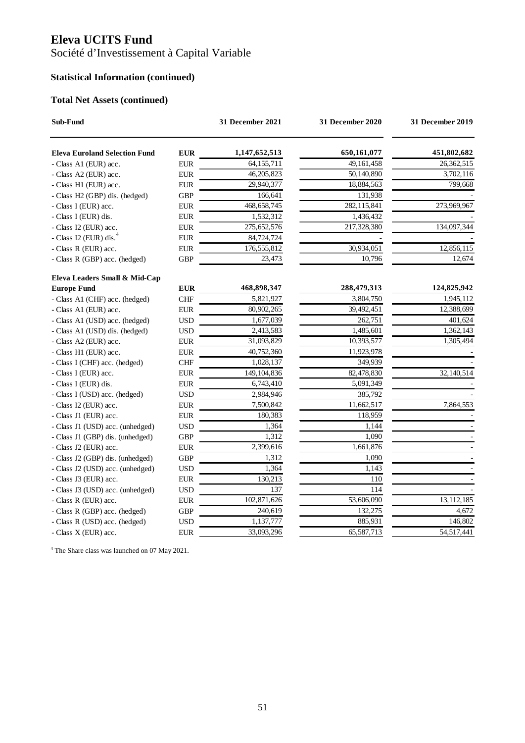Société d'Investissement à Capital Variable

## **Statistical Information (continued)**

### **Total Net Assets (continued)**

| Sub-Fund                             |             | 31 December 2021 | 31 December 2020 |              |
|--------------------------------------|-------------|------------------|------------------|--------------|
| <b>Eleva Euroland Selection Fund</b> | <b>EUR</b>  | 1,147,652,513    | 650,161,077      | 451,802,682  |
| - Class A1 (EUR) acc.                | <b>EUR</b>  | 64,155,711       | 49, 161, 458     | 26,362,515   |
| - Class A2 (EUR) acc.                | <b>EUR</b>  | 46,205,823       | 50,140,890       | 3,702,116    |
| - Class H1 (EUR) acc.                | <b>EUR</b>  | 29,940,377       | 18,884,563       | 799,668      |
| - Class H2 (GBP) dis. (hedged)       | <b>GBP</b>  | 166,641          | 131,938          |              |
| - Class I (EUR) acc.                 | <b>EUR</b>  | 468, 658, 745    | 282,115,841      | 273,969,967  |
| - Class I (EUR) dis.                 | ${\rm EUR}$ | 1,532,312        | 1,436,432        |              |
| - Class I2 (EUR) acc.                | ${\rm EUR}$ | 275,652,576      | 217,328,380      | 134,097,344  |
| - Class I2 (EUR) dis. $4$            | <b>EUR</b>  | 84,724,724       |                  |              |
| - Class R (EUR) acc.                 | <b>EUR</b>  | 176,555,812      | 30,934,051       | 12,856,115   |
| - Class R (GBP) acc. (hedged)        | <b>GBP</b>  | 23,473           | 10,796           | 12,674       |
| Eleva Leaders Small & Mid-Cap        |             |                  |                  |              |
| <b>Europe Fund</b>                   | <b>EUR</b>  | 468,898,347      | 288,479,313      | 124,825,942  |
| - Class A1 (CHF) acc. (hedged)       | <b>CHF</b>  | 5,821,927        | 3,804,750        | 1,945,112    |
| - Class A1 (EUR) acc.                | <b>EUR</b>  | 80,902,265       | 39,492,451       | 12,388,699   |
| - Class A1 (USD) acc. (hedged)       | <b>USD</b>  | 1,677,039        | 262,751          | 401,624      |
| - Class A1 (USD) dis. (hedged)       | <b>USD</b>  | 2,413,583        | 1,485,601        | 1,362,143    |
| - Class A2 (EUR) acc.                | <b>EUR</b>  | 31,093,829       | 10,393,577       | 1,305,494    |
| - Class H1 (EUR) acc.                | <b>EUR</b>  | 40,752,360       | 11,923,978       |              |
| - Class I (CHF) acc. (hedged)        | CHF         | 1,028,137        | 349,939          |              |
| - Class I (EUR) acc.                 | <b>EUR</b>  | 149, 104, 836    | 82,478,830       | 32,140,514   |
| - Class I (EUR) dis.                 | <b>EUR</b>  | 6,743,410        | 5,091,349        |              |
| - Class I (USD) acc. (hedged)        | <b>USD</b>  | 2,984,946        | 385,792          |              |
| - Class I2 (EUR) acc.                | <b>EUR</b>  | 7,500,842        | 11,662,517       | 7,864,553    |
| - Class J1 (EUR) acc.                | ${\rm EUR}$ | 180,383          | 118,959          |              |
| - Class J1 (USD) acc. (unhedged)     | <b>USD</b>  | 1,364            | 1,144            |              |
| - Class J1 (GBP) dis. (unhedged)     | <b>GBP</b>  | 1,312            | 1,090            |              |
| - Class J2 (EUR) acc.                | ${\rm EUR}$ | 2,399,616        | 1,661,876        |              |
| - Class J2 (GBP) dis. (unhedged)     | <b>GBP</b>  | 1,312            | 1,090            |              |
| - Class J2 (USD) acc. (unhedged)     | <b>USD</b>  | 1,364            | 1,143            |              |
| - Class J3 (EUR) acc.                | <b>EUR</b>  | 130,213          | 110              |              |
| - Class J3 (USD) acc. (unhedged)     | <b>USD</b>  | 137              | 114              |              |
| - Class R (EUR) acc.                 | ${\rm EUR}$ | 102,871,626      | 53,606,090       | 13, 112, 185 |
| - Class R (GBP) acc. (hedged)        | <b>GBP</b>  | 240,619          | 132,275          | 4,672        |
| - Class R (USD) acc. (hedged)        | <b>USD</b>  | 1,137,777        | 885,931          | 146,802      |
| - Class X (EUR) acc.                 | ${\rm EUR}$ | 33,093,296       | 65,587,713       | 54,517,441   |

4 The Share class was launched on 07 May 2021.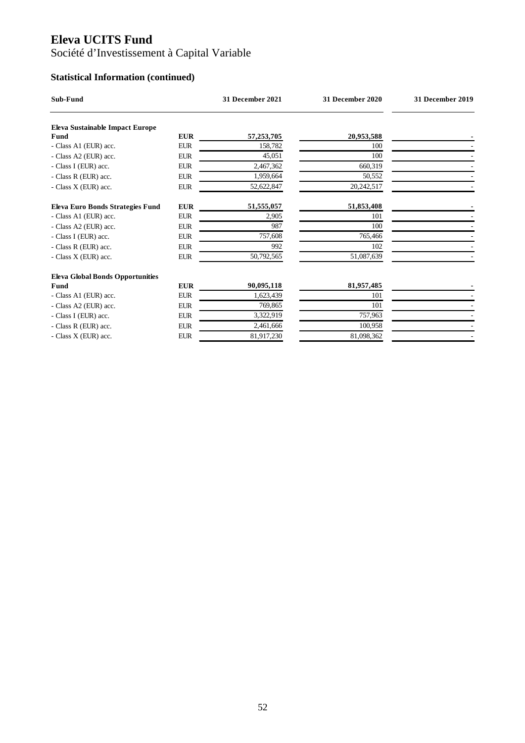Société d'Investissement à Capital Variable

# **Statistical Information (continued)**

| Sub-Fund                                |            | 31 December 2021 | 31 December 2020 | <b>31 December 2019</b> |
|-----------------------------------------|------------|------------------|------------------|-------------------------|
| <b>Eleva Sustainable Impact Europe</b>  |            |                  |                  |                         |
| Fund                                    | <b>EUR</b> | 57,253,705       | 20,953,588       |                         |
| - Class A1 (EUR) acc.                   | <b>EUR</b> | 158,782          | 100              |                         |
| - Class A2 (EUR) acc.                   | <b>EUR</b> | 45,051           | 100              |                         |
| - Class I (EUR) acc.                    | <b>EUR</b> | 2,467,362        | 660,319          |                         |
| - Class R (EUR) acc.                    | <b>EUR</b> | 1,959,664        | 50,552           |                         |
| - Class X (EUR) acc.                    | <b>EUR</b> | 52,622,847       | 20,242,517       |                         |
| Eleva Euro Bonds Strategies Fund        | <b>EUR</b> | 51,555,057       | 51,853,408       |                         |
| - Class A1 (EUR) acc.                   | <b>EUR</b> | 2,905            | 101              |                         |
| - Class A2 (EUR) acc.                   | <b>EUR</b> | 987              | 100              |                         |
| - Class I (EUR) acc.                    | <b>EUR</b> | 757,608          | 765,466          |                         |
| - Class R (EUR) acc.                    | <b>EUR</b> | 992              | 102              |                         |
| - Class X (EUR) acc.                    | <b>EUR</b> | 50,792,565       | 51,087,639       |                         |
| <b>Eleva Global Bonds Opportunities</b> |            |                  |                  |                         |
| Fund                                    | <b>EUR</b> | 90,095,118       | 81,957,485       |                         |
| - Class A1 (EUR) acc.                   | <b>EUR</b> | 1,623,439        | 101              |                         |
| - Class A2 (EUR) acc.                   | <b>EUR</b> | 769,865          | 101              |                         |
| - Class I (EUR) acc.                    | <b>EUR</b> | 3,322,919        | 757,963          |                         |
| - Class R (EUR) acc.                    | <b>EUR</b> | 2,461,666        | 100,958          |                         |
| - Class X (EUR) acc.                    | <b>EUR</b> | 81,917,230       | 81,098,362       |                         |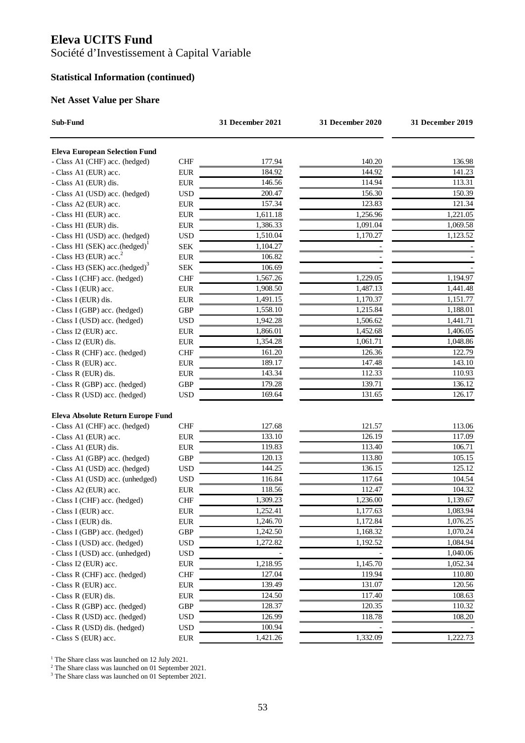Société d'Investissement à Capital Variable

### **Statistical Information (continued)**

#### **Net Asset Value per Share**

| Sub-Fund                                   |            | 31 December 2021 | 31 December 2020 | 31 December 2019    |
|--------------------------------------------|------------|------------------|------------------|---------------------|
| <b>Eleva European Selection Fund</b>       |            |                  |                  |                     |
| - Class A1 (CHF) acc. (hedged)             | <b>CHF</b> | 177.94           | 140.20           | 136.98              |
| - Class A1 (EUR) acc.                      | <b>EUR</b> | 184.92           | 144.92           | 141.23              |
| - Class A1 (EUR) dis.                      | <b>EUR</b> | 146.56           | 114.94           | 113.31              |
| - Class A1 (USD) acc. (hedged)             | <b>USD</b> | 200.47           | 156.30           | 150.39              |
| - Class A2 (EUR) acc.                      | <b>EUR</b> | 157.34           | 123.83           | 121.34              |
| - Class H1 (EUR) acc.                      | <b>EUR</b> | 1,611.18         | 1,256.96         | 1,221.05            |
| - Class H1 (EUR) dis.                      | <b>EUR</b> | 1,386.33         | 1,091.04         | 1,069.58            |
| - Class H1 (USD) acc. (hedged)             | <b>USD</b> | 1,510.04         | 1,170.27         | 1,123.52            |
| - Class H1 (SEK) acc.(hedged)              | <b>SEK</b> | 1,104.27         |                  |                     |
| - Class H3 (EUR) $acc2$                    | <b>EUR</b> | 106.82           |                  |                     |
| - Class H3 (SEK) acc.(hedged) <sup>3</sup> | <b>SEK</b> | 106.69           |                  |                     |
| - Class I (CHF) acc. (hedged)              | <b>CHF</b> | 1,567.26         | 1,229.05         | 1,194.97            |
| - Class I (EUR) acc.                       | <b>EUR</b> | 1,908.50         | 1,487.13         | 1,441.48            |
| - Class I (EUR) dis.                       | <b>EUR</b> | 1,491.15         | 1,170.37         | 1,151.77            |
| - Class I (GBP) acc. (hedged)              | <b>GBP</b> | 1,558.10         | 1,215.84         | 1,188.01            |
| - Class I (USD) acc. (hedged)              | <b>USD</b> | 1,942.28         | 1,506.62         | 1,441.71            |
| - Class I2 (EUR) acc.                      | <b>EUR</b> | 1,866.01         | 1,452.68         | 1,406.05            |
| - Class I2 (EUR) dis.                      | <b>EUR</b> | 1,354.28         | 1,061.71         | 1,048.86            |
| - Class R (CHF) acc. (hedged)              | <b>CHF</b> | 161.20           | 126.36           | 122.79              |
| - Class R (EUR) acc.                       | <b>EUR</b> | 189.17           | 147.48           | 143.10              |
| - Class R (EUR) dis.                       | <b>EUR</b> | 143.34           | 112.33           | 110.93              |
| - Class R (GBP) acc. (hedged)              | <b>GBP</b> | 179.28           | 139.71           | 136.12              |
| - Class R (USD) acc. (hedged)              | <b>USD</b> | 169.64           | 131.65           | 126.17              |
|                                            |            |                  |                  |                     |
| Eleva Absolute Return Europe Fund          |            |                  |                  |                     |
| - Class A1 (CHF) acc. (hedged)             | <b>CHF</b> | 127.68           | 121.57           | 113.06              |
| - Class A1 (EUR) acc.                      | <b>EUR</b> | 133.10           | 126.19           | 117.09              |
| - Class A1 (EUR) dis.                      | <b>EUR</b> | 119.83           | 113.40           | 106.71              |
| - Class A1 (GBP) acc. (hedged)             | <b>GBP</b> | 120.13           | 113.80           | $\overline{105.15}$ |
| - Class A1 (USD) acc. (hedged)             | <b>USD</b> | 144.25           | 136.15           | 125.12              |
| - Class A1 (USD) acc. (unhedged)           | <b>USD</b> | 116.84           | 117.64           | 104.54              |
| - Class A2 (EUR) acc.                      | <b>EUR</b> | 118.56           | 112.47           | 104.32              |
| - Class I (CHF) acc. (hedged)              | <b>CHF</b> | 1,309.23         | 1,236.00         | 1,139.67            |
| - Class I (EUR) acc.                       | <b>EUR</b> | 1,252.41         | 1,177.63         | 1,083.94            |
| - Class I (EUR) dis.                       | <b>EUR</b> | 1,246.70         | 1,172.84         | 1,076.25            |
| - Class I (GBP) acc. (hedged)              | <b>GBP</b> | 1,242.50         | 1,168.32         | 1,070.24            |
| - Class I (USD) acc. (hedged)              | <b>USD</b> | 1,272.82         | 1,192.52         | 1,084.94            |
| - Class I (USD) acc. (unhedged)            | <b>USD</b> |                  |                  | 1,040.06            |
| - Class I2 (EUR) acc.                      | <b>EUR</b> | 1,218.95         | 1,145.70         | 1,052.34            |
| - Class R (CHF) acc. (hedged)              | <b>CHF</b> | 127.04           | 119.94           | 110.80              |
| - Class R (EUR) acc.                       | <b>EUR</b> | 139.49           | 131.07           | 120.56              |
| - Class R (EUR) dis.                       | <b>EUR</b> | 124.50           | 117.40           | 108.63              |
| - Class R (GBP) acc. (hedged)              | <b>GBP</b> | 128.37           | 120.35           | 110.32              |
| - Class R (USD) acc. (hedged)              | <b>USD</b> | 126.99           | 118.78           | 108.20              |
| - Class R (USD) dis. (hedged)              | <b>USD</b> | 100.94           |                  |                     |
| - Class S (EUR) acc.                       | <b>EUR</b> | 1,421.26         | 1,332.09         | 1,222.73            |

<sup>1</sup> The Share class was launched on 12 July 2021.<br><sup>2</sup> The Share class was launched on 01 September 2021.<br><sup>3</sup> The Share class was launched on 01 September 2021.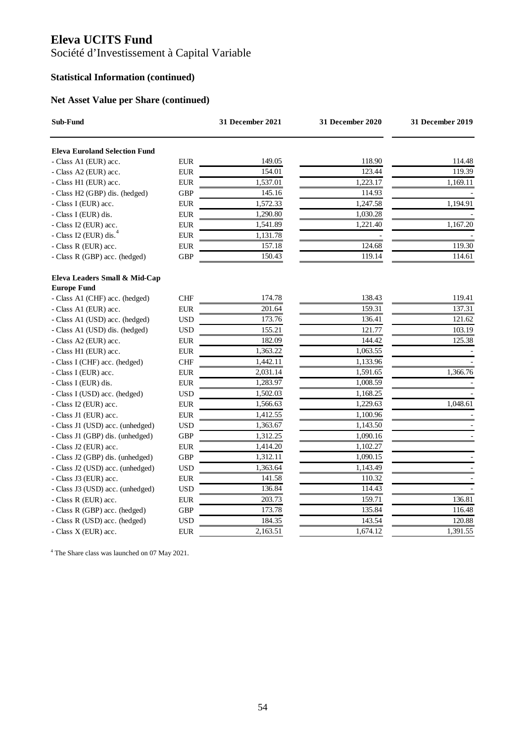Société d'Investissement à Capital Variable

## **Statistical Information (continued)**

### **Net Asset Value per Share (continued)**

| Sub-Fund                                            |            | <b>31 December 2021</b> | 31 December 2020 | <b>31 December 2019</b> |
|-----------------------------------------------------|------------|-------------------------|------------------|-------------------------|
| <b>Eleva Euroland Selection Fund</b>                |            |                         |                  |                         |
| - Class A1 (EUR) acc.                               | <b>EUR</b> | 149.05                  | 118.90           | 114.48                  |
| - Class A2 (EUR) acc.                               | <b>EUR</b> | 154.01                  | 123.44           | 119.39                  |
| - Class H1 (EUR) acc.                               | <b>EUR</b> | 1,537.01                | 1,223.17         | 1,169.11                |
| - Class H2 (GBP) dis. (hedged)                      | <b>GBP</b> | 145.16                  | 114.93           |                         |
| - Class I (EUR) acc.                                | <b>EUR</b> | 1,572.33                | 1,247.58         | 1,194.91                |
| - Class I (EUR) dis.                                | <b>EUR</b> | 1,290.80                | 1,030.28         |                         |
| - Class I2 (EUR) acc.                               | <b>EUR</b> | 1,541.89                | 1,221.40         | 1,167.20                |
| - Class I2 (EUR) dis. <sup>4</sup>                  | <b>EUR</b> | 1,131.78                |                  |                         |
| - Class R (EUR) acc.                                | <b>EUR</b> | 157.18                  | 124.68           | 119.30                  |
| - Class R (GBP) acc. (hedged)                       | GBP        | 150.43                  | 119.14           | 114.61                  |
| Eleva Leaders Small & Mid-Cap<br><b>Europe Fund</b> |            |                         |                  |                         |
| - Class A1 (CHF) acc. (hedged)                      | <b>CHF</b> | 174.78                  | 138.43           | 119.41                  |
| - Class A1 (EUR) acc.                               | <b>EUR</b> | 201.64                  | 159.31           | 137.31                  |
| - Class A1 (USD) acc. (hedged)                      | <b>USD</b> | 173.76                  | 136.41           | 121.62                  |
| - Class A1 (USD) dis. (hedged)                      | <b>USD</b> | 155.21                  | 121.77           | 103.19                  |
| - Class A2 (EUR) acc.                               | <b>EUR</b> | 182.09                  | 144.42           | 125.38                  |
| - Class H1 (EUR) acc.                               | <b>EUR</b> | 1,363.22                | 1,063.55         |                         |
| - Class I (CHF) acc. (hedged)                       | <b>CHF</b> | 1,442.11                | 1,133.96         |                         |
| - Class I (EUR) acc.                                | <b>EUR</b> | 2,031.14                | 1,591.65         | 1,366.76                |
| - Class I (EUR) dis.                                | <b>EUR</b> | 1,283.97                | 1,008.59         |                         |
| - Class I (USD) acc. (hedged)                       | <b>USD</b> | 1,502.03                | 1,168.25         |                         |
| - Class I2 (EUR) acc.                               | <b>EUR</b> | 1,566.63                | 1,229.63         | 1,048.61                |
| - Class J1 (EUR) acc.                               | <b>EUR</b> | 1,412.55                | 1,100.96         |                         |
| - Class J1 (USD) acc. (unhedged)                    | <b>USD</b> | 1,363.67                | 1,143.50         |                         |
| - Class J1 (GBP) dis. (unhedged)                    | <b>GBP</b> | 1,312.25                | 1,090.16         |                         |
| - Class J2 (EUR) acc.                               | <b>EUR</b> | 1,414.20                | 1,102.27         |                         |
| - Class J2 (GBP) dis. (unhedged)                    | <b>GBP</b> | 1,312.11                | 1,090.15         |                         |
| - Class J2 (USD) acc. (unhedged)                    | <b>USD</b> | 1,363.64                | 1,143.49         |                         |
| - Class J3 (EUR) acc.                               | <b>EUR</b> | 141.58                  | 110.32           |                         |
| - Class J3 (USD) acc. (unhedged)                    | <b>USD</b> | 136.84                  | 114.43           |                         |
| - Class R (EUR) acc.                                | <b>EUR</b> | 203.73                  | 159.71           | 136.81                  |
| - Class R (GBP) acc. (hedged)                       | GBP        | 173.78                  | 135.84           | 116.48                  |
| - Class R (USD) acc. (hedged)                       | <b>USD</b> | 184.35                  | 143.54           | 120.88                  |
| - Class X (EUR) acc.                                | <b>EUR</b> | 2,163.51                | 1,674.12         | 1,391.55                |

4 The Share class was launched on 07 May 2021.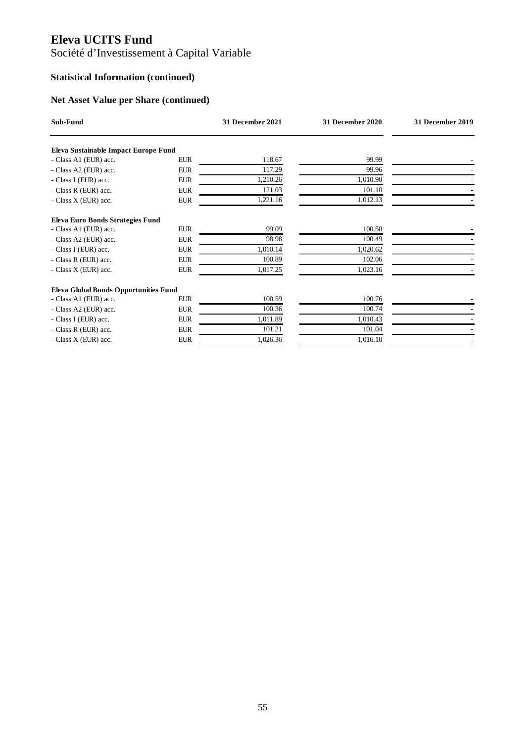# Société d'Investissement à Capital Variable

## **Statistical Information (continued)**

## **Net Asset Value per Share (continued)**

| Sub-Fund                                     |            | 31 December 2021 | 31 December 2020 | 31 December 2019 |
|----------------------------------------------|------------|------------------|------------------|------------------|
| Eleva Sustainable Impact Europe Fund         |            |                  |                  |                  |
| - Class A1 (EUR) acc.                        | <b>EUR</b> | 118.67           | 99.99            |                  |
| - Class A2 (EUR) acc.                        | <b>EUR</b> | 117.29           | 99.96            |                  |
| - Class I (EUR) acc.                         | <b>EUR</b> | 1,210.26         | 1,010.90         |                  |
| - Class R (EUR) acc.                         | <b>EUR</b> | 121.03           | 101.10           |                  |
| - Class X (EUR) acc.                         | <b>EUR</b> | 1,221.16         | 1,012.13         |                  |
| Eleva Euro Bonds Strategies Fund             |            |                  |                  |                  |
| - Class A1 (EUR) acc.                        | <b>EUR</b> | 99.09            | 100.50           |                  |
| - Class A2 (EUR) acc.                        | <b>EUR</b> | 98.98            | 100.49           |                  |
| - Class I (EUR) acc.                         | <b>EUR</b> | 1,010.14         | 1,020.62         |                  |
| - Class R (EUR) acc.                         | <b>EUR</b> | 100.89           | 102.06           |                  |
| - Class X (EUR) acc.                         | <b>EUR</b> | 1,017.25         | 1,023.16         |                  |
| <b>Eleva Global Bonds Opportunities Fund</b> |            |                  |                  |                  |
| - Class A1 (EUR) acc.                        | <b>EUR</b> | 100.59           | 100.76           |                  |
| - Class A2 (EUR) acc.                        | <b>EUR</b> | 100.36           | 100.74           |                  |
| - Class I (EUR) acc.                         | <b>EUR</b> | 1,011.89         | 1,010.43         |                  |
| - Class R (EUR) acc.                         | <b>EUR</b> | 101.21           | 101.04           |                  |
| - Class X (EUR) acc.                         | <b>EUR</b> | 1,026.36         | 1,016.10         |                  |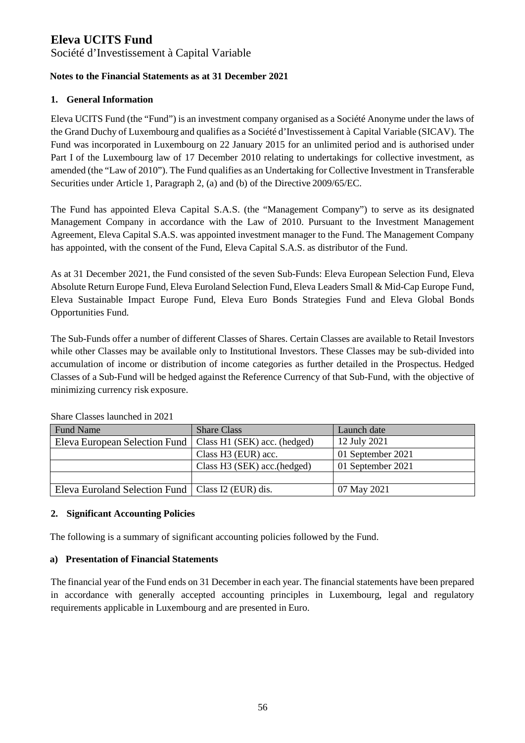Société d'Investissement à Capital Variable

### **Notes to the Financial Statements as at 31 December 2021**

### **1. General Information**

Eleva UCITS Fund (the "Fund") is an investment company organised as a Société Anonyme under the laws of the Grand Duchy of Luxembourg and qualifies as a Société d'Investissement à Capital Variable (SICAV). The Fund was incorporated in Luxembourg on 22 January 2015 for an unlimited period and is authorised under Part I of the Luxembourg law of 17 December 2010 relating to undertakings for collective investment, as amended (the "Law of 2010"). The Fund qualifies as an Undertaking for Collective Investment in Transferable Securities under Article 1, Paragraph 2, (a) and (b) of the Directive 2009/65/EC.

The Fund has appointed Eleva Capital S.A.S. (the "Management Company") to serve as its designated Management Company in accordance with the Law of 2010. Pursuant to the Investment Management Agreement, Eleva Capital S.A.S. was appointed investment manager to the Fund. The Management Company has appointed, with the consent of the Fund, Eleva Capital S.A.S. as distributor of the Fund.

As at 31 December 2021, the Fund consisted of the seven Sub-Funds: Eleva European Selection Fund, Eleva Absolute Return Europe Fund, Eleva Euroland Selection Fund, Eleva Leaders Small & Mid-Cap Europe Fund, Eleva Sustainable Impact Europe Fund, Eleva Euro Bonds Strategies Fund and Eleva Global Bonds Opportunities Fund.

The Sub-Funds offer a number of different Classes of Shares. Certain Classes are available to Retail Investors while other Classes may be available only to Institutional Investors. These Classes may be sub-divided into accumulation of income or distribution of income categories as further detailed in the Prospectus. Hedged Classes of a Sub-Fund will be hedged against the Reference Currency of that Sub-Fund, with the objective of minimizing currency risk exposure.

| <b>Fund Name</b>                                    | <b>Share Class</b>           | Launch date       |
|-----------------------------------------------------|------------------------------|-------------------|
| Eleva European Selection Fund                       | Class H1 (SEK) acc. (hedged) | 12 July 2021      |
|                                                     | Class H3 (EUR) acc.          | 01 September 2021 |
|                                                     | Class H3 (SEK) acc. (hedged) | 01 September 2021 |
|                                                     |                              |                   |
| Eleva Euroland Selection Fund   Class I2 (EUR) dis. |                              | 07 May 2021       |

Share Classes launched in 2021

### **2. Significant Accounting Policies**

The following is a summary of significant accounting policies followed by the Fund.

### **a) Presentation of Financial Statements**

The financial year of the Fund ends on 31 December in each year. The financial statements have been prepared in accordance with generally accepted accounting principles in Luxembourg, legal and regulatory requirements applicable in Luxembourg and are presented in Euro.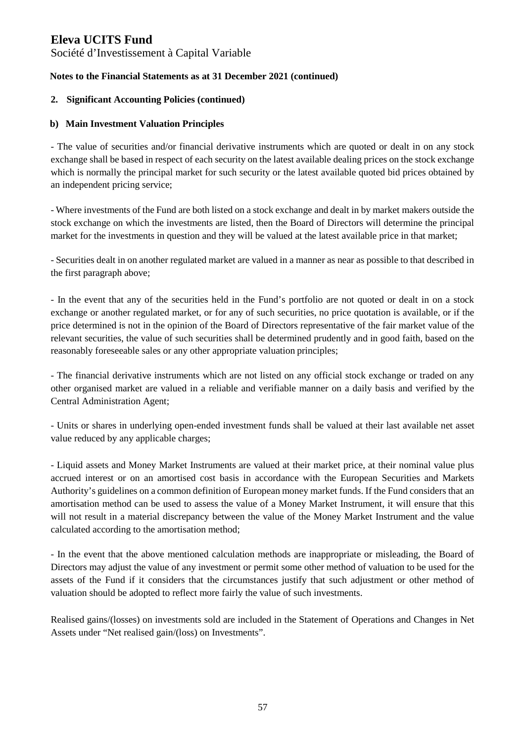Société d'Investissement à Capital Variable

### **Notes to the Financial Statements as at 31 December 2021 (continued)**

### **2. Significant Accounting Policies (continued)**

### **b) Main Investment Valuation Principles**

- The value of securities and/or financial derivative instruments which are quoted or dealt in on any stock exchange shall be based in respect of each security on the latest available dealing prices on the stock exchange which is normally the principal market for such security or the latest available quoted bid prices obtained by an independent pricing service;

- Where investments of the Fund are both listed on a stock exchange and dealt in by market makers outside the stock exchange on which the investments are listed, then the Board of Directors will determine the principal market for the investments in question and they will be valued at the latest available price in that market;

- Securities dealt in on another regulated market are valued in a manner as near as possible to that described in the first paragraph above;

- In the event that any of the securities held in the Fund's portfolio are not quoted or dealt in on a stock exchange or another regulated market, or for any of such securities, no price quotation is available, or if the price determined is not in the opinion of the Board of Directors representative of the fair market value of the relevant securities, the value of such securities shall be determined prudently and in good faith, based on the reasonably foreseeable sales or any other appropriate valuation principles;

- The financial derivative instruments which are not listed on any official stock exchange or traded on any other organised market are valued in a reliable and verifiable manner on a daily basis and verified by the Central Administration Agent;

- Units or shares in underlying open-ended investment funds shall be valued at their last available net asset value reduced by any applicable charges;

- Liquid assets and Money Market Instruments are valued at their market price, at their nominal value plus accrued interest or on an amortised cost basis in accordance with the European Securities and Markets Authority's guidelines on a common definition of European money market funds. If the Fund considers that an amortisation method can be used to assess the value of a Money Market Instrument, it will ensure that this will not result in a material discrepancy between the value of the Money Market Instrument and the value calculated according to the amortisation method;

- In the event that the above mentioned calculation methods are inappropriate or misleading, the Board of Directors may adjust the value of any investment or permit some other method of valuation to be used for the assets of the Fund if it considers that the circumstances justify that such adjustment or other method of valuation should be adopted to reflect more fairly the value of such investments.

Realised gains/(losses) on investments sold are included in the Statement of Operations and Changes in Net Assets under "Net realised gain/(loss) on Investments".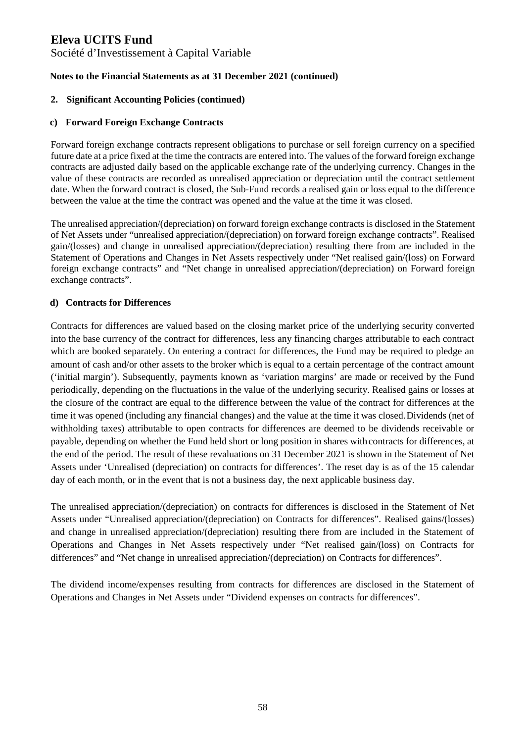Société d'Investissement à Capital Variable

### **Notes to the Financial Statements as at 31 December 2021 (continued)**

#### **2. Significant Accounting Policies (continued)**

#### **c) Forward Foreign Exchange Contracts**

Forward foreign exchange contracts represent obligations to purchase or sell foreign currency on a specified future date at a price fixed at the time the contracts are entered into. The values of the forward foreign exchange contracts are adjusted daily based on the applicable exchange rate of the underlying currency. Changes in the value of these contracts are recorded as unrealised appreciation or depreciation until the contract settlement date. When the forward contract is closed, the Sub-Fund records a realised gain or loss equal to the difference between the value at the time the contract was opened and the value at the time it was closed.

The unrealised appreciation/(depreciation) on forward foreign exchange contracts is disclosed in the Statement of Net Assets under "unrealised appreciation/(depreciation) on forward foreign exchange contracts". Realised gain/(losses) and change in unrealised appreciation/(depreciation) resulting there from are included in the Statement of Operations and Changes in Net Assets respectively under "Net realised gain/(loss) on Forward foreign exchange contracts" and "Net change in unrealised appreciation/(depreciation) on Forward foreign exchange contracts".

### **d) Contracts for Differences**

Contracts for differences are valued based on the closing market price of the underlying security converted into the base currency of the contract for differences, less any financing charges attributable to each contract which are booked separately. On entering a contract for differences, the Fund may be required to pledge an amount of cash and/or other assets to the broker which is equal to a certain percentage of the contract amount ('initial margin'). Subsequently, payments known as 'variation margins' are made or received by the Fund periodically, depending on the fluctuations in the value of the underlying security. Realised gains or losses at the closure of the contract are equal to the difference between the value of the contract for differences at the time it was opened (including any financial changes) and the value at the time it was closed. Dividends (net of withholding taxes) attributable to open contracts for differences are deemed to be dividends receivable or payable, depending on whether the Fund held short or long position in shares with contracts for differences, at the end of the period. The result of these revaluations on 31 December 2021 is shown in the Statement of Net Assets under 'Unrealised (depreciation) on contracts for differences'. The reset day is as of the 15 calendar day of each month, or in the event that is not a business day, the next applicable business day.

The unrealised appreciation/(depreciation) on contracts for differences is disclosed in the Statement of Net Assets under "Unrealised appreciation/(depreciation) on Contracts for differences". Realised gains/(losses) and change in unrealised appreciation/(depreciation) resulting there from are included in the Statement of Operations and Changes in Net Assets respectively under "Net realised gain/(loss) on Contracts for differences" and "Net change in unrealised appreciation/(depreciation) on Contracts for differences".

The dividend income/expenses resulting from contracts for differences are disclosed in the Statement of Operations and Changes in Net Assets under "Dividend expenses on contracts for differences".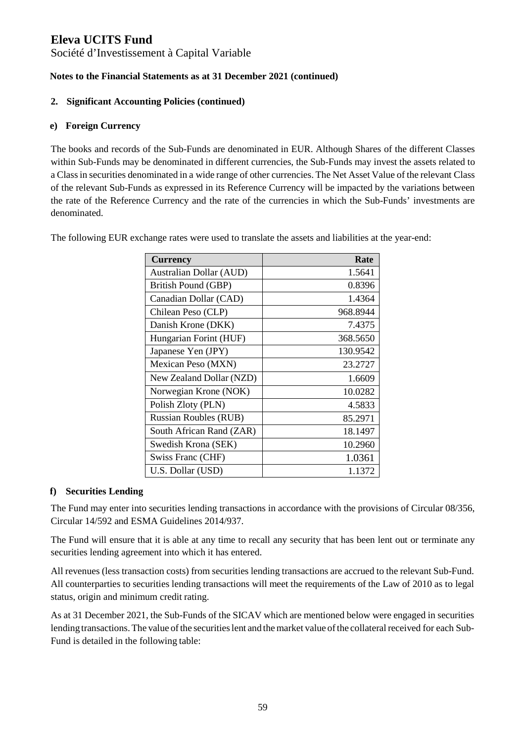Société d'Investissement à Capital Variable

### **Notes to the Financial Statements as at 31 December 2021 (continued)**

### **2. Significant Accounting Policies (continued)**

### **e) Foreign Currency**

The books and records of the Sub-Funds are denominated in EUR. Although Shares of the different Classes within Sub-Funds may be denominated in different currencies, the Sub-Funds may invest the assets related to a Class in securities denominated in a wide range of other currencies. The Net Asset Value of the relevant Class of the relevant Sub-Funds as expressed in its Reference Currency will be impacted by the variations between the rate of the Reference Currency and the rate of the currencies in which the Sub-Funds' investments are denominated.

| <b>Currency</b>              | Rate     |
|------------------------------|----------|
| Australian Dollar (AUD)      | 1.5641   |
| British Pound (GBP)          | 0.8396   |
| Canadian Dollar (CAD)        | 1.4364   |
| Chilean Peso (CLP)           | 968.8944 |
| Danish Krone (DKK)           | 7.4375   |
| Hungarian Forint (HUF)       | 368.5650 |
| Japanese Yen (JPY)           | 130.9542 |
| Mexican Peso (MXN)           | 23.2727  |
| New Zealand Dollar (NZD)     | 1.6609   |
| Norwegian Krone (NOK)        | 10.0282  |
| Polish Zloty (PLN)           | 4.5833   |
| <b>Russian Roubles (RUB)</b> | 85.2971  |
| South African Rand (ZAR)     | 18.1497  |
| Swedish Krona (SEK)          | 10.2960  |
| Swiss Franc (CHF)            | 1.0361   |
| U.S. Dollar (USD)            | 1.1372   |

The following EUR exchange rates were used to translate the assets and liabilities at the year-end:

### **f) Securities Lending**

The Fund may enter into securities lending transactions in accordance with the provisions of Circular 08/356, Circular 14/592 and ESMA Guidelines 2014/937.

The Fund will ensure that it is able at any time to recall any security that has been lent out or terminate any securities lending agreement into which it has entered.

All revenues (less transaction costs) from securities lending transactions are accrued to the relevant Sub-Fund. All counterparties to securities lending transactions will meet the requirements of the Law of 2010 as to legal status, origin and minimum credit rating.

As at 31 December 2021, the Sub-Funds of the SICAV which are mentioned below were engaged in securities lending transactions. The value of the securities lent and the market value of the collateral received for each Sub-Fund is detailed in the following table: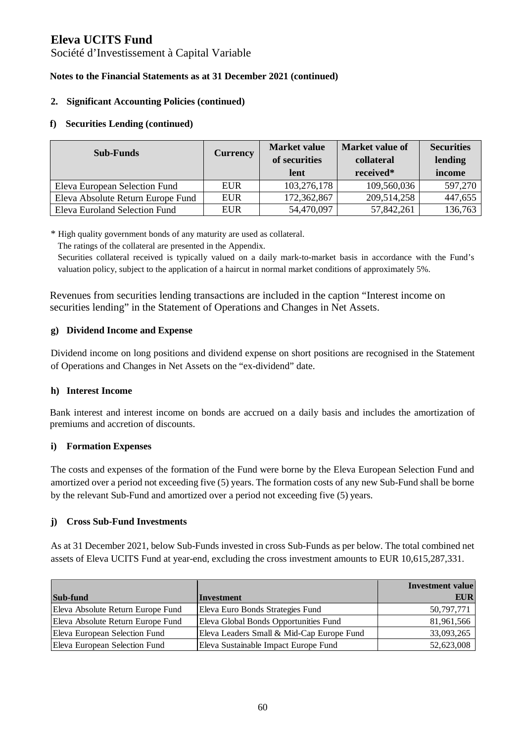Société d'Investissement à Capital Variable

### **Notes to the Financial Statements as at 31 December 2021 (continued)**

### **2. Significant Accounting Policies (continued)**

### **f) Securities Lending (continued)**

| <b>Sub-Funds</b>                  | <b>Currency</b> | <b>Market value</b><br>of securities<br>lent | Market value of<br>collateral<br>received* | <b>Securities</b><br>lending<br>income |
|-----------------------------------|-----------------|----------------------------------------------|--------------------------------------------|----------------------------------------|
| Eleva European Selection Fund     | <b>EUR</b>      | 103,276,178                                  | 109,560,036                                | 597,270                                |
| Eleva Absolute Return Europe Fund | <b>EUR</b>      | 172,362,867                                  | 209,514,258                                | 447,655                                |
| Eleva Euroland Selection Fund     | <b>EUR</b>      | 54,470,097                                   | 57,842,261                                 | 136,763                                |

\* High quality government bonds of any maturity are used as collateral.

The ratings of the collateral are presented in the Appendix.

Securities collateral received is typically valued on a daily mark-to-market basis in accordance with the Fund's valuation policy, subject to the application of a haircut in normal market conditions of approximately 5%.

Revenues from securities lending transactions are included in the caption "Interest income on securities lending" in the Statement of Operations and Changes in Net Assets.

### **g) Dividend Income and Expense**

Dividend income on long positions and dividend expense on short positions are recognised in the Statement of Operations and Changes in Net Assets on the "ex-dividend" date.

### **h) Interest Income**

Bank interest and interest income on bonds are accrued on a daily basis and includes the amortization of premiums and accretion of discounts.

### **i) Formation Expenses**

The costs and expenses of the formation of the Fund were borne by the Eleva European Selection Fund and amortized over a period not exceeding five (5) years. The formation costs of any new Sub-Fund shall be borne by the relevant Sub-Fund and amortized over a period not exceeding five (5) years.

### **j) Cross Sub-Fund Investments**

As at 31 December 2021, below Sub-Funds invested in cross Sub-Funds as per below. The total combined net assets of Eleva UCITS Fund at year-end, excluding the cross investment amounts to EUR 10,615,287,331.

|                                   |                                           | <b>Investment value</b> |
|-----------------------------------|-------------------------------------------|-------------------------|
| Sub-fund                          | Investment                                | <b>EUR</b>              |
| Eleva Absolute Return Europe Fund | Eleva Euro Bonds Strategies Fund          | 50,797,771              |
| Eleva Absolute Return Europe Fund | Eleva Global Bonds Opportunities Fund     | 81,961,566              |
| Eleva European Selection Fund     | Eleva Leaders Small & Mid-Cap Europe Fund | 33,093,265              |
| Eleva European Selection Fund     | Eleva Sustainable Impact Europe Fund      | 52,623,008              |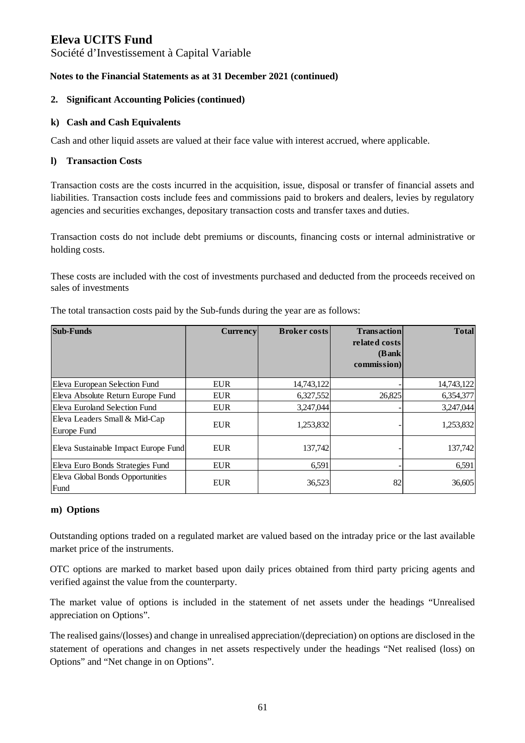Société d'Investissement à Capital Variable

### **Notes to the Financial Statements as at 31 December 2021 (continued)**

### **2. Significant Accounting Policies (continued)**

#### **k) Cash and Cash Equivalents**

Cash and other liquid assets are valued at their face value with interest accrued, where applicable.

#### **l) Transaction Costs**

Transaction costs are the costs incurred in the acquisition, issue, disposal or transfer of financial assets and liabilities. Transaction costs include fees and commissions paid to brokers and dealers, levies by regulatory agencies and securities exchanges, depositary transaction costs and transfer taxes and duties.

Transaction costs do not include debt premiums or discounts, financing costs or internal administrative or holding costs.

These costs are included with the cost of investments purchased and deducted from the proceeds received on sales of investments

| <b>Sub-Funds</b>                             | <b>Currency</b> | <b>Broker costs</b> | <b>Transaction</b><br>related costs<br>(Bank)<br>commission) | <b>Total</b> |
|----------------------------------------------|-----------------|---------------------|--------------------------------------------------------------|--------------|
| Eleva European Selection Fund                | <b>EUR</b>      | 14,743,122          |                                                              | 14,743,122   |
| Eleva Absolute Return Europe Fund            | <b>EUR</b>      | 6,327,552           | 26,825                                                       | 6,354,377    |
| Eleva Euroland Selection Fund                | <b>EUR</b>      | 3,247,044           |                                                              | 3,247,044    |
| Eleva Leaders Small & Mid-Cap<br>Europe Fund | <b>EUR</b>      | 1,253,832           |                                                              | 1,253,832    |
| Eleva Sustainable Impact Europe Fund         | <b>EUR</b>      | 137.742             |                                                              | 137,742      |
| Eleva Euro Bonds Strategies Fund             | <b>EUR</b>      | 6,591               |                                                              | 6,591        |
| Eleva Global Bonds Opportunities<br>Fund     | <b>EUR</b>      | 36,523              | 82                                                           | 36,605       |

The total transaction costs paid by the Sub-funds during the year are as follows:

### **m) Options**

Outstanding options traded on a regulated market are valued based on the intraday price or the last available market price of the instruments.

OTC options are marked to market based upon daily prices obtained from third party pricing agents and verified against the value from the counterparty.

The market value of options is included in the statement of net assets under the headings "Unrealised appreciation on Options".

The realised gains/(losses) and change in unrealised appreciation/(depreciation) on options are disclosed in the statement of operations and changes in net assets respectively under the headings "Net realised (loss) on Options" and "Net change in on Options".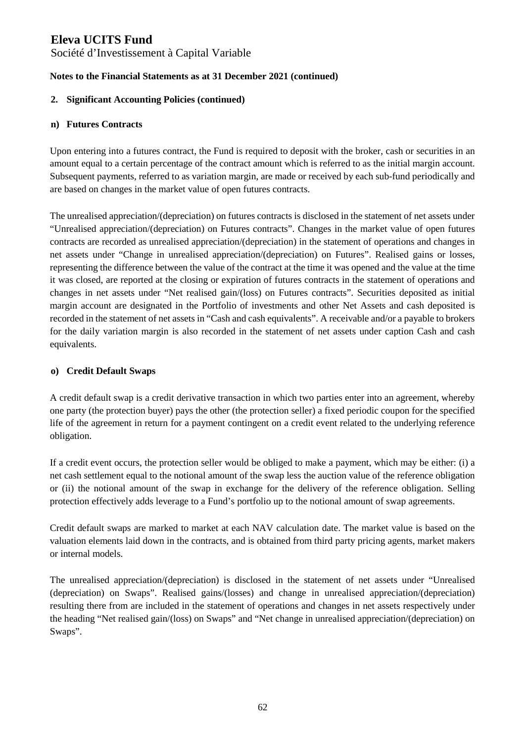Société d'Investissement à Capital Variable

### **Notes to the Financial Statements as at 31 December 2021 (continued)**

### **2. Significant Accounting Policies (continued)**

### **n) Futures Contracts**

Upon entering into a futures contract, the Fund is required to deposit with the broker, cash or securities in an amount equal to a certain percentage of the contract amount which is referred to as the initial margin account. Subsequent payments, referred to as variation margin, are made or received by each sub-fund periodically and are based on changes in the market value of open futures contracts.

The unrealised appreciation/(depreciation) on futures contracts is disclosed in the statement of net assets under "Unrealised appreciation/(depreciation) on Futures contracts". Changes in the market value of open futures contracts are recorded as unrealised appreciation/(depreciation) in the statement of operations and changes in net assets under "Change in unrealised appreciation/(depreciation) on Futures". Realised gains or losses, representing the difference between the value of the contract at the time it was opened and the value at the time it was closed, are reported at the closing or expiration of futures contracts in the statement of operations and changes in net assets under "Net realised gain/(loss) on Futures contracts". Securities deposited as initial margin account are designated in the Portfolio of investments and other Net Assets and cash deposited is recorded in the statement of net assets in "Cash and cash equivalents". A receivable and/or a payable to brokers for the daily variation margin is also recorded in the statement of net assets under caption Cash and cash equivalents.

#### **o) Credit Default Swaps**

A credit default swap is a credit derivative transaction in which two parties enter into an agreement, whereby one party (the protection buyer) pays the other (the protection seller) a fixed periodic coupon for the specified life of the agreement in return for a payment contingent on a credit event related to the underlying reference obligation.

If a credit event occurs, the protection seller would be obliged to make a payment, which may be either: (i) a net cash settlement equal to the notional amount of the swap less the auction value of the reference obligation or (ii) the notional amount of the swap in exchange for the delivery of the reference obligation. Selling protection effectively adds leverage to a Fund's portfolio up to the notional amount of swap agreements.

Credit default swaps are marked to market at each NAV calculation date. The market value is based on the valuation elements laid down in the contracts, and is obtained from third party pricing agents, market makers or internal models.

The unrealised appreciation/(depreciation) is disclosed in the statement of net assets under "Unrealised (depreciation) on Swaps". Realised gains/(losses) and change in unrealised appreciation/(depreciation) resulting there from are included in the statement of operations and changes in net assets respectively under the heading "Net realised gain/(loss) on Swaps" and "Net change in unrealised appreciation/(depreciation) on Swaps".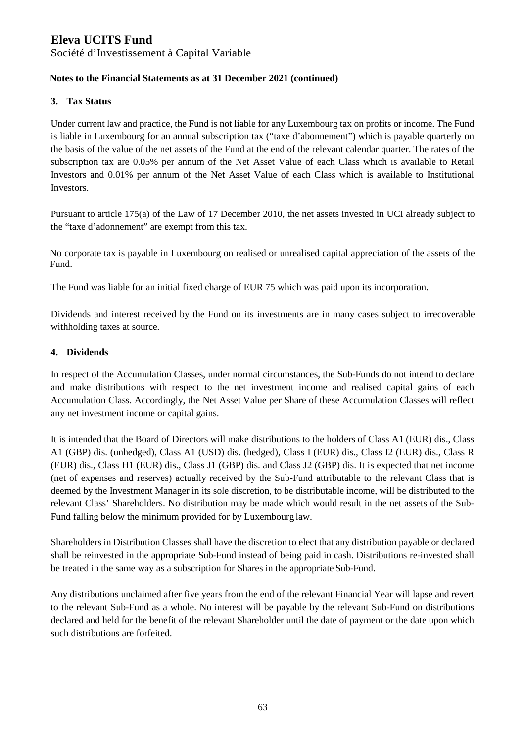Société d'Investissement à Capital Variable

### **Notes to the Financial Statements as at 31 December 2021 (continued)**

### **3. Tax Status**

Under current law and practice, the Fund is not liable for any Luxembourg tax on profits or income. The Fund is liable in Luxembourg for an annual subscription tax ("taxe d'abonnement") which is payable quarterly on the basis of the value of the net assets of the Fund at the end of the relevant calendar quarter. The rates of the subscription tax are 0.05% per annum of the Net Asset Value of each Class which is available to Retail Investors and 0.01% per annum of the Net Asset Value of each Class which is available to Institutional Investors.

Pursuant to article 175(a) of the Law of 17 December 2010, the net assets invested in UCI already subject to the "taxe d'adonnement" are exempt from this tax.

No corporate tax is payable in Luxembourg on realised or unrealised capital appreciation of the assets of the Fund.

The Fund was liable for an initial fixed charge of EUR 75 which was paid upon its incorporation.

Dividends and interest received by the Fund on its investments are in many cases subject to irrecoverable withholding taxes at source.

#### **4. Dividends**

In respect of the Accumulation Classes, under normal circumstances, the Sub-Funds do not intend to declare and make distributions with respect to the net investment income and realised capital gains of each Accumulation Class. Accordingly, the Net Asset Value per Share of these Accumulation Classes will reflect any net investment income or capital gains.

It is intended that the Board of Directors will make distributions to the holders of Class A1 (EUR) dis., Class A1 (GBP) dis. (unhedged), Class A1 (USD) dis. (hedged), Class I (EUR) dis., Class I2 (EUR) dis., Class R (EUR) dis., Class H1 (EUR) dis., Class J1 (GBP) dis. and Class J2 (GBP) dis. It is expected that net income (net of expenses and reserves) actually received by the Sub-Fund attributable to the relevant Class that is deemed by the Investment Manager in its sole discretion, to be distributable income, will be distributed to the relevant Class' Shareholders. No distribution may be made which would result in the net assets of the Sub-Fund falling below the minimum provided for by Luxembourg law.

Shareholders in Distribution Classes shall have the discretion to elect that any distribution payable or declared shall be reinvested in the appropriate Sub-Fund instead of being paid in cash. Distributions re-invested shall be treated in the same way as a subscription for Shares in the appropriate Sub-Fund.

Any distributions unclaimed after five years from the end of the relevant Financial Year will lapse and revert to the relevant Sub-Fund as a whole. No interest will be payable by the relevant Sub-Fund on distributions declared and held for the benefit of the relevant Shareholder until the date of payment or the date upon which such distributions are forfeited.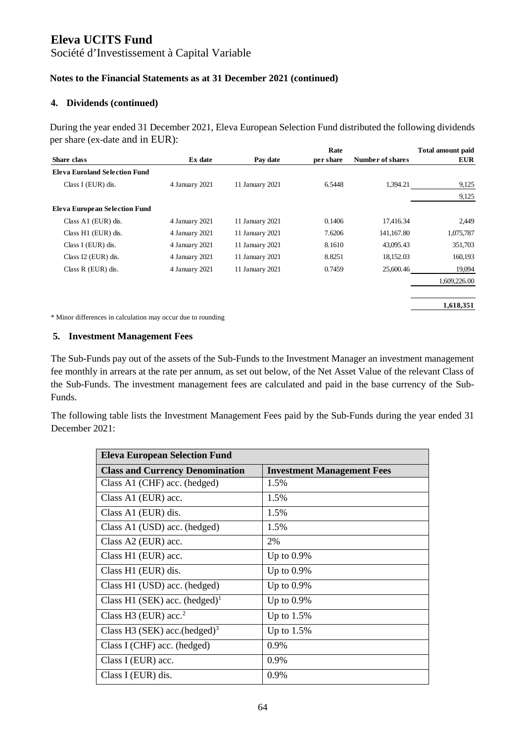Société d'Investissement à Capital Variable

### **Notes to the Financial Statements as at 31 December 2021 (continued)**

#### **4. Dividends (continued)**

During the year ended 31 December 2021, Eleva European Selection Fund distributed the following dividends per share (ex-date and in EUR):

|                                      |                |                 | Rate      |                  | <b>Total amount paid</b> |
|--------------------------------------|----------------|-----------------|-----------|------------------|--------------------------|
| <b>Share class</b>                   | Ex date        | Pay date        | per share | Number of shares | <b>EUR</b>               |
| <b>Eleva Euroland Selection Fund</b> |                |                 |           |                  |                          |
| Class I (EUR) dis.                   | 4 January 2021 | 11 January 2021 | 6.5448    | 1,394.21         | 9,125                    |
|                                      |                |                 |           |                  | 9,125                    |
| Eleva European Selection Fund        |                |                 |           |                  |                          |
| Class A1 (EUR) dis.                  | 4 January 2021 | 11 January 2021 | 0.1406    | 17,416.34        | 2,449                    |
| Class H1 (EUR) dis.                  | 4 January 2021 | 11 January 2021 | 7.6206    | 141,167.80       | 1,075,787                |
| Class I (EUR) dis.                   | 4 January 2021 | 11 January 2021 | 8.1610    | 43,095.43        | 351,703                  |
| Class I2 (EUR) dis.                  | 4 January 2021 | 11 January 2021 | 8.8251    | 18,152.03        | 160,193                  |
| Class R (EUR) dis.                   | 4 January 2021 | 11 January 2021 | 0.7459    | 25,600.46        | 19,094                   |
|                                      |                |                 |           |                  | 1,609,226.00             |
|                                      |                |                 |           |                  |                          |
|                                      |                |                 |           |                  | 1,618,351                |

\* Minor differences in calculation may occur due to rounding

#### **5. Investment Management Fees**

The Sub-Funds pay out of the assets of the Sub-Funds to the Investment Manager an investment management fee monthly in arrears at the rate per annum, as set out below, of the Net Asset Value of the relevant Class of the Sub-Funds. The investment management fees are calculated and paid in the base currency of the Sub-Funds.

The following table lists the Investment Management Fees paid by the Sub-Funds during the year ended 31 December 2021:

| <b>Eleva European Selection Fund</b>      |                                   |  |
|-------------------------------------------|-----------------------------------|--|
| <b>Class and Currency Denomination</b>    | <b>Investment Management Fees</b> |  |
| Class A1 (CHF) acc. (hedged)              | 1.5%                              |  |
| Class A1 (EUR) acc.                       | 1.5%                              |  |
| Class A1 (EUR) dis.                       | 1.5%                              |  |
| Class A1 (USD) acc. (hedged)              | 1.5%                              |  |
| Class A2 (EUR) acc.                       | 2%                                |  |
| Class H1 (EUR) acc.                       | Up to $0.9\%$                     |  |
| Class H1 (EUR) dis.                       | Up to $0.9\%$                     |  |
| Class H1 (USD) acc. (hedged)              | Up to $0.9\%$                     |  |
| Class H1 (SEK) acc. (hedged) <sup>1</sup> | Up to $0.9\%$                     |  |
| Class H3 (EUR) acc. $2$                   | Up to $1.5\%$                     |  |
| Class H3 (SEK) acc. $(hedge)^3$           | Up to $1.5%$                      |  |
| Class I (CHF) acc. (hedged)               | 0.9%                              |  |
| Class I (EUR) acc.                        | $0.9\%$                           |  |
| Class I (EUR) dis.                        | 0.9%                              |  |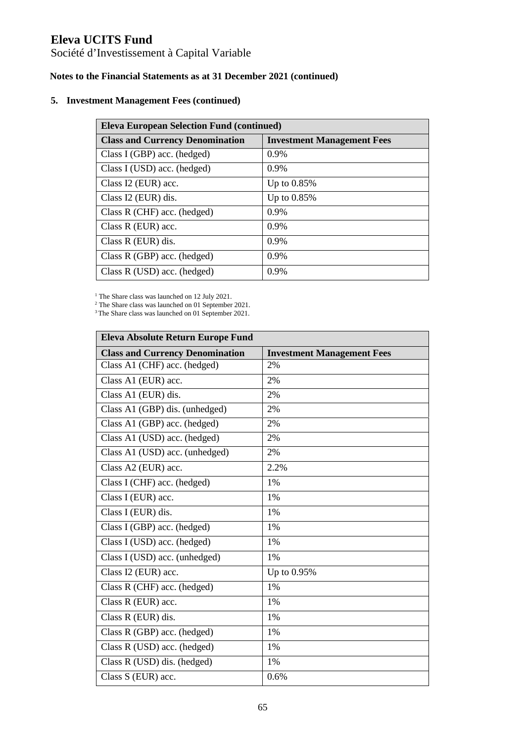Société d'Investissement à Capital Variable

### **Notes to the Financial Statements as at 31 December 2021 (continued)**

#### **5. Investment Management Fees (continued)**

| <b>Eleva European Selection Fund (continued)</b> |                                   |  |
|--------------------------------------------------|-----------------------------------|--|
| <b>Class and Currency Denomination</b>           | <b>Investment Management Fees</b> |  |
| Class I (GBP) acc. (hedged)                      | $0.9\%$                           |  |
| Class I (USD) acc. (hedged)                      | 0.9%                              |  |
| Class I2 (EUR) acc.                              | Up to $0.85\%$                    |  |
| Class I2 (EUR) dis.                              | Up to $0.85\%$                    |  |
| Class $R$ (CHF) acc. (hedged)                    | 0.9%                              |  |
| Class $R$ (EUR) acc.                             | $0.9\%$                           |  |
| Class $R$ (EUR) dis.                             | $0.9\%$                           |  |
| Class $R(GBP)$ acc. (hedged)                     | $0.9\%$                           |  |
| Class R (USD) acc. (hedged)                      | $0.9\%$                           |  |

<sup>1</sup> The Share class was launched on 12 July 2021.

2 The Share class was launched on 01 September 2021.

<sup>3</sup>The Share class was launched on 01 September 2021.

| Eleva Absolute Return Europe Fund      |                                   |  |
|----------------------------------------|-----------------------------------|--|
| <b>Class and Currency Denomination</b> | <b>Investment Management Fees</b> |  |
| Class A1 (CHF) acc. (hedged)           | 2%                                |  |
| Class A1 (EUR) acc.                    | 2%                                |  |
| Class A1 (EUR) dis.                    | 2%                                |  |
| Class A1 (GBP) dis. (unhedged)         | 2%                                |  |
| Class A1 (GBP) acc. (hedged)           | 2%                                |  |
| Class A1 (USD) acc. (hedged)           | 2%                                |  |
| Class A1 (USD) acc. (unhedged)         | 2%                                |  |
| Class A2 (EUR) acc.                    | 2.2%                              |  |
| Class I (CHF) acc. (hedged)            | 1%                                |  |
| Class I (EUR) acc.                     | 1%                                |  |
| Class I (EUR) dis.                     | 1%                                |  |
| Class I (GBP) acc. (hedged)            | 1%                                |  |
| Class I (USD) acc. (hedged)            | 1%                                |  |
| Class I (USD) acc. (unhedged)          | 1%                                |  |
| Class I2 (EUR) acc.                    | Up to 0.95%                       |  |
| Class R (CHF) acc. (hedged)            | 1%                                |  |
| Class R (EUR) acc.                     | 1%                                |  |
| Class R (EUR) dis.                     | $1\%$                             |  |
| Class R (GBP) acc. (hedged)            | 1%                                |  |
| Class R (USD) acc. (hedged)            | 1%                                |  |
| Class R (USD) dis. (hedged)            | 1%                                |  |
| Class S (EUR) acc.                     | 0.6%                              |  |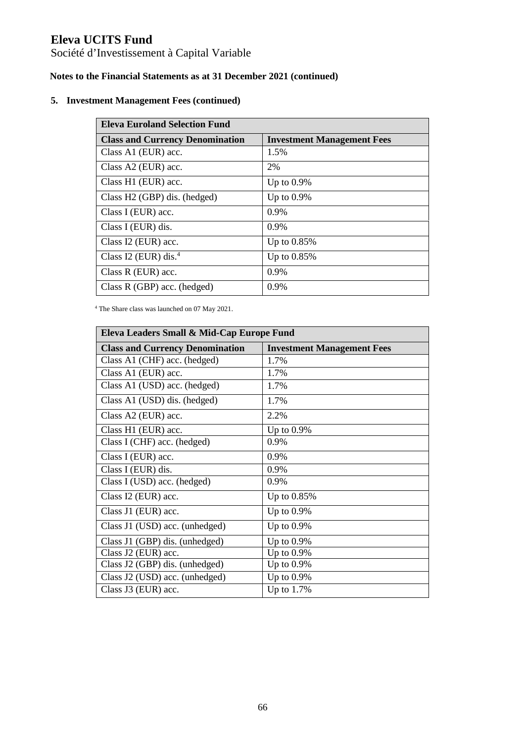Société d'Investissement à Capital Variable

## **Notes to the Financial Statements as at 31 December 2021 (continued)**

### **5. Investment Management Fees (continued)**

| <b>Eleva Euroland Selection Fund</b>   |                                   |  |
|----------------------------------------|-----------------------------------|--|
| <b>Class and Currency Denomination</b> | <b>Investment Management Fees</b> |  |
| Class A1 (EUR) acc.                    | 1.5%                              |  |
| Class A2 (EUR) acc.                    | 2%                                |  |
| Class H1 (EUR) acc.                    | Up to $0.9\%$                     |  |
| Class H2 (GBP) dis. (hedged)           | Up to $0.9\%$                     |  |
| Class I (EUR) acc.                     | $0.9\%$                           |  |
| Class I (EUR) dis.                     | $0.9\%$                           |  |
| Class I2 (EUR) acc.                    | Up to $0.85\%$                    |  |
| Class I2 (EUR) dis. $4$                | Up to $0.85\%$                    |  |
| Class $R$ (EUR) acc.                   | $0.9\%$                           |  |
| Class R (GBP) acc. (hedged)            | 0.9%                              |  |

4 The Share class was launched on 07 May 2021.

| Eleva Leaders Small & Mid-Cap Europe Fund |                                   |  |
|-------------------------------------------|-----------------------------------|--|
| <b>Class and Currency Denomination</b>    | <b>Investment Management Fees</b> |  |
| Class A1 (CHF) acc. (hedged)              | 1.7%                              |  |
| Class A1 (EUR) acc.                       | 1.7%                              |  |
| Class A1 (USD) acc. (hedged)              | 1.7%                              |  |
| Class A1 (USD) dis. (hedged)              | 1.7%                              |  |
| Class A2 (EUR) acc.                       | 2.2%                              |  |
| Class H1 (EUR) acc.                       | Up to $0.9\%$                     |  |
| Class I (CHF) acc. (hedged)               | 0.9%                              |  |
| Class I (EUR) acc.                        | 0.9%                              |  |
| Class I (EUR) dis.                        | 0.9%                              |  |
| Class I (USD) acc. (hedged)               | 0.9%                              |  |
| Class I2 (EUR) acc.                       | Up to 0.85%                       |  |
| Class J1 (EUR) acc.                       | Up to $0.9\%$                     |  |
| Class J1 (USD) acc. (unhedged)            | Up to $0.9\%$                     |  |
| Class J1 (GBP) dis. (unhedged)            | Up to $0.9\%$                     |  |
| Class J2 (EUR) acc.                       | Up to $0.9\%$                     |  |
| Class J2 (GBP) dis. (unhedged)            | Up to $0.9\%$                     |  |
| Class J2 (USD) acc. (unhedged)            | Up to $0.9\%$                     |  |
| Class J3 (EUR) acc.                       | Up to $1.7\%$                     |  |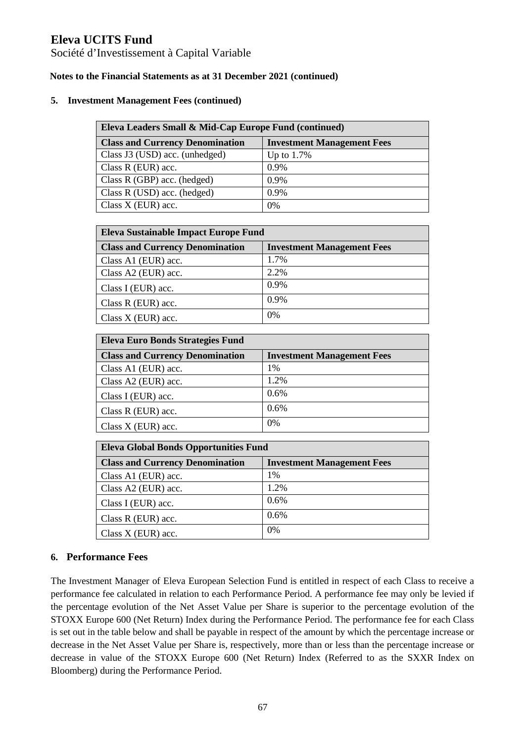Société d'Investissement à Capital Variable

### **Notes to the Financial Statements as at 31 December 2021 (continued)**

#### **5. Investment Management Fees (continued)**

| Eleva Leaders Small & Mid-Cap Europe Fund (continued) |                                   |  |
|-------------------------------------------------------|-----------------------------------|--|
| <b>Class and Currency Denomination</b>                | <b>Investment Management Fees</b> |  |
| Class J3 (USD) acc. (unhedged)                        | Up to $1.7\%$                     |  |
| Class $R$ (EUR) acc.                                  | $0.9\%$                           |  |
| Class R (GBP) acc. (hedged)                           | 0.9%                              |  |
| Class R (USD) acc. (hedged)                           | 0.9%                              |  |
| Class $X$ (EUR) acc.                                  | 0%                                |  |

| Eleva Sustainable Impact Europe Fund   |                                   |  |
|----------------------------------------|-----------------------------------|--|
| <b>Class and Currency Denomination</b> | <b>Investment Management Fees</b> |  |
| Class A1 (EUR) acc.                    | 1.7%                              |  |
| Class A2 (EUR) acc.                    | 2.2%                              |  |
| Class I (EUR) acc.                     | 0.9%                              |  |
| Class $R$ (EUR) acc.                   | 0.9%                              |  |
| Class X (EUR) acc.                     | 0%                                |  |

| Eleva Euro Bonds Strategies Fund       |                                   |  |  |
|----------------------------------------|-----------------------------------|--|--|
| <b>Class and Currency Denomination</b> | <b>Investment Management Fees</b> |  |  |
| Class A1 (EUR) acc.                    | 1%                                |  |  |
| Class A2 (EUR) acc.                    | 1.2%                              |  |  |
| Class I (EUR) acc.                     | 0.6%                              |  |  |
| Class $R$ (EUR) acc.                   | 0.6%                              |  |  |
| Class $X$ (EUR) acc.                   | 0%                                |  |  |

| <b>Eleva Global Bonds Opportunities Fund</b> |                                   |  |
|----------------------------------------------|-----------------------------------|--|
| <b>Class and Currency Denomination</b>       | <b>Investment Management Fees</b> |  |
| Class A1 (EUR) acc.                          | 1%                                |  |
| Class A2 (EUR) acc.                          | 1.2%                              |  |
| Class I (EUR) acc.                           | 0.6%                              |  |
| Class R (EUR) acc.                           | 0.6%                              |  |
| Class $X$ (EUR) acc.                         | 0%                                |  |

### **6. Performance Fees**

The Investment Manager of Eleva European Selection Fund is entitled in respect of each Class to receive a performance fee calculated in relation to each Performance Period. A performance fee may only be levied if the percentage evolution of the Net Asset Value per Share is superior to the percentage evolution of the STOXX Europe 600 (Net Return) Index during the Performance Period. The performance fee for each Class is set out in the table below and shall be payable in respect of the amount by which the percentage increase or decrease in the Net Asset Value per Share is, respectively, more than or less than the percentage increase or decrease in value of the STOXX Europe 600 (Net Return) Index (Referred to as the SXXR Index on Bloomberg) during the Performance Period.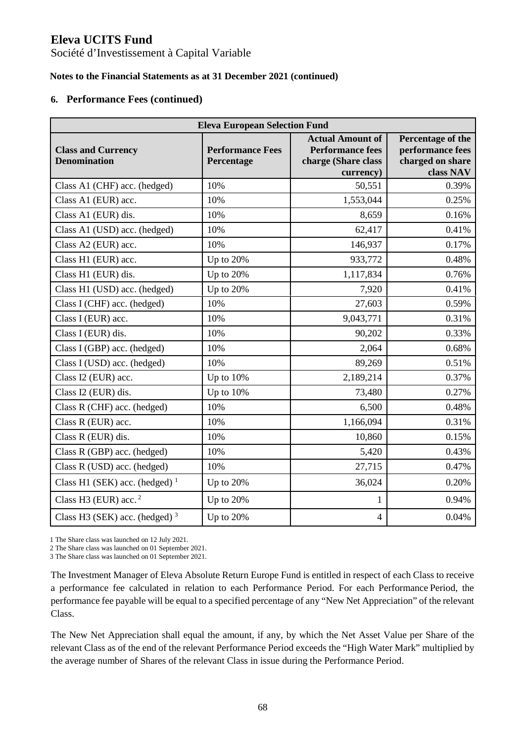Société d'Investissement à Capital Variable

### **Notes to the Financial Statements as at 31 December 2021 (continued)**

### **6. Performance Fees (continued)**

| <b>Eleva European Selection Fund</b>             |                                       |                                                                                        |                                                                        |
|--------------------------------------------------|---------------------------------------|----------------------------------------------------------------------------------------|------------------------------------------------------------------------|
| <b>Class and Currency</b><br><b>Denomination</b> | <b>Performance Fees</b><br>Percentage | <b>Actual Amount of</b><br><b>Performance fees</b><br>charge (Share class<br>currency) | Percentage of the<br>performance fees<br>charged on share<br>class NAV |
| Class A1 (CHF) acc. (hedged)                     | 10%                                   | 50,551                                                                                 | 0.39%                                                                  |
| Class A1 (EUR) acc.                              | 10%                                   | 1,553,044                                                                              | 0.25%                                                                  |
| Class A1 (EUR) dis.                              | 10%                                   | 8,659                                                                                  | 0.16%                                                                  |
| Class A1 (USD) acc. (hedged)                     | 10%                                   | 62,417                                                                                 | 0.41%                                                                  |
| Class A2 (EUR) acc.                              | 10%                                   | 146,937                                                                                | 0.17%                                                                  |
| Class H1 (EUR) acc.                              | Up to 20%                             | 933,772                                                                                | 0.48%                                                                  |
| Class H1 (EUR) dis.                              | Up to 20%                             | 1,117,834                                                                              | 0.76%                                                                  |
| Class H1 (USD) acc. (hedged)                     | Up to 20%                             | 7,920                                                                                  | 0.41%                                                                  |
| Class I (CHF) acc. (hedged)                      | 10%                                   | 27,603                                                                                 | 0.59%                                                                  |
| Class I (EUR) acc.                               | 10%                                   | 9,043,771                                                                              | 0.31%                                                                  |
| Class I (EUR) dis.                               | 10%                                   | 90,202                                                                                 | 0.33%                                                                  |
| Class I (GBP) acc. (hedged)                      | 10%                                   | 2,064                                                                                  | 0.68%                                                                  |
| Class I (USD) acc. (hedged)                      | 10%                                   | 89,269                                                                                 | 0.51%                                                                  |
| Class I2 (EUR) acc.                              | Up to 10%                             | 2,189,214                                                                              | 0.37%                                                                  |
| Class I2 (EUR) dis.                              | Up to 10%                             | 73,480                                                                                 | 0.27%                                                                  |
| Class R (CHF) acc. (hedged)                      | 10%                                   | 6,500                                                                                  | 0.48%                                                                  |
| Class R (EUR) acc.                               | 10%                                   | 1,166,094                                                                              | 0.31%                                                                  |
| Class R (EUR) dis.                               | 10%                                   | 10,860                                                                                 | 0.15%                                                                  |
| Class R (GBP) acc. (hedged)                      | 10%                                   | 5,420                                                                                  | 0.43%                                                                  |
| Class R (USD) acc. (hedged)                      | 10%                                   | 27,715                                                                                 | 0.47%                                                                  |
| Class H1 (SEK) acc. (hedged) $1$                 | Up to 20%                             | 36,024                                                                                 | 0.20%                                                                  |
| Class H3 (EUR) acc. $2$                          | Up to 20%                             | 1                                                                                      | 0.94%                                                                  |
| Class H3 (SEK) acc. (hedged) $3$                 | Up to 20%                             | $\overline{4}$                                                                         | 0.04%                                                                  |

1 The Share class was launched on 12 July 2021.

2 The Share class was launched on 01 September 2021.

3 The Share class was launched on 01 September 2021.

The Investment Manager of Eleva Absolute Return Europe Fund is entitled in respect of each Class to receive a performance fee calculated in relation to each Performance Period. For each Performance Period, the performance fee payable will be equal to a specified percentage of any "New Net Appreciation" of the relevant Class.

The New Net Appreciation shall equal the amount, if any, by which the Net Asset Value per Share of the relevant Class as of the end of the relevant Performance Period exceeds the "High Water Mark" multiplied by the average number of Shares of the relevant Class in issue during the Performance Period.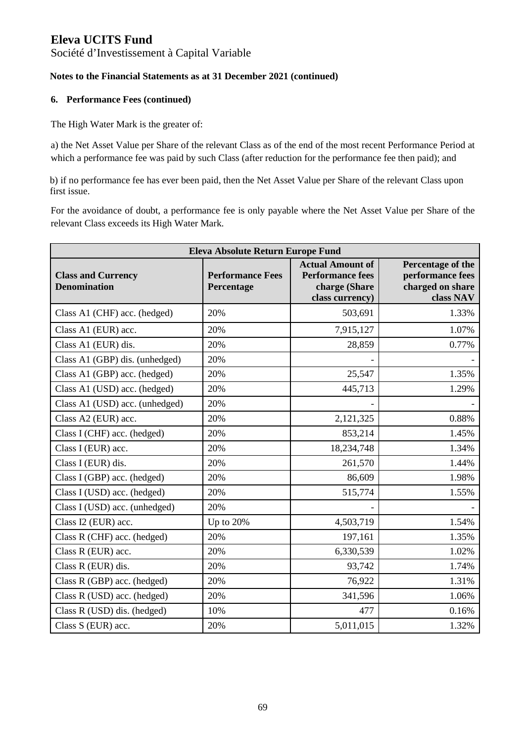### Société d'Investissement à Capital Variable

### **Notes to the Financial Statements as at 31 December 2021 (continued)**

#### **6. Performance Fees (continued)**

The High Water Mark is the greater of:

a) the Net Asset Value per Share of the relevant Class as of the end of the most recent Performance Period at which a performance fee was paid by such Class (after reduction for the performance fee then paid); and

b) if no performance fee has ever been paid, then the Net Asset Value per Share of the relevant Class upon first issue.

For the avoidance of doubt, a performance fee is only payable where the Net Asset Value per Share of the relevant Class exceeds its High Water Mark.

| <b>Eleva Absolute Return Europe Fund</b>         |                                       |                                                                                        |                                                                        |
|--------------------------------------------------|---------------------------------------|----------------------------------------------------------------------------------------|------------------------------------------------------------------------|
| <b>Class and Currency</b><br><b>Denomination</b> | <b>Performance Fees</b><br>Percentage | <b>Actual Amount of</b><br><b>Performance fees</b><br>charge (Share<br>class currency) | Percentage of the<br>performance fees<br>charged on share<br>class NAV |
| Class A1 (CHF) acc. (hedged)                     | 20%                                   | 503,691                                                                                | 1.33%                                                                  |
| Class A1 (EUR) acc.                              | 20%                                   | 7,915,127                                                                              | 1.07%                                                                  |
| Class A1 (EUR) dis.                              | 20%                                   | 28,859                                                                                 | 0.77%                                                                  |
| Class A1 (GBP) dis. (unhedged)                   | 20%                                   |                                                                                        |                                                                        |
| Class A1 (GBP) acc. (hedged)                     | 20%                                   | 25,547                                                                                 | 1.35%                                                                  |
| Class A1 (USD) acc. (hedged)                     | 20%                                   | 445,713                                                                                | 1.29%                                                                  |
| Class A1 (USD) acc. (unhedged)                   | 20%                                   |                                                                                        |                                                                        |
| Class A2 (EUR) acc.                              | 20%                                   | 2,121,325                                                                              | 0.88%                                                                  |
| Class I (CHF) acc. (hedged)                      | 20%                                   | 853,214                                                                                | 1.45%                                                                  |
| Class I (EUR) acc.                               | 20%                                   | 18,234,748                                                                             | 1.34%                                                                  |
| Class I (EUR) dis.                               | 20%                                   | 261,570                                                                                | 1.44%                                                                  |
| Class I (GBP) acc. (hedged)                      | 20%                                   | 86,609                                                                                 | 1.98%                                                                  |
| Class I (USD) acc. (hedged)                      | 20%                                   | 515,774                                                                                | 1.55%                                                                  |
| Class I (USD) acc. (unhedged)                    | 20%                                   |                                                                                        |                                                                        |
| Class I2 (EUR) acc.                              | Up to 20%                             | 4,503,719                                                                              | 1.54%                                                                  |
| Class R (CHF) acc. (hedged)                      | 20%                                   | 197,161                                                                                | 1.35%                                                                  |
| Class R (EUR) acc.                               | 20%                                   | 6,330,539                                                                              | 1.02%                                                                  |
| Class R (EUR) dis.                               | 20%                                   | 93,742                                                                                 | 1.74%                                                                  |
| Class R (GBP) acc. (hedged)                      | 20%                                   | 76,922                                                                                 | 1.31%                                                                  |
| Class R (USD) acc. (hedged)                      | 20%                                   | 341,596                                                                                | 1.06%                                                                  |
| Class R (USD) dis. (hedged)                      | 10%                                   | 477                                                                                    | 0.16%                                                                  |
| Class S (EUR) acc.                               | 20%                                   | 5,011,015                                                                              | 1.32%                                                                  |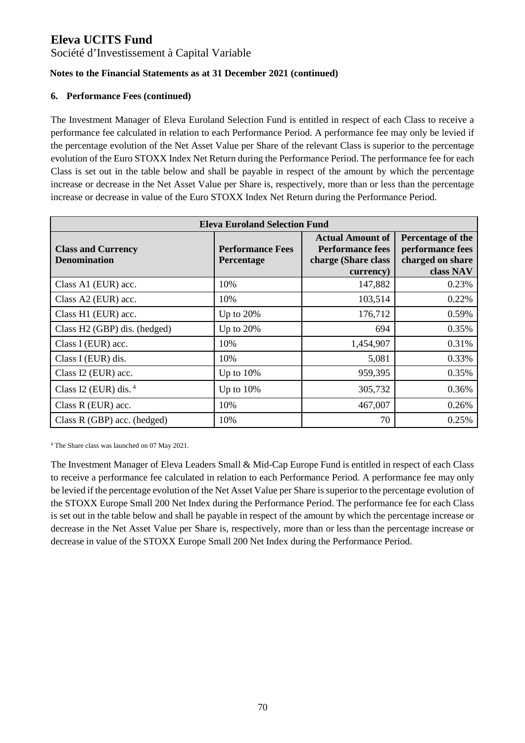### Société d'Investissement à Capital Variable

### **Notes to the Financial Statements as at 31 December 2021 (continued)**

### **6. Performance Fees (continued)**

The Investment Manager of Eleva Euroland Selection Fund is entitled in respect of each Class to receive a performance fee calculated in relation to each Performance Period. A performance fee may only be levied if the percentage evolution of the Net Asset Value per Share of the relevant Class is superior to the percentage evolution of the Euro STOXX Index Net Return during the Performance Period. The performance fee for each Class is set out in the table below and shall be payable in respect of the amount by which the percentage increase or decrease in the Net Asset Value per Share is, respectively, more than or less than the percentage increase or decrease in value of the Euro STOXX Index Net Return during the Performance Period.

| <b>Eleva Euroland Selection Fund</b>             |                                       |                                                                                        |                                                                        |  |  |
|--------------------------------------------------|---------------------------------------|----------------------------------------------------------------------------------------|------------------------------------------------------------------------|--|--|
| <b>Class and Currency</b><br><b>Denomination</b> | <b>Performance Fees</b><br>Percentage | <b>Actual Amount of</b><br><b>Performance fees</b><br>charge (Share class<br>currency) | Percentage of the<br>performance fees<br>charged on share<br>class NAV |  |  |
| Class A1 (EUR) acc.                              | 10%                                   | 147,882                                                                                | 0.23%                                                                  |  |  |
| Class A2 (EUR) acc.                              | 10%                                   | 103,514                                                                                | 0.22%                                                                  |  |  |
| Class H1 (EUR) acc.                              | Up to 20%                             | 176,712                                                                                | 0.59%                                                                  |  |  |
| Class H2 (GBP) dis. (hedged)                     | Up to 20%                             | 694                                                                                    | 0.35%                                                                  |  |  |
| Class I (EUR) acc.                               | 10%                                   | 1,454,907                                                                              | 0.31%                                                                  |  |  |
| Class I (EUR) dis.                               | 10%                                   | 5,081                                                                                  | 0.33%                                                                  |  |  |
| Class I2 (EUR) acc.                              | Up to $10\%$                          | 959,395                                                                                | 0.35%                                                                  |  |  |
| Class I2 (EUR) dis. $4$                          | Up to $10\%$                          | 305,732                                                                                | 0.36%                                                                  |  |  |
| Class $R$ (EUR) acc.                             | 10%                                   | 467,007                                                                                | 0.26%                                                                  |  |  |
| Class R (GBP) acc. (hedged)                      | 10%                                   | 70                                                                                     | 0.25%                                                                  |  |  |

4 The Share class was launched on 07 May 2021.

The Investment Manager of Eleva Leaders Small & Mid-Cap Europe Fund is entitled in respect of each Class to receive a performance fee calculated in relation to each Performance Period. A performance fee may only be levied if the percentage evolution of the Net Asset Value per Share is superior to the percentage evolution of the STOXX Europe Small 200 Net Index during the Performance Period. The performance fee for each Class is set out in the table below and shall be payable in respect of the amount by which the percentage increase or decrease in the Net Asset Value per Share is, respectively, more than or less than the percentage increase or decrease in value of the STOXX Europe Small 200 Net Index during the Performance Period.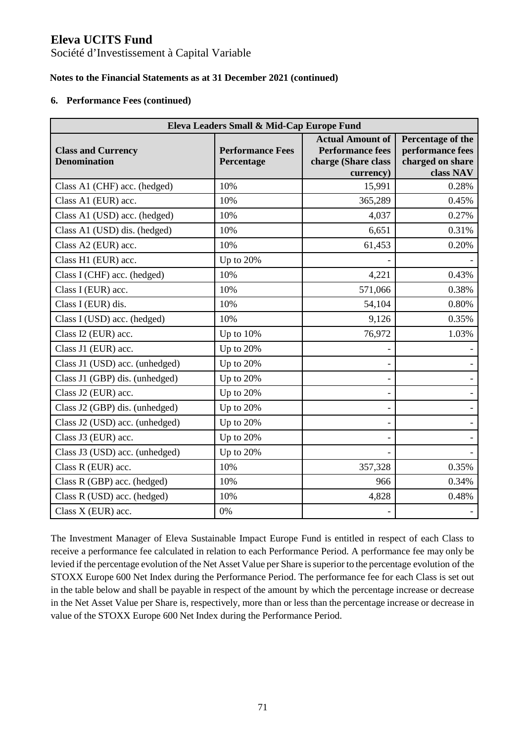Société d'Investissement à Capital Variable

### **Notes to the Financial Statements as at 31 December 2021 (continued)**

#### **6. Performance Fees (continued)**

| Eleva Leaders Small & Mid-Cap Europe Fund        |                                       |                                                                                        |                                                                        |  |  |
|--------------------------------------------------|---------------------------------------|----------------------------------------------------------------------------------------|------------------------------------------------------------------------|--|--|
| <b>Class and Currency</b><br><b>Denomination</b> | <b>Performance Fees</b><br>Percentage | <b>Actual Amount of</b><br><b>Performance fees</b><br>charge (Share class<br>currency) | Percentage of the<br>performance fees<br>charged on share<br>class NAV |  |  |
| Class A1 (CHF) acc. (hedged)                     | 10%                                   | 15,991                                                                                 | 0.28%                                                                  |  |  |
| Class A1 (EUR) acc.                              | 10%                                   | 365,289                                                                                | 0.45%                                                                  |  |  |
| Class A1 (USD) acc. (hedged)                     | 10%                                   | 4,037                                                                                  | 0.27%                                                                  |  |  |
| Class A1 (USD) dis. (hedged)                     | 10%                                   | 6,651                                                                                  | 0.31%                                                                  |  |  |
| Class A2 (EUR) acc.                              | 10%                                   | 61,453                                                                                 | 0.20%                                                                  |  |  |
| Class H1 (EUR) acc.                              | Up to 20%                             |                                                                                        |                                                                        |  |  |
| Class I (CHF) acc. (hedged)                      | 10%                                   | 4,221                                                                                  | 0.43%                                                                  |  |  |
| Class I (EUR) acc.                               | 10%                                   | 571,066                                                                                | 0.38%                                                                  |  |  |
| Class I (EUR) dis.                               | 10%                                   | 54,104                                                                                 | 0.80%                                                                  |  |  |
| Class I (USD) acc. (hedged)                      | 10%                                   | 9,126                                                                                  | 0.35%                                                                  |  |  |
| Class I2 (EUR) acc.                              | Up to $10%$                           | 76,972                                                                                 | 1.03%                                                                  |  |  |
| Class J1 (EUR) acc.                              | Up to 20%                             |                                                                                        |                                                                        |  |  |
| Class J1 (USD) acc. (unhedged)                   | Up to 20%                             |                                                                                        |                                                                        |  |  |
| Class J1 (GBP) dis. (unhedged)                   | Up to 20%                             |                                                                                        |                                                                        |  |  |
| Class J2 (EUR) acc.                              | Up to 20%                             |                                                                                        |                                                                        |  |  |
| Class J2 (GBP) dis. (unhedged)                   | Up to 20%                             |                                                                                        |                                                                        |  |  |
| Class J2 (USD) acc. (unhedged)                   | Up to 20%                             |                                                                                        |                                                                        |  |  |
| Class J3 (EUR) acc.                              | Up to 20%                             |                                                                                        |                                                                        |  |  |
| Class J3 (USD) acc. (unhedged)                   | Up to 20%                             |                                                                                        |                                                                        |  |  |
| Class R (EUR) acc.                               | 10%                                   | 357,328                                                                                | 0.35%                                                                  |  |  |
| Class R (GBP) acc. (hedged)                      | 10%                                   | 966                                                                                    | 0.34%                                                                  |  |  |
| Class R (USD) acc. (hedged)                      | 10%                                   | 4,828                                                                                  | 0.48%                                                                  |  |  |
| Class X (EUR) acc.                               | 0%                                    |                                                                                        |                                                                        |  |  |

The Investment Manager of Eleva Sustainable Impact Europe Fund is entitled in respect of each Class to receive a performance fee calculated in relation to each Performance Period. A performance fee may only be levied if the percentage evolution of the Net Asset Value per Share is superior to the percentage evolution of the STOXX Europe 600 Net Index during the Performance Period. The performance fee for each Class is set out in the table below and shall be payable in respect of the amount by which the percentage increase or decrease in the Net Asset Value per Share is, respectively, more than or less than the percentage increase or decrease in value of the STOXX Europe 600 Net Index during the Performance Period.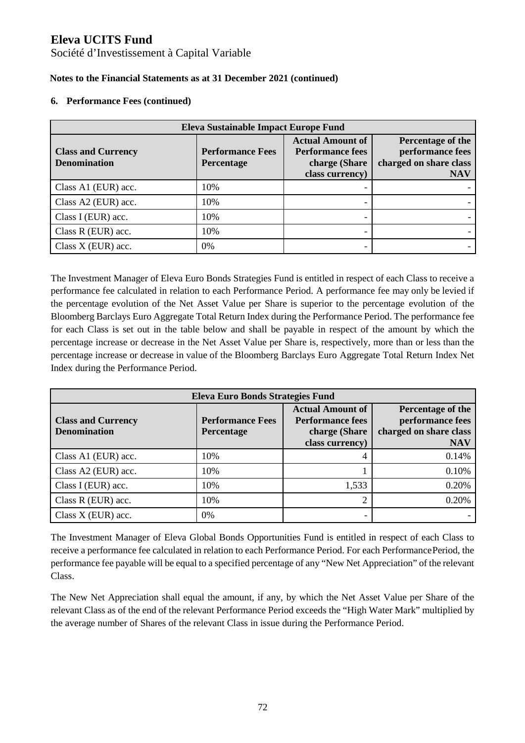Société d'Investissement à Capital Variable

### **Notes to the Financial Statements as at 31 December 2021 (continued)**

#### **6. Performance Fees (continued)**

| <b>Eleva Sustainable Impact Europe Fund</b>      |                                       |                                                                                        |                                                                               |  |
|--------------------------------------------------|---------------------------------------|----------------------------------------------------------------------------------------|-------------------------------------------------------------------------------|--|
| <b>Class and Currency</b><br><b>Denomination</b> | <b>Performance Fees</b><br>Percentage | <b>Actual Amount of</b><br><b>Performance fees</b><br>charge (Share<br>class currency) | Percentage of the<br>performance fees<br>charged on share class<br><b>NAV</b> |  |
| Class A1 (EUR) acc.                              | 10%                                   |                                                                                        |                                                                               |  |
| Class A2 (EUR) acc.                              | 10%                                   | -                                                                                      |                                                                               |  |
| Class I (EUR) acc.                               | 10%                                   |                                                                                        |                                                                               |  |
| Class $R$ (EUR) acc.                             | 10%                                   |                                                                                        |                                                                               |  |
| Class $X$ (EUR) acc.                             | 0%                                    | -                                                                                      |                                                                               |  |

The Investment Manager of Eleva Euro Bonds Strategies Fund is entitled in respect of each Class to receive a performance fee calculated in relation to each Performance Period. A performance fee may only be levied if the percentage evolution of the Net Asset Value per Share is superior to the percentage evolution of the Bloomberg Barclays Euro Aggregate Total Return Index during the Performance Period. The performance fee for each Class is set out in the table below and shall be payable in respect of the amount by which the percentage increase or decrease in the Net Asset Value per Share is, respectively, more than or less than the percentage increase or decrease in value of the Bloomberg Barclays Euro Aggregate Total Return Index Net Index during the Performance Period.

| Eleva Euro Bonds Strategies Fund                 |                                       |                                                                                        |                                                                               |  |  |
|--------------------------------------------------|---------------------------------------|----------------------------------------------------------------------------------------|-------------------------------------------------------------------------------|--|--|
| <b>Class and Currency</b><br><b>Denomination</b> | <b>Performance Fees</b><br>Percentage | <b>Actual Amount of</b><br><b>Performance fees</b><br>charge (Share<br>class currency) | Percentage of the<br>performance fees<br>charged on share class<br><b>NAV</b> |  |  |
| Class A1 (EUR) acc.                              | 10%                                   |                                                                                        | 0.14%                                                                         |  |  |
| Class A2 (EUR) acc.                              | 10%                                   |                                                                                        | 0.10%                                                                         |  |  |
| Class I (EUR) acc.                               | 10%                                   | 1,533                                                                                  | 0.20%                                                                         |  |  |
| Class $R$ (EUR) acc.                             | 10%                                   |                                                                                        | 0.20%                                                                         |  |  |
| Class $X$ (EUR) acc.                             | 0%                                    |                                                                                        |                                                                               |  |  |

The Investment Manager of Eleva Global Bonds Opportunities Fund is entitled in respect of each Class to receive a performance fee calculated in relation to each Performance Period. For each Performance Period, the performance fee payable will be equal to a specified percentage of any "New Net Appreciation" of the relevant Class.

The New Net Appreciation shall equal the amount, if any, by which the Net Asset Value per Share of the relevant Class as of the end of the relevant Performance Period exceeds the "High Water Mark" multiplied by the average number of Shares of the relevant Class in issue during the Performance Period.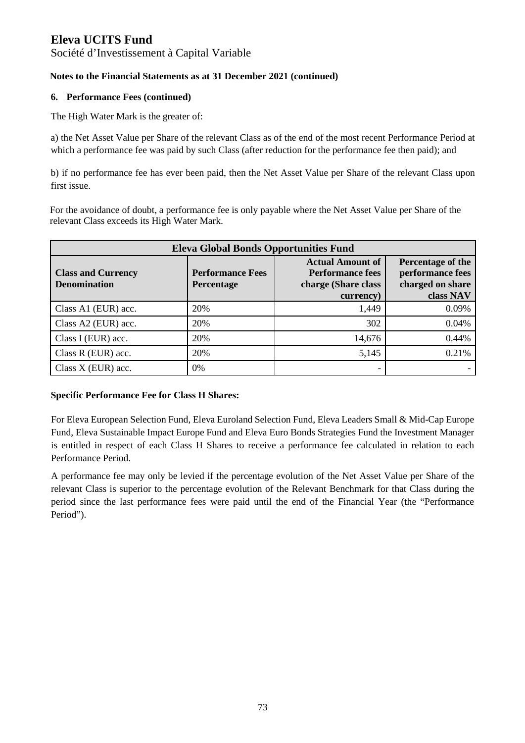### Société d'Investissement à Capital Variable

### **Notes to the Financial Statements as at 31 December 2021 (continued)**

### **6. Performance Fees (continued)**

The High Water Mark is the greater of:

a) the Net Asset Value per Share of the relevant Class as of the end of the most recent Performance Period at which a performance fee was paid by such Class (after reduction for the performance fee then paid); and

b) if no performance fee has ever been paid, then the Net Asset Value per Share of the relevant Class upon first issue.

For the avoidance of doubt, a performance fee is only payable where the Net Asset Value per Share of the relevant Class exceeds its High Water Mark.

| <b>Eleva Global Bonds Opportunities Fund</b>     |                                              |                                                                                        |                                                                        |
|--------------------------------------------------|----------------------------------------------|----------------------------------------------------------------------------------------|------------------------------------------------------------------------|
| <b>Class and Currency</b><br><b>Denomination</b> | <b>Performance Fees</b><br><b>Percentage</b> | <b>Actual Amount of</b><br><b>Performance fees</b><br>charge (Share class<br>currency) | Percentage of the<br>performance fees<br>charged on share<br>class NAV |
| Class A1 (EUR) acc.                              | 20%                                          | 1,449                                                                                  | 0.09%                                                                  |
| Class A2 (EUR) acc.                              | 20%                                          | 302                                                                                    | 0.04%                                                                  |
| Class I (EUR) acc.                               | 20%                                          | 14,676                                                                                 | 0.44%                                                                  |
| Class $R$ (EUR) acc.                             | 20%                                          | 5,145                                                                                  | 0.21%                                                                  |
| Class $X$ (EUR) acc.                             | 0%                                           | -                                                                                      |                                                                        |

### **Specific Performance Fee for Class H Shares:**

For Eleva European Selection Fund, Eleva Euroland Selection Fund, Eleva Leaders Small & Mid-Cap Europe Fund, Eleva Sustainable Impact Europe Fund and Eleva Euro Bonds Strategies Fund the Investment Manager is entitled in respect of each Class H Shares to receive a performance fee calculated in relation to each Performance Period.

A performance fee may only be levied if the percentage evolution of the Net Asset Value per Share of the relevant Class is superior to the percentage evolution of the Relevant Benchmark for that Class during the period since the last performance fees were paid until the end of the Financial Year (the "Performance Period").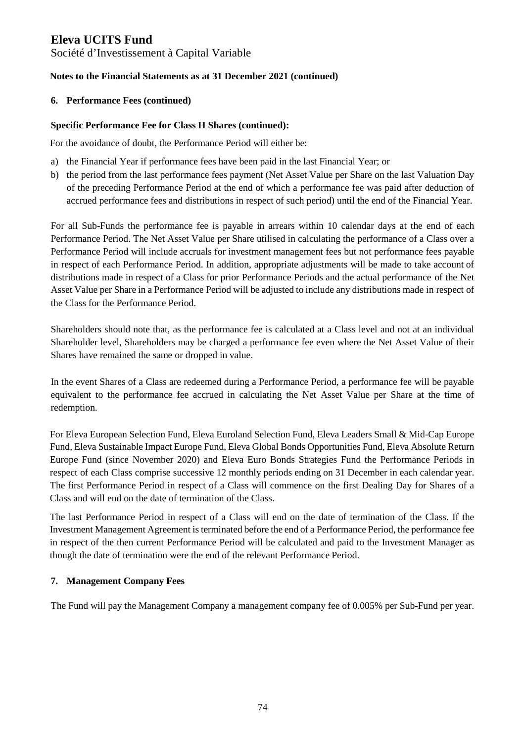### Société d'Investissement à Capital Variable

### **Notes to the Financial Statements as at 31 December 2021 (continued)**

### **6. Performance Fees (continued)**

#### **Specific Performance Fee for Class H Shares (continued):**

For the avoidance of doubt, the Performance Period will either be:

- a) the Financial Year if performance fees have been paid in the last Financial Year; or
- b) the period from the last performance fees payment (Net Asset Value per Share on the last Valuation Day of the preceding Performance Period at the end of which a performance fee was paid after deduction of accrued performance fees and distributions in respect of such period) until the end of the Financial Year.

For all Sub-Funds the performance fee is payable in arrears within 10 calendar days at the end of each Performance Period. The Net Asset Value per Share utilised in calculating the performance of a Class over a Performance Period will include accruals for investment management fees but not performance fees payable in respect of each Performance Period. In addition, appropriate adjustments will be made to take account of distributions made in respect of a Class for prior Performance Periods and the actual performance of the Net Asset Value per Share in a Performance Period will be adjusted to include any distributions made in respect of the Class for the Performance Period.

Shareholders should note that, as the performance fee is calculated at a Class level and not at an individual Shareholder level, Shareholders may be charged a performance fee even where the Net Asset Value of their Shares have remained the same or dropped in value.

In the event Shares of a Class are redeemed during a Performance Period, a performance fee will be payable equivalent to the performance fee accrued in calculating the Net Asset Value per Share at the time of redemption.

For Eleva European Selection Fund, Eleva Euroland Selection Fund, Eleva Leaders Small & Mid-Cap Europe Fund, Eleva Sustainable Impact Europe Fund, Eleva Global Bonds Opportunities Fund, Eleva Absolute Return Europe Fund (since November 2020) and Eleva Euro Bonds Strategies Fund the Performance Periods in respect of each Class comprise successive 12 monthly periods ending on 31 December in each calendar year. The first Performance Period in respect of a Class will commence on the first Dealing Day for Shares of a Class and will end on the date of termination of the Class.

The last Performance Period in respect of a Class will end on the date of termination of the Class. If the Investment Management Agreement is terminated before the end of a Performance Period, the performance fee in respect of the then current Performance Period will be calculated and paid to the Investment Manager as though the date of termination were the end of the relevant Performance Period.

### **7. Management Company Fees**

The Fund will pay the Management Company a management company fee of 0.005% per Sub-Fund per year.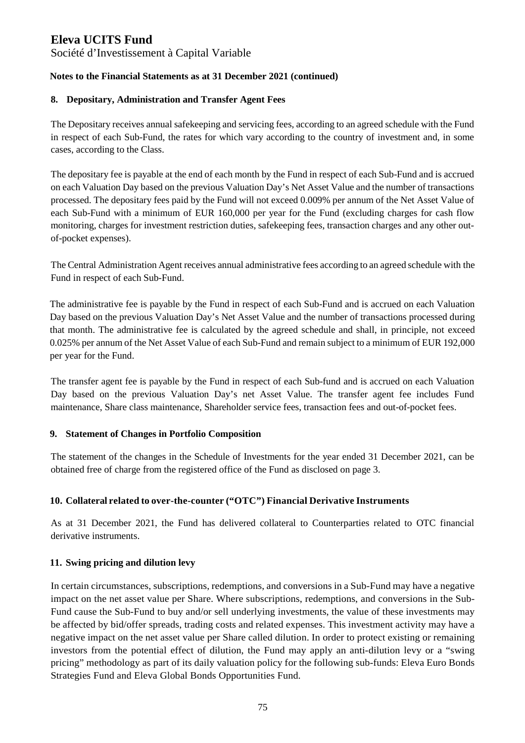Société d'Investissement à Capital Variable

### **Notes to the Financial Statements as at 31 December 2021 (continued)**

### **8. Depositary, Administration and Transfer Agent Fees**

The Depositary receives annual safekeeping and servicing fees, according to an agreed schedule with the Fund in respect of each Sub-Fund, the rates for which vary according to the country of investment and, in some cases, according to the Class.

The depositary fee is payable at the end of each month by the Fund in respect of each Sub-Fund and is accrued on each Valuation Day based on the previous Valuation Day's Net Asset Value and the number of transactions processed. The depositary fees paid by the Fund will not exceed 0.009% per annum of the Net Asset Value of each Sub-Fund with a minimum of EUR 160,000 per year for the Fund (excluding charges for cash flow monitoring, charges for investment restriction duties, safekeeping fees, transaction charges and any other outof-pocket expenses).

The Central Administration Agent receives annual administrative fees according to an agreed schedule with the Fund in respect of each Sub-Fund.

The administrative fee is payable by the Fund in respect of each Sub-Fund and is accrued on each Valuation Day based on the previous Valuation Day's Net Asset Value and the number of transactions processed during that month. The administrative fee is calculated by the agreed schedule and shall, in principle, not exceed 0.025% per annum of the Net Asset Value of each Sub-Fund and remain subject to a minimum of EUR 192,000 per year for the Fund.

The transfer agent fee is payable by the Fund in respect of each Sub-fund and is accrued on each Valuation Day based on the previous Valuation Day's net Asset Value. The transfer agent fee includes Fund maintenance, Share class maintenance, Shareholder service fees, transaction fees and out-of-pocket fees.

### **9. Statement of Changes in Portfolio Composition**

The statement of the changes in the Schedule of Investments for the year ended 31 December 2021, can be obtained free of charge from the registered office of the Fund as disclosed on page 3.

### **10. Collateral related to over-the-counter ("OTC") Financial Derivative Instruments**

As at 31 December 2021, the Fund has delivered collateral to Counterparties related to OTC financial derivative instruments.

### **11. Swing pricing and dilution levy**

In certain circumstances, subscriptions, redemptions, and conversions in a Sub-Fund may have a negative impact on the net asset value per Share. Where subscriptions, redemptions, and conversions in the Sub-Fund cause the Sub-Fund to buy and/or sell underlying investments, the value of these investments may be affected by bid/offer spreads, trading costs and related expenses. This investment activity may have a negative impact on the net asset value per Share called dilution. In order to protect existing or remaining investors from the potential effect of dilution, the Fund may apply an anti-dilution levy or a "swing pricing" methodology as part of its daily valuation policy for the following sub-funds: Eleva Euro Bonds Strategies Fund and Eleva Global Bonds Opportunities Fund.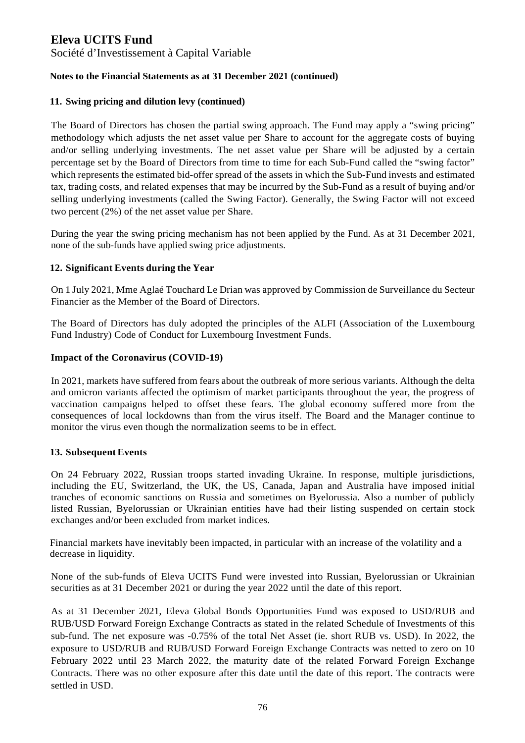Société d'Investissement à Capital Variable

### **Notes to the Financial Statements as at 31 December 2021 (continued)**

### **11. Swing pricing and dilution levy (continued)**

The Board of Directors has chosen the partial swing approach. The Fund may apply a "swing pricing" methodology which adjusts the net asset value per Share to account for the aggregate costs of buying and/or selling underlying investments. The net asset value per Share will be adjusted by a certain percentage set by the Board of Directors from time to time for each Sub-Fund called the "swing factor" which represents the estimated bid-offer spread of the assets in which the Sub-Fund invests and estimated tax, trading costs, and related expenses that may be incurred by the Sub-Fund as a result of buying and/or selling underlying investments (called the Swing Factor). Generally, the Swing Factor will not exceed two percent (2%) of the net asset value per Share.

During the year the swing pricing mechanism has not been applied by the Fund. As at 31 December 2021, none of the sub-funds have applied swing price adjustments.

### **12. Significant Events during the Year**

On 1 July 2021, Mme Aglaé Touchard Le Drian was approved by Commission de Surveillance du Secteur Financier as the Member of the Board of Directors.

The Board of Directors has duly adopted the principles of the ALFI (Association of the Luxembourg Fund Industry) Code of Conduct for Luxembourg Investment Funds.

### **Impact of the Coronavirus (COVID-19)**

In 2021, markets have suffered from fears about the outbreak of more serious variants. Although the delta and omicron variants affected the optimism of market participants throughout the year, the progress of vaccination campaigns helped to offset these fears. The global economy suffered more from the consequences of local lockdowns than from the virus itself. The Board and the Manager continue to monitor the virus even though the normalization seems to be in effect.

### **13. Subsequent Events**

On 24 February 2022, Russian troops started invading Ukraine. In response, multiple jurisdictions, including the EU, Switzerland, the UK, the US, Canada, Japan and Australia have imposed initial tranches of economic sanctions on Russia and sometimes on Byelorussia. Also a number of publicly listed Russian, Byelorussian or Ukrainian entities have had their listing suspended on certain stock exchanges and/or been excluded from market indices.

Financial markets have inevitably been impacted, in particular with an increase of the volatility and a decrease in liquidity.

None of the sub-funds of Eleva UCITS Fund were invested into Russian, Byelorussian or Ukrainian securities as at 31 December 2021 or during the year 2022 until the date of this report.

As at 31 December 2021, Eleva Global Bonds Opportunities Fund was exposed to USD/RUB and RUB/USD Forward Foreign Exchange Contracts as stated in the related Schedule of Investments of this sub-fund. The net exposure was -0.75% of the total Net Asset (ie. short RUB vs. USD). In 2022, the exposure to USD/RUB and RUB/USD Forward Foreign Exchange Contracts was netted to zero on 10 February 2022 until 23 March 2022, the maturity date of the related Forward Foreign Exchange Contracts. There was no other exposure after this date until the date of this report. The contracts were settled in USD.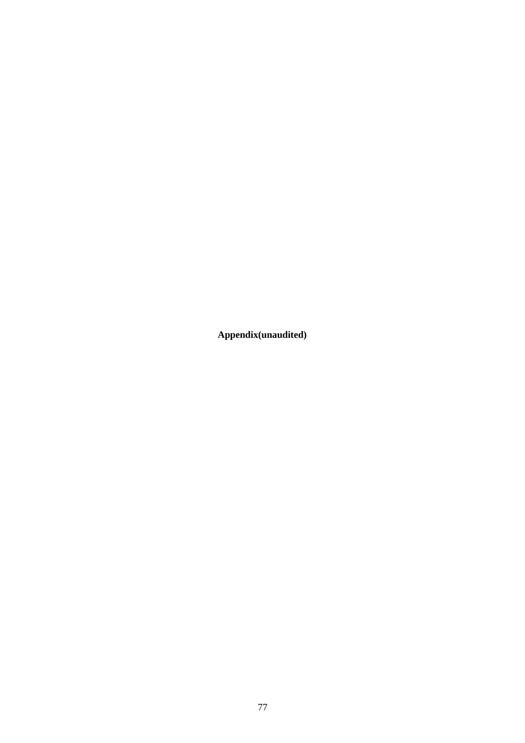**Appendix(unaudited)**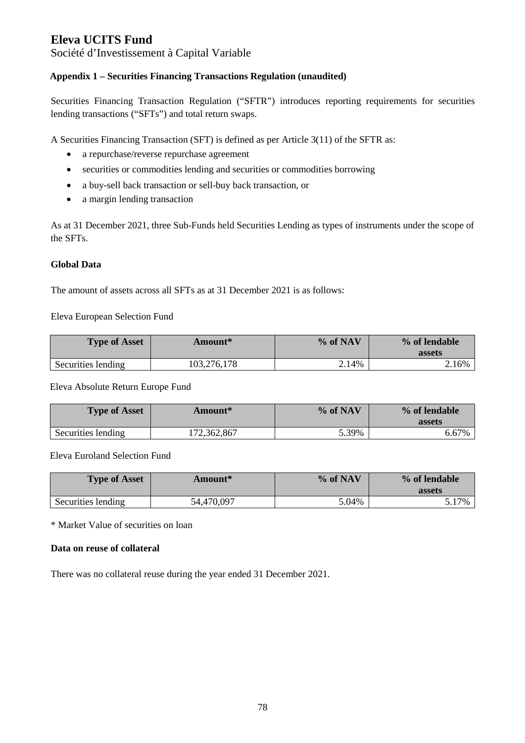Société d'Investissement à Capital Variable

### **Appendix 1 – Securities Financing Transactions Regulation (unaudited)**

Securities Financing Transaction Regulation ("SFTR") introduces reporting requirements for securities lending transactions ("SFTs") and total return swaps.

A Securities Financing Transaction (SFT) is defined as per Article 3(11) of the SFTR as:

- a repurchase/reverse repurchase agreement
- securities or commodities lending and securities or commodities borrowing
- a buy-sell back transaction or sell-buy back transaction, or
- a margin lending transaction

As at 31 December 2021, three Sub-Funds held Securities Lending as types of instruments under the scope of the SFTs.

### **Global Data**

The amount of assets across all SFTs as at 31 December 2021 is as follows:

#### Eleva European Selection Fund

| <b>Type of Asset</b> | Amount*     | % of NAV | % of lendable<br>assets |
|----------------------|-------------|----------|-------------------------|
| Securities lending   | 103,276,178 | $2.14\%$ | 2.16%                   |

Eleva Absolute Return Europe Fund

| <b>Type of Asset</b> | Amount*     | % of NAV | % of lendable<br>assets |
|----------------------|-------------|----------|-------------------------|
| Securities lending   | 172,362,867 | 5.39%    | 6.67%                   |

#### Eleva Euroland Selection Fund

| <b>Type of Asset</b> | Amount*    | % of NAV | % of lendable<br>assets |
|----------------------|------------|----------|-------------------------|
| Securities lending   | 54,470,097 | 5.04%    | $17\%$                  |

\* Market Value of securities on loan

#### **Data on reuse of collateral**

There was no collateral reuse during the year ended 31 December 2021.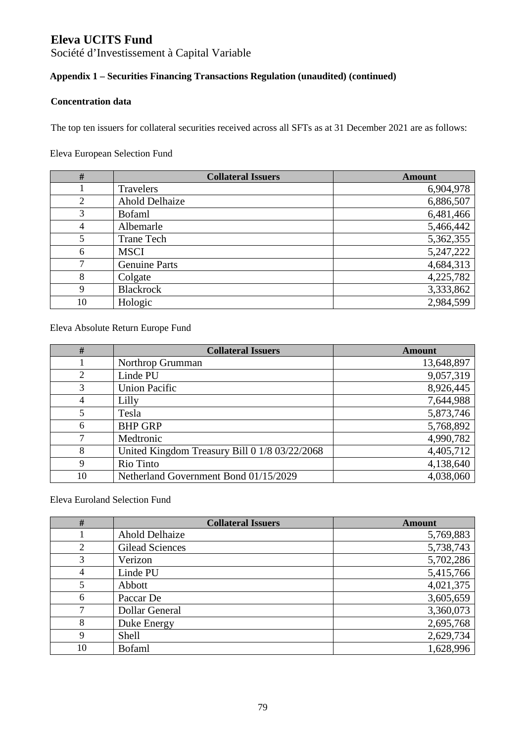Société d'Investissement à Capital Variable

## **Appendix 1 – Securities Financing Transactions Regulation (unaudited) (continued)**

#### **Concentration data**

The top ten issuers for collateral securities received across all SFTs as at 31 December 2021 are as follows:

### Eleva European Selection Fund

| $\#$ | <b>Collateral Issuers</b> | <b>Amount</b> |
|------|---------------------------|---------------|
|      | Travelers                 | 6,904,978     |
| 2    | <b>Ahold Delhaize</b>     | 6,886,507     |
| 3    | <b>B</b> ofaml            | 6,481,466     |
| 4    | Albemarle                 | 5,466,442     |
|      | <b>Trane Tech</b>         | 5,362,355     |
| 6    | <b>MSCI</b>               | 5,247,222     |
| 7    | <b>Genuine Parts</b>      | 4,684,313     |
| 8    | Colgate                   | 4,225,782     |
| 9    | <b>Blackrock</b>          | 3,333,862     |
| 10   | Hologic                   | 2,984,599     |

Eleva Absolute Return Europe Fund

| #  | <b>Collateral Issuers</b>                     | <b>Amount</b> |
|----|-----------------------------------------------|---------------|
|    | Northrop Grumman                              | 13,648,897    |
| 2  | Linde PU                                      | 9,057,319     |
| 3  | <b>Union Pacific</b>                          | 8,926,445     |
| 4  | Lilly                                         | 7,644,988     |
|    | Tesla                                         | 5,873,746     |
| 6  | <b>BHP GRP</b>                                | 5,768,892     |
|    | Medtronic                                     | 4,990,782     |
| 8  | United Kingdom Treasury Bill 0 1/8 03/22/2068 | 4,405,712     |
| 9  | Rio Tinto                                     | 4,138,640     |
| 10 | Netherland Government Bond 01/15/2029         | 4,038,060     |

Eleva Euroland Selection Fund

| #  | <b>Collateral Issuers</b> | <b>Amount</b> |
|----|---------------------------|---------------|
|    | <b>Ahold Delhaize</b>     | 5,769,883     |
| 2  | <b>Gilead Sciences</b>    | 5,738,743     |
| 3  | Verizon                   | 5,702,286     |
| 4  | Linde PU                  | 5,415,766     |
| 5  | Abbott                    | 4,021,375     |
| 6  | Paccar De                 | 3,605,659     |
|    | <b>Dollar General</b>     | 3,360,073     |
| 8  | Duke Energy               | 2,695,768     |
| 9  | Shell                     | 2,629,734     |
| 10 | <b>Bofaml</b>             | 1,628,996     |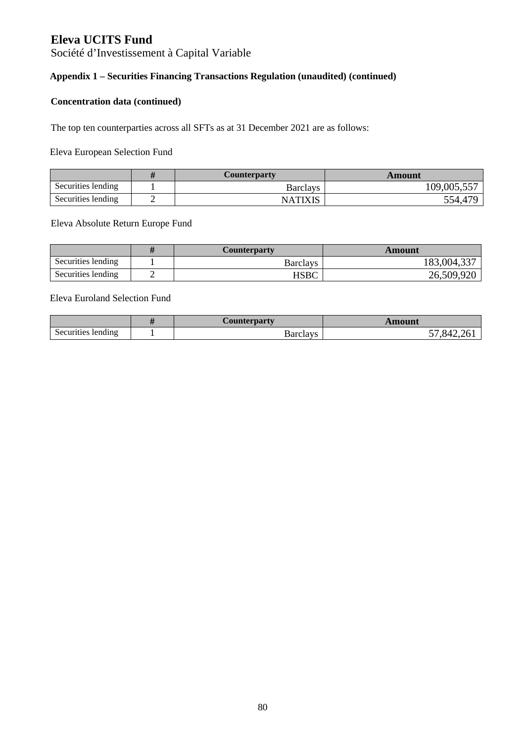Société d'Investissement à Capital Variable

## **Appendix 1 – Securities Financing Transactions Regulation (unaudited) (continued)**

#### **Concentration data (continued)**

The top ten counterparties across all SFTs as at 31 December 2021 are as follows:

#### Eleva European Selection Fund

|                    | Counterparty | Amount              |
|--------------------|--------------|---------------------|
| Securities lending | Barclays     | 109,005,557         |
| Securities lending | NATIXIS      | 554,47 <sup>c</sup> |

#### Eleva Absolute Return Europe Fund

|                    | <b>Counterparty</b> | Amount      |
|--------------------|---------------------|-------------|
| Securities lending | <b>Barclavs</b>     | 183,004,337 |
| Securities lending | <b>HSBC</b>         | 26,509,920  |

### Eleva Euroland Selection Fund

|                    | <b>Counterparty</b> | Amount |
|--------------------|---------------------|--------|
| Securities lending | Barclays            | xд     |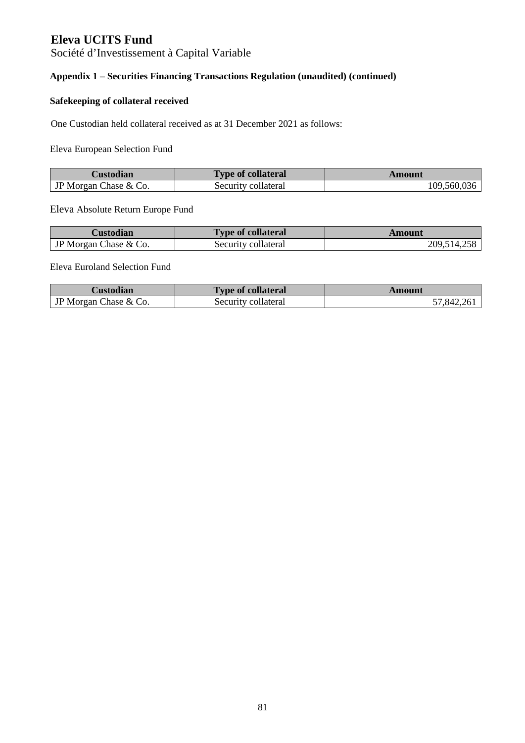Société d'Investissement à Capital Variable

## **Appendix 1 – Securities Financing Transactions Regulation (unaudited) (continued)**

#### **Safekeeping of collateral received**

One Custodian held collateral received as at 31 December 2021 as follows:

Eleva European Selection Fund

| Custodian                    | <b>Type of collateral</b> | Amount      |
|------------------------------|---------------------------|-------------|
| <b>JP</b> Morgan Chase & Co. | Security collateral       | 109,560,036 |

Eleva Absolute Return Europe Fund

| Custodian             | <b>Type of collateral</b> | Amount      |
|-----------------------|---------------------------|-------------|
| IP Morgan Chase & Co. | Security collateral       | 209,514,258 |

#### Eleva Euroland Selection Fund

| Custodian             | <b>Type of collateral</b> | Amount     |
|-----------------------|---------------------------|------------|
| JP Morgan Chase & Co. | Security collateral       | 57,842,261 |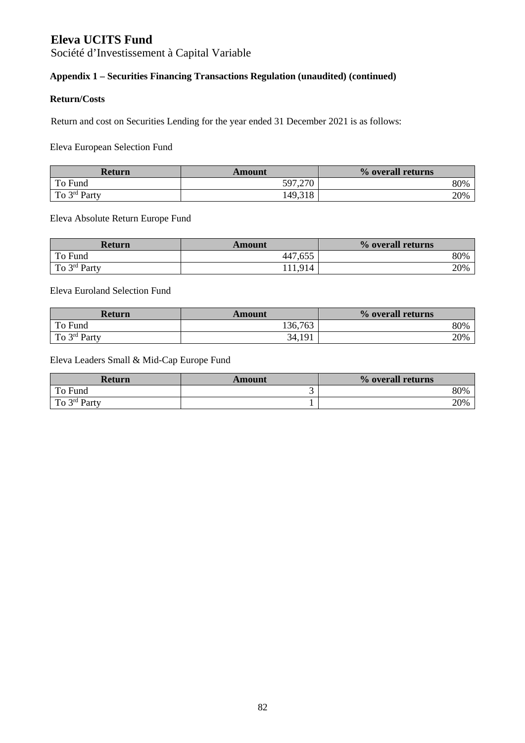Société d'Investissement à Capital Variable

## **Appendix 1 – Securities Financing Transactions Regulation (unaudited) (continued)**

### **Return/Costs**

Return and cost on Securities Lending for the year ended 31 December 2021 is as follows:

Eleva European Selection Fund

| <b>Return</b>            | Amount  | % overall returns |
|--------------------------|---------|-------------------|
| To Fund                  | 597,270 | 80%               |
| To $3^{\text{rd}}$ Party | 149,318 | 20%               |

Eleva Absolute Return Europe Fund

| Return                   | Amount  | % overall returns |
|--------------------------|---------|-------------------|
| To Fund                  | 447,655 | 80%               |
| To 3 <sup>rd</sup> Party | Q14     | 20%               |

Eleva Euroland Selection Fund

| <b>Return</b> | Amount  | % overall returns |
|---------------|---------|-------------------|
| To Fund       | 136,763 | 80%               |
| To 3rd Party  | 34,191  | 20%               |

Eleva Leaders Small & Mid-Cap Europe Fund

| Return            | Amount | % overall returns |
|-------------------|--------|-------------------|
| To Fund           | ັ      | 80%               |
| To $3^{rd}$ Party |        | 20%               |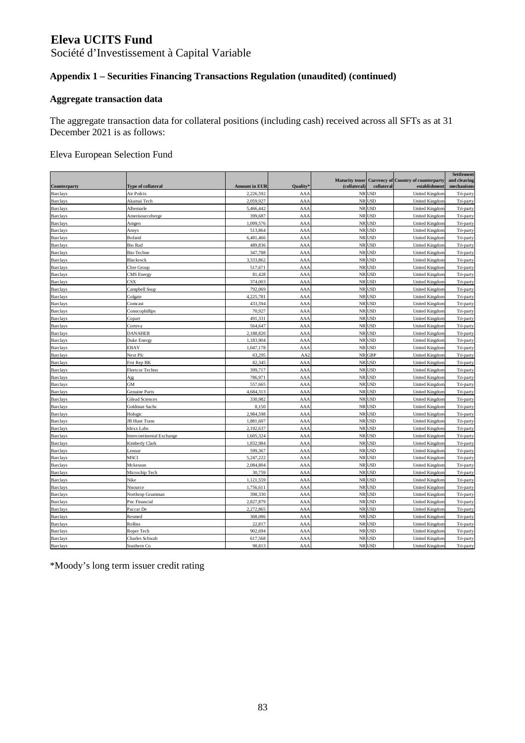Société d'Investissement à Capital Variable

## **Appendix 1 – Securities Financing Transactions Regulation (unaudited) (continued)**

### **Aggregate transaction data**

The aggregate transaction data for collateral positions (including cash) received across all SFTs as at 31 December 2021 is as follows:

#### Eleva European Selection Fund

| Counterparty    | Type of collateral               | <b>Amount in EUR</b> | <b>Quality</b>  | <b>Maturity tenor</b><br>(collateral) | collateral | <b>Currency of Country of counterparty</b><br>establishment | Settlement<br>and clearing<br>mechanisms |
|-----------------|----------------------------------|----------------------|-----------------|---------------------------------------|------------|-------------------------------------------------------------|------------------------------------------|
| <b>Barclays</b> | Air Prdcts                       | 2,226,592            | AAA             |                                       | NR USD     | <b>United Kingdom</b>                                       | Tri-party                                |
| <b>Barclays</b> | Akamai Tech                      | 2,059,927            | AAA             |                                       | NR USD     | <b>United Kingdom</b>                                       | Tri-party                                |
| <b>Barclays</b> | Albemarle                        | 5,466,442            | AAA             |                                       | NR USD     | <b>United Kingdom</b>                                       | Tri-party                                |
| <b>Barclays</b> | Amerisourceberge                 | 399,687              | AAA             |                                       | NR USD     | <b>United Kingdom</b>                                       | Tri-party                                |
| <b>Barclays</b> | Amgen                            | 1,099,576            | AAA             | NR                                    | <b>USD</b> | <b>United Kingdom</b>                                       | Tri-party                                |
| <b>Barclays</b> | Ansys                            | 513,864              | AAA             | $\rm NR$                              | <b>USD</b> | <b>United Kingdom</b>                                       | Tri-party                                |
| <b>Barclays</b> | Bofaml                           | 6,481,466            | AAA             |                                       | NR USD     | United Kingdom                                              | Tri-party                                |
| <b>Barclays</b> | <b>Bio Rad</b>                   | 489,836              | AAA             |                                       | NR USD     | <b>United Kingdon</b>                                       | Tri-party                                |
| <b>Barclays</b> | Bio-Techne                       | 347,788              | AAA             |                                       | NR USD     | <b>United Kingdon</b>                                       | Tri-party                                |
| <b>Barclays</b> | Blackrock                        | 3.333.862            | AAA             |                                       | NR USD     | <b>United Kingdom</b>                                       | Tri-party                                |
| <b>Barclays</b> | Cbre Group                       | 517,671              | AAA             |                                       | NR USD     | <b>United Kingdom</b>                                       | Tri-party                                |
| <b>Barclays</b> | <b>CMS</b> Energy                | 81,428               | AAA             |                                       | NR USD     | <b>United Kingdom</b>                                       | Tri-party                                |
| <b>Barclays</b> | CSX                              | 374,003              | AAA             |                                       | NR USD     | <b>United Kingdom</b>                                       | Tri-party                                |
| <b>Barclays</b> | Campbell Soup                    | 792,069              | AAA             |                                       | NR USD     | <b>United Kingdom</b>                                       | Tri-party                                |
| <b>Barclays</b> | Colgate                          | 4,225,781            | AAA             |                                       | NR USD     | <b>United Kingdom</b>                                       | Tri-party                                |
| <b>Barclays</b> | Comcast                          | 433,594              | AAA             | $\rm NR$                              | <b>USD</b> | <b>United Kingdom</b>                                       | Tri-party                                |
| <b>Barclays</b> | Conocophillips                   | 70,927               | AAA             |                                       | NR USD     | <b>United Kingdom</b>                                       | Tri-party                                |
| <b>Barclays</b> | Copart                           | 491,331              | AAA             |                                       | NR USD     | <b>United Kingdon</b>                                       | Tri-party                                |
| <b>Barclays</b> | Corteva                          | 564,647              | AAA             |                                       | NR USD     | <b>United Kingdom</b>                                       | Tri-party                                |
| <b>Barclays</b> | DANAHER                          | 2,188,820            | AAA             |                                       | NR USD     | <b>United Kingdom</b>                                       | Tri-party                                |
| <b>Barclays</b> | Duke Energy                      | 1.183.904            | AAA             |                                       | NR USD     | <b>United Kingdom</b>                                       | Tri-party                                |
| <b>Barclays</b> | EBAY                             | 1,047,178            | AAA             |                                       | NR USD     | <b>United Kingdom</b>                                       | Tri-party                                |
| <b>Barclays</b> | Next Plc                         | 63,295               | AA <sub>2</sub> |                                       | NR GBP     | <b>United Kingdom</b>                                       | Tri-party                                |
| <b>Barclays</b> | Frst Rep BK                      | 82,345               | AAA             |                                       | NR USD     | <b>United Kingdom</b>                                       | Tri-party                                |
| <b>Barclays</b> | Fleetcor Techno                  | 399,717              | AAA             |                                       | NR USD     | <b>United Kingdom</b>                                       | Tri-party                                |
| <b>Barclays</b> | Ajg                              | 786,971              | AAA             |                                       | NR USD     | <b>United Kingdom</b>                                       | Tri-party                                |
| <b>Barclays</b> | GM                               | 557,665              | AAA             | $\rm NR$                              | <b>USD</b> | <b>United Kingdom</b>                                       | Tri-party                                |
| <b>Barclays</b> | Genuine Parts                    | 4,684,313            | AAA             |                                       | NR USD     | United Kingdom                                              | Tri-party                                |
| <b>Barclays</b> | Gilead Sciences                  | 330,982              | AAA             |                                       | NR USD     | United Kingdon                                              | Tri-party                                |
| <b>Barclays</b> | Goldman Sachs                    | 8,150                | AAA             |                                       | NR USD     | <b>United Kingdom</b>                                       | Tri-party                                |
| <b>Barclays</b> | Hologic                          | 2,984,598            | AAA             |                                       | NR USD     | <b>United Kingdon</b>                                       | Tri-party                                |
| <b>Barclays</b> | <b>JB Hunt Trans</b>             | 1,881,607            | AAA             |                                       | NR USD     | <b>United Kingdom</b>                                       | Tri-party                                |
| <b>Barclays</b> | Idexx Labs                       | 2,192,637            | AAA             |                                       | NR USD     | <b>United Kingdom</b>                                       | Tri-party                                |
| <b>Barclays</b> | <b>Intercontinental Exchange</b> | 1,605,324            | AAA             |                                       | NR USD     | <b>United Kingdom</b>                                       | Tri-party                                |
| <b>Barclays</b> | <b>Kimberly Clark</b>            | 1,832,984            | AAA             |                                       | NR USD     | <b>United Kingdom</b>                                       | Tri-party                                |
| <b>Barclays</b> | Lennar                           | 599,367              | AAA             |                                       | NR USD     | <b>United Kingdom</b>                                       | Tri-party                                |
| <b>Barclays</b> | <b>MSCI</b>                      | 5,247,222            | AAA             | NR                                    | <b>USD</b> | <b>United Kingdom</b>                                       | Tri-party                                |
| <b>Barclays</b> | Mckesson                         | 2,084,804            | AAA             |                                       | NR USD     | <b>United Kingdom</b>                                       | Tri-party                                |
| <b>Barclays</b> | Microchip Tech                   | 30,759               | AAA             |                                       | NR USD     | <b>United Kingdom</b>                                       | Tri-party                                |
| <b>Barclays</b> | Nike                             | 1,121,559            | AAA             |                                       | NR USD     | United Kingdon                                              | Tri-party                                |
| <b>Barclays</b> | Nisource                         | 1,756,611            | AAA             |                                       | NR USD     | <b>United Kingdom</b>                                       | Tri-party                                |
| <b>Barclays</b> | Northrop Grumman                 | 398,330              | AAA             |                                       | NR USD     | United Kingdon                                              | Tri-party                                |
| <b>Barclays</b> | Pnc Financial                    | 2,827,879            | AAA             |                                       | NR USD     | <b>United Kingdom</b>                                       | Tri-party                                |
| <b>Barclays</b> | Paccar De                        | 2,272,865            | AAA             |                                       | NR USD     | <b>United Kingdom</b>                                       | Tri-party                                |
| <b>Barclays</b> | Resmed                           | 308,086              | AAA             |                                       | NR USD     | <b>United Kingdom</b>                                       | Tri-party                                |
| <b>Barclays</b> | Rollins                          | 22,817               | AAA             | $\rm NR$                              | <b>USD</b> | <b>United Kingdom</b>                                       | Tri-party                                |
| <b>Barclays</b> | Roper Tech                       | 902,694              | AAA             | ${\rm NR}$                            | USD        | <b>United Kingdom</b>                                       | Tri-party                                |
| <b>Barclays</b> | Charles Schwab                   | 617,568              | AAA             | $\rm NR$                              | <b>USD</b> | <b>United Kingdom</b>                                       | Tri-party                                |
| <b>Barclays</b> | Southern Co                      | 98,813               | AAA             |                                       | NR USD     | <b>United Kingdom</b>                                       | Tri-party                                |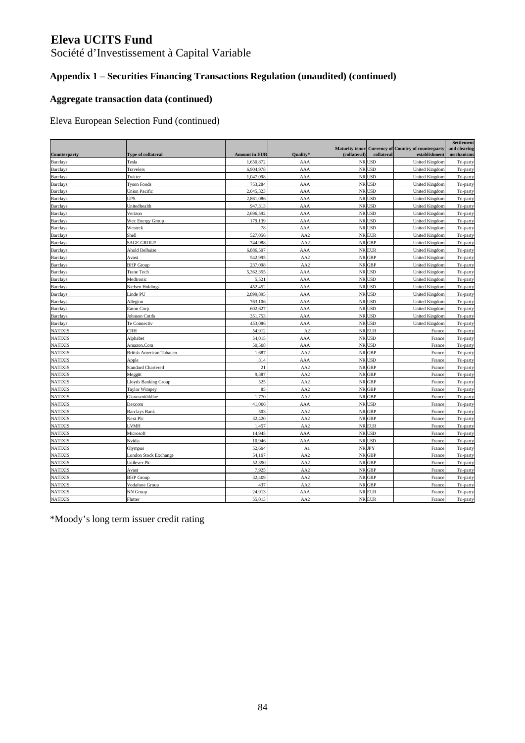Société d'Investissement à Capital Variable

## **Appendix 1 – Securities Financing Transactions Regulation (unaudited) (continued)**

### **Aggregate transaction data (continued)**

Eleva European Selection Fund (continued)

| Counterparty    | <b>Type of collateral</b>       | <b>Amount in EUR</b> | Quality         | <b>Maturity tenor</b><br>(collateral) | collateral | <b>Currency of Country of counterparty</b><br>establishment | Settlement<br>and clearing<br>mechanisms |
|-----------------|---------------------------------|----------------------|-----------------|---------------------------------------|------------|-------------------------------------------------------------|------------------------------------------|
| <b>Barclays</b> | Tesla                           | 1,650,872            | AA/             |                                       | NR USD     | <b>United Kingdom</b>                                       | Tri-party                                |
| <b>Barclays</b> | Travelers                       | 6,904,978            | AA/             |                                       | NR USD     | <b>United Kingdom</b>                                       | Tri-party                                |
| <b>Barclays</b> | Twitter                         | 1,047,098            | AA              |                                       | NR USD     | <b>United Kingdom</b>                                       | Tri-party                                |
| <b>Barclays</b> | <b>Tyson Foods</b>              | 753,284              | AA              |                                       | NR USD     | <b>United Kingdom</b>                                       | Tri-party                                |
| <b>Barclays</b> | <b>Union Pacific</b>            | 2,045,323            | AA/             |                                       | NR USD     | <b>United Kingdom</b>                                       | Tri-party                                |
| <b>Barclays</b> | UPS                             | 2,861,086            | AA/             |                                       | NR USD     | <b>United Kingdom</b>                                       | Tri-party                                |
| <b>Barclays</b> | Unitedhealth                    | 947,313              | AA/             |                                       | NR USD     | <b>United Kingdon</b>                                       | Tri-party                                |
| <b>Barclays</b> | Verizon                         | 2,696,592            | AA/             |                                       | NR USD     | <b>United Kingdom</b>                                       | Tri-party                                |
| <b>Barclays</b> | Wec Energy Group                | 179,139              | AA/             |                                       | NR USD     | <b>United Kingdon</b>                                       | Tri-party                                |
| <b>Barclays</b> | Westrck                         | 78                   | AA/             |                                       | NR USD     | <b>United Kingdom</b>                                       | Tri-party                                |
| <b>Barclays</b> | Shell                           | 527,056              | AA2             |                                       | NR EUR     | <b>United Kingdom</b>                                       | Tri-party                                |
| <b>Barclays</b> | <b>SAGE GROUP</b>               | 744,988              | AA2             |                                       | NR GBP     | <b>United Kingdom</b>                                       | Tri-party                                |
| <b>Barclays</b> | Ahold Delhaize                  | 6,886,507            | AAA             |                                       | NR EUR     | <b>United Kingdom</b>                                       | Tri-party                                |
| <b>Barclays</b> | Avast                           | 542,995              | AA2             |                                       | NR GBP     | <b>United Kingdom</b>                                       | Tri-party                                |
| <b>Barclays</b> | <b>BHP</b> Group                | 237,098              | AA2             |                                       | NR GBP     | <b>United Kingdom</b>                                       | Tri-party                                |
| <b>Barclays</b> | <b>Trane Tech</b>               | 5,362,355            | AAA             | <b>NR</b>                             | <b>USD</b> | <b>United Kingdom</b>                                       | Tri-party                                |
| <b>Barclays</b> | Medtronic                       | 5,521                | AAA             |                                       | NR USD     | <b>United Kingdom</b>                                       | Tri-party                                |
| <b>Barclays</b> | Nielsen Holdings                | 452,452              | AAA             |                                       | NR USD     | <b>United Kingdom</b>                                       | Tri-party                                |
| <b>Barclays</b> | Linde PU                        | 2,899,895            | AAA             |                                       | NR USD     | <b>United Kingdom</b>                                       | Tri-party                                |
| <b>Barclays</b> | Allegion                        | 763,106              | AAA             |                                       | NR USD     | <b>United Kingdom</b>                                       | Tri-party                                |
| <b>Barclays</b> | Eaton Corp                      | 602,627              | AAA             |                                       | NR USD     | <b>United Kingdom</b>                                       | Tri-party                                |
| <b>Barclays</b> | <b>Johnson Cntrls</b>           | 351,753              | AAA             |                                       | NR USD     | <b>United Kingdom</b>                                       | Tri-party                                |
| <b>Barclays</b> | Te Connectiv                    | 453,086              | AAA             |                                       | NR USD     | <b>United Kingdom</b>                                       | Tri-party                                |
| <b>NATIXIS</b>  | CRH                             | 54,912               | A <sub>2</sub>  |                                       | NR EUR     | France                                                      | Tri-party                                |
| <b>NATIXIS</b>  | Alphabet                        | 54,015               | AAA             |                                       | NR USD     | France                                                      | Tri-party                                |
| <b>NATIXIS</b>  | Amazon.Com                      | 50,508               | AAA             |                                       | NR USD     | France                                                      | Tri-party                                |
| <b>NATIXIS</b>  | <b>British American Tobacco</b> | 1,687                | AA2             |                                       | NR GBP     | France                                                      | Tri-party                                |
| <b>NATIXIS</b>  | Apple                           | 314                  | AAA             |                                       | NR USD     | France                                                      | Tri-party                                |
| <b>NATIXIS</b>  | <b>Standard Chartered</b>       | 21                   | AA2             |                                       | NR GBP     | France                                                      | Tri-party                                |
| <b>NATIXIS</b>  | Meggitt                         | 9,387                | AA <sub>2</sub> |                                       | NR GBP     | France                                                      | Tri-party                                |
| <b>NATIXIS</b>  | Lloyds Banking Group            | 525                  | AA <sub>2</sub> |                                       | NR GBP     | France                                                      | Tri-party                                |
| <b>NATIXIS</b>  | Taylor Wimpey                   | 85                   | AA2             |                                       | NR GBP     | France                                                      | Tri-party                                |
| <b>NATIXIS</b>  | Glaxosmithkline                 | 1,770                | AA2             |                                       | NR GBP     | France                                                      | Tri-party                                |
| <b>NATIXIS</b>  | Dexcom                          | 41,006               | AAA             |                                       | NR USD     | France                                                      | Tri-party                                |
| <b>NATIXIS</b>  | <b>Barclays Bank</b>            | 503                  | AA <sub>2</sub> |                                       | NR GBP     | France                                                      | Tri-party                                |
| <b>NATIXIS</b>  | Next Plc                        | 32,420               | AA <sub>2</sub> |                                       | NR GBP     | France                                                      | Tri-party                                |
| <b>NATIXIS</b>  | LVMH                            | 1,457                | AA <sub>2</sub> |                                       | NR EUR     | France                                                      | Tri-party                                |
| <b>NATIXIS</b>  | Microsoft                       | 14,945               | AAA             |                                       | NR USD     | France                                                      | Tri-party                                |
| <b>NATIXIS</b>  | Nvidia                          | 10,946               | AAA             |                                       | NR USD     | France                                                      | Tri-party                                |
| <b>NATIXIS</b>  | Olympus                         | 52,694               | A1              |                                       | NR JPY     | France                                                      | Tri-party                                |
| <b>NATIXIS</b>  | London Stock Exchange           | 54,197               | AA <sub>2</sub> |                                       | NR GBP     | France                                                      | Tri-party                                |
| <b>NATIXIS</b>  | Unilever Plc                    | 52,390               | AA <sub>2</sub> |                                       | NR GBP     | France                                                      | Tri-party                                |
| <b>NATIXIS</b>  | Avast                           | 7,925                | AA <sub>2</sub> |                                       | NR GBP     | France                                                      | Tri-party                                |
| <b>NATIXIS</b>  | <b>BHP</b> Group                | 32,409               | AA <sub>2</sub> |                                       | NR GBP     | France                                                      | Tri-party                                |
| <b>NATIXIS</b>  | Vodafone Group                  | 437                  | AA2             |                                       | NR GBP     | France                                                      | Tri-party                                |
| <b>NATIXIS</b>  | NN Group                        | 24.913               | AAA             |                                       | NR EUR     | France                                                      | Tri-party                                |
| <b>NATIXIS</b>  | Flutter                         | 55,013               | AA <sub>2</sub> |                                       | NR EUR     | France                                                      | Tri-party                                |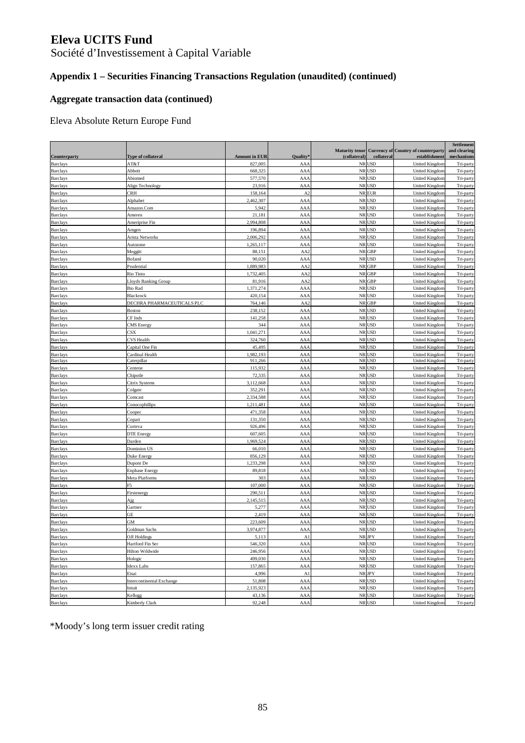Société d'Investissement à Capital Variable

## **Appendix 1 – Securities Financing Transactions Regulation (unaudited) (continued)**

### **Aggregate transaction data (continued)**

Eleva Absolute Return Europe Fund

|                 |                            |                      |                 | <b>Maturity tenor</b> |                | <b>Currency of Country of counterparty</b> | Settlement<br>and clearing |
|-----------------|----------------------------|----------------------|-----------------|-----------------------|----------------|--------------------------------------------|----------------------------|
| Counterparty    | <b>Type of collateral</b>  | <b>Amount in EUR</b> | Quality®        | (collateral)          | collateral     | establishment                              | mechanisms                 |
| <b>Barclays</b> | AT&T                       | 827,005              | AAA             | NR                    | USD            | United Kingdon                             | Tri-party                  |
| <b>Barclays</b> | Abbott                     | 668,325              | AAA             | $\rm NR$              | <b>USD</b>     | United Kingdon                             | Tri-party                  |
| <b>Barclays</b> | Abiomed                    | 577,570              | AAA             |                       | NR USD         | United Kingdon                             | Tri-party                  |
| <b>Barclays</b> | Align Technology           | 23,916               | AAA             |                       | NR USD         | United Kingdom                             | Tri-party                  |
| <b>Barclays</b> | CRH                        | 158,164              | A <sub>2</sub>  | <b>NR</b>             | EUR            | <b>United Kingdom</b>                      | Tri-party                  |
| <b>Barclays</b> | Alphabet                   | 2,462,307            | AAA             |                       | NR USD         | United Kingdom                             | Tri-party                  |
| <b>Barclays</b> | Amazon.Com                 | 5,942                | AAA             |                       | NR USD         | United Kingdom                             | Tri-party                  |
| <b>Barclays</b> | Ameren                     | 21,181               | AAA             |                       | NR USD         | United Kingdon                             | Tri-party                  |
| <b>Barclays</b> | Ameriprise Fin             | 2,994,808            | AAA             |                       | NR USD         | United Kingdom                             | Tri-party                  |
| <b>Barclays</b> | Amgen                      | 196,894              | AAA             | ${\rm NR}$            | <b>USD</b>     | United Kingdon                             | Tri-party                  |
| <b>Barclays</b> | Arista Networks            | 2,006,292            | AAA             |                       | NR USD         | United Kingdon                             | Tri-party                  |
| <b>Barclays</b> | Autozone                   | 1,265,117            | AAA             |                       | NR USD         | United Kingdon                             | Tri-party                  |
| <b>Barclays</b> | Meggitt                    | 88,151               | AA <sub>2</sub> | ${\rm NR}$            | <b>GBP</b>     | United Kingdon                             | Tri-party                  |
| <b>Barclays</b> | Bofaml                     | 90,020               | AAA             | <b>NR</b>             | USD            | United Kingdom                             | Tri-party                  |
| <b>Barclays</b> | Prudential                 | 1,889,983            | AA2             |                       | NR GBP         | United Kingdon                             | Tri-party                  |
| <b>Barclays</b> | Rio Tinto                  | 1,732,405            | AA <sub>2</sub> |                       | NR GBP         | United Kingdon                             | Tri-party                  |
| <b>Barclays</b> | Lloyds Banking Group       | 81,916               | AA <sub>2</sub> |                       | NR GBP         | United Kingdom                             | Tri-party                  |
| <b>Barclays</b> | <b>Bio Rad</b>             | 1,371,274            | AAA             |                       | NR USD         | United Kingdom                             | Tri-party                  |
| <b>Barclays</b> | Blackrock                  | 420,154              | AAA             |                       | NR USD         | United Kingdom                             | Tri-party                  |
| <b>Barclays</b> | DECHRA PHARMACEUTICALS PLC | 764,146              | AA2             |                       | NR GBP         | <b>United Kingdom</b>                      | Tri-party                  |
| <b>Barclays</b> | Boston                     | 238,152              | AAA             |                       | NR USD         | United Kingdon                             | Tri-party                  |
| <b>Barclays</b> | CF Inds                    | 141,258              | AAA             |                       | NR USD         | <b>United Kingdom</b>                      | Tri-party                  |
| <b>Barclays</b> | CMS Energy                 | 344                  | AAA             | NR                    | <b>USD</b>     | United Kingdon                             | Tri-party                  |
| <b>Barclays</b> | $\mathbb{C}S\mathbf{X}$    | 1,041,271            | AAA             |                       | NR USD         | <b>United Kingdon</b>                      | Tri-party                  |
| <b>Barclays</b> | CVS Health                 | 324,760              | AAA             |                       | NR USD         | United Kingdon                             | Tri-party                  |
| <b>Barclays</b> | Capital One Fin            | 45,495               | AAA             |                       | NR USD         | <b>United Kingdom</b>                      | Tri-party                  |
| <b>Barclays</b> | Cardinal Health            | 1,982,193            | AAA             |                       | NR USD         | United Kingdom                             | Tri-party                  |
| <b>Barclays</b> | Caterpillar                | 911,266              | AAA             |                       | NR USD         | United Kingdom                             | Tri-party                  |
| <b>Barclays</b> | Centene                    | 115,932              | AAA             |                       | NR USD         | <b>United Kingdom</b>                      | Tri-party                  |
| <b>Barclays</b> | Chipotle                   | 72,335               | AAA             | $\rm NR$              | <b>USD</b>     | United Kingdon                             | Tri-party                  |
| <b>Barclays</b> | Citrix Systems             | 3,112,668            | AAA             |                       | NR USD         | <b>United Kingdon</b>                      | Tri-party                  |
| <b>Barclays</b> | Colgate                    | 352,291              | AAA             |                       | NR USD         | <b>United Kingdon</b>                      | Tri-party                  |
| <b>Barclays</b> | Comcast                    | 2,334,588            | AAA             | $\rm NR$              | <b>USD</b>     | United Kingdom                             | Tri-party                  |
| <b>Barclays</b> | Conocophillips             | 1,211,481            | AAA             | <b>NR</b>             | USD            | <b>United Kingdom</b>                      | Tri-party                  |
| <b>Barclays</b> | Cooper                     | 471,358              | AAA             |                       | NR USD         | United Kingdon                             | Tri-party                  |
| <b>Barclays</b> | Copart                     | 131,350              | AAA             |                       | NR USD         | United Kingdon                             | Tri-party                  |
| <b>Barclays</b> | Corteva                    | 926,496              | AAA             |                       | NR USD         | United Kingdom                             | Tri-party                  |
| <b>Barclays</b> | <b>DTE</b> Energy          | 607,605              | AAA             | <b>NR</b>             | <b>USD</b>     | United Kingdom                             | Tri-party                  |
| <b>Barclays</b> | Darden                     | 1,969,524            | AAA             | $\rm NR$              | <b>USD</b>     | United Kingdom                             | Tri-party                  |
| <b>Barclays</b> | Dominion US                | 66,010               | AAA             |                       | NR USD         | <b>United Kingdon</b>                      | Tri-party                  |
| <b>Barclays</b> | Duke Energy                | 856,129              | AAA             |                       | NR USD         | United Kingdom                             | Tri-party                  |
| <b>Barclays</b> | Dupont De                  | 1,233,298            | AAA             |                       | NR USD         | <b>United Kingdom</b>                      | Tri-party                  |
| <b>Barclays</b> | <b>Enphase Energy</b>      | 89,818               | AAA             | $\rm NR$              | <b>USD</b>     | United Kingdom                             | Tri-party                  |
| <b>Barclays</b> | Meta Platforms             | 303                  | AAA             |                       | NR USD         | United Kingdon                             | Tri-party                  |
| <b>Barclays</b> | F5                         | 107,000              | AAA             |                       | NR USD         | United Kingdon                             | Tri-party                  |
| <b>Barclays</b> | Firstenergy                | 290,511              | AAA             |                       | NR USD         | United Kingdom                             | Tri-party                  |
| <b>Barclays</b> | Ajg                        | 2,145,515            | AAA             |                       | NR USD         | <b>United Kingdom</b>                      | Tri-party                  |
| <b>Barclays</b> | Gartner                    | 5,277                | AAA             |                       | NR USD         | United Kingdon                             | Tri-party                  |
| <b>Barclays</b> | GЕ                         | 2,419                | AAA             |                       | NR USD         | United Kingdom                             | Tri-party                  |
| <b>Barclays</b> | GМ                         | 223,609              | AAA             |                       | NR USD         | United Kingdom                             | Tri-party                  |
| <b>Barclays</b> | Goldman Sachs              | 3,974,877            | AAA             |                       | NR USD         | <b>United Kingdom</b>                      | Tri-party                  |
| <b>Barclays</b> | OJI Holdings               | 5.113                | A1              | NR                    | <b>IDV</b>     | <b>United Kingdom</b>                      | Tri-party                  |
| <b>Barclays</b> | Hartford Fin Ser           | 546,320              | <b>AAA</b>      |                       | NR USD         | <b>United Kingdom</b>                      | Tri-party                  |
| <b>Barclays</b> | Hilton Wrldwide            | 246,956              | AAA             |                       | NR USD         | <b>United Kingdom</b>                      | Tri-party                  |
| <b>Barclays</b> | Hologic                    | 499,030              | AAA             |                       | NR USD         | <b>United Kingdom</b>                      | Tri-party                  |
| <b>Barclays</b> | Idexx Labs                 | 157,865              | AAA             |                       | NR USD         | <b>United Kingdom</b>                      | Tri-party                  |
| <b>Barclays</b> | Eisai                      | 4,996                | A1              |                       | ${\rm NR}$ JPY | <b>United Kingdom</b>                      | Tri-party                  |
| <b>Barclays</b> | Intercontinental Exchange  | 51,808               | AAA             |                       | NR USD         | <b>United Kingdom</b>                      | Tri-party                  |
| <b>Barclays</b> | Intuit                     | 2,135,923            | AAA             |                       | NR USD         | <b>United Kingdom</b>                      | Tri-party                  |
| <b>Barclays</b> | Kellogg                    | 43,136               | <b>AAA</b>      |                       | NR USD         | <b>United Kingdom</b>                      | Tri-party                  |
| <b>Barclays</b> | Kimberly Clark             | 92,248               | AAA             |                       | NR USD         | <b>United Kingdom</b>                      | Tri-party                  |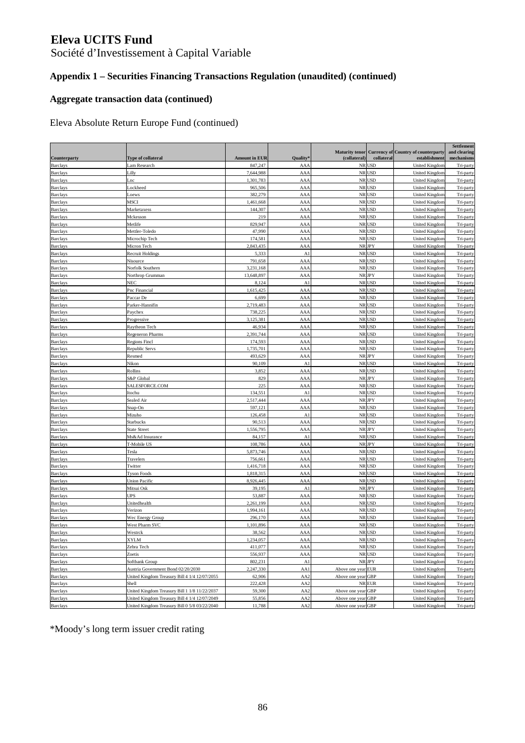Société d'Investissement à Capital Variable

## **Appendix 1 – Securities Financing Transactions Regulation (unaudited) (continued)**

### **Aggregate transaction data (continued)**

Eleva Absolute Return Europe Fund (continued)

|                                    |                                               |                      |                 | <b>Maturity tenor</b> |                      | <b>Currency of Country of counterparty</b> | Settlement<br>and clearing |
|------------------------------------|-----------------------------------------------|----------------------|-----------------|-----------------------|----------------------|--------------------------------------------|----------------------------|
| Counterparty                       | Type of collateral                            | <b>Amount in EUR</b> | <b>Quality</b>  | (collateral)          | collateral           | establishment                              | mechanisms                 |
| <b>Barclays</b>                    | Lam Research                                  | 847,247              | AA/             |                       | NR USD               | United Kingdon                             | Tri-party                  |
| <b>Barclays</b>                    | Lilly                                         | 7,644,988            | AA/             |                       | NR USD               | United Kingdon                             | Tri-party                  |
| <b>Barclays</b>                    | Lnc                                           | 1,301,783            | AAA             |                       | NR USD               | United Kingdon                             | Tri-party                  |
| <b>Barclays</b>                    | ockheed                                       | 965,506              | AA/             |                       | NR USD               | United Kingdom                             | Tri-party                  |
| <b>Barclays</b>                    | oews                                          | 382,279              | AA/             |                       | NR USD               | United Kingdom                             | Tri-party                  |
| <b>Barclays</b>                    | MSCI                                          | 1,461,668            | AA/             | $\rm NR$              | <b>USD</b>           | United Kingdon                             | Tri-party                  |
| <b>Barclays</b>                    | Marketaxess                                   | 144,307              | AA/             |                       | NR USD               | United Kingdon                             | Tri-party                  |
| <b>Barclays</b>                    | Mckesson                                      | 219                  | AA/             |                       | NR USD               | United Kingdom                             | Tri-party                  |
| <b>Barclays</b>                    | Metlife                                       | 829,947              | AA/             |                       | NR USD               | United Kingdom                             | Tri-party                  |
| <b>Barclays</b>                    | Mettler-Toledo                                | 47,990               | AA/             | $\rm NR$              | <b>USD</b>           | <b>United Kingdom</b>                      | Tri-party                  |
| <b>Barclays</b>                    | Microchip Tech                                | 174,581              | AA/             |                       | NR USD               | United Kingdom                             | Tri-party                  |
| <b>Barclays</b>                    | Micron Tech                                   | 2,843,435            | AAA             |                       | NR JPY               | <b>United Kingdom</b>                      | Tri-party                  |
| <b>Barclays</b>                    | <b>Recruit Holdings</b>                       | 5,333                | $\mathbf{A}$    | NR                    | USD                  | <b>United Kingdom</b>                      | Tri-party                  |
| Barclays                           | Nisource                                      | 791.658              | AA/             |                       | NR USD               | United Kingdon                             | Tri-party                  |
| <b>Barclays</b>                    | Norfolk Southern                              | 3,231,168            | AA/             |                       | NR USD               | United Kingdon                             | Tri-party                  |
| <b>Barclays</b>                    | Northrop Grumman                              | 13,648,897           | AAA             |                       | NR JPY               | <b>United Kingdon</b>                      | Tri-party                  |
| <b>Barclays</b>                    | NEC                                           | 8,124                | $\mathbf{A}$    |                       | NR USD               | United Kingdom                             | Tri-party                  |
| <b>Barclays</b>                    | Pnc Financial                                 | 1,615,425            | AA/             | NR                    | <b>USD</b>           | <b>United Kingdom</b>                      | Tri-party                  |
| <b>Barclays</b>                    | Paccar De                                     | 6,699                | AA/             |                       | NR USD               | United Kingdon                             | Tri-party                  |
| <b>Barclays</b>                    | Parker-Hannifin                               | 2,719,483            | AA/             |                       | NR USD               | United Kingdom                             | Tri-party                  |
| Barclays                           | Paychex                                       | 738,225              | AA/             | $\rm NR$              | <b>USD</b>           | United Kingdom                             | Tri-party                  |
| <b>Barclays</b>                    | Progressive                                   | 3,125,381            | AA/             | NR                    | <b>USD</b>           | United Kingdom                             | Tri-party                  |
| Barclays                           | Raytheon Tech                                 | 46,934               | AA/             | NR                    | <b>USD</b>           | United Kingdom                             | Tri-party                  |
| <b>Barclays</b>                    | Regeneron Pharms                              | 2,391,744            | AA/             |                       | NR USD               | United Kingdon                             | Tri-party                  |
| <b>Barclays</b>                    | Regions Fincl                                 | 174,593              | AA/             |                       | NR USD               | United Kingdom                             | Tri-party                  |
| <b>Barclays</b>                    | <b>Republic Servs</b>                         | 1,735,701            | AAA             |                       | NR USD               | <b>United Kingdom</b>                      | Tri-party                  |
| <b>Barclays</b>                    | Resmed                                        | 493,629              | AA/             |                       | NR JPY               | United Kingdon                             | Tri-party                  |
| <b>Barclays</b>                    | Nikon                                         | 90,109               | $\mathbf{A}$    |                       | NR USD               | United Kingdon                             | Tri-party                  |
| <b>Barclays</b>                    | Rollins                                       | 3,852                | AAA             |                       | NR USD               | United Kingdon                             | Tri-party                  |
| <b>Barclays</b>                    | S&P Global                                    | 829                  | AA/             |                       | NR JPY               | United Kingdom                             | Tri-party                  |
| <b>Barclays</b>                    | SALESFORCE.COM                                | 225                  | AA/             |                       | NR USD               | <b>United Kingdom</b>                      | Tri-party                  |
| Barclays                           | Itochu                                        | 134,551              | $\mathbf{A}$    |                       | NR USD               | United Kingdon                             | Tri-party                  |
| <b>Barclays</b>                    | Sealed Air                                    | 2,517,444            | AA/             |                       | NR JPY               | United Kingdom                             | Tri-party                  |
| <b>Barclays</b>                    | Snap-On                                       | 597,121              | AAA             |                       | NR USD<br><b>USD</b> | United Kingdom                             | Tri-party                  |
| <b>Barclays</b>                    | Mizuho                                        | 126,458              | A1              | NR<br>$\rm NR$        | <b>USD</b>           | United Kingdom                             | Tri-party                  |
| <b>Barclays</b><br><b>Barclays</b> | Starbucks<br><b>State Street</b>              | 90,513<br>1,556,795  | AA/<br>AA/      |                       | NR JPY               | United Kingdon<br><b>United Kingdon</b>    | Tri-party<br>Tri-party     |
| <b>Barclays</b>                    | Ms&Ad Insurance                               | 84,157               | A.              |                       | NR USD               | United Kingdon                             | Tri-party                  |
| <b>Barclays</b>                    | T-Mobile US                                   | 108,786              | AA/             |                       | NR JPY               | United Kingdon                             | Tri-party                  |
| <b>Barclays</b>                    | Tesla                                         | 5,873,746            | AA/             | $\rm NR$              | <b>USD</b>           | United Kingdom                             | Tri-party                  |
| <b>Barclays</b>                    | Travelers                                     | 756,661              | AA/             | NR                    | <b>USD</b>           | United Kingdon                             | Tri-party                  |
| <b>Barclays</b>                    | Twitter                                       | 1,416,718            | AA/             |                       | NR USD               | United Kingdon                             | Tri-party                  |
| <b>Barclays</b>                    | <b>Tyson Foods</b>                            | 1,818,315            | AA/             |                       | NR USD               | United Kingdom                             | Tri-party                  |
| <b>Barclays</b>                    | Union Pacific                                 | 8,926,445            | AA/             |                       | NR USD               | United Kingdom                             | Tri-party                  |
| <b>Barclays</b>                    | Mitsui Osk                                    | 39,195               | $\mathbf{A}$    |                       | NR JPY               | United Kingdom                             | Tri-party                  |
| <b>Barclays</b>                    | UPS                                           | 53,887               | AA/             |                       | NR USD               | <b>United Kingdom</b>                      | Tri-party                  |
| <b>Barclays</b>                    | Unitedhealth                                  | 2,261,199            | AAA             |                       | NR USD               | United Kingdon                             | Tri-party                  |
| <b>Barclays</b>                    | Verizon                                       | 1,994,161            | AA/             |                       | NR USD               | United Kingdom                             | Tri-party                  |
| <b>Barclays</b>                    | Wec Energy Group                              | 296,170              | AA/             | NR                    | USD                  | United Kingdon                             | Tri-party                  |
| <b>Barclays</b>                    | West Pharm SVC                                | 1,101,896            | AA/             | $\rm NR$              | <b>USD</b>           | United Kingdon                             | Tri-party                  |
| <b>Barclays</b>                    | Westrck                                       | 38,562               | AAA             |                       | NR USD               | United Kingdon                             | Tri-party                  |
| <b>Barclays</b>                    | <u>XYLM</u>                                   | 1,234,057            | <u>AAA</u>      |                       | NR USD               | United Kingdom                             | Tri-party                  |
| <b>Barclays</b>                    | Zebra Tech                                    | 411,077              | AAA             |                       | NR USD               | <b>United Kingdom</b>                      | Tri-party                  |
| <b>Barclays</b>                    | Zoetis                                        | 556,937              | AAA             |                       | NR USD               | <b>United Kingdom</b>                      | Tri-party                  |
| <b>Barclays</b>                    | Softbank Group                                | 802,231              | A1              |                       | ${\rm NR}$ JPY       | <b>United Kingdom</b>                      | Tri-party                  |
| <b>Barclays</b>                    | Austria Government Bond 02/20/2030            | 2,247,330            | AA1             | Above one year EUR    |                      | <b>United Kingdom</b>                      | Tri-party                  |
| <b>Barclays</b>                    | United Kingdom Treasury Bill 4 1/4 12/07/2055 | 62,906               | AA2             | Above one year GBP    |                      | <b>United Kingdom</b>                      | Tri-party                  |
| <b>Barclays</b>                    | Shell                                         | 222,428              | AA2             |                       | NR EUR               | <b>United Kingdom</b>                      | Tri-party                  |
| <b>Barclays</b>                    | United Kingdom Treasury Bill 1 1/8 11/22/2037 | 59,300               | AA <sub>2</sub> | Above one year GBP    |                      | <b>United Kingdom</b>                      | Tri-party                  |
| <b>Barclays</b>                    | United Kingdom Treasury Bill 4 1/4 12/07/2049 | 55,856               | AA2             | Above one year GBP    |                      | <b>United Kingdom</b>                      | Tri-party                  |
| <b>Barclays</b>                    | United Kingdom Treasury Bill 0 5/8 03/22/2040 | 11,788               | AA2             | Above one year GBP    |                      | <b>United Kingdom</b>                      | Tri-party                  |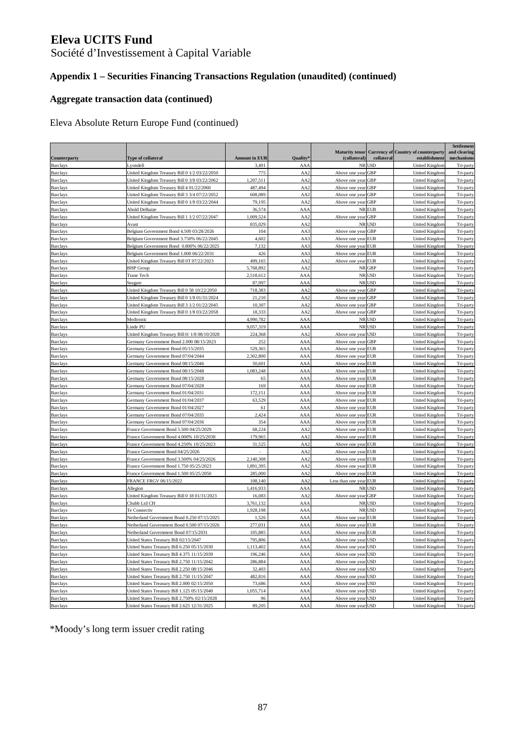Société d'Investissement à Capital Variable

## **Appendix 1 – Securities Financing Transactions Regulation (unaudited) (continued)**

### **Aggregate transaction data (continued)**

### Eleva Absolute Return Europe Fund (continued)

|                                    |                                                                                               |                      |                      |                                          |            |                                                             | Settlement                 |
|------------------------------------|-----------------------------------------------------------------------------------------------|----------------------|----------------------|------------------------------------------|------------|-------------------------------------------------------------|----------------------------|
| <b>Counterparty</b>                | <b>Type of collateral</b>                                                                     | <b>Amount in EUR</b> | Quality <sup>§</sup> | <b>Maturity tenor</b><br>(collateral)    | collateral | <b>Currency of Country of counterparty</b><br>establishment | and clearing<br>mechanisms |
| <b>Barclays</b>                    | Lyondell                                                                                      | 3,491                | AAA                  |                                          | NR USD     | United Kingdom                                              | Tri-party                  |
| <b>Barclays</b>                    | United Kingdom Treasury Bill 0 1/2 03/22/2050                                                 | 775                  | AA <sub>2</sub>      | Above one year                           | GBP        | United Kingdom                                              | Tri-party                  |
| <b>Barclays</b>                    | United Kingdom Treasury Bill 0 3/8 03/22/2062                                                 | 1,207,511            | AA <sub>2</sub>      | Above one year GBP                       |            | United Kingdom                                              | Tri-party                  |
| <b>Barclays</b>                    | United Kingdom Treasury Bill 4 01/22/2060                                                     | 487,494              | AA <sub>2</sub>      | Above one year                           | <b>GBP</b> | United Kingdom                                              | Tri-party                  |
| <b>Barclays</b>                    | United Kingdom Treasury Bill 3 3/4 07/22/2052                                                 | 608,089              | AA <sub>2</sub>      | Above one year                           | <b>GBP</b> | United Kingdom                                              | Tri-party                  |
| <b>Barclays</b>                    | United Kingdom Treasury Bill 0 1/8 03/22/2044                                                 | 79,195               | AA2                  | Above one year                           | GBP        | United Kingdom                                              | Tri-party                  |
| <b>Barclays</b>                    | Ahold Delhaize                                                                                | 36,574               | AAA                  |                                          | NR EUR     | United Kingdom                                              | Tri-party                  |
| <b>Barclays</b>                    | United Kingdom Treasury Bill 1 1/2 07/22/2047                                                 | 1,009,524            | AA2                  | Above one year                           | <b>GBP</b> | United Kingdon                                              | Tri-party                  |
| <b>Barclays</b>                    | Avast                                                                                         | 835,029              | AA <sub>2</sub>      |                                          | NR USD     | United Kingdon                                              | Tri-party                  |
| <b>Barclays</b>                    | Belgium Government Bond 4.500 03/28/2026                                                      | 104                  | AA3                  | Above one year GBP                       |            | United Kingdom                                              | Tri-party                  |
| <b>Barclays</b>                    | Belgium Government Bond 3.750% 06/22/2045                                                     | 4,602                | AA3                  | Above one year                           | EUR        | United Kingdon                                              | Tri-party                  |
| <b>Barclays</b>                    | Belgium Government Bond 0.800% 06/22/2025                                                     | 7,132                | AA3                  | Above one year EUR                       |            | United Kingdon                                              | Tri-party                  |
| <b>Barclays</b>                    | Belgium Government Bond 1,000 06/22/2031                                                      | 426                  | AA3                  | Above one year EUR                       |            | United Kingdon                                              | Tri-party                  |
| <b>Barclays</b>                    | United Kingdom Treasury Bill 0T 07/22/2023                                                    | 499,165              | AA <sub>2</sub>      | Above one year EUR                       |            | United Kingdom                                              | Tri-party                  |
| <b>Barclays</b>                    | <b>BHP</b> Group                                                                              | 5,768,892            | AA <sub>2</sub>      | NR                                       | GBP        | United Kingdom                                              | Tri-party                  |
| <b>Barclays</b>                    | Trane Tech                                                                                    | 2,518,612            | AAA                  |                                          | NR USD     | United Kingdom                                              | Tri-party                  |
| <b>Barclays</b>                    | Seagate                                                                                       | 87,997               | AAA                  |                                          | NR USD     | United Kingdom                                              | Tri-party                  |
| <b>Barclays</b>                    | United Kingdom Treasury Bill 0 58 10/22/2050                                                  | 718,383              | AA <sub>2</sub>      | Above one year GBP                       |            | United Kingdon                                              | Tri-party                  |
| <b>Barclays</b>                    | United Kingdom Treasury Bill 0 1/8 01/31/2024                                                 | 21,210               | AA <sub>2</sub>      | Above one year GBP                       |            | United Kingdom                                              | Tri-party                  |
| <b>Barclays</b>                    | United Kingdom Treasury Bill 3 1/2 01/22/2045                                                 | 10,307               | AA <sub>2</sub>      | Above one year                           | GBP        | United Kingdon                                              | Tri-party                  |
| <b>Barclays</b>                    | United Kingdom Treasury Bill 0 1/8 03/22/2058                                                 | 18,333               | AA <sub>2</sub>      | Above one year                           | <b>GBP</b> | United Kingdon                                              | Tri-party                  |
| <b>Barclays</b>                    | Medtronic                                                                                     | 4,990,782            | AAA                  |                                          | NR USD     | United Kingdom                                              | Tri-party                  |
| <b>Barclays</b>                    | inde PU                                                                                       | 9,057,319            | AAA                  |                                          | NR USD     | United Kingdon                                              | Tri-party                  |
| <b>Barclays</b>                    | United Kingdom Treasury Bill 0/ 1/8 08/10/2028                                                | 224,368              | AA <sub>2</sub>      | Above one year USD                       |            | United Kingdom                                              | Tri-party                  |
| <b>Barclays</b>                    | Germany Government Bond 2.000 08/15/2023                                                      | 252                  | AAA                  | Above one year                           | <b>GBP</b> | United Kingdon                                              | Tri-party                  |
| <b>Barclays</b>                    | Germany Government Bond 05/15/2035                                                            | 529,365              | AAA                  | Above one year EUR                       |            | United Kingdon                                              | Tri-party                  |
| <b>Barclays</b>                    | Germany Government Bond 07/04/2044                                                            | 2,302,800            | AAA                  | Above one year EUR                       |            | United Kingdom                                              | Tri-party                  |
| <b>Barclays</b>                    | Germany Government Bond 08/15/2046                                                            | 50,601               | AAA                  | Above one year EUR                       |            | United Kingdom                                              | Tri-party                  |
| <b>Barclays</b>                    | Germany Government Bond 08/15/2048                                                            | 1,083,248            | AAA                  | Above one year EUR                       |            | United Kingdom                                              | Tri-party                  |
| <b>Barclays</b>                    | Germany Government Bond 08/15/2028                                                            | 65                   | AAA                  | Above one year EUR                       |            | United Kingdom                                              | Tri-party                  |
| <b>Barclays</b>                    | Germany Government Bond 07/04/2028                                                            | 169                  | AAA                  | Above one year EUR                       |            | United Kingdon                                              | Tri-party                  |
| <b>Barclays</b>                    | Germany Government Bond 01/04/2031                                                            | 172,151              | AAA                  | Above one year EUR                       |            | United Kingdom                                              | Tri-party                  |
| <b>Barclays</b>                    | Germany Government Bond 01/04/2037                                                            | 63,529               | AAA                  | Above one year                           | <b>EUR</b> | United Kingdon                                              | Tri-party                  |
| <b>Barclays</b>                    | Germany Government Bond 01/04/2027                                                            | 61                   | AAA                  | Above one year                           | <b>EUR</b> | United Kingdon                                              | Tri-party                  |
| <b>Barclays</b>                    | Germany Government Bond 07/04/2035                                                            | 2,424                | AAA                  | Above one year EUR                       |            | United Kingdon                                              | Tri-party                  |
| <b>Barclays</b>                    | Germany Government Bond 07/04/2036                                                            | 354                  | AAA                  | Above one year EUR                       |            | United Kingdom                                              | Tri-party                  |
| <b>Barclays</b>                    | France Government Bond 5.500 04/25/2029                                                       | 68,224               | AA <sub>2</sub>      | Above one year EUR                       |            | United Kingdom                                              | Tri-party                  |
| <b>Barclays</b>                    | France Government Bond 4.000% 10/25/2038                                                      | 179,965              | AA <sub>2</sub>      | Above one year EUR                       |            | United Kingdom                                              | Tri-party                  |
| <b>Barclays</b>                    | France Government Bond 4.250% 10/25/2023                                                      | 31,525               | AA <sub>2</sub>      | Above one year EUR                       |            | United Kingdom                                              | Tri-party                  |
| <b>Barclays</b>                    | France Government Bond 04/25/2026                                                             |                      | AA <sub>2</sub>      | Above one year EUR                       |            | United Kingdom                                              | Tri-party                  |
| <b>Barclays</b>                    | France Government Bond 3.500% 04/25/2026                                                      | 2,140,308            | AA2                  | Above one year                           | <b>EUR</b> | United Kingdom                                              | Tri-party                  |
| <b>Barclays</b>                    | France Government Bond 1.750 05/25/2023                                                       | 1,891,395            | AA <sub>2</sub>      | Above one year                           | <b>EUR</b> | United Kingdon                                              | Tri-party                  |
| <b>Barclays</b>                    | France Government Bond 1.500 05/25/2050                                                       | 285,000              | AA <sub>2</sub>      | Above one year                           | <b>EUR</b> | United Kingdon                                              | Tri-party                  |
| <b>Barclays</b>                    | FRANCE FRGV 06/15/2022                                                                        | 108,140              | AA <sub>2</sub>      | Less than one year EUR                   |            | United Kingdon                                              | Tri-party                  |
| <b>Barclays</b>                    | Allegion                                                                                      | 1,416,933            | AAA                  |                                          | NR USD     | United Kingdom                                              | Tri-party                  |
| <b>Barclays</b>                    | United Kingdom Treasury Bill 0 18 01/31/2023                                                  | 16,083               | AA <sub>2</sub>      | Above one year                           | GBP        | United Kingdom                                              | Tri-party                  |
| <b>Barclays</b>                    | Chubb Ltd CH                                                                                  | 3,761,132            | AAA                  |                                          | NR USD     | United Kingdon                                              | Tri-party                  |
| <b>Barclays</b>                    | Te Connectiv                                                                                  | 1.928.198            | AAA                  |                                          | NR USD     | United Kingdom                                              | Tri-party                  |
| <b>Barclays</b>                    | Netherland Government Bond 0.250 07/15/2025                                                   | 1,526                | AAA                  | Above one year EUR                       |            | United Kingdom                                              | Tri-party                  |
| <b>Barclays</b>                    | Netherland Government Bond 0.500 07/15/2026                                                   | 277,031              | AAA                  | Above one year                           | EUR        | <b>United Kingdom</b>                                       | Tri-party                  |
| <b>Barclays</b>                    | Netherland Government Bond 07/15/2031                                                         | 105,885              | AAA                  | Above one year EUR                       |            | United Kingdom                                              | Tri-party                  |
| <b>Barclays</b>                    | United States Treasury Bill 02/15/2047                                                        | 795,806              | <b>AAA</b>           | Above one year USD                       |            | <b>United Kingdom</b>                                       | Tri-party                  |
| <b>Barclays</b>                    | United States Treasury Bill 6.250 05/15/2030                                                  | 1,113,402            | AAA                  | Above one year USD                       |            | United Kingdom                                              | Tri-party                  |
| <b>Barclays</b>                    | United States Treasury Bill 4.375 11/15/2039                                                  | 196,246              | AAA                  | Above one year USD                       |            | <b>United Kingdom</b>                                       | Tri-party                  |
| <b>Barclays</b>                    | United States Treasury Bill 2.750 11/15/2042                                                  | 286,884              | AAA                  | Above one year USD                       |            | <b>United Kingdom</b>                                       | Tri-party                  |
| <b>Barclays</b>                    | United States Treasury Bill 2.250 08/15/2046                                                  | 32,403               | AAA                  | Above one year USD                       |            | <b>United Kingdom</b>                                       | Tri-party                  |
| <b>Barclays</b>                    | United States Treasury Bill 2.750 11/15/2047                                                  | 482,816              | AAA                  | Above one year USD                       |            | United Kingdom                                              | Tri-party                  |
| <b>Barclays</b>                    | United States Treasury Bill 2.000 02/15/2050                                                  | 73,686               | AAA                  | Above one year USD                       |            | <b>United Kingdom</b>                                       | Tri-party                  |
| <b>Barclays</b>                    | United States Treasury Bill 1.125 05/15/2040                                                  | 1,055,714            | <b>AAA</b>           | Above one year USD                       |            | <b>United Kingdom</b>                                       | Tri-party                  |
| <b>Barclays</b><br><b>Barclays</b> | United States Treasury Bill 2.750% 02/15/2028<br>United States Treasury Bill 2.625 12/31/2025 | 96                   | AAA                  | Above one year USD<br>Above one year USD |            | <b>United Kingdom</b><br><b>United Kingdom</b>              | Tri-party                  |
|                                    |                                                                                               | 89,205               | AAA                  |                                          |            |                                                             | Tri-party                  |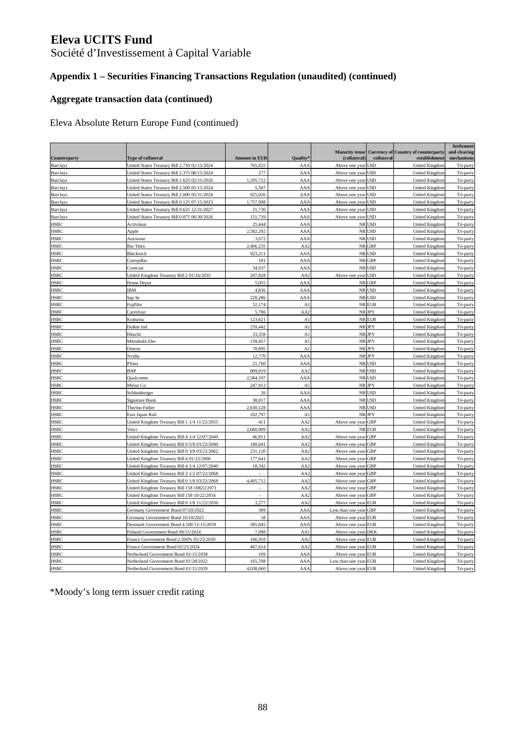Société d'Investissement à Capital Variable

## **Appendix 1 – Securities Financing Transactions Regulation (unaudited) (continued)**

### **Aggregate transaction data (continued)**

Eleva Absolute Return Europe Fund (continued)

|                 |                                               |                             |                 |                        |              |                                                    | Settlement             |
|-----------------|-----------------------------------------------|-----------------------------|-----------------|------------------------|--------------|----------------------------------------------------|------------------------|
|                 |                                               |                             |                 |                        |              | Maturity tenor Currency of Country of counterparty | and clearing           |
| Counterparty    | Type of collateral                            | <b>Amount in EUR</b>        | Quality         | (collateral)           | collateral   | establishment                                      | mechanisms             |
| <b>Barclays</b> | United States Treasury Bill 2.750 02/15/2024  | 765,655                     | AAA             | Above one year USD     |              | United Kingdom                                     | Tri-party              |
| <b>Barclays</b> | United States Treasury Bill 2.375 08/15/2024  | 277                         | AAA             | Above one year USD     |              | <b>United Kingdon</b>                              | Tri-party              |
| <b>Barclays</b> | United States Treasury Bill 1.625 02/15/2026  | 1,295,722                   | AAA             | Above one year USD     |              | United Kingdom                                     | Tri-party              |
| <b>Barclays</b> | United States Treasury Bill 2.500 05/15/2024  | 5,507                       | AAA             | Above one year USD     |              | United Kingdon                                     | Tri-party              |
| <b>Barclays</b> | United States Treasury Bill 2.000 05/31/2024  | 925,026                     | AAA             | Above one year USD     |              | <b>United Kingdon</b>                              | Tri-party              |
| <b>Barclays</b> | United States Treasury Bill 0.125 07/15/2023  | 1,757,998                   | AAA             | Above one year USD     |              | United Kingdom                                     | Tri-party              |
| <b>Barclays</b> | United States Treasury Bill 0.625 12/31/2027  | 21,730                      | AAA             | Above one year USD     |              | <b>United Kingdom</b>                              | Tri-party              |
| <b>Barclays</b> | United States Treasury Bill 0.875 06/30/2026  | 151,739                     | AAA             | Above one year USD     |              | United Kingdom                                     | Tri-party              |
| <b>HSBC</b>     | Activision                                    | 25,444                      | AAA             |                        | NR USD       | United Kingdon                                     | Tri-party              |
| <b>HSBC</b>     | Apple                                         | 2,582,292                   | AAA             |                        | NR USD       | United Kingdom                                     | Tri-party              |
| <b>HSBC</b>     | Autozone                                      | 3,672                       | AAA             |                        | NR USD       | <b>United Kingdom</b>                              | Tri-party              |
| <b>HSBC</b>     | Rio Tinto                                     | 2,406,235                   | AA <sub>2</sub> |                        | NR GBP       | United Kingdom                                     | Tri-party              |
| <b>HSBC</b>     | Blackrock                                     | 923,211                     | AAA             |                        | NR USD       | United Kingdon                                     | Tri-party              |
| <b>HSBC</b>     | Caterpillar                                   | 181                         | AAA             |                        | <b>NRGBP</b> | <b>United Kingdom</b>                              | Tri-party              |
| <b>HSBC</b>     | Comcast                                       | 34,937                      | AAA             |                        | NR USD       | <b>United Kingdom</b>                              | Tri-party              |
| <b>HSBC</b>     | United Kingdom Treasury Bill 2 01/26/2035     | 207,828                     | AA <sub>2</sub> | Above one year USD     |              | <b>United Kingdom</b>                              | Tri-party              |
| <b>HSBC</b>     | Home Depot                                    | 5,055                       | AAA             |                        | NR GBP       | United Kingdom                                     | Tri-party              |
| <b>HSBC</b>     | IBΜ                                           | 4,836                       | AAA             |                        | NR USD       | <b>United Kingdon</b>                              | Tri-party              |
| <b>HSBC</b>     | Sap Se                                        | 220,286                     | AAA             |                        | NR USD       | United Kingdom                                     | Tri-party              |
| <b>HSBC</b>     | Fujifilm                                      | 52,174                      | A1              |                        | NR EUR       | United Kingdon                                     | Tri-party              |
| <b>HSBC</b>     | Carrefour                                     | 5,786                       | AA2             |                        | NR JPY       | <b>United Kingdom</b>                              | Tri-party              |
| <b>HSBC</b>     | Komatsu                                       | 123,621                     | A1              |                        | NR EUR       | <b>United Kingdon</b>                              | Tri-party              |
| <b>HSBC</b>     | Daikin Ind                                    | 259,442                     | A1              |                        | NR JPY       | <b>United Kingdom</b>                              | Tri-party              |
| <b>HSBC</b>     | Hitachi                                       | 33,359                      | A1              |                        | NR JPY       | <b>United Kingdom</b>                              | Tri-party              |
| <b>HSBC</b>     | Mitsubishi Elec                               | 139,457                     | A1              |                        | NR JPY       | <b>United Kingdom</b>                              | Tri-party              |
| <b>HSBC</b>     | Omron                                         | 78,895                      | A1              |                        | NR JPY       | United Kingdom                                     | Tri-party              |
| <b>HSBC</b>     | Nvidia                                        | 12,770                      | AAA             |                        | <b>NRJPY</b> | <b>United Kingdon</b>                              | Tri-party              |
| <b>HSBC</b>     | Pfizer                                        | 21,760                      | AAA             |                        | NR USD       | United Kingdom                                     | Tri-party              |
| <b>HSBC</b>     | BNP                                           | 809,019                     | AA <sub>2</sub> |                        | NR USD       | United Kingdom                                     |                        |
| <b>HSBC</b>     | Qualcomm                                      | 2,584,197                   | AAA             |                        | NR USD       | <b>United Kingdom</b>                              | Tri-party<br>Tri-party |
| <b>HSBC</b>     | Mitsui Co                                     | 247,912                     | A1              |                        | NR JPY       | <b>United Kingdon</b>                              |                        |
|                 |                                               |                             |                 |                        |              |                                                    | Tri-party              |
| <b>HSBC</b>     | Schlumberger                                  | 26                          | AAA             |                        | NR USD       | <b>United Kingdom</b>                              | Tri-party              |
| <b>HSBC</b>     | Signature Bank                                | 38,017                      | AAA             |                        | NR USD       | <b>United Kingdom</b>                              | Tri-party              |
| <b>HSBC</b>     | Thermo Fisher                                 | 2,630,128                   | AAA             |                        | NR USD       | <b>United Kingdon</b>                              | Tri-party              |
| <b>HSBC</b>     | East Japan Rail                               | 102,797                     | A1              |                        | NR JPY       | United Kingdom                                     | Tri-party              |
| <b>HSBC</b>     | United Kingdom Treasury Bill 1 1/4 11/22/2055 | 411                         | AA <sub>2</sub> | Above one year GBP     |              | United Kingdom                                     | Tri-party              |
| <b>HSBC</b>     | Vinci                                         | 2,660,909                   | AA <sub>2</sub> |                        | NR EUR       | United Kingdom                                     | Tri-party              |
| <b>HSBC</b>     | United Kingdom Treasury Bill 4 1/4 12/07/2049 | 46,811                      | AA2             | Above one year GBP     |              | <b>United Kingdon</b>                              | Tri-party              |
| <b>HSBC</b>     | United Kingdom Treasury Bill 0 5/8 03/22/2040 | 180,641                     | AA <sub>2</sub> | Above one year GBP     |              | <b>United Kingdom</b>                              | Tri-party              |
| <b>HSBC</b>     | United Kingdom Treasury Bill 0 3/8 03/22/2062 | 231,120                     | AA <sub>2</sub> | Above one year GBP     |              | <b>United Kingdom</b>                              | Tri-party              |
| <b>HSBC</b>     | United Kingdom Treasury Bill 4 01/22/2060     | 177,641                     | AA2             | Above one year GBP     |              | <b>United Kingdom</b>                              | Tri-party              |
| <b>HSBC</b>     | United Kingdom Treasury Bill 4 1/4 12/07/2040 | 18,342                      | AA2             | Above one year GBP     |              | United Kingdom                                     | Tri-party              |
| <b>HSBC</b>     | United Kingdom Treasury Bill 3 1/2 07/22/2068 |                             | AA <sub>2</sub> | Above one year GBP     |              | <b>United Kingdon</b>                              | Tri-party              |
| <b>HSBC</b>     | United Kingdom Treasury Bill 0 1/8 03/22/2068 | 4,405,712                   | AA <sub>2</sub> | Above one year GBP     |              | United Kingdom                                     | Tri-party              |
| <b>HSBC</b>     | United Kingdom Treasury Bill 158 10822/2071   |                             | AA <sub>2</sub> | Above one year GBP     |              | United Kingdon                                     | Tri-party              |
| <b>HSBC</b>     | United Kingdom Treasury Bill 158 10/22/2054   | $\mathcal{L}_{\mathcal{A}}$ | AA <sub>2</sub> | Above one year GBP     |              | United Kingdom                                     | Tri-party              |
| <b>HSBC</b>     | United Kingdom Treasury Bill 0 1/8 11/22/2036 | 3,277                       | AA <sub>2</sub> | Above one year EUR     |              | <b>United Kingdon</b>                              | Tri-party              |
| <b>HSBC</b>     | Germany Government Bond 07/20/2022            | 309                         | AAA             | Less than one year GBP |              | United Kingdom                                     | Tri-party              |
| <b>HSBC</b>     | Germany Government Bond 10/10/2025            | 58                          | AAA             | Above one year EUR     |              | United Kingdom                                     | Tri-party              |
| <b>HSBC</b>     | Denmark Government Bond 4.500 11/15/2039      | 385,845                     | AAA             | Above one year EUR     |              | <b>United Kingdon</b>                              | Tri-party              |
| <b>HSBC</b>     | Finland Government Bond 09/15/2024            | 7,098                       | AA1             | Above one year DKK     |              | United Kingdom                                     | Tri-party              |
| <b>HSBC</b>     | France Government Bond 2.500% 05/25/2030      | 166,918                     | AA <sub>2</sub> | Above one year EUR     |              | United Kingdon                                     | Tri-party              |
| <b>HSBC</b>     | France Government Bond 02/25/2024             | 467,614                     | AA <sub>2</sub> | Above one year EUR     |              | United Kingdom                                     | Tri-party              |
| <b>HSBC</b>     | Netherland Government Bond 01/15/2038         | 109                         | AAA             | Above one year EUR     |              | United Kingdon                                     | Tri-party              |
| <b>HSBC</b>     | Netherland Government Bond 01/28/2022         | 165,708                     | AAA             | Less than one year EUR |              | United Kingdom                                     | Tri-party              |
| <b>HSBC</b>     | Netherland Government Bond 01/15/2029         | 4,038,060                   | AAA             | Above one year EUR     |              | <b>United Kingdom</b>                              | Tri-party              |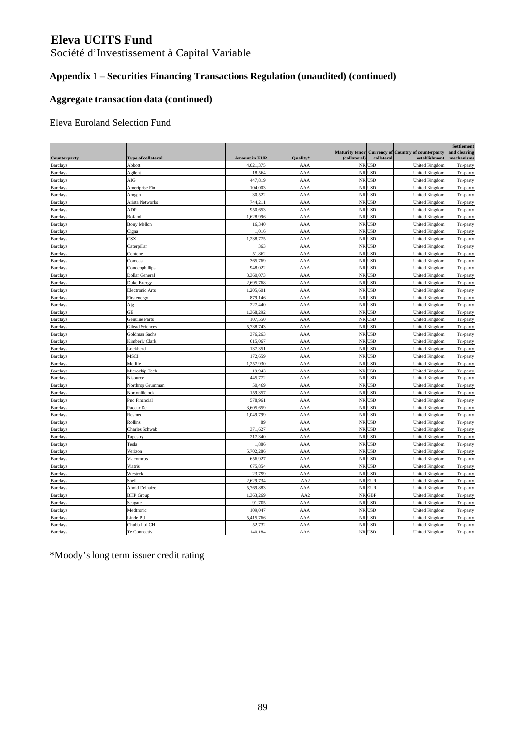Société d'Investissement à Capital Variable

## **Appendix 1 – Securities Financing Transactions Regulation (unaudited) (continued)**

### **Aggregate transaction data (continued)**

### Eleva Euroland Selection Fund

| Counterparty    | <b>Type of collateral</b> | <b>Amount in EUR</b> | <b>Quality</b>  | <b>Maturity tenor</b><br>(collateral) | collateral | <b>Currency of Country of counterparty</b><br>establishment | Settlement<br>and clearing<br>mechanisms |
|-----------------|---------------------------|----------------------|-----------------|---------------------------------------|------------|-------------------------------------------------------------|------------------------------------------|
| <b>Barclays</b> | Abbott                    | 4,021,375            | AAA             |                                       | NR USD     | <b>United Kingdom</b>                                       | Tri-party                                |
| <b>Barclays</b> | Agilent                   | 18,564               | AAA             |                                       | NR USD     | United Kingdom                                              | Tri-party                                |
| <b>Barclays</b> | AIG                       | 447,819              | AAA             |                                       | NR USD     | <b>United Kingdom</b>                                       | Tri-party                                |
| <b>Barclays</b> | Ameriprise Fin            | 104,003              | AAA             |                                       | NR USD     | <b>United Kingdom</b>                                       | Tri-party                                |
| <b>Barclays</b> | Amgen                     | 30,522               | AAA             |                                       | NR USD     | United Kingdom                                              | Tri-party                                |
| <b>Barclays</b> | Arista Networks           | 744,211              | AAA             |                                       | NR USD     | <b>United Kingdom</b>                                       | Tri-party                                |
| <b>Barclays</b> | ADP                       | 950,653              | AAA             |                                       | NR USD     | United Kingdon                                              | Tri-party                                |
| <b>Barclays</b> | Bofaml                    | 1,628,996            | AA/             |                                       | NR USD     | <b>United Kingdon</b>                                       | Tri-party                                |
| <b>Barclays</b> | <b>Bony Mellon</b>        | 16,340               | AAA             |                                       | NR USD     | United Kingdom                                              | Tri-party                                |
| <b>Barclays</b> | Cigna                     | 1,016                | AAA             |                                       | NR USD     | United Kingdom                                              | Tri-party                                |
| <b>Barclays</b> | CSX                       | 1,238,775            | AAA             |                                       | NR USD     | <b>United Kingdom</b>                                       | Tri-party                                |
| <b>Barclays</b> | Caterpillar               | 363                  | AAA             |                                       | NR USD     | <b>United Kingdom</b>                                       | Tri-party                                |
| <b>Barclays</b> | Centene                   | 51,862               | AAA             |                                       | NR USD     | United Kingdom                                              | Tri-party                                |
| <b>Barclays</b> | Comcast                   | 365,769              | AAA             |                                       | NR USD     | <b>United Kingdom</b>                                       | Tri-party                                |
| <b>Barclays</b> | Conocophillips            | 948,022              | AAA             |                                       | NR USD     | <b>United Kingdom</b>                                       | Tri-party                                |
| <b>Barclays</b> | Dollar General            | 3,360,073            | AAA             |                                       | NR USD     | <b>United Kingdom</b>                                       | Tri-party                                |
| <b>Barclays</b> | Duke Energy               | 2,695,768            | AAA             |                                       | NR USD     | United Kingdom                                              | Tri-party                                |
| <b>Barclays</b> | Electronic Arts           | 1,205,601            | AAA             |                                       | NR USD     | United Kingdon                                              | Tri-party                                |
| <b>Barclays</b> | Firstenergy               | 879,146              | AAA             |                                       | NR USD     | United Kingdom                                              | Tri-party                                |
| <b>Barclays</b> | Ajg                       | 227,440              | AAA             |                                       | NR USD     | United Kingdom                                              | Tri-party                                |
| <b>Barclays</b> | GE                        | 1,368,292            | AAA             |                                       | NR USD     | United Kingdom                                              | Tri-party                                |
| <b>Barclays</b> | <b>Genuine Parts</b>      | 107,550              | AAA             |                                       | NR USD     | United Kingdom                                              | Tri-party                                |
| <b>Barclays</b> | <b>Gilead Sciences</b>    | 5,738,743            | AAA             |                                       | NR USD     | United Kingdom                                              | Tri-party                                |
| <b>Barclays</b> | Goldman Sachs             | 376,263              | AAA             |                                       | NR USD     | United Kingdom                                              | Tri-party                                |
| <b>Barclays</b> | Kimberly Clark            | 615,067              | AAA             |                                       | NR USD     | <b>United Kingdom</b>                                       | Tri-party                                |
| Barclays        | Lockheed                  | 137,351              | AAA             |                                       | NR USD     | <b>United Kingdon</b>                                       | Tri-party                                |
| <b>Barclays</b> | <b>MSCI</b>               | 172.659              | AAA             |                                       | NR USD     | <b>United Kingdom</b>                                       | Tri-party                                |
| <b>Barclays</b> | Metlife                   | 1,257,930            | AAA             |                                       | NR USD     | <b>United Kingdom</b>                                       | Tri-party                                |
| <b>Barclays</b> | Microchip Tech            | 19,943               | AAA             |                                       | NR USD     | <b>United Kingdom</b>                                       | Tri-party                                |
| <b>Barclays</b> | Nisource                  | 445,772              | AAA             |                                       | NR USD     | <b>United Kingdom</b>                                       | Tri-party                                |
| <b>Barclays</b> | Northrop Grumman          | 50,469               | AAA             |                                       | NR USD     | <b>United Kingdon</b>                                       | Tri-party                                |
| <b>Barclays</b> | Nortonlifelock            | 159,357              | AAA             |                                       | NR USD     | United Kingdom                                              | Tri-party                                |
| <b>Barclays</b> | Pnc Financial             | 578,961              | AAA             |                                       | NR USD     | United Kingdom                                              | Tri-party                                |
| <b>Barclays</b> | Paccar De                 | 3,605,659            | AAA             |                                       | NR USD     | United Kingdom                                              | Tri-party                                |
| <b>Barclays</b> | Resmed                    | 1,049,799            | AAA             |                                       | NR USD     | <b>United Kingdom</b>                                       | Tri-party                                |
| <b>Barclays</b> | Rollins                   | 89                   | AAA             |                                       | NR USD     | United Kingdom                                              | Tri-party                                |
| <b>Barclays</b> | Charles Schwab            | 371,627              | AAA             |                                       | NR USD     | United Kingdom                                              | Tri-party                                |
| <b>Barclays</b> | Tapestry                  | 217,340              | AAA             |                                       | NR USD     | <b>United Kingdom</b>                                       | Tri-party                                |
| <b>Barclays</b> | Tesla                     | 1,886                | AAA             |                                       | NR USD     | <b>United Kingdon</b>                                       | Tri-party                                |
| <b>Barclays</b> | Verizon                   | 5,702,286            | AAA             |                                       | NR USD     | <b>United Kingdon</b>                                       | Tri-party                                |
| <b>Barclays</b> | Viacomcbs                 | 656,927              | AAA             |                                       | NR USD     | United Kingdom                                              | Tri-party                                |
| <b>Barclays</b> | Viatris                   | 675,854              | AAA             |                                       | NR USD     | <b>United Kingdom</b>                                       | Tri-party                                |
| <b>Barclays</b> | Westrck                   | 23,799               | AAA             |                                       | NR USD     | <b>United Kingdon</b>                                       | Tri-party                                |
| <b>Barclays</b> | Shell                     | 2,629,734            | AA2             |                                       | NR EUR     | <b>United Kingdon</b>                                       | Tri-party                                |
| <b>Barclays</b> | Ahold Delhaize            | 5,769,883            | AAA             |                                       | NR EUR     | <b>United Kingdom</b>                                       | Tri-party                                |
| <b>Barclays</b> | <b>BHP</b> Group          | 1,363,269            | AA <sub>2</sub> |                                       | NR GBP     | United Kingdom                                              | Tri-party                                |
| <b>Barclays</b> | Seagate                   | 91,705               | AAA             |                                       | NR USD     | <b>United Kingdom</b>                                       | Tri-party                                |
| <b>Barclays</b> | Medtronic                 | 109,047              | AAA             |                                       | NR USD     | United Kingdom                                              | Tri-party                                |
| <b>Barclays</b> | Linde PU                  | 5,415,766            | AAA             |                                       | NR USD     | United Kingdon                                              | Tri-party                                |
| <b>Barclays</b> | Chubb Ltd CH              | 52,732               | AAA             |                                       | NR USD     | <b>United Kingdom</b>                                       | Tri-party                                |
| <b>Barclays</b> | Te Connectiv              | 140,184              | AAA             |                                       | NR USD     | <b>United Kingdom</b>                                       | Tri-party                                |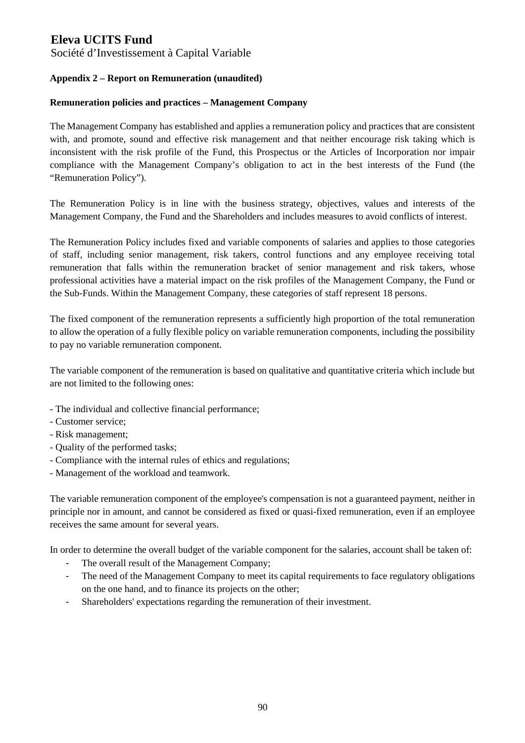Société d'Investissement à Capital Variable

### **Appendix 2 – Report on Remuneration (unaudited)**

#### **Remuneration policies and practices – Management Company**

The Management Company has established and applies a remuneration policy and practices that are consistent with, and promote, sound and effective risk management and that neither encourage risk taking which is inconsistent with the risk profile of the Fund, this Prospectus or the Articles of Incorporation nor impair compliance with the Management Company's obligation to act in the best interests of the Fund (the "Remuneration Policy").

The Remuneration Policy is in line with the business strategy, objectives, values and interests of the Management Company, the Fund and the Shareholders and includes measures to avoid conflicts of interest.

The Remuneration Policy includes fixed and variable components of salaries and applies to those categories of staff, including senior management, risk takers, control functions and any employee receiving total remuneration that falls within the remuneration bracket of senior management and risk takers, whose professional activities have a material impact on the risk profiles of the Management Company, the Fund or the Sub-Funds. Within the Management Company, these categories of staff represent 18 persons.

The fixed component of the remuneration represents a sufficiently high proportion of the total remuneration to allow the operation of a fully flexible policy on variable remuneration components, including the possibility to pay no variable remuneration component.

The variable component of the remuneration is based on qualitative and quantitative criteria which include but are not limited to the following ones:

- The individual and collective financial performance;
- Customer service;
- Risk management;
- Quality of the performed tasks;
- Compliance with the internal rules of ethics and regulations;
- Management of the workload and teamwork.

The variable remuneration component of the employee's compensation is not a guaranteed payment, neither in principle nor in amount, and cannot be considered as fixed or quasi-fixed remuneration, even if an employee receives the same amount for several years.

In order to determine the overall budget of the variable component for the salaries, account shall be taken of:

- The overall result of the Management Company;
- The need of the Management Company to meet its capital requirements to face regulatory obligations on the one hand, and to finance its projects on the other;
- Shareholders' expectations regarding the remuneration of their investment.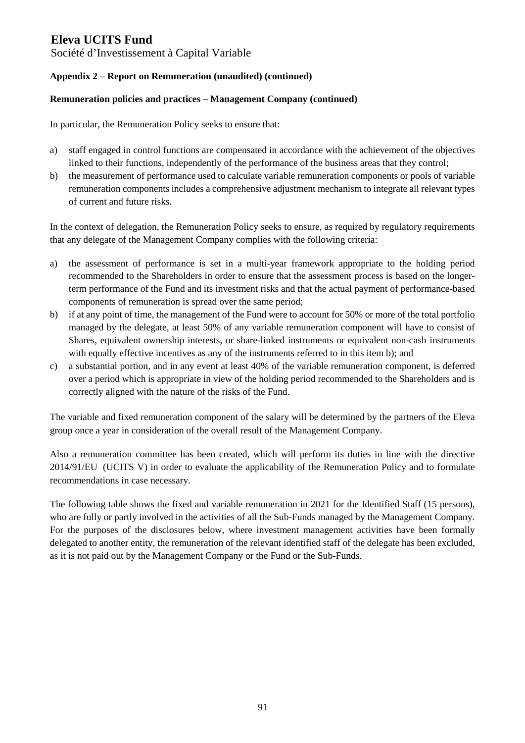Société d'Investissement à Capital Variable

### **Appendix 2 – Report on Remuneration (unaudited) (continued)**

#### **Remuneration policies and practices – Management Company (continued)**

In particular, the Remuneration Policy seeks to ensure that:

- a) staff engaged in control functions are compensated in accordance with the achievement of the objectives linked to their functions, independently of the performance of the business areas that they control;
- b) the measurement of performance used to calculate variable remuneration components or pools of variable remuneration components includes a comprehensive adjustment mechanism to integrate all relevant types of current and future risks.

In the context of delegation, the Remuneration Policy seeks to ensure, as required by regulatory requirements that any delegate of the Management Company complies with the following criteria:

- a) the assessment of performance is set in a multi-year framework appropriate to the holding period recommended to the Shareholders in order to ensure that the assessment process is based on the longerterm performance of the Fund and its investment risks and that the actual payment of performance-based components of remuneration is spread over the same period;
- b) if at any point of time, the management of the Fund were to account for 50% or more of the total portfolio managed by the delegate, at least 50% of any variable remuneration component will have to consist of Shares, equivalent ownership interests, or share-linked instruments or equivalent non-cash instruments with equally effective incentives as any of the instruments referred to in this item b); and
- c) a substantial portion, and in any event at least 40% of the variable remuneration component, is deferred over a period which is appropriate in view of the holding period recommended to the Shareholders and is correctly aligned with the nature of the risks of the Fund.

The variable and fixed remuneration component of the salary will be determined by the partners of the Eleva group once a year in consideration of the overall result of the Management Company.

Also a remuneration committee has been created, which will perform its duties in line with the directive 2014/91/EU (UCITS V) in order to evaluate the applicability of the Remuneration Policy and to formulate recommendations in case necessary.

The following table shows the fixed and variable remuneration in 2021 for the Identified Staff (15 persons), who are fully or partly involved in the activities of all the Sub-Funds managed by the Management Company. For the purposes of the disclosures below, where investment management activities have been formally delegated to another entity, the remuneration of the relevant identified staff of the delegate has been excluded, as it is not paid out by the Management Company or the Fund or the Sub-Funds.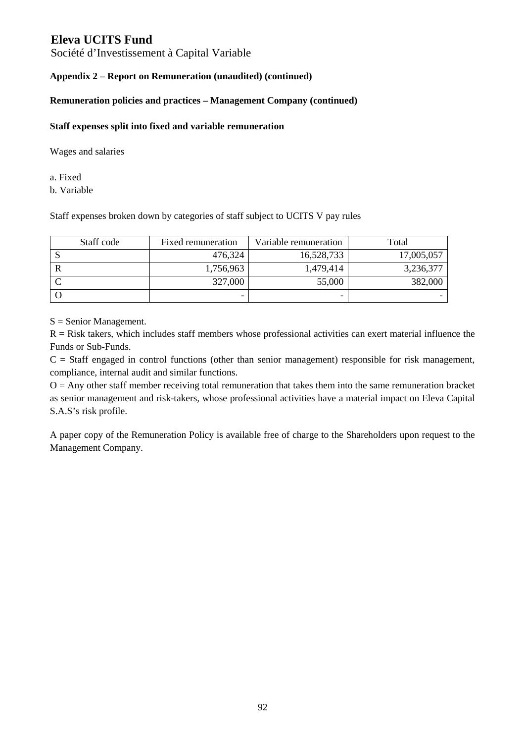Société d'Investissement à Capital Variable

### **Appendix 2 – Report on Remuneration (unaudited) (continued)**

### **Remuneration policies and practices – Management Company (continued)**

#### **Staff expenses split into fixed and variable remuneration**

Wages and salaries

a. Fixed

b. Variable

Staff expenses broken down by categories of staff subject to UCITS V pay rules

| Staff code | Fixed remuneration       | Variable remuneration | Total      |
|------------|--------------------------|-----------------------|------------|
|            | 476,324                  | 16,528,733            | 17,005,057 |
|            | 1,756,963                | 1,479,414             | 3,236,377  |
|            | 327,000                  | 55,000                | 382,000    |
|            | $\overline{\phantom{0}}$ | -                     |            |

S = Senior Management.

 $R =$  Risk takers, which includes staff members whose professional activities can exert material influence the Funds or Sub-Funds.

 $C =$  Staff engaged in control functions (other than senior management) responsible for risk management, compliance, internal audit and similar functions.

 $O =$  Any other staff member receiving total remuneration that takes them into the same remuneration bracket as senior management and risk-takers, whose professional activities have a material impact on Eleva Capital S.A.S's risk profile.

A paper copy of the Remuneration Policy is available free of charge to the Shareholders upon request to the Management Company.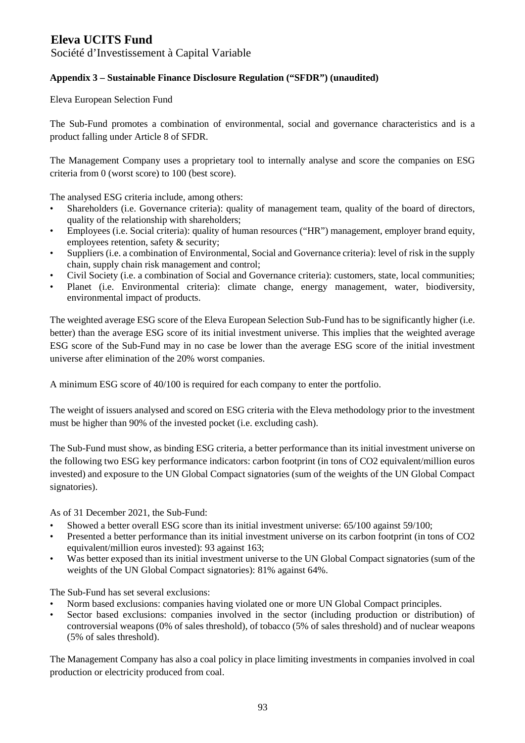Société d'Investissement à Capital Variable

### **Appendix 3 – Sustainable Finance Disclosure Regulation ("SFDR") (unaudited)**

Eleva European Selection Fund

The Sub-Fund promotes a combination of environmental, social and governance characteristics and is a product falling under Article 8 of SFDR.

The Management Company uses a proprietary tool to internally analyse and score the companies on ESG criteria from 0 (worst score) to 100 (best score).

The analysed ESG criteria include, among others:

- Shareholders (i.e. Governance criteria): quality of management team, quality of the board of directors, quality of the relationship with shareholders;
- Employees (i.e. Social criteria): quality of human resources ("HR") management, employer brand equity, employees retention, safety & security;
- Suppliers (i.e. a combination of Environmental, Social and Governance criteria): level of risk in the supply chain, supply chain risk management and control;
- Civil Society (i.e. a combination of Social and Governance criteria): customers, state, local communities;
- Planet (i.e. Environmental criteria): climate change, energy management, water, biodiversity, environmental impact of products.

The weighted average ESG score of the Eleva European Selection Sub-Fund has to be significantly higher (i.e. better) than the average ESG score of its initial investment universe. This implies that the weighted average ESG score of the Sub-Fund may in no case be lower than the average ESG score of the initial investment universe after elimination of the 20% worst companies.

A minimum ESG score of 40/100 is required for each company to enter the portfolio.

The weight of issuers analysed and scored on ESG criteria with the Eleva methodology prior to the investment must be higher than 90% of the invested pocket (i.e. excluding cash).

The Sub-Fund must show, as binding ESG criteria, a better performance than its initial investment universe on the following two ESG key performance indicators: carbon footprint (in tons of CO2 equivalent/million euros invested) and exposure to the UN Global Compact signatories (sum of the weights of the UN Global Compact signatories).

As of 31 December 2021, the Sub-Fund:

- Showed a better overall ESG score than its initial investment universe: 65/100 against 59/100;
- Presented a better performance than its initial investment universe on its carbon footprint (in tons of CO2 equivalent/million euros invested): 93 against 163;
- Was better exposed than its initial investment universe to the UN Global Compact signatories (sum of the weights of the UN Global Compact signatories): 81% against 64%.

The Sub-Fund has set several exclusions:

- Norm based exclusions: companies having violated one or more UN Global Compact principles.
- Sector based exclusions: companies involved in the sector (including production or distribution) of controversial weapons (0% of sales threshold), of tobacco (5% of sales threshold) and of nuclear weapons (5% of sales threshold).

The Management Company has also a coal policy in place limiting investments in companies involved in coal production or electricity produced from coal.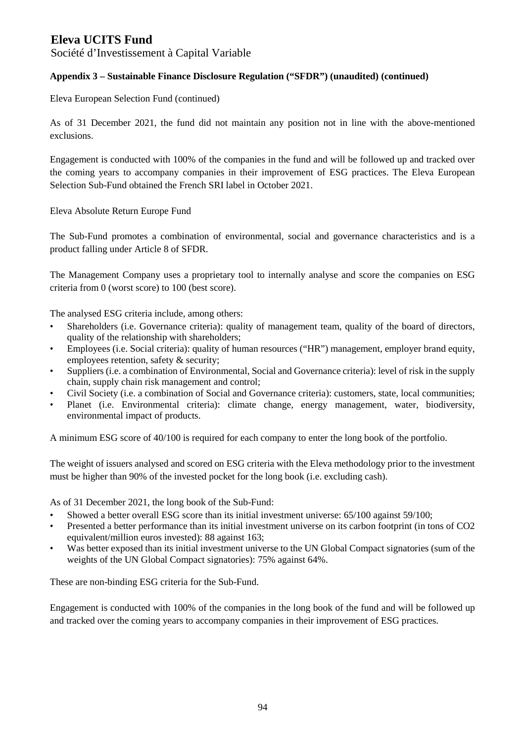Société d'Investissement à Capital Variable

### **Appendix 3 – Sustainable Finance Disclosure Regulation ("SFDR") (unaudited) (continued)**

Eleva European Selection Fund (continued)

As of 31 December 2021, the fund did not maintain any position not in line with the above-mentioned exclusions.

Engagement is conducted with 100% of the companies in the fund and will be followed up and tracked over the coming years to accompany companies in their improvement of ESG practices. The Eleva European Selection Sub-Fund obtained the French SRI label in October 2021.

Eleva Absolute Return Europe Fund

The Sub-Fund promotes a combination of environmental, social and governance characteristics and is a product falling under Article 8 of SFDR.

The Management Company uses a proprietary tool to internally analyse and score the companies on ESG criteria from 0 (worst score) to 100 (best score).

The analysed ESG criteria include, among others:

- Shareholders (i.e. Governance criteria): quality of management team, quality of the board of directors, quality of the relationship with shareholders;
- Employees (i.e. Social criteria): quality of human resources ("HR") management, employer brand equity, employees retention, safety & security;
- Suppliers (i.e. a combination of Environmental, Social and Governance criteria): level of risk in the supply chain, supply chain risk management and control;
- Civil Society (i.e. a combination of Social and Governance criteria): customers, state, local communities;
- Planet (i.e. Environmental criteria): climate change, energy management, water, biodiversity, environmental impact of products.

A minimum ESG score of 40/100 is required for each company to enter the long book of the portfolio.

The weight of issuers analysed and scored on ESG criteria with the Eleva methodology prior to the investment must be higher than 90% of the invested pocket for the long book (i.e. excluding cash).

As of 31 December 2021, the long book of the Sub-Fund:

- Showed a better overall ESG score than its initial investment universe: 65/100 against 59/100;
- Presented a better performance than its initial investment universe on its carbon footprint (in tons of CO2 equivalent/million euros invested): 88 against 163;
- Was better exposed than its initial investment universe to the UN Global Compact signatories (sum of the weights of the UN Global Compact signatories): 75% against 64%.

These are non-binding ESG criteria for the Sub-Fund.

Engagement is conducted with 100% of the companies in the long book of the fund and will be followed up and tracked over the coming years to accompany companies in their improvement of ESG practices.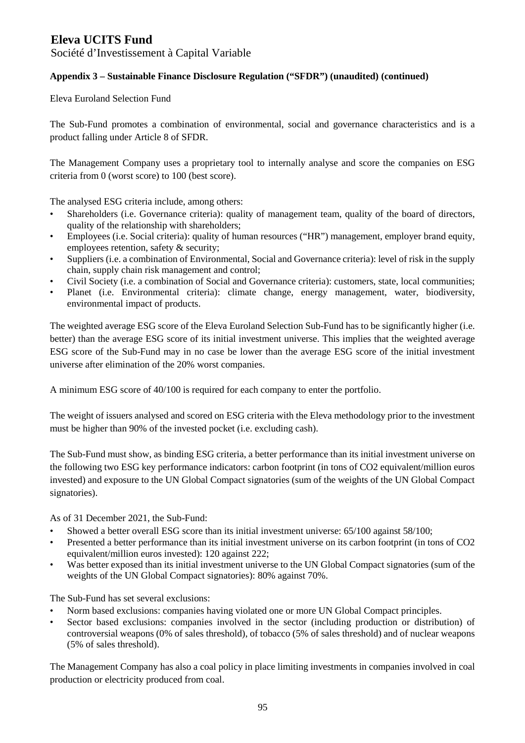Société d'Investissement à Capital Variable

### **Appendix 3 – Sustainable Finance Disclosure Regulation ("SFDR") (unaudited) (continued)**

Eleva Euroland Selection Fund

The Sub-Fund promotes a combination of environmental, social and governance characteristics and is a product falling under Article 8 of SFDR.

The Management Company uses a proprietary tool to internally analyse and score the companies on ESG criteria from 0 (worst score) to 100 (best score).

The analysed ESG criteria include, among others:

- Shareholders (i.e. Governance criteria): quality of management team, quality of the board of directors, quality of the relationship with shareholders;
- Employees (i.e. Social criteria): quality of human resources ("HR") management, employer brand equity, employees retention, safety & security;
- Suppliers (i.e. a combination of Environmental, Social and Governance criteria): level of risk in the supply chain, supply chain risk management and control;
- Civil Society (i.e. a combination of Social and Governance criteria): customers, state, local communities;
- Planet (i.e. Environmental criteria): climate change, energy management, water, biodiversity, environmental impact of products.

The weighted average ESG score of the Eleva Euroland Selection Sub-Fund has to be significantly higher (i.e. better) than the average ESG score of its initial investment universe. This implies that the weighted average ESG score of the Sub-Fund may in no case be lower than the average ESG score of the initial investment universe after elimination of the 20% worst companies.

A minimum ESG score of 40/100 is required for each company to enter the portfolio.

The weight of issuers analysed and scored on ESG criteria with the Eleva methodology prior to the investment must be higher than 90% of the invested pocket (i.e. excluding cash).

The Sub-Fund must show, as binding ESG criteria, a better performance than its initial investment universe on the following two ESG key performance indicators: carbon footprint (in tons of CO2 equivalent/million euros invested) and exposure to the UN Global Compact signatories (sum of the weights of the UN Global Compact signatories).

As of 31 December 2021, the Sub-Fund:

- Showed a better overall ESG score than its initial investment universe: 65/100 against 58/100;
- Presented a better performance than its initial investment universe on its carbon footprint (in tons of CO2 equivalent/million euros invested): 120 against 222;
- Was better exposed than its initial investment universe to the UN Global Compact signatories (sum of the weights of the UN Global Compact signatories): 80% against 70%.

The Sub-Fund has set several exclusions:

- Norm based exclusions: companies having violated one or more UN Global Compact principles.
- Sector based exclusions: companies involved in the sector (including production or distribution) of controversial weapons (0% of sales threshold), of tobacco (5% of sales threshold) and of nuclear weapons (5% of sales threshold).

The Management Company has also a coal policy in place limiting investments in companies involved in coal production or electricity produced from coal.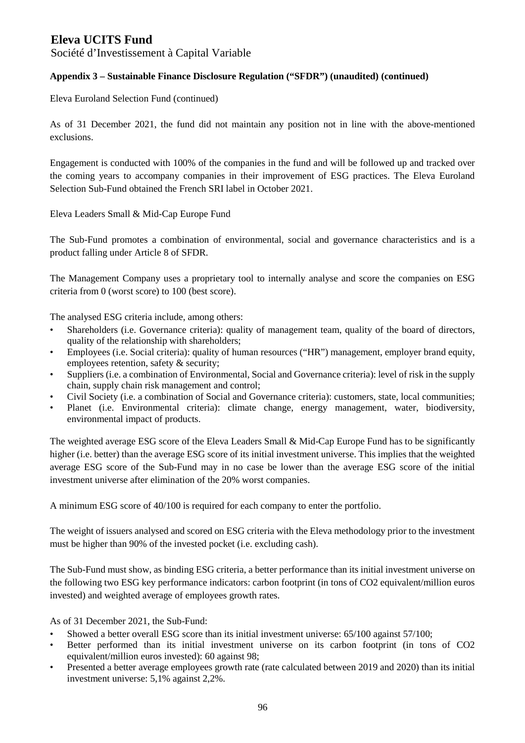Société d'Investissement à Capital Variable

### **Appendix 3 – Sustainable Finance Disclosure Regulation ("SFDR") (unaudited) (continued)**

Eleva Euroland Selection Fund (continued)

As of 31 December 2021, the fund did not maintain any position not in line with the above-mentioned exclusions.

Engagement is conducted with 100% of the companies in the fund and will be followed up and tracked over the coming years to accompany companies in their improvement of ESG practices. The Eleva Euroland Selection Sub-Fund obtained the French SRI label in October 2021.

Eleva Leaders Small & Mid-Cap Europe Fund

The Sub-Fund promotes a combination of environmental, social and governance characteristics and is a product falling under Article 8 of SFDR.

The Management Company uses a proprietary tool to internally analyse and score the companies on ESG criteria from 0 (worst score) to 100 (best score).

The analysed ESG criteria include, among others:

- Shareholders (i.e. Governance criteria): quality of management team, quality of the board of directors, quality of the relationship with shareholders;
- Employees (i.e. Social criteria): quality of human resources ("HR") management, employer brand equity, employees retention, safety & security;
- Suppliers (i.e. a combination of Environmental, Social and Governance criteria): level of risk in the supply chain, supply chain risk management and control;
- Civil Society (i.e. a combination of Social and Governance criteria): customers, state, local communities;
- Planet (i.e. Environmental criteria): climate change, energy management, water, biodiversity, environmental impact of products.

The weighted average ESG score of the Eleva Leaders Small & Mid-Cap Europe Fund has to be significantly higher (i.e. better) than the average ESG score of its initial investment universe. This implies that the weighted average ESG score of the Sub-Fund may in no case be lower than the average ESG score of the initial investment universe after elimination of the 20% worst companies.

A minimum ESG score of 40/100 is required for each company to enter the portfolio.

The weight of issuers analysed and scored on ESG criteria with the Eleva methodology prior to the investment must be higher than 90% of the invested pocket (i.e. excluding cash).

The Sub-Fund must show, as binding ESG criteria, a better performance than its initial investment universe on the following two ESG key performance indicators: carbon footprint (in tons of CO2 equivalent/million euros invested) and weighted average of employees growth rates.

As of 31 December 2021, the Sub-Fund:

- Showed a better overall ESG score than its initial investment universe: 65/100 against 57/100;
- Better performed than its initial investment universe on its carbon footprint (in tons of CO2 equivalent/million euros invested): 60 against 98;
- Presented a better average employees growth rate (rate calculated between 2019 and 2020) than its initial investment universe: 5,1% against 2,2%.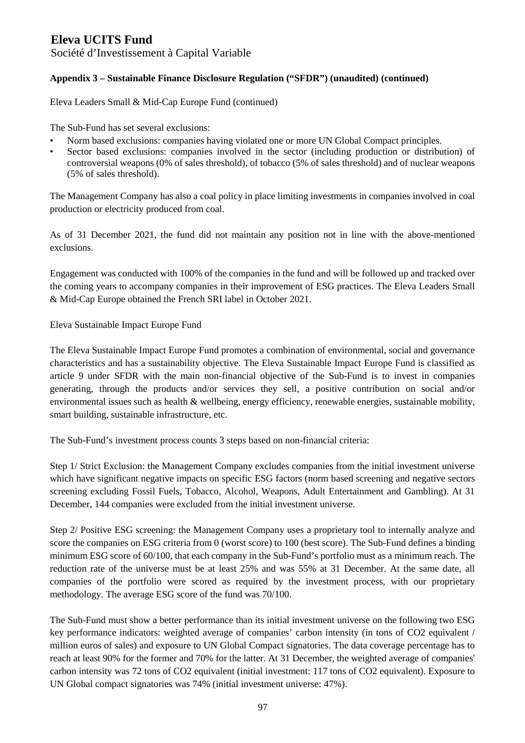Société d'Investissement à Capital Variable

### **Appendix 3 – Sustainable Finance Disclosure Regulation ("SFDR") (unaudited) (continued)**

Eleva Leaders Small & Mid-Cap Europe Fund (continued)

The Sub-Fund has set several exclusions:

- Norm based exclusions: companies having violated one or more UN Global Compact principles.
- Sector based exclusions: companies involved in the sector (including production or distribution) of controversial weapons (0% of sales threshold), of tobacco (5% of sales threshold) and of nuclear weapons (5% of sales threshold).

The Management Company has also a coal policy in place limiting investments in companies involved in coal production or electricity produced from coal.

As of 31 December 2021, the fund did not maintain any position not in line with the above-mentioned exclusions.

Engagement was conducted with 100% of the companies in the fund and will be followed up and tracked over the coming years to accompany companies in their improvement of ESG practices. The Eleva Leaders Small & Mid-Cap Europe obtained the French SRI label in October 2021.

Eleva Sustainable Impact Europe Fund

The Eleva Sustainable Impact Europe Fund promotes a combination of environmental, social and governance characteristics and has a sustainability objective. The Eleva Sustainable Impact Europe Fund is classified as article 9 under SFDR with the main non-financial objective of the Sub-Fund is to invest in companies generating, through the products and/or services they sell, a positive contribution on social and/or environmental issues such as health & wellbeing, energy efficiency, renewable energies, sustainable mobility, smart building, sustainable infrastructure, etc.

The Sub-Fund's investment process counts 3 steps based on non-financial criteria:

Step 1/ Strict Exclusion: the Management Company excludes companies from the initial investment universe which have significant negative impacts on specific ESG factors (norm based screening and negative sectors screening excluding Fossil Fuels, Tobacco, Alcohol, Weapons, Adult Entertainment and Gambling). At 31 December, 144 companies were excluded from the initial investment universe.

Step 2/ Positive ESG screening: the Management Company uses a proprietary tool to internally analyze and score the companies on ESG criteria from 0 (worst score) to 100 (best score). The Sub-Fund defines a binding minimum ESG score of 60/100, that each company in the Sub-Fund's portfolio must as a minimum reach. The reduction rate of the universe must be at least 25% and was 55% at 31 December. At the same date, all companies of the portfolio were scored as required by the investment process, with our proprietary methodology. The average ESG score of the fund was 70/100.

The Sub-Fund must show a better performance than its initial investment universe on the following two ESG key performance indicators: weighted average of companies' carbon intensity (in tons of CO2 equivalent / million euros of sales) and exposure to UN Global Compact signatories. The data coverage percentage has to reach at least 90% for the former and 70% for the latter. At 31 December, the weighted average of companies' carbon intensity was 72 tons of CO2 equivalent (initial investment: 117 tons of CO2 equivalent). Exposure to UN Global compact signatories was 74% (initial investment universe: 47%).